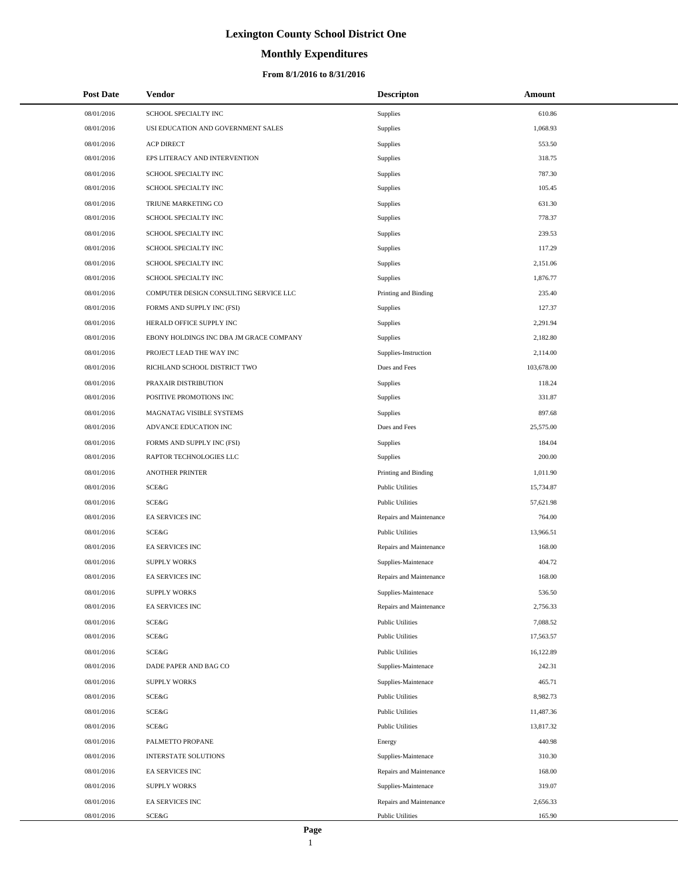# **Monthly Expenditures**

### **From 8/1/2016 to 8/31/2016**

| <b>Post Date</b> | <b>Vendor</b>                           | <b>Descripton</b>       | Amount     |
|------------------|-----------------------------------------|-------------------------|------------|
| 08/01/2016       | SCHOOL SPECIALTY INC                    | Supplies                | 610.86     |
| 08/01/2016       | USI EDUCATION AND GOVERNMENT SALES      | Supplies                | 1,068.93   |
| 08/01/2016       | <b>ACP DIRECT</b>                       | Supplies                | 553.50     |
| 08/01/2016       | EPS LITERACY AND INTERVENTION           | Supplies                | 318.75     |
| 08/01/2016       | SCHOOL SPECIALTY INC                    | Supplies                | 787.30     |
| 08/01/2016       | SCHOOL SPECIALTY INC                    | Supplies                | 105.45     |
| 08/01/2016       | TRIUNE MARKETING CO                     | Supplies                | 631.30     |
| 08/01/2016       | SCHOOL SPECIALTY INC                    | Supplies                | 778.37     |
| 08/01/2016       | SCHOOL SPECIALTY INC                    | Supplies                | 239.53     |
| 08/01/2016       | SCHOOL SPECIALTY INC                    | Supplies                | 117.29     |
| 08/01/2016       | SCHOOL SPECIALTY INC                    | Supplies                | 2,151.06   |
| 08/01/2016       | SCHOOL SPECIALTY INC                    | Supplies                | 1,876.77   |
| 08/01/2016       | COMPUTER DESIGN CONSULTING SERVICE LLC  | Printing and Binding    | 235.40     |
| 08/01/2016       | FORMS AND SUPPLY INC (FSI)              | Supplies                | 127.37     |
| 08/01/2016       | HERALD OFFICE SUPPLY INC                | Supplies                | 2,291.94   |
| 08/01/2016       | EBONY HOLDINGS INC DBA JM GRACE COMPANY | Supplies                | 2,182.80   |
| 08/01/2016       | PROJECT LEAD THE WAY INC                | Supplies-Instruction    | 2,114.00   |
| 08/01/2016       | RICHLAND SCHOOL DISTRICT TWO            | Dues and Fees           | 103,678.00 |
| 08/01/2016       | PRAXAIR DISTRIBUTION                    | Supplies                | 118.24     |
| 08/01/2016       | POSITIVE PROMOTIONS INC                 | Supplies                | 331.87     |
| 08/01/2016       | MAGNATAG VISIBLE SYSTEMS                | Supplies                | 897.68     |
| 08/01/2016       | ADVANCE EDUCATION INC                   | Dues and Fees           | 25,575.00  |
| 08/01/2016       | FORMS AND SUPPLY INC (FSI)              | Supplies                | 184.04     |
| 08/01/2016       | RAPTOR TECHNOLOGIES LLC                 | Supplies                | 200.00     |
| 08/01/2016       | <b>ANOTHER PRINTER</b>                  | Printing and Binding    | 1,011.90   |
| 08/01/2016       | SCE&G                                   | <b>Public Utilities</b> | 15,734.87  |
| 08/01/2016       | SCE&G                                   | <b>Public Utilities</b> | 57,621.98  |
| 08/01/2016       | EA SERVICES INC                         | Repairs and Maintenance | 764.00     |
| 08/01/2016       | SCE&G                                   | <b>Public Utilities</b> | 13,966.51  |
| 08/01/2016       | EA SERVICES INC                         | Repairs and Maintenance | 168.00     |
| 08/01/2016       | <b>SUPPLY WORKS</b>                     | Supplies-Maintenace     | 404.72     |
| 08/01/2016       | EA SERVICES INC                         | Repairs and Maintenance | 168.00     |
| 08/01/2016       | <b>SUPPLY WORKS</b>                     | Supplies-Maintenace     | 536.50     |
| 08/01/2016       | EA SERVICES INC                         | Repairs and Maintenance | 2,756.33   |
| 08/01/2016       | SCE&G                                   | <b>Public Utilities</b> | 7,088.52   |
| 08/01/2016       | SCE&G                                   | <b>Public Utilities</b> | 17,563.57  |
| 08/01/2016       | SCE&G                                   | <b>Public Utilities</b> | 16,122.89  |
| 08/01/2016       | DADE PAPER AND BAG CO                   | Supplies-Maintenace     | 242.31     |
| 08/01/2016       | <b>SUPPLY WORKS</b>                     | Supplies-Maintenace     | 465.71     |
| 08/01/2016       | SCE&G                                   | <b>Public Utilities</b> | 8,982.73   |
| 08/01/2016       | SCE&G                                   | <b>Public Utilities</b> | 11,487.36  |
| 08/01/2016       | SCE&G                                   | <b>Public Utilities</b> | 13,817.32  |
| 08/01/2016       | PALMETTO PROPANE                        | Energy                  | 440.98     |
| 08/01/2016       | INTERSTATE SOLUTIONS                    | Supplies-Maintenace     | 310.30     |
| 08/01/2016       | EA SERVICES INC                         | Repairs and Maintenance | 168.00     |
| 08/01/2016       | <b>SUPPLY WORKS</b>                     | Supplies-Maintenace     | 319.07     |
| 08/01/2016       | EA SERVICES INC                         | Repairs and Maintenance | 2,656.33   |
| 08/01/2016       | SCE&G                                   | <b>Public Utilities</b> | 165.90     |

L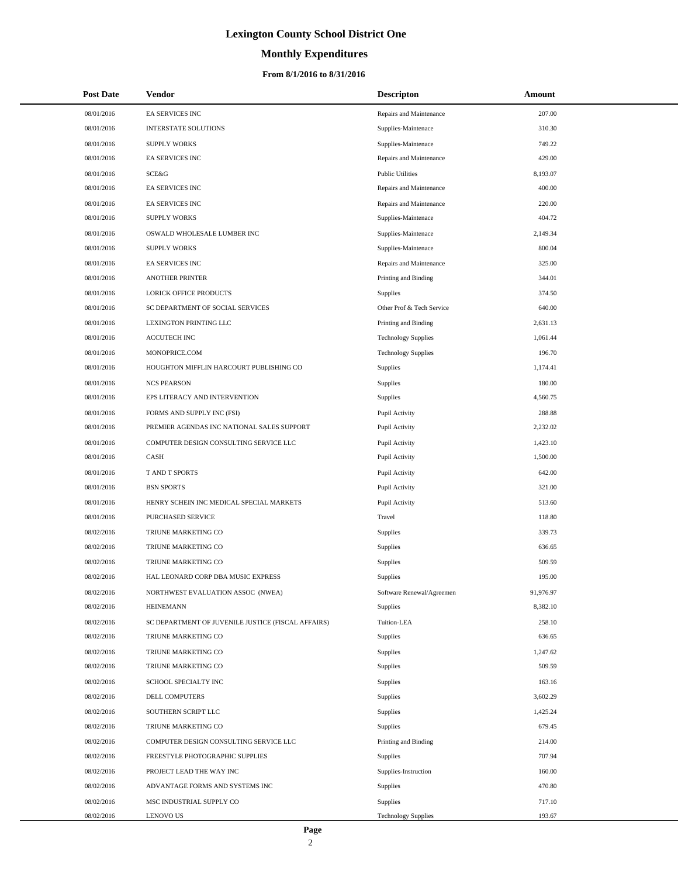# **Monthly Expenditures**

### **From 8/1/2016 to 8/31/2016**

| <b>Post Date</b> | <b>Vendor</b>                                      | <b>Descripton</b>          | Amount    |  |
|------------------|----------------------------------------------------|----------------------------|-----------|--|
| 08/01/2016       | EA SERVICES INC                                    | Repairs and Maintenance    | 207.00    |  |
| 08/01/2016       | <b>INTERSTATE SOLUTIONS</b>                        | Supplies-Maintenace        | 310.30    |  |
| 08/01/2016       | <b>SUPPLY WORKS</b>                                | Supplies-Maintenace        | 749.22    |  |
| 08/01/2016       | EA SERVICES INC                                    | Repairs and Maintenance    | 429.00    |  |
| 08/01/2016       | <b>SCE&amp;G</b>                                   | <b>Public Utilities</b>    | 8,193.07  |  |
| 08/01/2016       | EA SERVICES INC                                    | Repairs and Maintenance    | 400.00    |  |
| 08/01/2016       | EA SERVICES INC                                    | Repairs and Maintenance    | 220.00    |  |
| 08/01/2016       | <b>SUPPLY WORKS</b>                                | Supplies-Maintenace        | 404.72    |  |
| 08/01/2016       | OSWALD WHOLESALE LUMBER INC                        | Supplies-Maintenace        | 2,149.34  |  |
| 08/01/2016       | <b>SUPPLY WORKS</b>                                | Supplies-Maintenace        | 800.04    |  |
| 08/01/2016       | EA SERVICES INC                                    | Repairs and Maintenance    | 325.00    |  |
| 08/01/2016       | <b>ANOTHER PRINTER</b>                             | Printing and Binding       | 344.01    |  |
| 08/01/2016       | LORICK OFFICE PRODUCTS                             | <b>Supplies</b>            | 374.50    |  |
| 08/01/2016       | SC DEPARTMENT OF SOCIAL SERVICES                   | Other Prof & Tech Service  | 640.00    |  |
| 08/01/2016       | LEXINGTON PRINTING LLC                             | Printing and Binding       | 2,631.13  |  |
| 08/01/2016       | <b>ACCUTECH INC</b>                                | <b>Technology Supplies</b> | 1,061.44  |  |
| 08/01/2016       | MONOPRICE.COM                                      | <b>Technology Supplies</b> | 196.70    |  |
| 08/01/2016       | HOUGHTON MIFFLIN HARCOURT PUBLISHING CO            | Supplies                   | 1,174.41  |  |
| 08/01/2016       | <b>NCS PEARSON</b>                                 | Supplies                   | 180.00    |  |
| 08/01/2016       | EPS LITERACY AND INTERVENTION                      | Supplies                   | 4,560.75  |  |
| 08/01/2016       | FORMS AND SUPPLY INC (FSI)                         | Pupil Activity             | 288.88    |  |
| 08/01/2016       | PREMIER AGENDAS INC NATIONAL SALES SUPPORT         | Pupil Activity             | 2,232.02  |  |
| 08/01/2016       | COMPUTER DESIGN CONSULTING SERVICE LLC             | Pupil Activity             | 1,423.10  |  |
| 08/01/2016       | CASH                                               | Pupil Activity             | 1,500.00  |  |
| 08/01/2016       | T AND T SPORTS                                     | Pupil Activity             | 642.00    |  |
| 08/01/2016       | <b>BSN SPORTS</b>                                  | Pupil Activity             | 321.00    |  |
| 08/01/2016       | HENRY SCHEIN INC MEDICAL SPECIAL MARKETS           | Pupil Activity             | 513.60    |  |
| 08/01/2016       | PURCHASED SERVICE                                  | Travel                     | 118.80    |  |
| 08/02/2016       | TRIUNE MARKETING CO                                | Supplies                   | 339.73    |  |
| 08/02/2016       | TRIUNE MARKETING CO                                | Supplies                   | 636.65    |  |
| 08/02/2016       | TRIUNE MARKETING CO                                | Supplies                   | 509.59    |  |
| 08/02/2016       | HAL LEONARD CORP DBA MUSIC EXPRESS                 | Supplies                   | 195.00    |  |
| 08/02/2016       | NORTHWEST EVALUATION ASSOC (NWEA)                  | Software Renewal/Agreemen  | 91,976.97 |  |
| 08/02/2016       | <b>HEINEMANN</b>                                   | Supplies                   | 8,382.10  |  |
| 08/02/2016       | SC DEPARTMENT OF JUVENILE JUSTICE (FISCAL AFFAIRS) | Tuition-LEA                | 258.10    |  |
| 08/02/2016       | TRIUNE MARKETING CO                                | Supplies                   | 636.65    |  |
| 08/02/2016       | TRIUNE MARKETING CO                                | Supplies                   | 1,247.62  |  |
| 08/02/2016       | TRIUNE MARKETING CO                                | Supplies                   | 509.59    |  |
| 08/02/2016       | SCHOOL SPECIALTY INC                               | Supplies                   | 163.16    |  |
| 08/02/2016       | <b>DELL COMPUTERS</b>                              | Supplies                   | 3,602.29  |  |
| 08/02/2016       | SOUTHERN SCRIPT LLC                                | Supplies                   | 1,425.24  |  |
| 08/02/2016       | TRIUNE MARKETING CO                                | Supplies                   | 679.45    |  |
| 08/02/2016       | COMPUTER DESIGN CONSULTING SERVICE LLC             | Printing and Binding       | 214.00    |  |
| 08/02/2016       | FREESTYLE PHOTOGRAPHIC SUPPLIES                    | Supplies                   | 707.94    |  |
| 08/02/2016       | PROJECT LEAD THE WAY INC                           | Supplies-Instruction       | 160.00    |  |
| 08/02/2016       | ADVANTAGE FORMS AND SYSTEMS INC                    | Supplies                   | 470.80    |  |
| 08/02/2016       | MSC INDUSTRIAL SUPPLY CO                           | Supplies                   | 717.10    |  |
| 08/02/2016       | <b>LENOVO US</b>                                   | <b>Technology Supplies</b> | 193.67    |  |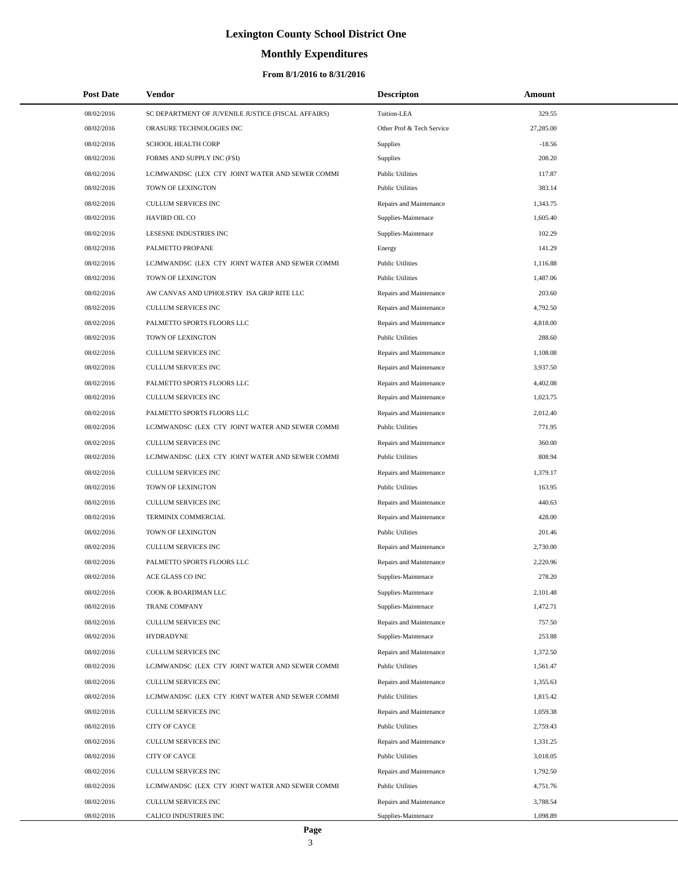# **Monthly Expenditures**

### **From 8/1/2016 to 8/31/2016**

| <b>Post Date</b> | Vendor                                             | <b>Descripton</b>         | Amount    |  |
|------------------|----------------------------------------------------|---------------------------|-----------|--|
| 08/02/2016       | SC DEPARTMENT OF JUVENILE JUSTICE (FISCAL AFFAIRS) | Tuition-LEA               | 329.55    |  |
| 08/02/2016       | ORASURE TECHNOLOGIES INC                           | Other Prof & Tech Service | 27,285.00 |  |
| 08/02/2016       | SCHOOL HEALTH CORP                                 | Supplies                  | $-18.56$  |  |
| 08/02/2016       | FORMS AND SUPPLY INC (FSI)                         | Supplies                  | 208.20    |  |
| 08/02/2016       | LCJMWANDSC (LEX CTY JOINT WATER AND SEWER COMMI    | <b>Public Utilities</b>   | 117.87    |  |
| 08/02/2016       | TOWN OF LEXINGTON                                  | <b>Public Utilities</b>   | 383.14    |  |
| 08/02/2016       | <b>CULLUM SERVICES INC</b>                         | Repairs and Maintenance   | 1,343.75  |  |
| 08/02/2016       | HAVIRD OIL CO                                      | Supplies-Maintenace       | 1,605.40  |  |
| 08/02/2016       | LESESNE INDUSTRIES INC                             | Supplies-Maintenace       | 102.29    |  |
| 08/02/2016       | PALMETTO PROPANE                                   | Energy                    | 141.29    |  |
| 08/02/2016       | LCJMWANDSC (LEX CTY JOINT WATER AND SEWER COMMI    | <b>Public Utilities</b>   | 1,116.88  |  |
| 08/02/2016       | TOWN OF LEXINGTON                                  | <b>Public Utilities</b>   | 1,487.06  |  |
| 08/02/2016       | AW CANVAS AND UPHOLSTRY ISA GRIP RITE LLC          | Repairs and Maintenance   | 203.60    |  |
| 08/02/2016       | <b>CULLUM SERVICES INC</b>                         | Repairs and Maintenance   | 4,792.50  |  |
| 08/02/2016       | PALMETTO SPORTS FLOORS LLC                         | Repairs and Maintenance   | 4,818.00  |  |
| 08/02/2016       | TOWN OF LEXINGTON                                  | <b>Public Utilities</b>   | 288.60    |  |
| 08/02/2016       | <b>CULLUM SERVICES INC</b>                         | Repairs and Maintenance   | 1,108.08  |  |
| 08/02/2016       | <b>CULLUM SERVICES INC</b>                         | Repairs and Maintenance   | 3,937.50  |  |
| 08/02/2016       | PALMETTO SPORTS FLOORS LLC                         | Repairs and Maintenance   | 4.402.08  |  |
| 08/02/2016       | <b>CULLUM SERVICES INC</b>                         | Repairs and Maintenance   | 1,023.75  |  |
| 08/02/2016       | PALMETTO SPORTS FLOORS LLC                         | Repairs and Maintenance   | 2,012.40  |  |
| 08/02/2016       | LCJMWANDSC (LEX CTY JOINT WATER AND SEWER COMMI    | <b>Public Utilities</b>   | 771.95    |  |
| 08/02/2016       | <b>CULLUM SERVICES INC</b>                         | Repairs and Maintenance   | 360.00    |  |
| 08/02/2016       | LCJMWANDSC (LEX CTY JOINT WATER AND SEWER COMMI    | <b>Public Utilities</b>   | 808.94    |  |
| 08/02/2016       | <b>CULLUM SERVICES INC</b>                         | Repairs and Maintenance   | 1,379.17  |  |
| 08/02/2016       | TOWN OF LEXINGTON                                  | <b>Public Utilities</b>   | 163.95    |  |
| 08/02/2016       | <b>CULLUM SERVICES INC</b>                         | Repairs and Maintenance   | 440.63    |  |
| 08/02/2016       | TERMINIX COMMERCIAL                                | Repairs and Maintenance   | 428.00    |  |
| 08/02/2016       | TOWN OF LEXINGTON                                  | <b>Public Utilities</b>   | 201.46    |  |
| 08/02/2016       | CULLUM SERVICES INC                                | Repairs and Maintenance   | 2,730.00  |  |
| 08/02/2016       | PALMETTO SPORTS FLOORS LLC                         | Repairs and Maintenance   | 2,220.96  |  |
| 08/02/2016       | ACE GLASS CO INC                                   | Supplies-Maintenace       | 278.20    |  |
| 08/02/2016       | COOK & BOARDMAN LLC                                | Supplies-Maintenace       | 2,101.48  |  |
| 08/02/2016       | TRANE COMPANY                                      | Supplies-Maintenace       | 1,472.71  |  |
| 08/02/2016       | <b>CULLUM SERVICES INC</b>                         | Repairs and Maintenance   | 757.50    |  |
| 08/02/2016       | <b>HYDRADYNE</b>                                   | Supplies-Maintenace       | 253.88    |  |
| 08/02/2016       | <b>CULLUM SERVICES INC</b>                         | Repairs and Maintenance   | 1,372.50  |  |
| 08/02/2016       | LCJMWANDSC (LEX CTY JOINT WATER AND SEWER COMMI    | <b>Public Utilities</b>   | 1,561.47  |  |
| 08/02/2016       | CULLUM SERVICES INC                                | Repairs and Maintenance   | 1,355.63  |  |
| 08/02/2016       | LCJMWANDSC (LEX CTY JOINT WATER AND SEWER COMMI    | <b>Public Utilities</b>   | 1,815.42  |  |
| 08/02/2016       | <b>CULLUM SERVICES INC</b>                         | Repairs and Maintenance   | 1,059.38  |  |
| 08/02/2016       | CITY OF CAYCE                                      | <b>Public Utilities</b>   | 2,759.43  |  |
| 08/02/2016       | <b>CULLUM SERVICES INC</b>                         | Repairs and Maintenance   | 1,331.25  |  |
| 08/02/2016       | CITY OF CAYCE                                      | <b>Public Utilities</b>   | 3,018.05  |  |
| 08/02/2016       | CULLUM SERVICES INC                                | Repairs and Maintenance   | 1,792.50  |  |
| 08/02/2016       | LCJMWANDSC (LEX CTY JOINT WATER AND SEWER COMMI    | <b>Public Utilities</b>   | 4,751.76  |  |
| 08/02/2016       | CULLUM SERVICES INC                                | Repairs and Maintenance   | 3,788.54  |  |
| 08/02/2016       | CALICO INDUSTRIES INC                              | Supplies-Maintenace       | 1,098.89  |  |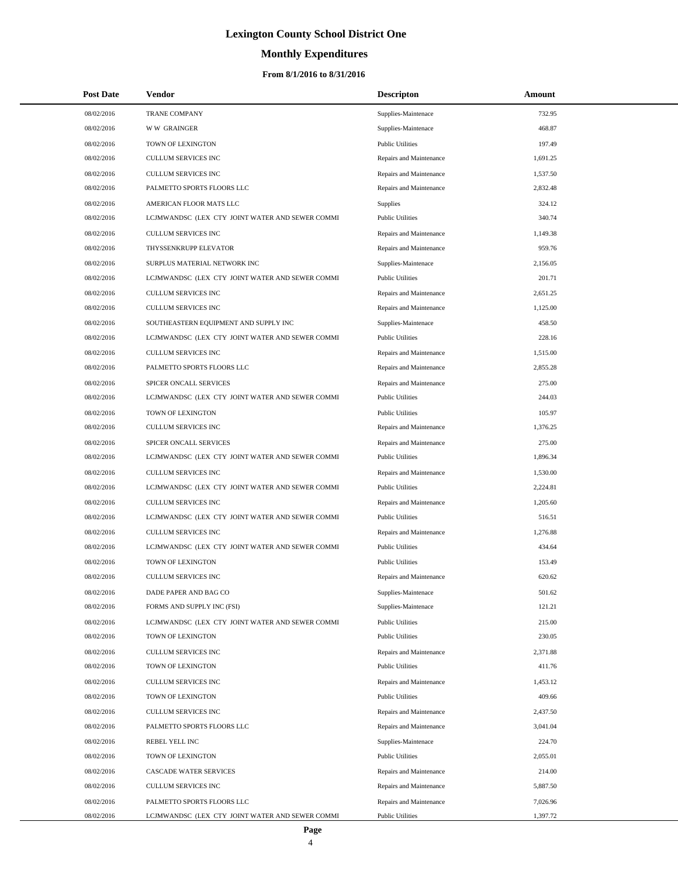# **Monthly Expenditures**

### **From 8/1/2016 to 8/31/2016**

| <b>Post Date</b> | Vendor                                          | <b>Descripton</b>       | Amount   |
|------------------|-------------------------------------------------|-------------------------|----------|
| 08/02/2016       | <b>TRANE COMPANY</b>                            | Supplies-Maintenace     | 732.95   |
| 08/02/2016       | <b>WW GRAINGER</b>                              | Supplies-Maintenace     | 468.87   |
| 08/02/2016       | TOWN OF LEXINGTON                               | <b>Public Utilities</b> | 197.49   |
| 08/02/2016       | <b>CULLUM SERVICES INC</b>                      | Repairs and Maintenance | 1,691.25 |
| 08/02/2016       | CULLUM SERVICES INC                             | Repairs and Maintenance | 1,537.50 |
| 08/02/2016       | PALMETTO SPORTS FLOORS LLC                      | Repairs and Maintenance | 2,832.48 |
| 08/02/2016       | AMERICAN FLOOR MATS LLC                         | Supplies                | 324.12   |
| 08/02/2016       | LCJMWANDSC (LEX CTY JOINT WATER AND SEWER COMMI | <b>Public Utilities</b> | 340.74   |
| 08/02/2016       | <b>CULLUM SERVICES INC</b>                      | Repairs and Maintenance | 1.149.38 |
| 08/02/2016       | THYSSENKRUPP ELEVATOR                           | Repairs and Maintenance | 959.76   |
| 08/02/2016       | SURPLUS MATERIAL NETWORK INC                    | Supplies-Maintenace     | 2,156.05 |
| 08/02/2016       | LCJMWANDSC (LEX CTY JOINT WATER AND SEWER COMMI | <b>Public Utilities</b> | 201.71   |
| 08/02/2016       | CULLUM SERVICES INC                             | Repairs and Maintenance | 2,651.25 |
| 08/02/2016       | <b>CULLUM SERVICES INC</b>                      | Repairs and Maintenance | 1,125.00 |
| 08/02/2016       | SOUTHEASTERN EQUIPMENT AND SUPPLY INC           | Supplies-Maintenace     | 458.50   |
| 08/02/2016       | LCJMWANDSC (LEX CTY JOINT WATER AND SEWER COMMI | <b>Public Utilities</b> | 228.16   |
| 08/02/2016       | <b>CULLUM SERVICES INC</b>                      | Repairs and Maintenance | 1,515.00 |
| 08/02/2016       | PALMETTO SPORTS FLOORS LLC                      | Repairs and Maintenance | 2,855.28 |
| 08/02/2016       | SPICER ONCALL SERVICES                          | Repairs and Maintenance | 275.00   |
| 08/02/2016       | LCJMWANDSC (LEX CTY JOINT WATER AND SEWER COMMI | <b>Public Utilities</b> | 244.03   |
| 08/02/2016       | TOWN OF LEXINGTON                               | <b>Public Utilities</b> | 105.97   |
| 08/02/2016       | <b>CULLUM SERVICES INC</b>                      | Repairs and Maintenance | 1,376.25 |
| 08/02/2016       | SPICER ONCALL SERVICES                          | Repairs and Maintenance | 275.00   |
| 08/02/2016       | LCJMWANDSC (LEX CTY JOINT WATER AND SEWER COMMI | <b>Public Utilities</b> | 1,896.34 |
| 08/02/2016       | <b>CULLUM SERVICES INC</b>                      | Repairs and Maintenance | 1,530.00 |
| 08/02/2016       | LCJMWANDSC (LEX CTY JOINT WATER AND SEWER COMMI | <b>Public Utilities</b> | 2,224.81 |
| 08/02/2016       | <b>CULLUM SERVICES INC</b>                      | Repairs and Maintenance | 1,205.60 |
| 08/02/2016       | LCJMWANDSC (LEX CTY JOINT WATER AND SEWER COMMI | <b>Public Utilities</b> | 516.51   |
| 08/02/2016       | <b>CULLUM SERVICES INC</b>                      | Repairs and Maintenance | 1,276.88 |
| 08/02/2016       | LCJMWANDSC (LEX CTY JOINT WATER AND SEWER COMMI | <b>Public Utilities</b> | 434.64   |
| 08/02/2016       | TOWN OF LEXINGTON                               | <b>Public Utilities</b> | 153.49   |
| 08/02/2016       | CULLUM SERVICES INC                             | Repairs and Maintenance | 620.62   |
| 08/02/2016       | DADE PAPER AND BAG CO                           | Supplies-Maintenace     | 501.62   |
| 08/02/2016       | FORMS AND SUPPLY INC (FSI)                      | Supplies-Maintenace     | 121.21   |
| 08/02/2016       | LCJMWANDSC (LEX CTY JOINT WATER AND SEWER COMMI | <b>Public Utilities</b> | 215.00   |
| 08/02/2016       | TOWN OF LEXINGTON                               | <b>Public Utilities</b> | 230.05   |
| 08/02/2016       | CULLUM SERVICES INC                             | Repairs and Maintenance | 2,371.88 |
| 08/02/2016       | TOWN OF LEXINGTON                               | <b>Public Utilities</b> | 411.76   |
| 08/02/2016       | CULLUM SERVICES INC                             | Repairs and Maintenance | 1,453.12 |
| 08/02/2016       | TOWN OF LEXINGTON                               | <b>Public Utilities</b> | 409.66   |
| 08/02/2016       | <b>CULLUM SERVICES INC</b>                      | Repairs and Maintenance | 2,437.50 |
| 08/02/2016       | PALMETTO SPORTS FLOORS LLC                      | Repairs and Maintenance | 3,041.04 |
| 08/02/2016       | REBEL YELL INC                                  | Supplies-Maintenace     | 224.70   |
| 08/02/2016       | TOWN OF LEXINGTON                               | <b>Public Utilities</b> | 2,055.01 |
| 08/02/2016       | CASCADE WATER SERVICES                          | Repairs and Maintenance | 214.00   |
| 08/02/2016       | CULLUM SERVICES INC                             | Repairs and Maintenance | 5,887.50 |
| 08/02/2016       | PALMETTO SPORTS FLOORS LLC                      | Repairs and Maintenance | 7,026.96 |
| 08/02/2016       | LCJMWANDSC (LEX CTY JOINT WATER AND SEWER COMMI | <b>Public Utilities</b> | 1,397.72 |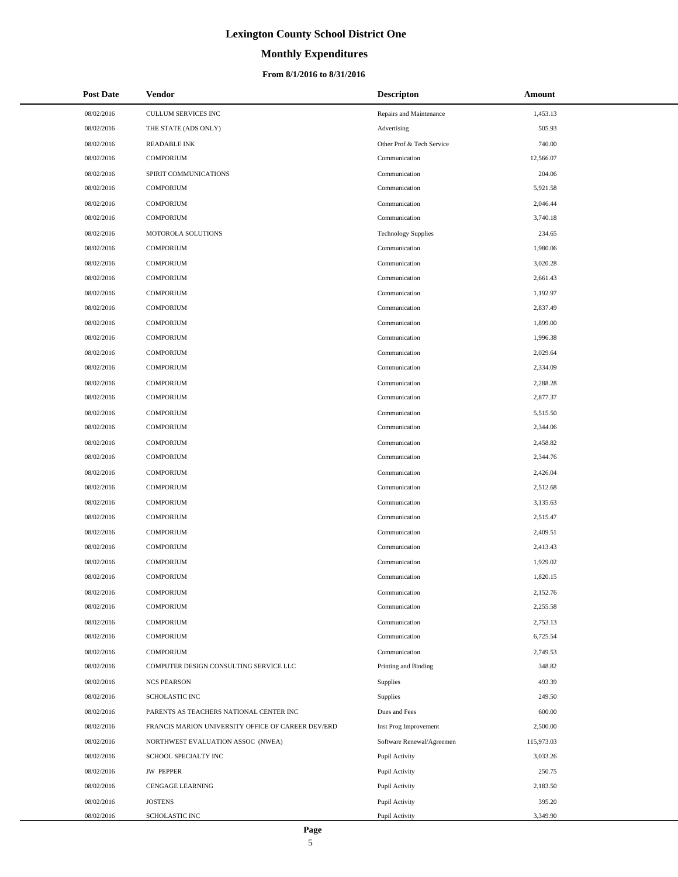## **Monthly Expenditures**

### **From 8/1/2016 to 8/31/2016**

| <b>Post Date</b> | <b>Vendor</b>                                      | <b>Descripton</b>          | Amount     |
|------------------|----------------------------------------------------|----------------------------|------------|
| 08/02/2016       | CULLUM SERVICES INC                                | Repairs and Maintenance    | 1,453.13   |
| 08/02/2016       | THE STATE (ADS ONLY)                               | Advertising                | 505.93     |
| 08/02/2016       | <b>READABLE INK</b>                                | Other Prof & Tech Service  | 740.00     |
| 08/02/2016       | <b>COMPORIUM</b>                                   | Communication              | 12,566.07  |
| 08/02/2016       | SPIRIT COMMUNICATIONS                              | Communication              | 204.06     |
| 08/02/2016       | <b>COMPORIUM</b>                                   | Communication              | 5,921.58   |
| 08/02/2016       | <b>COMPORIUM</b>                                   | Communication              | 2,046.44   |
| 08/02/2016       | <b>COMPORIUM</b>                                   | Communication              | 3,740.18   |
| 08/02/2016       | MOTOROLA SOLUTIONS                                 | <b>Technology Supplies</b> | 234.65     |
| 08/02/2016       | <b>COMPORIUM</b>                                   | Communication              | 1,980.06   |
| 08/02/2016       | <b>COMPORIUM</b>                                   | Communication              | 3,020.28   |
| 08/02/2016       | <b>COMPORIUM</b>                                   | Communication              | 2,661.43   |
| 08/02/2016       | <b>COMPORIUM</b>                                   | Communication              | 1,192.97   |
| 08/02/2016       | <b>COMPORIUM</b>                                   | Communication              | 2,837.49   |
| 08/02/2016       | <b>COMPORIUM</b>                                   | Communication              | 1,899.00   |
| 08/02/2016       | <b>COMPORIUM</b>                                   | Communication              | 1,996.38   |
| 08/02/2016       | <b>COMPORIUM</b>                                   | Communication              | 2,029.64   |
| 08/02/2016       | <b>COMPORIUM</b>                                   | Communication              | 2,334.09   |
| 08/02/2016       | <b>COMPORIUM</b>                                   | Communication              | 2,288.28   |
| 08/02/2016       | <b>COMPORIUM</b>                                   | Communication              | 2,877.37   |
| 08/02/2016       | <b>COMPORIUM</b>                                   | Communication              | 5,515.50   |
| 08/02/2016       | <b>COMPORIUM</b>                                   | Communication              | 2,344.06   |
| 08/02/2016       | <b>COMPORIUM</b>                                   | Communication              | 2,458.82   |
| 08/02/2016       | <b>COMPORIUM</b>                                   | Communication              | 2,344.76   |
| 08/02/2016       | <b>COMPORIUM</b>                                   | Communication              | 2,426.04   |
| 08/02/2016       | <b>COMPORIUM</b>                                   | Communication              | 2,512.68   |
| 08/02/2016       | <b>COMPORIUM</b>                                   | Communication              | 3,135.63   |
| 08/02/2016       | <b>COMPORIUM</b>                                   | Communication              | 2,515.47   |
| 08/02/2016       | <b>COMPORIUM</b>                                   | Communication              | 2,409.51   |
| 08/02/2016       | <b>COMPORIUM</b>                                   | Communication              | 2,413.43   |
| 08/02/2016       | <b>COMPORIUM</b>                                   | Communication              | 1,929.02   |
| 08/02/2016       | <b>COMPORIUM</b>                                   | Communication              | 1,820.15   |
| 08/02/2016       | <b>COMPORIUM</b>                                   | Communication              | 2,152.76   |
| 08/02/2016       | <b>COMPORIUM</b>                                   | Communication              | 2,255.58   |
| 08/02/2016       | <b>COMPORIUM</b>                                   | Communication              | 2,753.13   |
| 08/02/2016       | <b>COMPORIUM</b>                                   | Communication              | 6,725.54   |
| 08/02/2016       | <b>COMPORIUM</b>                                   | Communication              | 2,749.53   |
| 08/02/2016       | COMPUTER DESIGN CONSULTING SERVICE LLC             | Printing and Binding       | 348.82     |
| 08/02/2016       | <b>NCS PEARSON</b>                                 | Supplies                   | 493.39     |
| 08/02/2016       | <b>SCHOLASTIC INC</b>                              | Supplies                   | 249.50     |
| 08/02/2016       | PARENTS AS TEACHERS NATIONAL CENTER INC            | Dues and Fees              | 600.00     |
| 08/02/2016       | FRANCIS MARION UNIVERSITY OFFICE OF CAREER DEV/ERD | Inst Prog Improvement      | 2,500.00   |
| 08/02/2016       | NORTHWEST EVALUATION ASSOC (NWEA)                  | Software Renewal/Agreemen  | 115,973.03 |
| 08/02/2016       | SCHOOL SPECIALTY INC                               | Pupil Activity             | 3,033.26   |
| 08/02/2016       | <b>JW PEPPER</b>                                   | Pupil Activity             | 250.75     |
| 08/02/2016       | <b>CENGAGE LEARNING</b>                            | Pupil Activity             | 2,183.50   |
| 08/02/2016       | <b>JOSTENS</b>                                     | Pupil Activity             | 395.20     |
| 08/02/2016       | SCHOLASTIC INC                                     | Pupil Activity             | 3,349.90   |

 $\overline{\phantom{0}}$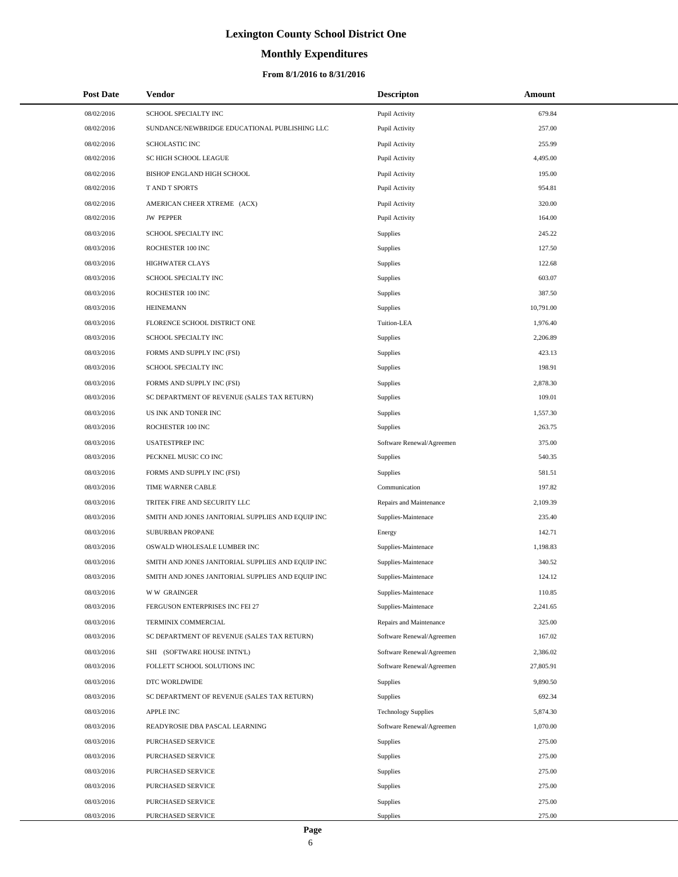# **Monthly Expenditures**

### **From 8/1/2016 to 8/31/2016**

| <b>Post Date</b> | Vendor                                            | <b>Descripton</b>          | Amount    |
|------------------|---------------------------------------------------|----------------------------|-----------|
| 08/02/2016       | SCHOOL SPECIALTY INC                              | Pupil Activity             | 679.84    |
| 08/02/2016       | SUNDANCE/NEWBRIDGE EDUCATIONAL PUBLISHING LLC     | Pupil Activity             | 257.00    |
| 08/02/2016       | <b>SCHOLASTIC INC</b>                             | Pupil Activity             | 255.99    |
| 08/02/2016       | SC HIGH SCHOOL LEAGUE                             | Pupil Activity             | 4,495.00  |
| 08/02/2016       | BISHOP ENGLAND HIGH SCHOOL                        | Pupil Activity             | 195.00    |
| 08/02/2016       | T AND T SPORTS                                    | Pupil Activity             | 954.81    |
| 08/02/2016       | AMERICAN CHEER XTREME (ACX)                       | Pupil Activity             | 320.00    |
| 08/02/2016       | <b>JW PEPPER</b>                                  | Pupil Activity             | 164.00    |
| 08/03/2016       | SCHOOL SPECIALTY INC                              | <b>Supplies</b>            | 245.22    |
| 08/03/2016       | ROCHESTER 100 INC                                 | <b>Supplies</b>            | 127.50    |
| 08/03/2016       | <b>HIGHWATER CLAYS</b>                            | <b>Supplies</b>            | 122.68    |
| 08/03/2016       | SCHOOL SPECIALTY INC                              | Supplies                   | 603.07    |
| 08/03/2016       | ROCHESTER 100 INC                                 | <b>Supplies</b>            | 387.50    |
| 08/03/2016       | <b>HEINEMANN</b>                                  | Supplies                   | 10,791.00 |
| 08/03/2016       | FLORENCE SCHOOL DISTRICT ONE                      | Tuition-LEA                | 1,976.40  |
| 08/03/2016       | SCHOOL SPECIALTY INC                              | Supplies                   | 2,206.89  |
| 08/03/2016       | FORMS AND SUPPLY INC (FSI)                        | <b>Supplies</b>            | 423.13    |
| 08/03/2016       | SCHOOL SPECIALTY INC                              | <b>Supplies</b>            | 198.91    |
| 08/03/2016       | FORMS AND SUPPLY INC (FSI)                        | <b>Supplies</b>            | 2,878.30  |
| 08/03/2016       | SC DEPARTMENT OF REVENUE (SALES TAX RETURN)       | Supplies                   | 109.01    |
| 08/03/2016       | US INK AND TONER INC                              | <b>Supplies</b>            | 1,557.30  |
| 08/03/2016       | ROCHESTER 100 INC                                 | Supplies                   | 263.75    |
| 08/03/2016       | <b>USATESTPREP INC</b>                            | Software Renewal/Agreemen  | 375.00    |
| 08/03/2016       | PECKNEL MUSIC CO INC                              | Supplies                   | 540.35    |
| 08/03/2016       | FORMS AND SUPPLY INC (FSI)                        | <b>Supplies</b>            | 581.51    |
| 08/03/2016       | TIME WARNER CABLE                                 | Communication              | 197.82    |
| 08/03/2016       | TRITEK FIRE AND SECURITY LLC                      | Repairs and Maintenance    | 2,109.39  |
| 08/03/2016       | SMITH AND JONES JANITORIAL SUPPLIES AND EQUIP INC | Supplies-Maintenace        | 235.40    |
| 08/03/2016       | SUBURBAN PROPANE                                  | Energy                     | 142.71    |
| 08/03/2016       | OSWALD WHOLESALE LUMBER INC                       | Supplies-Maintenace        | 1,198.83  |
| 08/03/2016       | SMITH AND JONES JANITORIAL SUPPLIES AND EQUIP INC | Supplies-Maintenace        | 340.52    |
| 08/03/2016       | SMITH AND JONES JANITORIAL SUPPLIES AND EQUIP INC | Supplies-Maintenace        | 124.12    |
| 08/03/2016       | <b>WW GRAINGER</b>                                | Supplies-Maintenace        | 110.85    |
| 08/03/2016       | FERGUSON ENTERPRISES INC FEI 27                   | Supplies-Maintenace        | 2,241.65  |
| 08/03/2016       | TERMINIX COMMERCIAL                               | Repairs and Maintenance    | 325.00    |
| 08/03/2016       | SC DEPARTMENT OF REVENUE (SALES TAX RETURN)       | Software Renewal/Agreemen  | 167.02    |
| 08/03/2016       | SHI (SOFTWARE HOUSE INTN'L)                       | Software Renewal/Agreemen  | 2,386.02  |
| 08/03/2016       | FOLLETT SCHOOL SOLUTIONS INC                      | Software Renewal/Agreemen  | 27,805.91 |
| 08/03/2016       | DTC WORLDWIDE                                     | <b>Supplies</b>            | 9,890.50  |
| 08/03/2016       | SC DEPARTMENT OF REVENUE (SALES TAX RETURN)       | <b>Supplies</b>            | 692.34    |
| 08/03/2016       | APPLE INC                                         | <b>Technology Supplies</b> | 5,874.30  |
| 08/03/2016       | READYROSIE DBA PASCAL LEARNING                    | Software Renewal/Agreemen  | 1,070.00  |
| 08/03/2016       | PURCHASED SERVICE                                 | <b>Supplies</b>            | 275.00    |
| 08/03/2016       | PURCHASED SERVICE                                 | Supplies                   | 275.00    |
| 08/03/2016       | PURCHASED SERVICE                                 | <b>Supplies</b>            | 275.00    |
| 08/03/2016       | PURCHASED SERVICE                                 | Supplies                   | 275.00    |
| 08/03/2016       | PURCHASED SERVICE                                 | <b>Supplies</b>            | 275.00    |
| 08/03/2016       | PURCHASED SERVICE                                 | Supplies                   | 275.00    |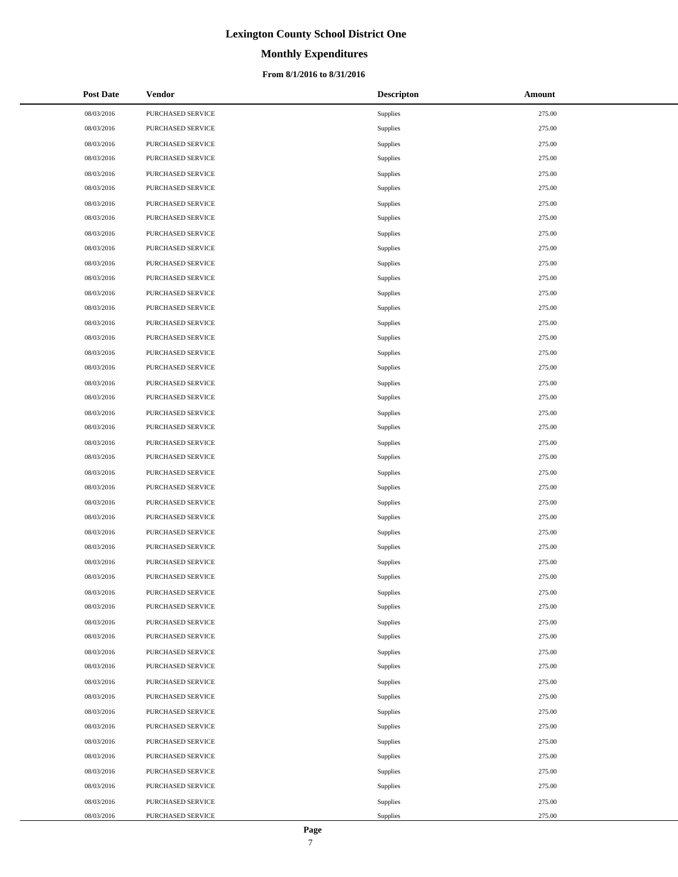## **Monthly Expenditures**

### **From 8/1/2016 to 8/31/2016**

| <b>Post Date</b> | Vendor            | <b>Descripton</b> | Amount |
|------------------|-------------------|-------------------|--------|
| 08/03/2016       | PURCHASED SERVICE | Supplies          | 275.00 |
| 08/03/2016       | PURCHASED SERVICE | Supplies          | 275.00 |
| 08/03/2016       | PURCHASED SERVICE | Supplies          | 275.00 |
| 08/03/2016       | PURCHASED SERVICE | Supplies          | 275.00 |
| 08/03/2016       | PURCHASED SERVICE | Supplies          | 275.00 |
| 08/03/2016       | PURCHASED SERVICE | Supplies          | 275.00 |
| 08/03/2016       | PURCHASED SERVICE | Supplies          | 275.00 |
| 08/03/2016       | PURCHASED SERVICE | Supplies          | 275.00 |
| 08/03/2016       | PURCHASED SERVICE | Supplies          | 275.00 |
| 08/03/2016       | PURCHASED SERVICE | Supplies          | 275.00 |
| 08/03/2016       | PURCHASED SERVICE | Supplies          | 275.00 |
| 08/03/2016       | PURCHASED SERVICE | Supplies          | 275.00 |
| 08/03/2016       | PURCHASED SERVICE | Supplies          | 275.00 |
| 08/03/2016       | PURCHASED SERVICE | Supplies          | 275.00 |
| 08/03/2016       | PURCHASED SERVICE | Supplies          | 275.00 |
| 08/03/2016       | PURCHASED SERVICE | Supplies          | 275.00 |
| 08/03/2016       | PURCHASED SERVICE | Supplies          | 275.00 |
| 08/03/2016       | PURCHASED SERVICE | Supplies          | 275.00 |
| 08/03/2016       | PURCHASED SERVICE | Supplies          | 275.00 |
| 08/03/2016       | PURCHASED SERVICE | Supplies          | 275.00 |
| 08/03/2016       | PURCHASED SERVICE | Supplies          | 275.00 |
| 08/03/2016       | PURCHASED SERVICE | Supplies          | 275.00 |
| 08/03/2016       | PURCHASED SERVICE | Supplies          | 275.00 |
| 08/03/2016       | PURCHASED SERVICE | Supplies          | 275.00 |
| 08/03/2016       | PURCHASED SERVICE | Supplies          | 275.00 |
| 08/03/2016       | PURCHASED SERVICE | Supplies          | 275.00 |
| 08/03/2016       | PURCHASED SERVICE | Supplies          | 275.00 |
| 08/03/2016       | PURCHASED SERVICE | Supplies          | 275.00 |
| 08/03/2016       | PURCHASED SERVICE | Supplies          | 275.00 |
| 08/03/2016       | PURCHASED SERVICE | Supplies          | 275.00 |
| 08/03/2016       | PURCHASED SERVICE | Supplies          | 275.00 |
| 08/03/2016       | PURCHASED SERVICE | Supplies          | 275.00 |
| 08/03/2016       | PURCHASED SERVICE | Supplies          | 275.00 |
| 08/03/2016       | PURCHASED SERVICE | Supplies          | 275.00 |
| 08/03/2016       | PURCHASED SERVICE | Supplies          | 275.00 |
| 08/03/2016       | PURCHASED SERVICE | Supplies          | 275.00 |
| 08/03/2016       | PURCHASED SERVICE | Supplies          | 275.00 |
| 08/03/2016       | PURCHASED SERVICE | Supplies          | 275.00 |
| 08/03/2016       | PURCHASED SERVICE | Supplies          | 275.00 |
| 08/03/2016       | PURCHASED SERVICE | Supplies          | 275.00 |
| 08/03/2016       | PURCHASED SERVICE | Supplies          | 275.00 |
| 08/03/2016       | PURCHASED SERVICE | Supplies          | 275.00 |
| 08/03/2016       | PURCHASED SERVICE | Supplies          | 275.00 |
| 08/03/2016       | PURCHASED SERVICE | Supplies          | 275.00 |
| 08/03/2016       | PURCHASED SERVICE | Supplies          | 275.00 |
| 08/03/2016       | PURCHASED SERVICE | Supplies          | 275.00 |
| 08/03/2016       | PURCHASED SERVICE | Supplies          | 275.00 |
| 08/03/2016       | PURCHASED SERVICE | Supplies          | 275.00 |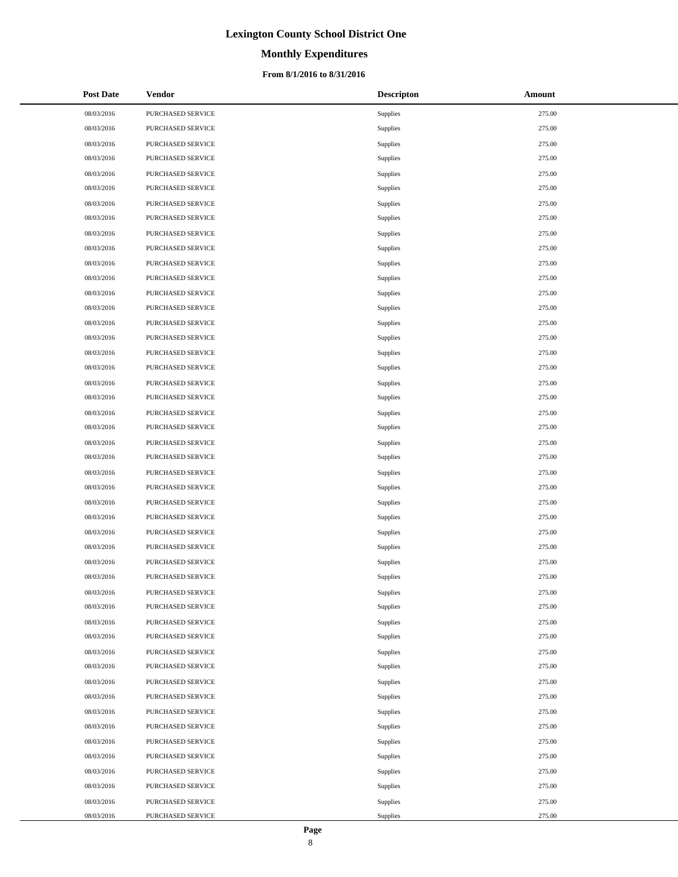# **Monthly Expenditures**

### **From 8/1/2016 to 8/31/2016**

| <b>Post Date</b> | Vendor            | <b>Descripton</b> | Amount |
|------------------|-------------------|-------------------|--------|
| 08/03/2016       | PURCHASED SERVICE | Supplies          | 275.00 |
| 08/03/2016       | PURCHASED SERVICE | Supplies          | 275.00 |
| 08/03/2016       | PURCHASED SERVICE | Supplies          | 275.00 |
| 08/03/2016       | PURCHASED SERVICE | Supplies          | 275.00 |
| 08/03/2016       | PURCHASED SERVICE | Supplies          | 275.00 |
| 08/03/2016       | PURCHASED SERVICE | Supplies          | 275.00 |
| 08/03/2016       | PURCHASED SERVICE | Supplies          | 275.00 |
| 08/03/2016       | PURCHASED SERVICE | Supplies          | 275.00 |
| 08/03/2016       | PURCHASED SERVICE | Supplies          | 275.00 |
| 08/03/2016       | PURCHASED SERVICE | Supplies          | 275.00 |
| 08/03/2016       | PURCHASED SERVICE | Supplies          | 275.00 |
| 08/03/2016       | PURCHASED SERVICE | Supplies          | 275.00 |
| 08/03/2016       | PURCHASED SERVICE | Supplies          | 275.00 |
| 08/03/2016       | PURCHASED SERVICE | Supplies          | 275.00 |
| 08/03/2016       | PURCHASED SERVICE | Supplies          | 275.00 |
| 08/03/2016       | PURCHASED SERVICE | Supplies          | 275.00 |
| 08/03/2016       | PURCHASED SERVICE | Supplies          | 275.00 |
| 08/03/2016       | PURCHASED SERVICE | Supplies          | 275.00 |
| 08/03/2016       | PURCHASED SERVICE | Supplies          | 275.00 |
| 08/03/2016       | PURCHASED SERVICE | Supplies          | 275.00 |
| 08/03/2016       | PURCHASED SERVICE | Supplies          | 275.00 |
| 08/03/2016       | PURCHASED SERVICE | Supplies          | 275.00 |
| 08/03/2016       | PURCHASED SERVICE | Supplies          | 275.00 |
| 08/03/2016       | PURCHASED SERVICE | Supplies          | 275.00 |
| 08/03/2016       | PURCHASED SERVICE | Supplies          | 275.00 |
| 08/03/2016       | PURCHASED SERVICE | Supplies          | 275.00 |
| 08/03/2016       | PURCHASED SERVICE | Supplies          | 275.00 |
| 08/03/2016       | PURCHASED SERVICE | Supplies          | 275.00 |
| 08/03/2016       | PURCHASED SERVICE | Supplies          | 275.00 |
| 08/03/2016       | PURCHASED SERVICE | Supplies          | 275.00 |
| 08/03/2016       | PURCHASED SERVICE | Supplies          | 275.00 |
| 08/03/2016       | PURCHASED SERVICE | Supplies          | 275.00 |
| 08/03/2016       | PURCHASED SERVICE | Supplies          | 275.00 |
| 08/03/2016       | PURCHASED SERVICE | Supplies          | 275.00 |
| 08/03/2016       | PURCHASED SERVICE | Supplies          | 275.00 |
| 08/03/2016       | PURCHASED SERVICE | Supplies          | 275.00 |
| 08/03/2016       | PURCHASED SERVICE | Supplies          | 275.00 |
| 08/03/2016       | PURCHASED SERVICE | Supplies          | 275.00 |
| 08/03/2016       | PURCHASED SERVICE | Supplies          | 275.00 |
| 08/03/2016       | PURCHASED SERVICE | Supplies          | 275.00 |
| 08/03/2016       | PURCHASED SERVICE | Supplies          | 275.00 |
| 08/03/2016       | PURCHASED SERVICE | Supplies          | 275.00 |
| 08/03/2016       | PURCHASED SERVICE | Supplies          | 275.00 |
| 08/03/2016       | PURCHASED SERVICE | Supplies          | 275.00 |
| 08/03/2016       | PURCHASED SERVICE | Supplies          | 275.00 |
| 08/03/2016       | PURCHASED SERVICE | Supplies          | 275.00 |
| 08/03/2016       | PURCHASED SERVICE | Supplies          | 275.00 |
| 08/03/2016       | PURCHASED SERVICE | Supplies          | 275.00 |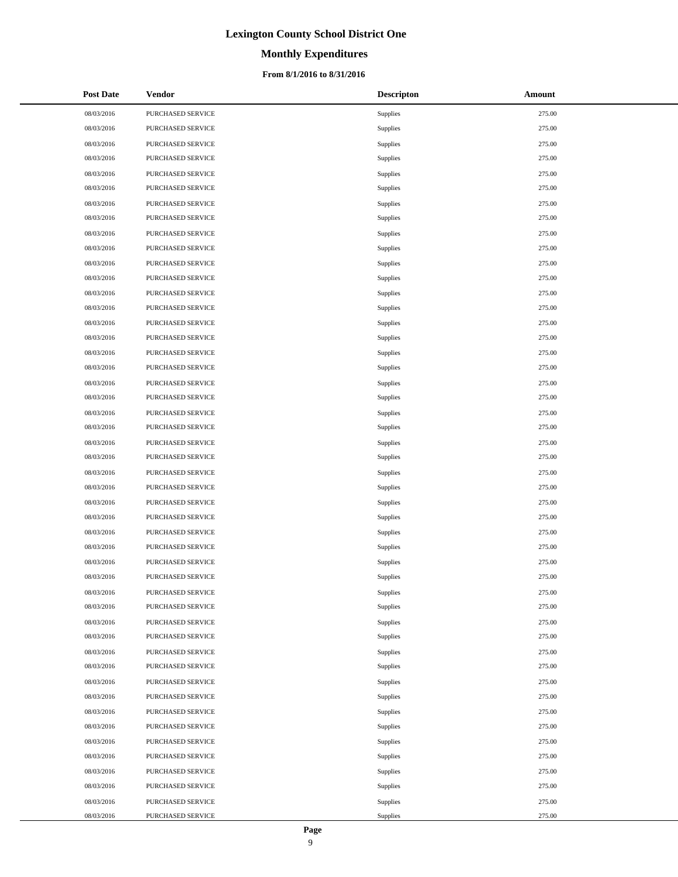## **Monthly Expenditures**

### **From 8/1/2016 to 8/31/2016**

| <b>Post Date</b> | Vendor            | <b>Descripton</b> | Amount |
|------------------|-------------------|-------------------|--------|
| 08/03/2016       | PURCHASED SERVICE | Supplies          | 275.00 |
| 08/03/2016       | PURCHASED SERVICE | Supplies          | 275.00 |
| 08/03/2016       | PURCHASED SERVICE | Supplies          | 275.00 |
| 08/03/2016       | PURCHASED SERVICE | Supplies          | 275.00 |
| 08/03/2016       | PURCHASED SERVICE | Supplies          | 275.00 |
| 08/03/2016       | PURCHASED SERVICE | Supplies          | 275.00 |
| 08/03/2016       | PURCHASED SERVICE | Supplies          | 275.00 |
| 08/03/2016       | PURCHASED SERVICE | Supplies          | 275.00 |
| 08/03/2016       | PURCHASED SERVICE | Supplies          | 275.00 |
| 08/03/2016       | PURCHASED SERVICE | Supplies          | 275.00 |
| 08/03/2016       | PURCHASED SERVICE | Supplies          | 275.00 |
| 08/03/2016       | PURCHASED SERVICE | Supplies          | 275.00 |
| 08/03/2016       | PURCHASED SERVICE | Supplies          | 275.00 |
| 08/03/2016       | PURCHASED SERVICE | Supplies          | 275.00 |
| 08/03/2016       | PURCHASED SERVICE | Supplies          | 275.00 |
| 08/03/2016       | PURCHASED SERVICE | Supplies          | 275.00 |
| 08/03/2016       | PURCHASED SERVICE | Supplies          | 275.00 |
| 08/03/2016       | PURCHASED SERVICE | Supplies          | 275.00 |
| 08/03/2016       | PURCHASED SERVICE | Supplies          | 275.00 |
| 08/03/2016       | PURCHASED SERVICE | Supplies          | 275.00 |
| 08/03/2016       | PURCHASED SERVICE | Supplies          | 275.00 |
| 08/03/2016       | PURCHASED SERVICE | Supplies          | 275.00 |
| 08/03/2016       | PURCHASED SERVICE | Supplies          | 275.00 |
| 08/03/2016       | PURCHASED SERVICE | Supplies          | 275.00 |
| 08/03/2016       | PURCHASED SERVICE | Supplies          | 275.00 |
| 08/03/2016       | PURCHASED SERVICE | Supplies          | 275.00 |
| 08/03/2016       | PURCHASED SERVICE | Supplies          | 275.00 |
| 08/03/2016       | PURCHASED SERVICE | Supplies          | 275.00 |
| 08/03/2016       | PURCHASED SERVICE | Supplies          | 275.00 |
| 08/03/2016       | PURCHASED SERVICE | Supplies          | 275.00 |
| 08/03/2016       | PURCHASED SERVICE | Supplies          | 275.00 |
| 08/03/2016       | PURCHASED SERVICE | Supplies          | 275.00 |
| 08/03/2016       | PURCHASED SERVICE | Supplies          | 275.00 |
| 08/03/2016       | PURCHASED SERVICE | Supplies          | 275.00 |
| 08/03/2016       | PURCHASED SERVICE | Supplies          | 275.00 |
| 08/03/2016       | PURCHASED SERVICE | Supplies          | 275.00 |
| 08/03/2016       | PURCHASED SERVICE | Supplies          | 275.00 |
| 08/03/2016       | PURCHASED SERVICE | Supplies          | 275.00 |
| 08/03/2016       | PURCHASED SERVICE | Supplies          | 275.00 |
| 08/03/2016       | PURCHASED SERVICE | Supplies          | 275.00 |
| 08/03/2016       | PURCHASED SERVICE | Supplies          | 275.00 |
| 08/03/2016       | PURCHASED SERVICE | Supplies          | 275.00 |
| 08/03/2016       | PURCHASED SERVICE | Supplies          | 275.00 |
| 08/03/2016       | PURCHASED SERVICE | Supplies          | 275.00 |
| 08/03/2016       | PURCHASED SERVICE | Supplies          | 275.00 |
| 08/03/2016       | PURCHASED SERVICE | Supplies          | 275.00 |
| 08/03/2016       | PURCHASED SERVICE | Supplies          | 275.00 |
| 08/03/2016       | PURCHASED SERVICE | Supplies          | 275.00 |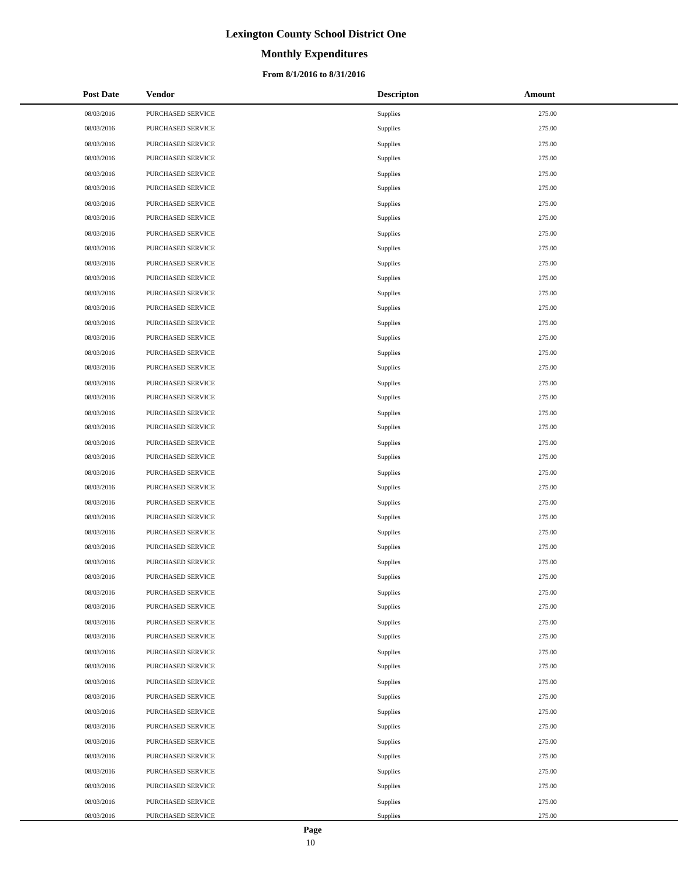# **Monthly Expenditures**

### **From 8/1/2016 to 8/31/2016**

| <b>Post Date</b> | Vendor            | <b>Descripton</b> | Amount |
|------------------|-------------------|-------------------|--------|
| 08/03/2016       | PURCHASED SERVICE | Supplies          | 275.00 |
| 08/03/2016       | PURCHASED SERVICE | Supplies          | 275.00 |
| 08/03/2016       | PURCHASED SERVICE | Supplies          | 275.00 |
| 08/03/2016       | PURCHASED SERVICE | Supplies          | 275.00 |
| 08/03/2016       | PURCHASED SERVICE | Supplies          | 275.00 |
| 08/03/2016       | PURCHASED SERVICE | Supplies          | 275.00 |
| 08/03/2016       | PURCHASED SERVICE | Supplies          | 275.00 |
| 08/03/2016       | PURCHASED SERVICE | Supplies          | 275.00 |
| 08/03/2016       | PURCHASED SERVICE | Supplies          | 275.00 |
| 08/03/2016       | PURCHASED SERVICE | Supplies          | 275.00 |
| 08/03/2016       | PURCHASED SERVICE | Supplies          | 275.00 |
| 08/03/2016       | PURCHASED SERVICE | Supplies          | 275.00 |
| 08/03/2016       | PURCHASED SERVICE | Supplies          | 275.00 |
| 08/03/2016       | PURCHASED SERVICE | Supplies          | 275.00 |
| 08/03/2016       | PURCHASED SERVICE | Supplies          | 275.00 |
| 08/03/2016       | PURCHASED SERVICE | Supplies          | 275.00 |
| 08/03/2016       | PURCHASED SERVICE | Supplies          | 275.00 |
| 08/03/2016       | PURCHASED SERVICE | Supplies          | 275.00 |
| 08/03/2016       | PURCHASED SERVICE | Supplies          | 275.00 |
| 08/03/2016       | PURCHASED SERVICE | Supplies          | 275.00 |
| 08/03/2016       | PURCHASED SERVICE | Supplies          | 275.00 |
| 08/03/2016       | PURCHASED SERVICE | Supplies          | 275.00 |
| 08/03/2016       | PURCHASED SERVICE | Supplies          | 275.00 |
| 08/03/2016       | PURCHASED SERVICE | Supplies          | 275.00 |
| 08/03/2016       | PURCHASED SERVICE | Supplies          | 275.00 |
| 08/03/2016       | PURCHASED SERVICE | Supplies          | 275.00 |
| 08/03/2016       | PURCHASED SERVICE | Supplies          | 275.00 |
| 08/03/2016       | PURCHASED SERVICE | Supplies          | 275.00 |
| 08/03/2016       | PURCHASED SERVICE | Supplies          | 275.00 |
| 08/03/2016       | PURCHASED SERVICE | Supplies          | 275.00 |
| 08/03/2016       | PURCHASED SERVICE | Supplies          | 275.00 |
| 08/03/2016       | PURCHASED SERVICE | Supplies          | 275.00 |
| 08/03/2016       | PURCHASED SERVICE | Supplies          | 275.00 |
| 08/03/2016       | PURCHASED SERVICE | Supplies          | 275.00 |
| 08/03/2016       | PURCHASED SERVICE | Supplies          | 275.00 |
| 08/03/2016       | PURCHASED SERVICE | Supplies          | 275.00 |
| 08/03/2016       | PURCHASED SERVICE | Supplies          | 275.00 |
| 08/03/2016       | PURCHASED SERVICE | Supplies          | 275.00 |
| 08/03/2016       | PURCHASED SERVICE | Supplies          | 275.00 |
| 08/03/2016       | PURCHASED SERVICE | Supplies          | 275.00 |
| 08/03/2016       | PURCHASED SERVICE | Supplies          | 275.00 |
| 08/03/2016       | PURCHASED SERVICE | Supplies          | 275.00 |
| 08/03/2016       | PURCHASED SERVICE | Supplies          | 275.00 |
| 08/03/2016       | PURCHASED SERVICE | Supplies          | 275.00 |
| 08/03/2016       | PURCHASED SERVICE | Supplies          | 275.00 |
| 08/03/2016       | PURCHASED SERVICE | Supplies          | 275.00 |
| 08/03/2016       | PURCHASED SERVICE | Supplies          | 275.00 |
| 08/03/2016       | PURCHASED SERVICE | Supplies          | 275.00 |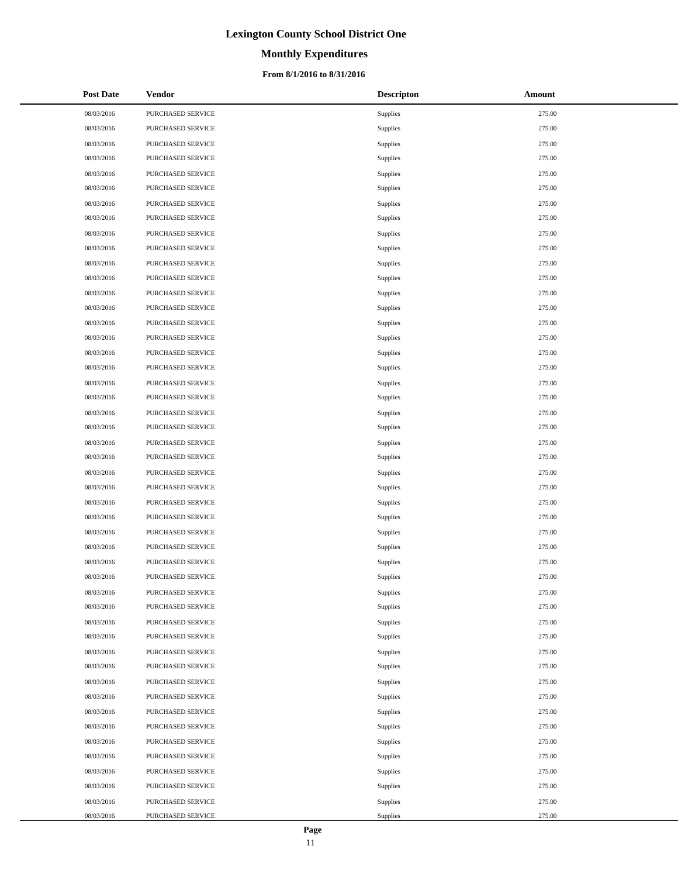# **Monthly Expenditures**

### **From 8/1/2016 to 8/31/2016**

| <b>Post Date</b> | Vendor            | <b>Descripton</b> | Amount |
|------------------|-------------------|-------------------|--------|
| 08/03/2016       | PURCHASED SERVICE | Supplies          | 275.00 |
| 08/03/2016       | PURCHASED SERVICE | Supplies          | 275.00 |
| 08/03/2016       | PURCHASED SERVICE | Supplies          | 275.00 |
| 08/03/2016       | PURCHASED SERVICE | Supplies          | 275.00 |
| 08/03/2016       | PURCHASED SERVICE | Supplies          | 275.00 |
| 08/03/2016       | PURCHASED SERVICE | Supplies          | 275.00 |
| 08/03/2016       | PURCHASED SERVICE | Supplies          | 275.00 |
| 08/03/2016       | PURCHASED SERVICE | Supplies          | 275.00 |
| 08/03/2016       | PURCHASED SERVICE | Supplies          | 275.00 |
| 08/03/2016       | PURCHASED SERVICE | Supplies          | 275.00 |
| 08/03/2016       | PURCHASED SERVICE | Supplies          | 275.00 |
| 08/03/2016       | PURCHASED SERVICE | Supplies          | 275.00 |
| 08/03/2016       | PURCHASED SERVICE | Supplies          | 275.00 |
| 08/03/2016       | PURCHASED SERVICE | Supplies          | 275.00 |
| 08/03/2016       | PURCHASED SERVICE | Supplies          | 275.00 |
| 08/03/2016       | PURCHASED SERVICE | Supplies          | 275.00 |
| 08/03/2016       | PURCHASED SERVICE | Supplies          | 275.00 |
| 08/03/2016       | PURCHASED SERVICE | Supplies          | 275.00 |
| 08/03/2016       | PURCHASED SERVICE | Supplies          | 275.00 |
| 08/03/2016       | PURCHASED SERVICE | Supplies          | 275.00 |
| 08/03/2016       | PURCHASED SERVICE | Supplies          | 275.00 |
| 08/03/2016       | PURCHASED SERVICE | Supplies          | 275.00 |
| 08/03/2016       | PURCHASED SERVICE | Supplies          | 275.00 |
| 08/03/2016       | PURCHASED SERVICE | Supplies          | 275.00 |
| 08/03/2016       | PURCHASED SERVICE | Supplies          | 275.00 |
| 08/03/2016       | PURCHASED SERVICE | Supplies          | 275.00 |
| 08/03/2016       | PURCHASED SERVICE | Supplies          | 275.00 |
| 08/03/2016       | PURCHASED SERVICE | Supplies          | 275.00 |
| 08/03/2016       | PURCHASED SERVICE | Supplies          | 275.00 |
| 08/03/2016       | PURCHASED SERVICE | Supplies          | 275.00 |
| 08/03/2016       | PURCHASED SERVICE | Supplies          | 275.00 |
| 08/03/2016       | PURCHASED SERVICE | Supplies          | 275.00 |
| 08/03/2016       | PURCHASED SERVICE | Supplies          | 275.00 |
| 08/03/2016       | PURCHASED SERVICE | Supplies          | 275.00 |
| 08/03/2016       | PURCHASED SERVICE | Supplies          | 275.00 |
| 08/03/2016       | PURCHASED SERVICE | Supplies          | 275.00 |
| 08/03/2016       | PURCHASED SERVICE | Supplies          | 275.00 |
| 08/03/2016       | PURCHASED SERVICE | Supplies          | 275.00 |
| 08/03/2016       | PURCHASED SERVICE | Supplies          | 275.00 |
| 08/03/2016       | PURCHASED SERVICE | Supplies          | 275.00 |
| 08/03/2016       | PURCHASED SERVICE | Supplies          | 275.00 |
| 08/03/2016       | PURCHASED SERVICE | Supplies          | 275.00 |
| 08/03/2016       | PURCHASED SERVICE | Supplies          | 275.00 |
| 08/03/2016       | PURCHASED SERVICE | Supplies          | 275.00 |
| 08/03/2016       | PURCHASED SERVICE | Supplies          | 275.00 |
| 08/03/2016       | PURCHASED SERVICE | Supplies          | 275.00 |
| 08/03/2016       | PURCHASED SERVICE | Supplies          | 275.00 |
| 08/03/2016       | PURCHASED SERVICE | Supplies          | 275.00 |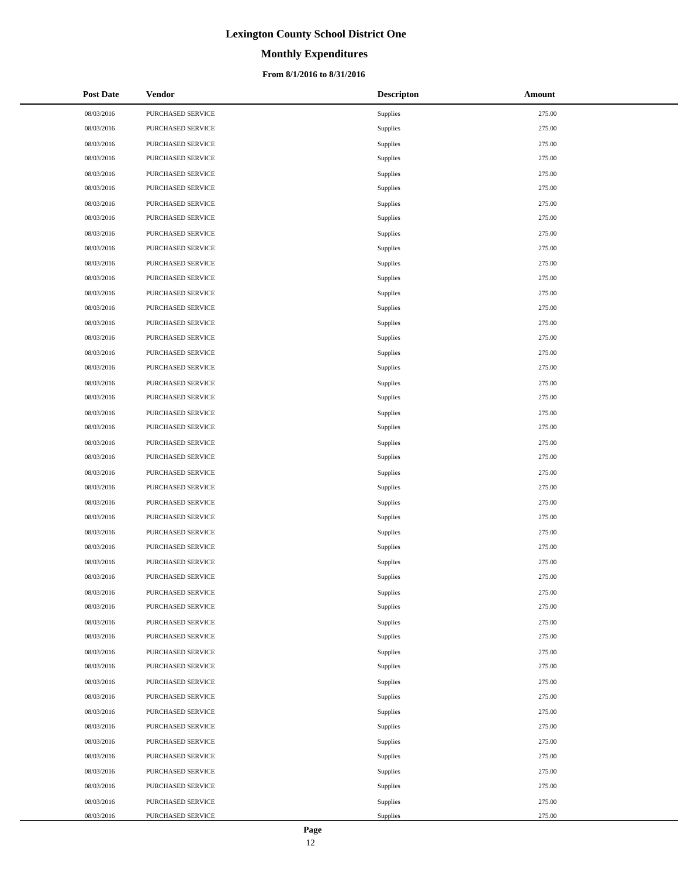# **Monthly Expenditures**

### **From 8/1/2016 to 8/31/2016**

| <b>Post Date</b> | Vendor            | <b>Descripton</b> | Amount |
|------------------|-------------------|-------------------|--------|
| 08/03/2016       | PURCHASED SERVICE | Supplies          | 275.00 |
| 08/03/2016       | PURCHASED SERVICE | Supplies          | 275.00 |
| 08/03/2016       | PURCHASED SERVICE | Supplies          | 275.00 |
| 08/03/2016       | PURCHASED SERVICE | Supplies          | 275.00 |
| 08/03/2016       | PURCHASED SERVICE | Supplies          | 275.00 |
| 08/03/2016       | PURCHASED SERVICE | Supplies          | 275.00 |
| 08/03/2016       | PURCHASED SERVICE | Supplies          | 275.00 |
| 08/03/2016       | PURCHASED SERVICE | Supplies          | 275.00 |
| 08/03/2016       | PURCHASED SERVICE | Supplies          | 275.00 |
| 08/03/2016       | PURCHASED SERVICE | Supplies          | 275.00 |
| 08/03/2016       | PURCHASED SERVICE | Supplies          | 275.00 |
| 08/03/2016       | PURCHASED SERVICE | Supplies          | 275.00 |
| 08/03/2016       | PURCHASED SERVICE | Supplies          | 275.00 |
| 08/03/2016       | PURCHASED SERVICE | Supplies          | 275.00 |
| 08/03/2016       | PURCHASED SERVICE | Supplies          | 275.00 |
| 08/03/2016       | PURCHASED SERVICE | Supplies          | 275.00 |
| 08/03/2016       | PURCHASED SERVICE | Supplies          | 275.00 |
| 08/03/2016       | PURCHASED SERVICE | Supplies          | 275.00 |
| 08/03/2016       | PURCHASED SERVICE | Supplies          | 275.00 |
| 08/03/2016       | PURCHASED SERVICE | Supplies          | 275.00 |
| 08/03/2016       | PURCHASED SERVICE | Supplies          | 275.00 |
| 08/03/2016       | PURCHASED SERVICE | Supplies          | 275.00 |
| 08/03/2016       | PURCHASED SERVICE | Supplies          | 275.00 |
| 08/03/2016       | PURCHASED SERVICE | Supplies          | 275.00 |
| 08/03/2016       | PURCHASED SERVICE | Supplies          | 275.00 |
| 08/03/2016       | PURCHASED SERVICE | Supplies          | 275.00 |
| 08/03/2016       | PURCHASED SERVICE | Supplies          | 275.00 |
| 08/03/2016       | PURCHASED SERVICE | Supplies          | 275.00 |
| 08/03/2016       | PURCHASED SERVICE | Supplies          | 275.00 |
| 08/03/2016       | PURCHASED SERVICE | Supplies          | 275.00 |
| 08/03/2016       | PURCHASED SERVICE | Supplies          | 275.00 |
| 08/03/2016       | PURCHASED SERVICE | Supplies          | 275.00 |
| 08/03/2016       | PURCHASED SERVICE | Supplies          | 275.00 |
| 08/03/2016       | PURCHASED SERVICE | Supplies          | 275.00 |
| 08/03/2016       | PURCHASED SERVICE | Supplies          | 275.00 |
| 08/03/2016       | PURCHASED SERVICE | Supplies          | 275.00 |
| 08/03/2016       | PURCHASED SERVICE | Supplies          | 275.00 |
| 08/03/2016       | PURCHASED SERVICE | Supplies          | 275.00 |
| 08/03/2016       | PURCHASED SERVICE | Supplies          | 275.00 |
| 08/03/2016       | PURCHASED SERVICE | Supplies          | 275.00 |
| 08/03/2016       | PURCHASED SERVICE | Supplies          | 275.00 |
| 08/03/2016       | PURCHASED SERVICE | Supplies          | 275.00 |
| 08/03/2016       | PURCHASED SERVICE | Supplies          | 275.00 |
| 08/03/2016       | PURCHASED SERVICE | Supplies          | 275.00 |
| 08/03/2016       | PURCHASED SERVICE | Supplies          | 275.00 |
| 08/03/2016       | PURCHASED SERVICE | Supplies          | 275.00 |
| 08/03/2016       | PURCHASED SERVICE | Supplies          | 275.00 |
| 08/03/2016       | PURCHASED SERVICE | Supplies          | 275.00 |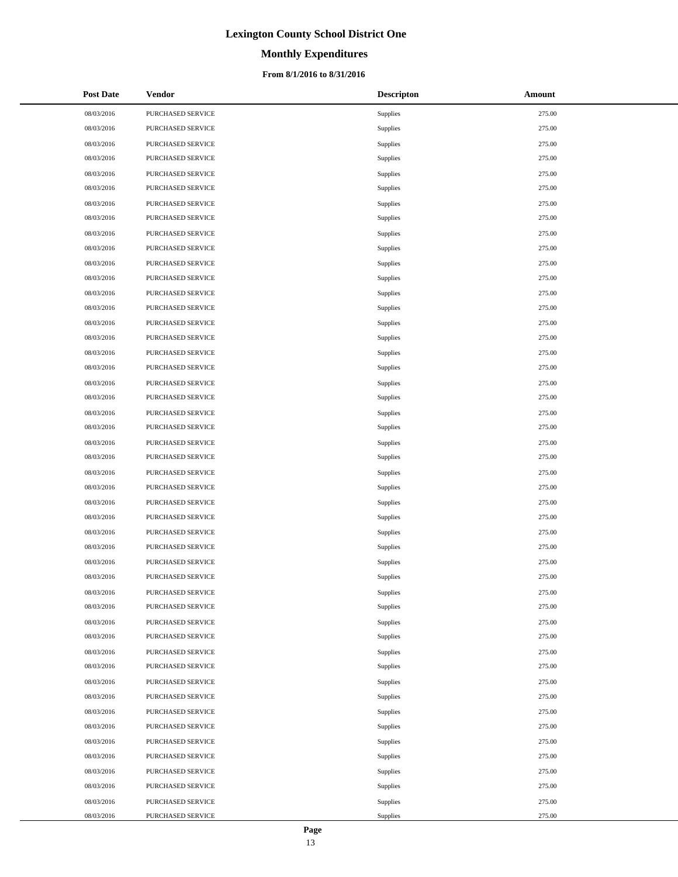# **Monthly Expenditures**

### **From 8/1/2016 to 8/31/2016**

| <b>Post Date</b> | Vendor            | <b>Descripton</b> | Amount |
|------------------|-------------------|-------------------|--------|
| 08/03/2016       | PURCHASED SERVICE | Supplies          | 275.00 |
| 08/03/2016       | PURCHASED SERVICE | Supplies          | 275.00 |
| 08/03/2016       | PURCHASED SERVICE | Supplies          | 275.00 |
| 08/03/2016       | PURCHASED SERVICE | Supplies          | 275.00 |
| 08/03/2016       | PURCHASED SERVICE | Supplies          | 275.00 |
| 08/03/2016       | PURCHASED SERVICE | Supplies          | 275.00 |
| 08/03/2016       | PURCHASED SERVICE | Supplies          | 275.00 |
| 08/03/2016       | PURCHASED SERVICE | Supplies          | 275.00 |
| 08/03/2016       | PURCHASED SERVICE | Supplies          | 275.00 |
| 08/03/2016       | PURCHASED SERVICE | Supplies          | 275.00 |
| 08/03/2016       | PURCHASED SERVICE | Supplies          | 275.00 |
| 08/03/2016       | PURCHASED SERVICE | Supplies          | 275.00 |
| 08/03/2016       | PURCHASED SERVICE | Supplies          | 275.00 |
| 08/03/2016       | PURCHASED SERVICE | Supplies          | 275.00 |
| 08/03/2016       | PURCHASED SERVICE | Supplies          | 275.00 |
| 08/03/2016       | PURCHASED SERVICE | Supplies          | 275.00 |
| 08/03/2016       | PURCHASED SERVICE | Supplies          | 275.00 |
| 08/03/2016       | PURCHASED SERVICE | Supplies          | 275.00 |
| 08/03/2016       | PURCHASED SERVICE | Supplies          | 275.00 |
| 08/03/2016       | PURCHASED SERVICE | Supplies          | 275.00 |
| 08/03/2016       | PURCHASED SERVICE | Supplies          | 275.00 |
| 08/03/2016       | PURCHASED SERVICE | Supplies          | 275.00 |
| 08/03/2016       | PURCHASED SERVICE | Supplies          | 275.00 |
| 08/03/2016       | PURCHASED SERVICE | Supplies          | 275.00 |
| 08/03/2016       | PURCHASED SERVICE | Supplies          | 275.00 |
| 08/03/2016       | PURCHASED SERVICE | Supplies          | 275.00 |
| 08/03/2016       | PURCHASED SERVICE | Supplies          | 275.00 |
| 08/03/2016       | PURCHASED SERVICE | Supplies          | 275.00 |
| 08/03/2016       | PURCHASED SERVICE | Supplies          | 275.00 |
| 08/03/2016       | PURCHASED SERVICE | Supplies          | 275.00 |
| 08/03/2016       | PURCHASED SERVICE | Supplies          | 275.00 |
| 08/03/2016       | PURCHASED SERVICE | Supplies          | 275.00 |
| 08/03/2016       | PURCHASED SERVICE | Supplies          | 275.00 |
| 08/03/2016       | PURCHASED SERVICE | Supplies          | 275.00 |
| 08/03/2016       | PURCHASED SERVICE | Supplies          | 275.00 |
| 08/03/2016       | PURCHASED SERVICE | Supplies          | 275.00 |
| 08/03/2016       | PURCHASED SERVICE | Supplies          | 275.00 |
| 08/03/2016       | PURCHASED SERVICE | Supplies          | 275.00 |
| 08/03/2016       | PURCHASED SERVICE | Supplies          | 275.00 |
| 08/03/2016       | PURCHASED SERVICE | Supplies          | 275.00 |
| 08/03/2016       | PURCHASED SERVICE | Supplies          | 275.00 |
| 08/03/2016       | PURCHASED SERVICE | Supplies          | 275.00 |
| 08/03/2016       | PURCHASED SERVICE | Supplies          | 275.00 |
| 08/03/2016       | PURCHASED SERVICE | Supplies          | 275.00 |
| 08/03/2016       | PURCHASED SERVICE | Supplies          | 275.00 |
| 08/03/2016       | PURCHASED SERVICE | Supplies          | 275.00 |
| 08/03/2016       | PURCHASED SERVICE | Supplies          | 275.00 |
| 08/03/2016       | PURCHASED SERVICE | Supplies          | 275.00 |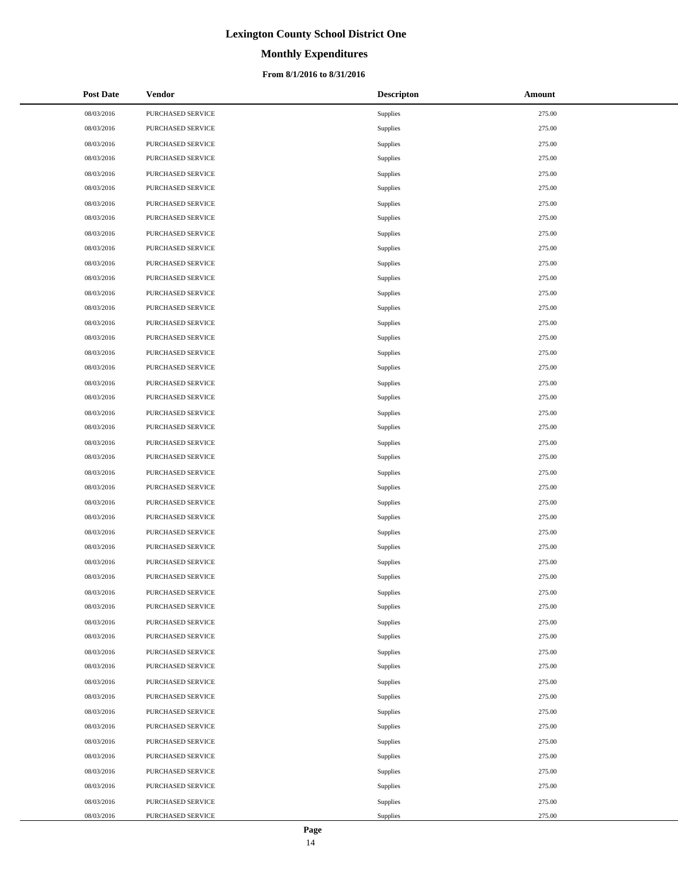# **Monthly Expenditures**

### **From 8/1/2016 to 8/31/2016**

| <b>Post Date</b> | Vendor            | <b>Descripton</b> | Amount |
|------------------|-------------------|-------------------|--------|
| 08/03/2016       | PURCHASED SERVICE | Supplies          | 275.00 |
| 08/03/2016       | PURCHASED SERVICE | Supplies          | 275.00 |
| 08/03/2016       | PURCHASED SERVICE | Supplies          | 275.00 |
| 08/03/2016       | PURCHASED SERVICE | Supplies          | 275.00 |
| 08/03/2016       | PURCHASED SERVICE | Supplies          | 275.00 |
| 08/03/2016       | PURCHASED SERVICE | Supplies          | 275.00 |
| 08/03/2016       | PURCHASED SERVICE | Supplies          | 275.00 |
| 08/03/2016       | PURCHASED SERVICE | Supplies          | 275.00 |
| 08/03/2016       | PURCHASED SERVICE | Supplies          | 275.00 |
| 08/03/2016       | PURCHASED SERVICE | Supplies          | 275.00 |
| 08/03/2016       | PURCHASED SERVICE | Supplies          | 275.00 |
| 08/03/2016       | PURCHASED SERVICE | Supplies          | 275.00 |
| 08/03/2016       | PURCHASED SERVICE | Supplies          | 275.00 |
| 08/03/2016       | PURCHASED SERVICE | Supplies          | 275.00 |
| 08/03/2016       | PURCHASED SERVICE | Supplies          | 275.00 |
| 08/03/2016       | PURCHASED SERVICE | Supplies          | 275.00 |
| 08/03/2016       | PURCHASED SERVICE | Supplies          | 275.00 |
| 08/03/2016       | PURCHASED SERVICE | Supplies          | 275.00 |
| 08/03/2016       | PURCHASED SERVICE | Supplies          | 275.00 |
| 08/03/2016       | PURCHASED SERVICE | Supplies          | 275.00 |
| 08/03/2016       | PURCHASED SERVICE | Supplies          | 275.00 |
| 08/03/2016       | PURCHASED SERVICE | Supplies          | 275.00 |
| 08/03/2016       | PURCHASED SERVICE | Supplies          | 275.00 |
| 08/03/2016       | PURCHASED SERVICE | Supplies          | 275.00 |
| 08/03/2016       | PURCHASED SERVICE | Supplies          | 275.00 |
| 08/03/2016       | PURCHASED SERVICE | Supplies          | 275.00 |
| 08/03/2016       | PURCHASED SERVICE | Supplies          | 275.00 |
| 08/03/2016       | PURCHASED SERVICE | Supplies          | 275.00 |
| 08/03/2016       | PURCHASED SERVICE | Supplies          | 275.00 |
| 08/03/2016       | PURCHASED SERVICE | Supplies          | 275.00 |
| 08/03/2016       | PURCHASED SERVICE | Supplies          | 275.00 |
| 08/03/2016       | PURCHASED SERVICE | Supplies          | 275.00 |
| 08/03/2016       | PURCHASED SERVICE | Supplies          | 275.00 |
| 08/03/2016       | PURCHASED SERVICE | Supplies          | 275.00 |
| 08/03/2016       | PURCHASED SERVICE | Supplies          | 275.00 |
| 08/03/2016       | PURCHASED SERVICE | Supplies          | 275.00 |
| 08/03/2016       | PURCHASED SERVICE | Supplies          | 275.00 |
| 08/03/2016       | PURCHASED SERVICE | Supplies          | 275.00 |
| 08/03/2016       | PURCHASED SERVICE | Supplies          | 275.00 |
| 08/03/2016       | PURCHASED SERVICE | Supplies          | 275.00 |
| 08/03/2016       | PURCHASED SERVICE | Supplies          | 275.00 |
| 08/03/2016       | PURCHASED SERVICE | Supplies          | 275.00 |
| 08/03/2016       | PURCHASED SERVICE | Supplies          | 275.00 |
| 08/03/2016       | PURCHASED SERVICE | Supplies          | 275.00 |
| 08/03/2016       | PURCHASED SERVICE | Supplies          | 275.00 |
| 08/03/2016       | PURCHASED SERVICE | Supplies          | 275.00 |
| 08/03/2016       | PURCHASED SERVICE | Supplies          | 275.00 |
| 08/03/2016       | PURCHASED SERVICE | Supplies          | 275.00 |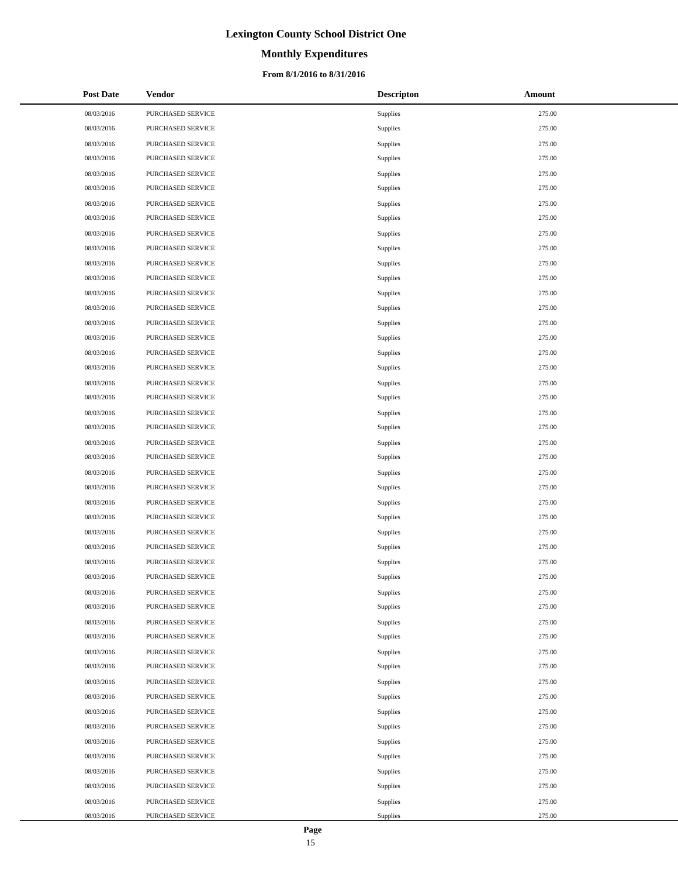# **Monthly Expenditures**

### **From 8/1/2016 to 8/31/2016**

| <b>Post Date</b> | Vendor            | <b>Descripton</b> | Amount |
|------------------|-------------------|-------------------|--------|
| 08/03/2016       | PURCHASED SERVICE | Supplies          | 275.00 |
| 08/03/2016       | PURCHASED SERVICE | Supplies          | 275.00 |
| 08/03/2016       | PURCHASED SERVICE | Supplies          | 275.00 |
| 08/03/2016       | PURCHASED SERVICE | Supplies          | 275.00 |
| 08/03/2016       | PURCHASED SERVICE | Supplies          | 275.00 |
| 08/03/2016       | PURCHASED SERVICE | Supplies          | 275.00 |
| 08/03/2016       | PURCHASED SERVICE | Supplies          | 275.00 |
| 08/03/2016       | PURCHASED SERVICE | Supplies          | 275.00 |
| 08/03/2016       | PURCHASED SERVICE | Supplies          | 275.00 |
| 08/03/2016       | PURCHASED SERVICE | Supplies          | 275.00 |
| 08/03/2016       | PURCHASED SERVICE | Supplies          | 275.00 |
| 08/03/2016       | PURCHASED SERVICE | Supplies          | 275.00 |
| 08/03/2016       | PURCHASED SERVICE | Supplies          | 275.00 |
| 08/03/2016       | PURCHASED SERVICE | Supplies          | 275.00 |
| 08/03/2016       | PURCHASED SERVICE | Supplies          | 275.00 |
| 08/03/2016       | PURCHASED SERVICE | Supplies          | 275.00 |
| 08/03/2016       | PURCHASED SERVICE | Supplies          | 275.00 |
| 08/03/2016       | PURCHASED SERVICE | Supplies          | 275.00 |
| 08/03/2016       | PURCHASED SERVICE | Supplies          | 275.00 |
| 08/03/2016       | PURCHASED SERVICE | Supplies          | 275.00 |
| 08/03/2016       | PURCHASED SERVICE | Supplies          | 275.00 |
| 08/03/2016       | PURCHASED SERVICE | Supplies          | 275.00 |
| 08/03/2016       | PURCHASED SERVICE | Supplies          | 275.00 |
| 08/03/2016       | PURCHASED SERVICE | Supplies          | 275.00 |
| 08/03/2016       | PURCHASED SERVICE | Supplies          | 275.00 |
| 08/03/2016       | PURCHASED SERVICE | Supplies          | 275.00 |
| 08/03/2016       | PURCHASED SERVICE | Supplies          | 275.00 |
| 08/03/2016       | PURCHASED SERVICE | Supplies          | 275.00 |
| 08/03/2016       | PURCHASED SERVICE | Supplies          | 275.00 |
| 08/03/2016       | PURCHASED SERVICE | Supplies          | 275.00 |
| 08/03/2016       | PURCHASED SERVICE | Supplies          | 275.00 |
| 08/03/2016       | PURCHASED SERVICE | Supplies          | 275.00 |
| 08/03/2016       | PURCHASED SERVICE | Supplies          | 275.00 |
| 08/03/2016       | PURCHASED SERVICE | Supplies          | 275.00 |
| 08/03/2016       | PURCHASED SERVICE | Supplies          | 275.00 |
| 08/03/2016       | PURCHASED SERVICE | Supplies          | 275.00 |
| 08/03/2016       | PURCHASED SERVICE | Supplies          | 275.00 |
| 08/03/2016       | PURCHASED SERVICE | Supplies          | 275.00 |
| 08/03/2016       | PURCHASED SERVICE | Supplies          | 275.00 |
| 08/03/2016       | PURCHASED SERVICE | Supplies          | 275.00 |
| 08/03/2016       | PURCHASED SERVICE | Supplies          | 275.00 |
| 08/03/2016       | PURCHASED SERVICE | Supplies          | 275.00 |
| 08/03/2016       | PURCHASED SERVICE | Supplies          | 275.00 |
| 08/03/2016       | PURCHASED SERVICE | Supplies          | 275.00 |
| 08/03/2016       | PURCHASED SERVICE | Supplies          | 275.00 |
| 08/03/2016       | PURCHASED SERVICE | Supplies          | 275.00 |
| 08/03/2016       | PURCHASED SERVICE | Supplies          | 275.00 |
| 08/03/2016       | PURCHASED SERVICE | Supplies          | 275.00 |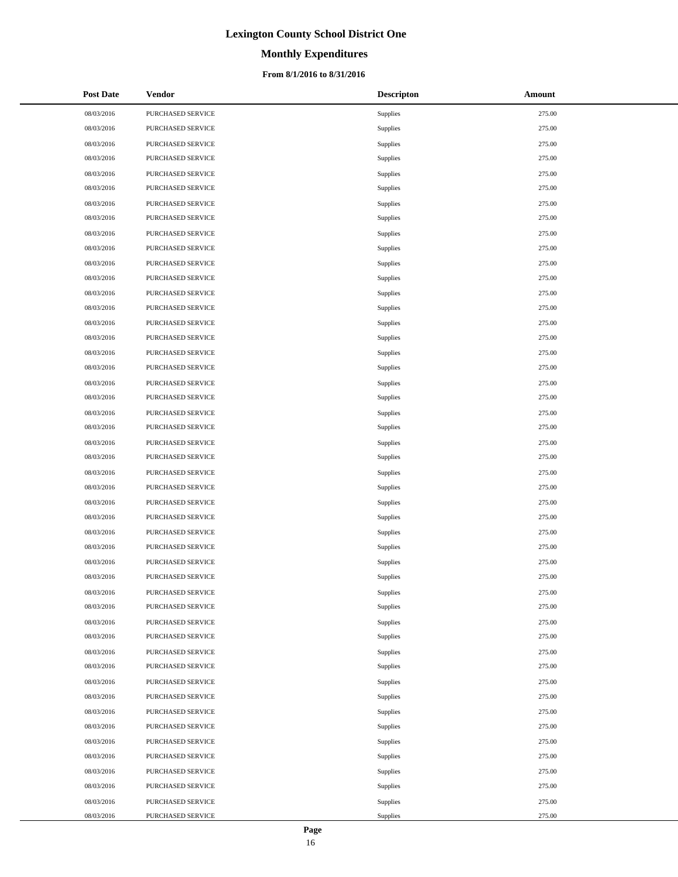# **Monthly Expenditures**

### **From 8/1/2016 to 8/31/2016**

| <b>Post Date</b> | Vendor            | <b>Descripton</b> | Amount |
|------------------|-------------------|-------------------|--------|
| 08/03/2016       | PURCHASED SERVICE | Supplies          | 275.00 |
| 08/03/2016       | PURCHASED SERVICE | Supplies          | 275.00 |
| 08/03/2016       | PURCHASED SERVICE | Supplies          | 275.00 |
| 08/03/2016       | PURCHASED SERVICE | Supplies          | 275.00 |
| 08/03/2016       | PURCHASED SERVICE | Supplies          | 275.00 |
| 08/03/2016       | PURCHASED SERVICE | Supplies          | 275.00 |
| 08/03/2016       | PURCHASED SERVICE | Supplies          | 275.00 |
| 08/03/2016       | PURCHASED SERVICE | Supplies          | 275.00 |
| 08/03/2016       | PURCHASED SERVICE | Supplies          | 275.00 |
| 08/03/2016       | PURCHASED SERVICE | Supplies          | 275.00 |
| 08/03/2016       | PURCHASED SERVICE | Supplies          | 275.00 |
| 08/03/2016       | PURCHASED SERVICE | Supplies          | 275.00 |
| 08/03/2016       | PURCHASED SERVICE | Supplies          | 275.00 |
| 08/03/2016       | PURCHASED SERVICE | Supplies          | 275.00 |
| 08/03/2016       | PURCHASED SERVICE | Supplies          | 275.00 |
| 08/03/2016       | PURCHASED SERVICE | Supplies          | 275.00 |
| 08/03/2016       | PURCHASED SERVICE | Supplies          | 275.00 |
| 08/03/2016       | PURCHASED SERVICE | Supplies          | 275.00 |
| 08/03/2016       | PURCHASED SERVICE | Supplies          | 275.00 |
| 08/03/2016       | PURCHASED SERVICE | Supplies          | 275.00 |
| 08/03/2016       | PURCHASED SERVICE | Supplies          | 275.00 |
| 08/03/2016       | PURCHASED SERVICE | Supplies          | 275.00 |
| 08/03/2016       | PURCHASED SERVICE | Supplies          | 275.00 |
| 08/03/2016       | PURCHASED SERVICE | Supplies          | 275.00 |
| 08/03/2016       | PURCHASED SERVICE | Supplies          | 275.00 |
| 08/03/2016       | PURCHASED SERVICE | Supplies          | 275.00 |
| 08/03/2016       | PURCHASED SERVICE | Supplies          | 275.00 |
| 08/03/2016       | PURCHASED SERVICE | Supplies          | 275.00 |
| 08/03/2016       | PURCHASED SERVICE | Supplies          | 275.00 |
| 08/03/2016       | PURCHASED SERVICE | Supplies          | 275.00 |
| 08/03/2016       | PURCHASED SERVICE | Supplies          | 275.00 |
| 08/03/2016       | PURCHASED SERVICE | Supplies          | 275.00 |
| 08/03/2016       | PURCHASED SERVICE | Supplies          | 275.00 |
| 08/03/2016       | PURCHASED SERVICE | Supplies          | 275.00 |
| 08/03/2016       | PURCHASED SERVICE | Supplies          | 275.00 |
| 08/03/2016       | PURCHASED SERVICE | Supplies          | 275.00 |
| 08/03/2016       | PURCHASED SERVICE | Supplies          | 275.00 |
| 08/03/2016       | PURCHASED SERVICE | Supplies          | 275.00 |
| 08/03/2016       | PURCHASED SERVICE | Supplies          | 275.00 |
| 08/03/2016       | PURCHASED SERVICE | Supplies          | 275.00 |
| 08/03/2016       | PURCHASED SERVICE | Supplies          | 275.00 |
| 08/03/2016       | PURCHASED SERVICE | Supplies          | 275.00 |
| 08/03/2016       | PURCHASED SERVICE | Supplies          | 275.00 |
| 08/03/2016       | PURCHASED SERVICE | Supplies          | 275.00 |
| 08/03/2016       | PURCHASED SERVICE | Supplies          | 275.00 |
| 08/03/2016       | PURCHASED SERVICE | Supplies          | 275.00 |
| 08/03/2016       | PURCHASED SERVICE | Supplies          | 275.00 |
| 08/03/2016       | PURCHASED SERVICE | Supplies          | 275.00 |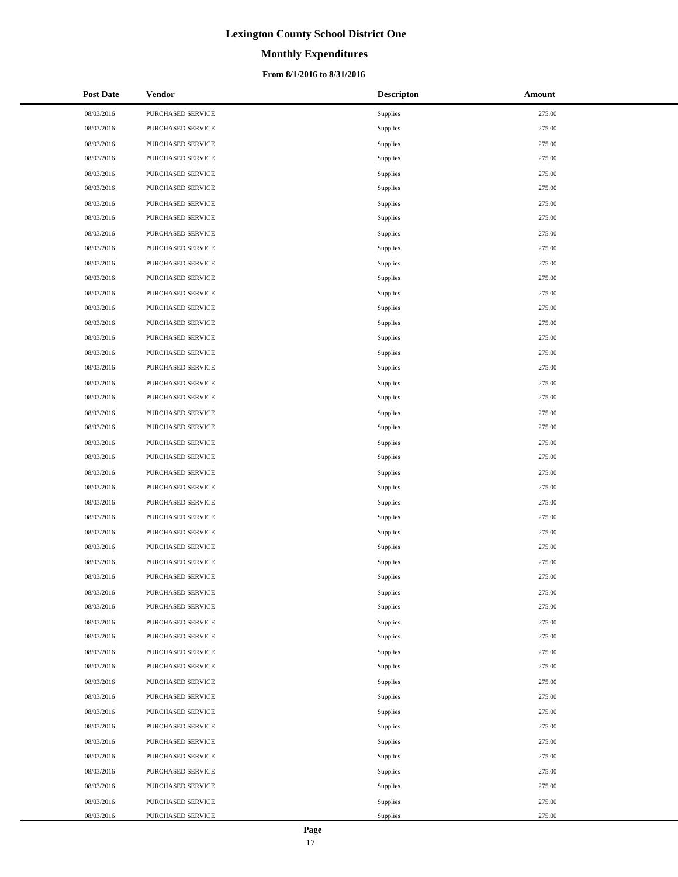# **Monthly Expenditures**

### **From 8/1/2016 to 8/31/2016**

| <b>Post Date</b> | Vendor            | <b>Descripton</b> | Amount |
|------------------|-------------------|-------------------|--------|
| 08/03/2016       | PURCHASED SERVICE | Supplies          | 275.00 |
| 08/03/2016       | PURCHASED SERVICE | Supplies          | 275.00 |
| 08/03/2016       | PURCHASED SERVICE | Supplies          | 275.00 |
| 08/03/2016       | PURCHASED SERVICE | Supplies          | 275.00 |
| 08/03/2016       | PURCHASED SERVICE | Supplies          | 275.00 |
| 08/03/2016       | PURCHASED SERVICE | Supplies          | 275.00 |
| 08/03/2016       | PURCHASED SERVICE | Supplies          | 275.00 |
| 08/03/2016       | PURCHASED SERVICE | Supplies          | 275.00 |
| 08/03/2016       | PURCHASED SERVICE | Supplies          | 275.00 |
| 08/03/2016       | PURCHASED SERVICE | Supplies          | 275.00 |
| 08/03/2016       | PURCHASED SERVICE | Supplies          | 275.00 |
| 08/03/2016       | PURCHASED SERVICE | Supplies          | 275.00 |
| 08/03/2016       | PURCHASED SERVICE | Supplies          | 275.00 |
| 08/03/2016       | PURCHASED SERVICE | Supplies          | 275.00 |
| 08/03/2016       | PURCHASED SERVICE | Supplies          | 275.00 |
| 08/03/2016       | PURCHASED SERVICE | Supplies          | 275.00 |
| 08/03/2016       | PURCHASED SERVICE | Supplies          | 275.00 |
| 08/03/2016       | PURCHASED SERVICE | Supplies          | 275.00 |
| 08/03/2016       | PURCHASED SERVICE | Supplies          | 275.00 |
| 08/03/2016       | PURCHASED SERVICE | Supplies          | 275.00 |
| 08/03/2016       | PURCHASED SERVICE | Supplies          | 275.00 |
| 08/03/2016       | PURCHASED SERVICE | Supplies          | 275.00 |
| 08/03/2016       | PURCHASED SERVICE | Supplies          | 275.00 |
| 08/03/2016       | PURCHASED SERVICE | Supplies          | 275.00 |
| 08/03/2016       | PURCHASED SERVICE | Supplies          | 275.00 |
| 08/03/2016       | PURCHASED SERVICE | Supplies          | 275.00 |
| 08/03/2016       | PURCHASED SERVICE | Supplies          | 275.00 |
| 08/03/2016       | PURCHASED SERVICE | Supplies          | 275.00 |
| 08/03/2016       | PURCHASED SERVICE | Supplies          | 275.00 |
| 08/03/2016       | PURCHASED SERVICE | Supplies          | 275.00 |
| 08/03/2016       | PURCHASED SERVICE | Supplies          | 275.00 |
| 08/03/2016       | PURCHASED SERVICE | Supplies          | 275.00 |
| 08/03/2016       | PURCHASED SERVICE | Supplies          | 275.00 |
| 08/03/2016       | PURCHASED SERVICE | Supplies          | 275.00 |
| 08/03/2016       | PURCHASED SERVICE | Supplies          | 275.00 |
| 08/03/2016       | PURCHASED SERVICE | Supplies          | 275.00 |
| 08/03/2016       | PURCHASED SERVICE | Supplies          | 275.00 |
| 08/03/2016       | PURCHASED SERVICE | Supplies          | 275.00 |
| 08/03/2016       | PURCHASED SERVICE | Supplies          | 275.00 |
| 08/03/2016       | PURCHASED SERVICE | Supplies          | 275.00 |
| 08/03/2016       | PURCHASED SERVICE | Supplies          | 275.00 |
| 08/03/2016       | PURCHASED SERVICE | Supplies          | 275.00 |
| 08/03/2016       | PURCHASED SERVICE | Supplies          | 275.00 |
| 08/03/2016       | PURCHASED SERVICE | Supplies          | 275.00 |
| 08/03/2016       | PURCHASED SERVICE | Supplies          | 275.00 |
| 08/03/2016       | PURCHASED SERVICE | Supplies          | 275.00 |
| 08/03/2016       | PURCHASED SERVICE | Supplies          | 275.00 |
| 08/03/2016       | PURCHASED SERVICE | Supplies          | 275.00 |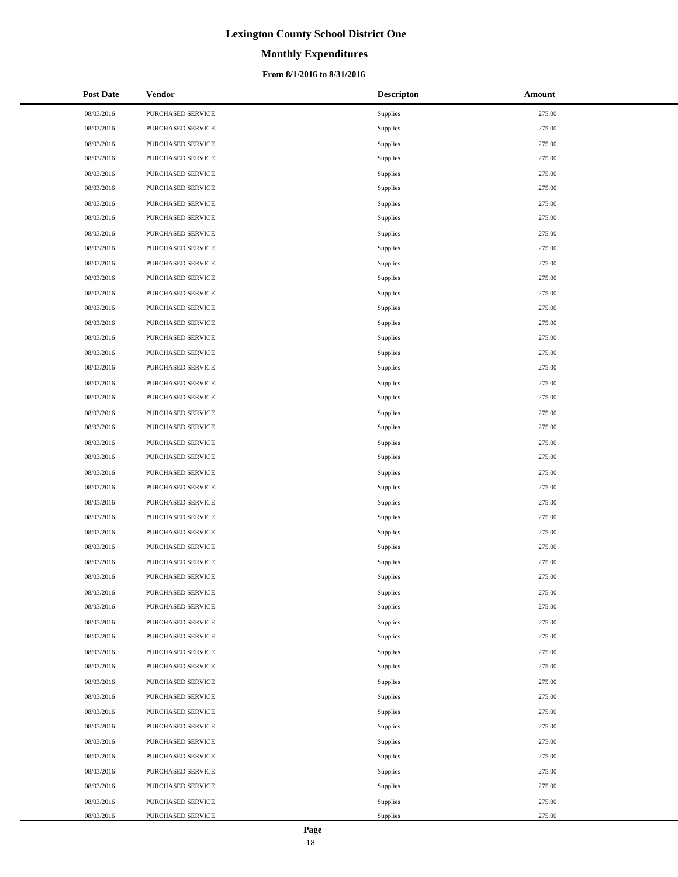# **Monthly Expenditures**

### **From 8/1/2016 to 8/31/2016**

| <b>Post Date</b> | Vendor            | <b>Descripton</b> | Amount |
|------------------|-------------------|-------------------|--------|
| 08/03/2016       | PURCHASED SERVICE | Supplies          | 275.00 |
| 08/03/2016       | PURCHASED SERVICE | Supplies          | 275.00 |
| 08/03/2016       | PURCHASED SERVICE | Supplies          | 275.00 |
| 08/03/2016       | PURCHASED SERVICE | Supplies          | 275.00 |
| 08/03/2016       | PURCHASED SERVICE | Supplies          | 275.00 |
| 08/03/2016       | PURCHASED SERVICE | Supplies          | 275.00 |
| 08/03/2016       | PURCHASED SERVICE | Supplies          | 275.00 |
| 08/03/2016       | PURCHASED SERVICE | Supplies          | 275.00 |
| 08/03/2016       | PURCHASED SERVICE | Supplies          | 275.00 |
| 08/03/2016       | PURCHASED SERVICE | Supplies          | 275.00 |
| 08/03/2016       | PURCHASED SERVICE | Supplies          | 275.00 |
| 08/03/2016       | PURCHASED SERVICE | Supplies          | 275.00 |
| 08/03/2016       | PURCHASED SERVICE | Supplies          | 275.00 |
| 08/03/2016       | PURCHASED SERVICE | Supplies          | 275.00 |
| 08/03/2016       | PURCHASED SERVICE | Supplies          | 275.00 |
| 08/03/2016       | PURCHASED SERVICE | Supplies          | 275.00 |
| 08/03/2016       | PURCHASED SERVICE | Supplies          | 275.00 |
| 08/03/2016       | PURCHASED SERVICE | Supplies          | 275.00 |
| 08/03/2016       | PURCHASED SERVICE | Supplies          | 275.00 |
| 08/03/2016       | PURCHASED SERVICE | Supplies          | 275.00 |
| 08/03/2016       | PURCHASED SERVICE | Supplies          | 275.00 |
| 08/03/2016       | PURCHASED SERVICE | Supplies          | 275.00 |
| 08/03/2016       | PURCHASED SERVICE | Supplies          | 275.00 |
| 08/03/2016       | PURCHASED SERVICE | Supplies          | 275.00 |
| 08/03/2016       | PURCHASED SERVICE | Supplies          | 275.00 |
| 08/03/2016       | PURCHASED SERVICE | Supplies          | 275.00 |
| 08/03/2016       | PURCHASED SERVICE | Supplies          | 275.00 |
| 08/03/2016       | PURCHASED SERVICE | Supplies          | 275.00 |
| 08/03/2016       | PURCHASED SERVICE | Supplies          | 275.00 |
| 08/03/2016       | PURCHASED SERVICE | Supplies          | 275.00 |
| 08/03/2016       | PURCHASED SERVICE | Supplies          | 275.00 |
| 08/03/2016       | PURCHASED SERVICE | Supplies          | 275.00 |
| 08/03/2016       | PURCHASED SERVICE | Supplies          | 275.00 |
| 08/03/2016       | PURCHASED SERVICE | Supplies          | 275.00 |
| 08/03/2016       | PURCHASED SERVICE | Supplies          | 275.00 |
| 08/03/2016       | PURCHASED SERVICE | Supplies          | 275.00 |
| 08/03/2016       | PURCHASED SERVICE | Supplies          | 275.00 |
| 08/03/2016       | PURCHASED SERVICE | Supplies          | 275.00 |
| 08/03/2016       | PURCHASED SERVICE | Supplies          | 275.00 |
| 08/03/2016       | PURCHASED SERVICE | Supplies          | 275.00 |
| 08/03/2016       | PURCHASED SERVICE | Supplies          | 275.00 |
| 08/03/2016       | PURCHASED SERVICE | Supplies          | 275.00 |
| 08/03/2016       | PURCHASED SERVICE | Supplies          | 275.00 |
| 08/03/2016       | PURCHASED SERVICE | Supplies          | 275.00 |
| 08/03/2016       | PURCHASED SERVICE | Supplies          | 275.00 |
| 08/03/2016       | PURCHASED SERVICE | Supplies          | 275.00 |
| 08/03/2016       | PURCHASED SERVICE | Supplies          | 275.00 |
| 08/03/2016       | PURCHASED SERVICE | Supplies          | 275.00 |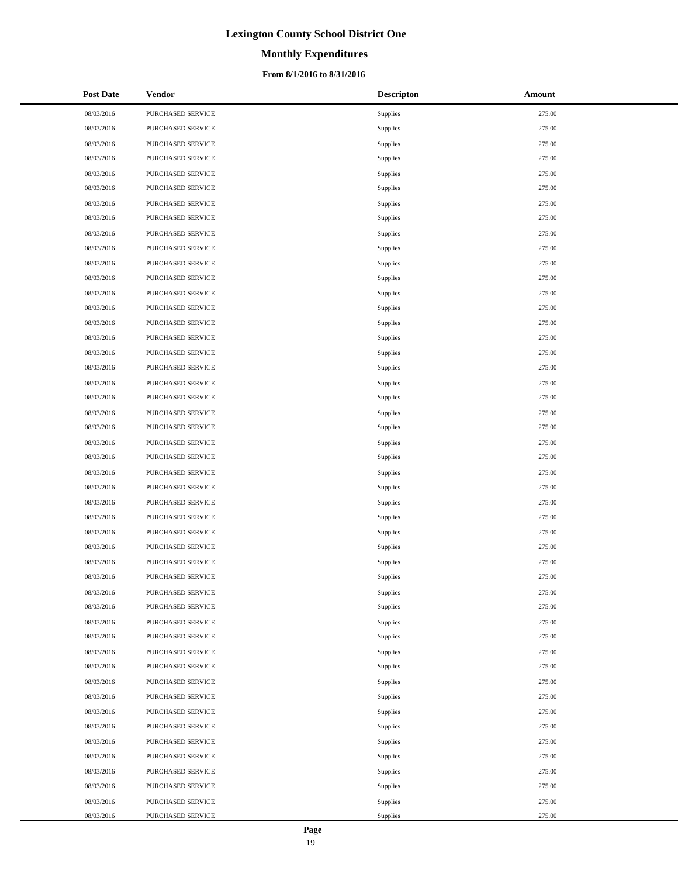# **Monthly Expenditures**

### **From 8/1/2016 to 8/31/2016**

| <b>Post Date</b> | Vendor            | <b>Descripton</b> | Amount |
|------------------|-------------------|-------------------|--------|
| 08/03/2016       | PURCHASED SERVICE | Supplies          | 275.00 |
| 08/03/2016       | PURCHASED SERVICE | Supplies          | 275.00 |
| 08/03/2016       | PURCHASED SERVICE | Supplies          | 275.00 |
| 08/03/2016       | PURCHASED SERVICE | Supplies          | 275.00 |
| 08/03/2016       | PURCHASED SERVICE | Supplies          | 275.00 |
| 08/03/2016       | PURCHASED SERVICE | Supplies          | 275.00 |
| 08/03/2016       | PURCHASED SERVICE | Supplies          | 275.00 |
| 08/03/2016       | PURCHASED SERVICE | Supplies          | 275.00 |
| 08/03/2016       | PURCHASED SERVICE | Supplies          | 275.00 |
| 08/03/2016       | PURCHASED SERVICE | Supplies          | 275.00 |
| 08/03/2016       | PURCHASED SERVICE | Supplies          | 275.00 |
| 08/03/2016       | PURCHASED SERVICE | Supplies          | 275.00 |
| 08/03/2016       | PURCHASED SERVICE | Supplies          | 275.00 |
| 08/03/2016       | PURCHASED SERVICE | Supplies          | 275.00 |
| 08/03/2016       | PURCHASED SERVICE | Supplies          | 275.00 |
| 08/03/2016       | PURCHASED SERVICE | Supplies          | 275.00 |
| 08/03/2016       | PURCHASED SERVICE | Supplies          | 275.00 |
| 08/03/2016       | PURCHASED SERVICE | Supplies          | 275.00 |
| 08/03/2016       | PURCHASED SERVICE | Supplies          | 275.00 |
| 08/03/2016       | PURCHASED SERVICE | Supplies          | 275.00 |
| 08/03/2016       | PURCHASED SERVICE | Supplies          | 275.00 |
| 08/03/2016       | PURCHASED SERVICE | Supplies          | 275.00 |
| 08/03/2016       | PURCHASED SERVICE | Supplies          | 275.00 |
| 08/03/2016       | PURCHASED SERVICE | Supplies          | 275.00 |
| 08/03/2016       | PURCHASED SERVICE | Supplies          | 275.00 |
| 08/03/2016       | PURCHASED SERVICE | Supplies          | 275.00 |
| 08/03/2016       | PURCHASED SERVICE | Supplies          | 275.00 |
| 08/03/2016       | PURCHASED SERVICE | Supplies          | 275.00 |
| 08/03/2016       | PURCHASED SERVICE | Supplies          | 275.00 |
| 08/03/2016       | PURCHASED SERVICE | Supplies          | 275.00 |
| 08/03/2016       | PURCHASED SERVICE | Supplies          | 275.00 |
| 08/03/2016       | PURCHASED SERVICE | Supplies          | 275.00 |
| 08/03/2016       | PURCHASED SERVICE | Supplies          | 275.00 |
| 08/03/2016       | PURCHASED SERVICE | Supplies          | 275.00 |
| 08/03/2016       | PURCHASED SERVICE | Supplies          | 275.00 |
| 08/03/2016       | PURCHASED SERVICE | Supplies          | 275.00 |
| 08/03/2016       | PURCHASED SERVICE | Supplies          | 275.00 |
| 08/03/2016       | PURCHASED SERVICE | Supplies          | 275.00 |
| 08/03/2016       | PURCHASED SERVICE | Supplies          | 275.00 |
| 08/03/2016       | PURCHASED SERVICE | Supplies          | 275.00 |
| 08/03/2016       | PURCHASED SERVICE | Supplies          | 275.00 |
| 08/03/2016       | PURCHASED SERVICE | Supplies          | 275.00 |
| 08/03/2016       | PURCHASED SERVICE | Supplies          | 275.00 |
| 08/03/2016       | PURCHASED SERVICE | Supplies          | 275.00 |
| 08/03/2016       | PURCHASED SERVICE | Supplies          | 275.00 |
| 08/03/2016       | PURCHASED SERVICE | Supplies          | 275.00 |
| 08/03/2016       | PURCHASED SERVICE | Supplies          | 275.00 |
| 08/03/2016       | PURCHASED SERVICE | Supplies          | 275.00 |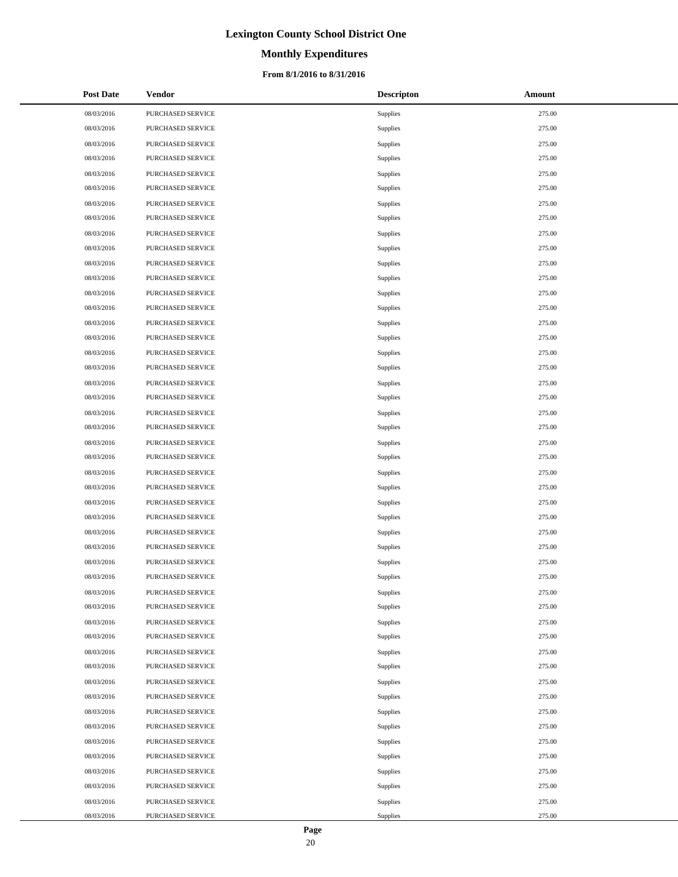# **Monthly Expenditures**

### **From 8/1/2016 to 8/31/2016**

| <b>Post Date</b> | Vendor            | <b>Descripton</b> | Amount |
|------------------|-------------------|-------------------|--------|
| 08/03/2016       | PURCHASED SERVICE | Supplies          | 275.00 |
| 08/03/2016       | PURCHASED SERVICE | Supplies          | 275.00 |
| 08/03/2016       | PURCHASED SERVICE | Supplies          | 275.00 |
| 08/03/2016       | PURCHASED SERVICE | Supplies          | 275.00 |
| 08/03/2016       | PURCHASED SERVICE | Supplies          | 275.00 |
| 08/03/2016       | PURCHASED SERVICE | Supplies          | 275.00 |
| 08/03/2016       | PURCHASED SERVICE | Supplies          | 275.00 |
| 08/03/2016       | PURCHASED SERVICE | Supplies          | 275.00 |
| 08/03/2016       | PURCHASED SERVICE | Supplies          | 275.00 |
| 08/03/2016       | PURCHASED SERVICE | Supplies          | 275.00 |
| 08/03/2016       | PURCHASED SERVICE | Supplies          | 275.00 |
| 08/03/2016       | PURCHASED SERVICE | Supplies          | 275.00 |
| 08/03/2016       | PURCHASED SERVICE | Supplies          | 275.00 |
| 08/03/2016       | PURCHASED SERVICE | Supplies          | 275.00 |
| 08/03/2016       | PURCHASED SERVICE | Supplies          | 275.00 |
| 08/03/2016       | PURCHASED SERVICE | Supplies          | 275.00 |
| 08/03/2016       | PURCHASED SERVICE | Supplies          | 275.00 |
| 08/03/2016       | PURCHASED SERVICE | Supplies          | 275.00 |
| 08/03/2016       | PURCHASED SERVICE | Supplies          | 275.00 |
| 08/03/2016       | PURCHASED SERVICE | Supplies          | 275.00 |
| 08/03/2016       | PURCHASED SERVICE | Supplies          | 275.00 |
| 08/03/2016       | PURCHASED SERVICE | Supplies          | 275.00 |
| 08/03/2016       | PURCHASED SERVICE | Supplies          | 275.00 |
| 08/03/2016       | PURCHASED SERVICE | Supplies          | 275.00 |
| 08/03/2016       | PURCHASED SERVICE | Supplies          | 275.00 |
| 08/03/2016       | PURCHASED SERVICE | Supplies          | 275.00 |
| 08/03/2016       | PURCHASED SERVICE | Supplies          | 275.00 |
| 08/03/2016       | PURCHASED SERVICE | Supplies          | 275.00 |
| 08/03/2016       | PURCHASED SERVICE | Supplies          | 275.00 |
| 08/03/2016       | PURCHASED SERVICE | Supplies          | 275.00 |
| 08/03/2016       | PURCHASED SERVICE | Supplies          | 275.00 |
| 08/03/2016       | PURCHASED SERVICE | Supplies          | 275.00 |
| 08/03/2016       | PURCHASED SERVICE | Supplies          | 275.00 |
| 08/03/2016       | PURCHASED SERVICE | Supplies          | 275.00 |
| 08/03/2016       | PURCHASED SERVICE | Supplies          | 275.00 |
| 08/03/2016       | PURCHASED SERVICE | Supplies          | 275.00 |
| 08/03/2016       | PURCHASED SERVICE | Supplies          | 275.00 |
| 08/03/2016       | PURCHASED SERVICE | Supplies          | 275.00 |
| 08/03/2016       | PURCHASED SERVICE | Supplies          | 275.00 |
| 08/03/2016       | PURCHASED SERVICE | Supplies          | 275.00 |
| 08/03/2016       | PURCHASED SERVICE | Supplies          | 275.00 |
| 08/03/2016       | PURCHASED SERVICE | Supplies          | 275.00 |
| 08/03/2016       | PURCHASED SERVICE | Supplies          | 275.00 |
| 08/03/2016       | PURCHASED SERVICE | Supplies          | 275.00 |
| 08/03/2016       | PURCHASED SERVICE | Supplies          | 275.00 |
| 08/03/2016       | PURCHASED SERVICE | Supplies          | 275.00 |
| 08/03/2016       | PURCHASED SERVICE | Supplies          | 275.00 |
| 08/03/2016       | PURCHASED SERVICE | Supplies          | 275.00 |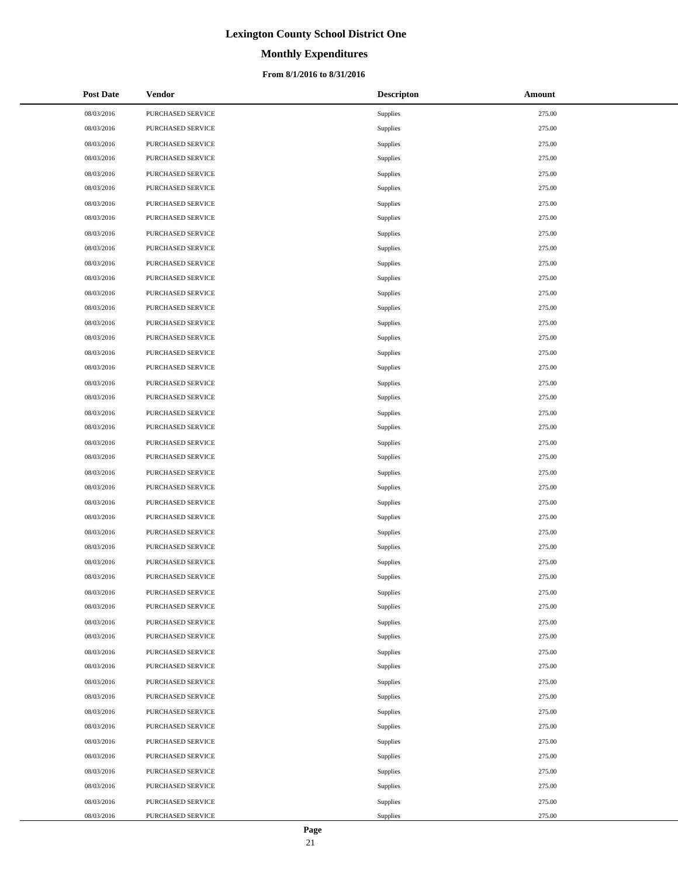# **Monthly Expenditures**

### **From 8/1/2016 to 8/31/2016**

| <b>Post Date</b> | Vendor            | <b>Descripton</b> | Amount |
|------------------|-------------------|-------------------|--------|
| 08/03/2016       | PURCHASED SERVICE | Supplies          | 275.00 |
| 08/03/2016       | PURCHASED SERVICE | Supplies          | 275.00 |
| 08/03/2016       | PURCHASED SERVICE | Supplies          | 275.00 |
| 08/03/2016       | PURCHASED SERVICE | Supplies          | 275.00 |
| 08/03/2016       | PURCHASED SERVICE | Supplies          | 275.00 |
| 08/03/2016       | PURCHASED SERVICE | Supplies          | 275.00 |
| 08/03/2016       | PURCHASED SERVICE | Supplies          | 275.00 |
| 08/03/2016       | PURCHASED SERVICE | Supplies          | 275.00 |
| 08/03/2016       | PURCHASED SERVICE | Supplies          | 275.00 |
| 08/03/2016       | PURCHASED SERVICE | Supplies          | 275.00 |
| 08/03/2016       | PURCHASED SERVICE | Supplies          | 275.00 |
| 08/03/2016       | PURCHASED SERVICE | Supplies          | 275.00 |
| 08/03/2016       | PURCHASED SERVICE | Supplies          | 275.00 |
| 08/03/2016       | PURCHASED SERVICE | Supplies          | 275.00 |
| 08/03/2016       | PURCHASED SERVICE | Supplies          | 275.00 |
| 08/03/2016       | PURCHASED SERVICE | Supplies          | 275.00 |
| 08/03/2016       | PURCHASED SERVICE | Supplies          | 275.00 |
| 08/03/2016       | PURCHASED SERVICE | Supplies          | 275.00 |
| 08/03/2016       | PURCHASED SERVICE | Supplies          | 275.00 |
| 08/03/2016       | PURCHASED SERVICE | Supplies          | 275.00 |
| 08/03/2016       | PURCHASED SERVICE | Supplies          | 275.00 |
| 08/03/2016       | PURCHASED SERVICE | Supplies          | 275.00 |
| 08/03/2016       | PURCHASED SERVICE | Supplies          | 275.00 |
| 08/03/2016       | PURCHASED SERVICE | Supplies          | 275.00 |
| 08/03/2016       | PURCHASED SERVICE | Supplies          | 275.00 |
| 08/03/2016       | PURCHASED SERVICE | Supplies          | 275.00 |
| 08/03/2016       | PURCHASED SERVICE | Supplies          | 275.00 |
| 08/03/2016       | PURCHASED SERVICE | Supplies          | 275.00 |
| 08/03/2016       | PURCHASED SERVICE | Supplies          | 275.00 |
| 08/03/2016       | PURCHASED SERVICE | Supplies          | 275.00 |
| 08/03/2016       | PURCHASED SERVICE | Supplies          | 275.00 |
| 08/03/2016       | PURCHASED SERVICE | Supplies          | 275.00 |
| 08/03/2016       | PURCHASED SERVICE | Supplies          | 275.00 |
| 08/03/2016       | PURCHASED SERVICE | Supplies          | 275.00 |
| 08/03/2016       | PURCHASED SERVICE | Supplies          | 275.00 |
| 08/03/2016       | PURCHASED SERVICE | Supplies          | 275.00 |
| 08/03/2016       | PURCHASED SERVICE | Supplies          | 275.00 |
| 08/03/2016       | PURCHASED SERVICE | Supplies          | 275.00 |
| 08/03/2016       | PURCHASED SERVICE | Supplies          | 275.00 |
| 08/03/2016       | PURCHASED SERVICE | Supplies          | 275.00 |
| 08/03/2016       | PURCHASED SERVICE | Supplies          | 275.00 |
| 08/03/2016       | PURCHASED SERVICE | Supplies          | 275.00 |
| 08/03/2016       | PURCHASED SERVICE | Supplies          | 275.00 |
| 08/03/2016       | PURCHASED SERVICE | Supplies          | 275.00 |
| 08/03/2016       | PURCHASED SERVICE | Supplies          | 275.00 |
| 08/03/2016       | PURCHASED SERVICE | Supplies          | 275.00 |
| 08/03/2016       | PURCHASED SERVICE | Supplies          | 275.00 |
| 08/03/2016       | PURCHASED SERVICE | Supplies          | 275.00 |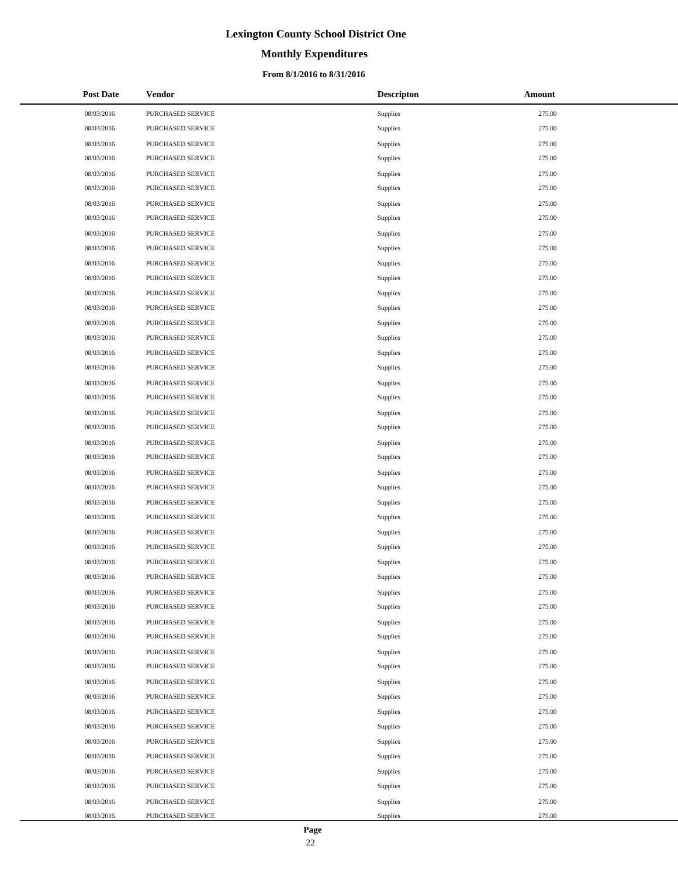# **Monthly Expenditures**

### **From 8/1/2016 to 8/31/2016**

| <b>Post Date</b> | Vendor            | <b>Descripton</b> | Amount |
|------------------|-------------------|-------------------|--------|
| 08/03/2016       | PURCHASED SERVICE | Supplies          | 275.00 |
| 08/03/2016       | PURCHASED SERVICE | Supplies          | 275.00 |
| 08/03/2016       | PURCHASED SERVICE | Supplies          | 275.00 |
| 08/03/2016       | PURCHASED SERVICE | Supplies          | 275.00 |
| 08/03/2016       | PURCHASED SERVICE | Supplies          | 275.00 |
| 08/03/2016       | PURCHASED SERVICE | Supplies          | 275.00 |
| 08/03/2016       | PURCHASED SERVICE | Supplies          | 275.00 |
| 08/03/2016       | PURCHASED SERVICE | Supplies          | 275.00 |
| 08/03/2016       | PURCHASED SERVICE | Supplies          | 275.00 |
| 08/03/2016       | PURCHASED SERVICE | Supplies          | 275.00 |
| 08/03/2016       | PURCHASED SERVICE | Supplies          | 275.00 |
| 08/03/2016       | PURCHASED SERVICE | Supplies          | 275.00 |
| 08/03/2016       | PURCHASED SERVICE | Supplies          | 275.00 |
| 08/03/2016       | PURCHASED SERVICE | Supplies          | 275.00 |
| 08/03/2016       | PURCHASED SERVICE | Supplies          | 275.00 |
| 08/03/2016       | PURCHASED SERVICE | Supplies          | 275.00 |
| 08/03/2016       | PURCHASED SERVICE | Supplies          | 275.00 |
| 08/03/2016       | PURCHASED SERVICE | Supplies          | 275.00 |
| 08/03/2016       | PURCHASED SERVICE | Supplies          | 275.00 |
| 08/03/2016       | PURCHASED SERVICE | Supplies          | 275.00 |
| 08/03/2016       | PURCHASED SERVICE | Supplies          | 275.00 |
| 08/03/2016       | PURCHASED SERVICE | Supplies          | 275.00 |
| 08/03/2016       | PURCHASED SERVICE | Supplies          | 275.00 |
| 08/03/2016       | PURCHASED SERVICE | Supplies          | 275.00 |
| 08/03/2016       | PURCHASED SERVICE | Supplies          | 275.00 |
| 08/03/2016       | PURCHASED SERVICE | Supplies          | 275.00 |
| 08/03/2016       | PURCHASED SERVICE | Supplies          | 275.00 |
| 08/03/2016       | PURCHASED SERVICE | Supplies          | 275.00 |
| 08/03/2016       | PURCHASED SERVICE | Supplies          | 275.00 |
| 08/03/2016       | PURCHASED SERVICE | Supplies          | 275.00 |
| 08/03/2016       | PURCHASED SERVICE | Supplies          | 275.00 |
| 08/03/2016       | PURCHASED SERVICE | Supplies          | 275.00 |
| 08/03/2016       | PURCHASED SERVICE | Supplies          | 275.00 |
| 08/03/2016       | PURCHASED SERVICE | Supplies          | 275.00 |
| 08/03/2016       | PURCHASED SERVICE | Supplies          | 275.00 |
| 08/03/2016       | PURCHASED SERVICE | Supplies          | 275.00 |
| 08/03/2016       | PURCHASED SERVICE | Supplies          | 275.00 |
| 08/03/2016       | PURCHASED SERVICE | Supplies          | 275.00 |
| 08/03/2016       | PURCHASED SERVICE | Supplies          | 275.00 |
| 08/03/2016       | PURCHASED SERVICE | Supplies          | 275.00 |
| 08/03/2016       | PURCHASED SERVICE | Supplies          | 275.00 |
| 08/03/2016       | PURCHASED SERVICE | Supplies          | 275.00 |
| 08/03/2016       | PURCHASED SERVICE | Supplies          | 275.00 |
| 08/03/2016       | PURCHASED SERVICE | Supplies          | 275.00 |
| 08/03/2016       | PURCHASED SERVICE | Supplies          | 275.00 |
| 08/03/2016       | PURCHASED SERVICE | Supplies          | 275.00 |
| 08/03/2016       | PURCHASED SERVICE | Supplies          | 275.00 |
| 08/03/2016       | PURCHASED SERVICE | Supplies          | 275.00 |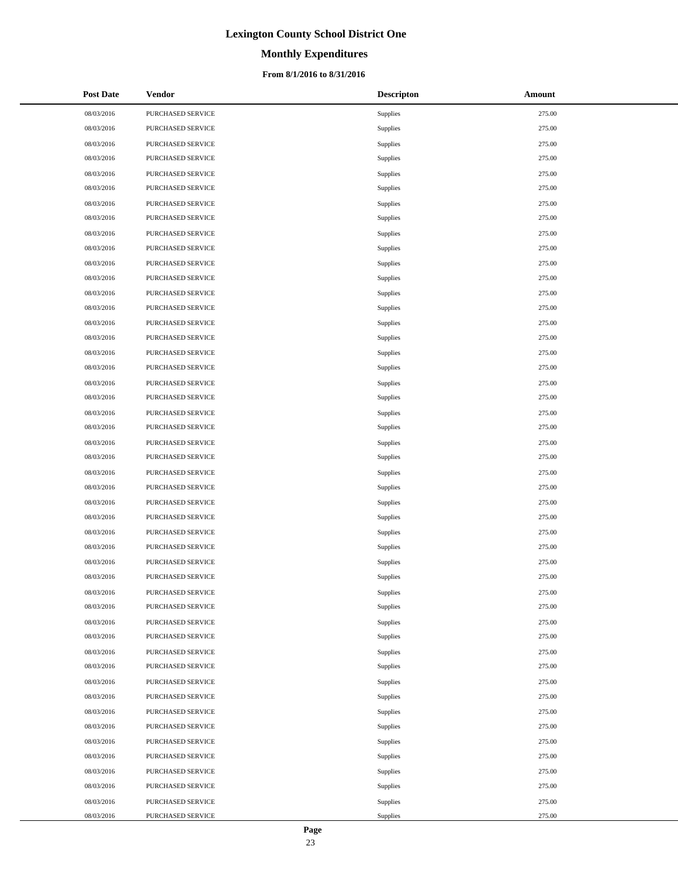# **Monthly Expenditures**

### **From 8/1/2016 to 8/31/2016**

| <b>Post Date</b> | Vendor            | <b>Descripton</b> | Amount |
|------------------|-------------------|-------------------|--------|
| 08/03/2016       | PURCHASED SERVICE | Supplies          | 275.00 |
| 08/03/2016       | PURCHASED SERVICE | Supplies          | 275.00 |
| 08/03/2016       | PURCHASED SERVICE | Supplies          | 275.00 |
| 08/03/2016       | PURCHASED SERVICE | Supplies          | 275.00 |
| 08/03/2016       | PURCHASED SERVICE | Supplies          | 275.00 |
| 08/03/2016       | PURCHASED SERVICE | Supplies          | 275.00 |
| 08/03/2016       | PURCHASED SERVICE | Supplies          | 275.00 |
| 08/03/2016       | PURCHASED SERVICE | Supplies          | 275.00 |
| 08/03/2016       | PURCHASED SERVICE | Supplies          | 275.00 |
| 08/03/2016       | PURCHASED SERVICE | Supplies          | 275.00 |
| 08/03/2016       | PURCHASED SERVICE | Supplies          | 275.00 |
| 08/03/2016       | PURCHASED SERVICE | Supplies          | 275.00 |
| 08/03/2016       | PURCHASED SERVICE | Supplies          | 275.00 |
| 08/03/2016       | PURCHASED SERVICE | Supplies          | 275.00 |
| 08/03/2016       | PURCHASED SERVICE | Supplies          | 275.00 |
| 08/03/2016       | PURCHASED SERVICE | Supplies          | 275.00 |
| 08/03/2016       | PURCHASED SERVICE | Supplies          | 275.00 |
| 08/03/2016       | PURCHASED SERVICE | Supplies          | 275.00 |
| 08/03/2016       | PURCHASED SERVICE | Supplies          | 275.00 |
| 08/03/2016       | PURCHASED SERVICE | Supplies          | 275.00 |
| 08/03/2016       | PURCHASED SERVICE | Supplies          | 275.00 |
| 08/03/2016       | PURCHASED SERVICE | Supplies          | 275.00 |
| 08/03/2016       | PURCHASED SERVICE | Supplies          | 275.00 |
| 08/03/2016       | PURCHASED SERVICE | Supplies          | 275.00 |
| 08/03/2016       | PURCHASED SERVICE | Supplies          | 275.00 |
| 08/03/2016       | PURCHASED SERVICE | Supplies          | 275.00 |
| 08/03/2016       | PURCHASED SERVICE | Supplies          | 275.00 |
| 08/03/2016       | PURCHASED SERVICE | Supplies          | 275.00 |
| 08/03/2016       | PURCHASED SERVICE | Supplies          | 275.00 |
| 08/03/2016       | PURCHASED SERVICE | Supplies          | 275.00 |
| 08/03/2016       | PURCHASED SERVICE | Supplies          | 275.00 |
| 08/03/2016       | PURCHASED SERVICE | Supplies          | 275.00 |
| 08/03/2016       | PURCHASED SERVICE | Supplies          | 275.00 |
| 08/03/2016       | PURCHASED SERVICE | Supplies          | 275.00 |
| 08/03/2016       | PURCHASED SERVICE | Supplies          | 275.00 |
| 08/03/2016       | PURCHASED SERVICE | Supplies          | 275.00 |
| 08/03/2016       | PURCHASED SERVICE | Supplies          | 275.00 |
| 08/03/2016       | PURCHASED SERVICE | Supplies          | 275.00 |
| 08/03/2016       | PURCHASED SERVICE | Supplies          | 275.00 |
| 08/03/2016       | PURCHASED SERVICE | Supplies          | 275.00 |
| 08/03/2016       | PURCHASED SERVICE | Supplies          | 275.00 |
| 08/03/2016       | PURCHASED SERVICE | Supplies          | 275.00 |
| 08/03/2016       | PURCHASED SERVICE | Supplies          | 275.00 |
| 08/03/2016       | PURCHASED SERVICE | Supplies          | 275.00 |
| 08/03/2016       | PURCHASED SERVICE | Supplies          | 275.00 |
| 08/03/2016       | PURCHASED SERVICE | Supplies          | 275.00 |
| 08/03/2016       | PURCHASED SERVICE | Supplies          | 275.00 |
| 08/03/2016       | PURCHASED SERVICE | Supplies          | 275.00 |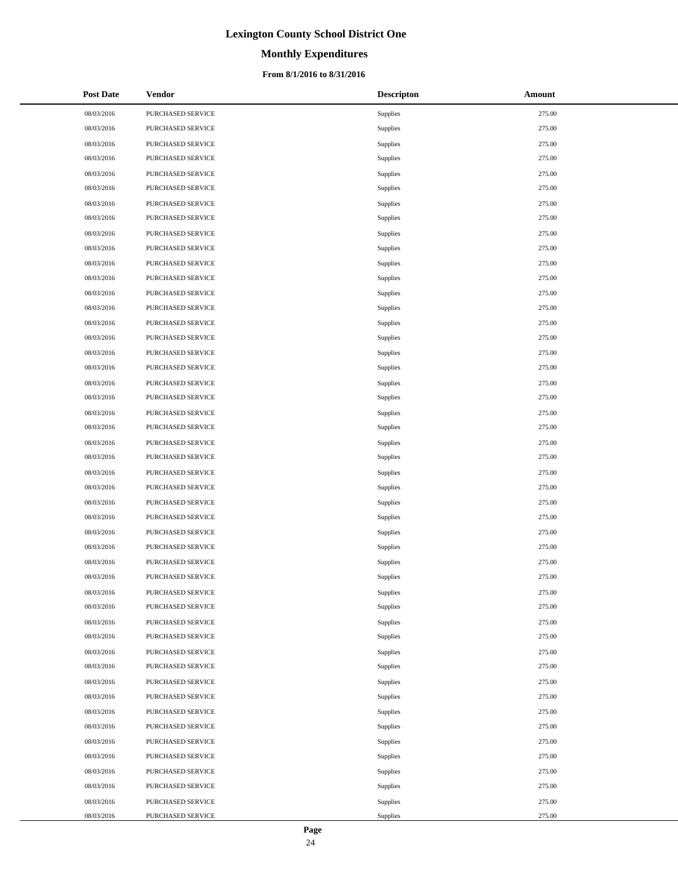# **Monthly Expenditures**

### **From 8/1/2016 to 8/31/2016**

| <b>Post Date</b> | Vendor            | <b>Descripton</b> | Amount |
|------------------|-------------------|-------------------|--------|
| 08/03/2016       | PURCHASED SERVICE | Supplies          | 275.00 |
| 08/03/2016       | PURCHASED SERVICE | Supplies          | 275.00 |
| 08/03/2016       | PURCHASED SERVICE | Supplies          | 275.00 |
| 08/03/2016       | PURCHASED SERVICE | Supplies          | 275.00 |
| 08/03/2016       | PURCHASED SERVICE | Supplies          | 275.00 |
| 08/03/2016       | PURCHASED SERVICE | Supplies          | 275.00 |
| 08/03/2016       | PURCHASED SERVICE | Supplies          | 275.00 |
| 08/03/2016       | PURCHASED SERVICE | Supplies          | 275.00 |
| 08/03/2016       | PURCHASED SERVICE | Supplies          | 275.00 |
| 08/03/2016       | PURCHASED SERVICE | Supplies          | 275.00 |
| 08/03/2016       | PURCHASED SERVICE | Supplies          | 275.00 |
| 08/03/2016       | PURCHASED SERVICE | Supplies          | 275.00 |
| 08/03/2016       | PURCHASED SERVICE | Supplies          | 275.00 |
| 08/03/2016       | PURCHASED SERVICE | Supplies          | 275.00 |
| 08/03/2016       | PURCHASED SERVICE | Supplies          | 275.00 |
| 08/03/2016       | PURCHASED SERVICE | Supplies          | 275.00 |
| 08/03/2016       | PURCHASED SERVICE | Supplies          | 275.00 |
| 08/03/2016       | PURCHASED SERVICE | Supplies          | 275.00 |
| 08/03/2016       | PURCHASED SERVICE | Supplies          | 275.00 |
| 08/03/2016       | PURCHASED SERVICE | Supplies          | 275.00 |
| 08/03/2016       | PURCHASED SERVICE | Supplies          | 275.00 |
| 08/03/2016       | PURCHASED SERVICE | Supplies          | 275.00 |
| 08/03/2016       | PURCHASED SERVICE | Supplies          | 275.00 |
| 08/03/2016       | PURCHASED SERVICE | Supplies          | 275.00 |
| 08/03/2016       | PURCHASED SERVICE | Supplies          | 275.00 |
| 08/03/2016       | PURCHASED SERVICE | Supplies          | 275.00 |
| 08/03/2016       | PURCHASED SERVICE | Supplies          | 275.00 |
| 08/03/2016       | PURCHASED SERVICE | Supplies          | 275.00 |
| 08/03/2016       | PURCHASED SERVICE | Supplies          | 275.00 |
| 08/03/2016       | PURCHASED SERVICE | Supplies          | 275.00 |
| 08/03/2016       | PURCHASED SERVICE | Supplies          | 275.00 |
| 08/03/2016       | PURCHASED SERVICE | Supplies          | 275.00 |
| 08/03/2016       | PURCHASED SERVICE | Supplies          | 275.00 |
| 08/03/2016       | PURCHASED SERVICE | Supplies          | 275.00 |
| 08/03/2016       | PURCHASED SERVICE | Supplies          | 275.00 |
| 08/03/2016       | PURCHASED SERVICE | Supplies          | 275.00 |
| 08/03/2016       | PURCHASED SERVICE | Supplies          | 275.00 |
| 08/03/2016       | PURCHASED SERVICE | Supplies          | 275.00 |
| 08/03/2016       | PURCHASED SERVICE | Supplies          | 275.00 |
| 08/03/2016       | PURCHASED SERVICE | Supplies          | 275.00 |
| 08/03/2016       | PURCHASED SERVICE | Supplies          | 275.00 |
| 08/03/2016       | PURCHASED SERVICE | Supplies          | 275.00 |
| 08/03/2016       | PURCHASED SERVICE | Supplies          | 275.00 |
| 08/03/2016       | PURCHASED SERVICE | Supplies          | 275.00 |
| 08/03/2016       | PURCHASED SERVICE | Supplies          | 275.00 |
| 08/03/2016       | PURCHASED SERVICE | Supplies          | 275.00 |
| 08/03/2016       | PURCHASED SERVICE | Supplies          | 275.00 |
| 08/03/2016       | PURCHASED SERVICE | Supplies          | 275.00 |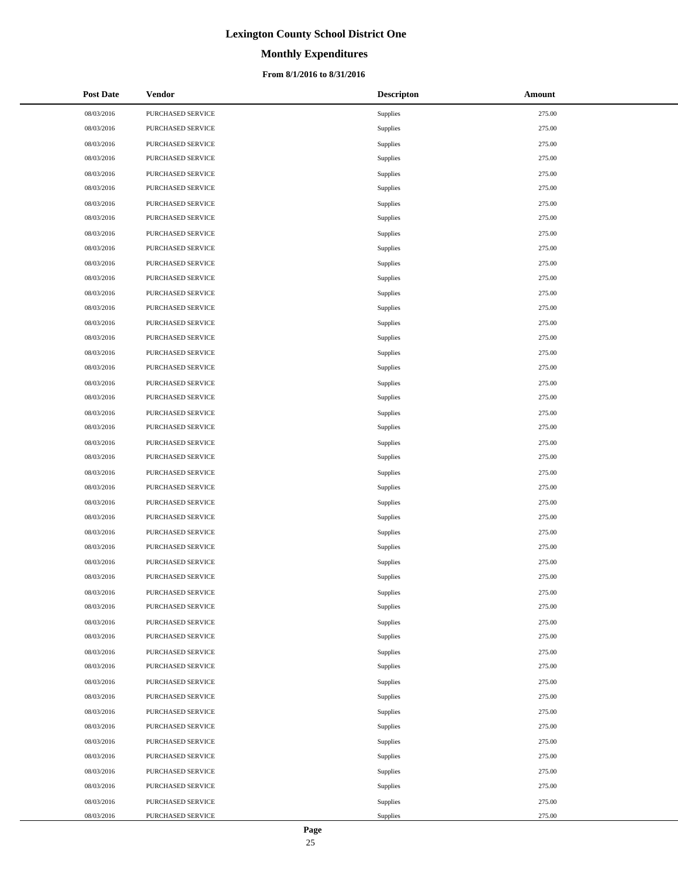# **Monthly Expenditures**

### **From 8/1/2016 to 8/31/2016**

| <b>Post Date</b> | Vendor            | <b>Descripton</b> | Amount |
|------------------|-------------------|-------------------|--------|
| 08/03/2016       | PURCHASED SERVICE | Supplies          | 275.00 |
| 08/03/2016       | PURCHASED SERVICE | Supplies          | 275.00 |
| 08/03/2016       | PURCHASED SERVICE | Supplies          | 275.00 |
| 08/03/2016       | PURCHASED SERVICE | Supplies          | 275.00 |
| 08/03/2016       | PURCHASED SERVICE | Supplies          | 275.00 |
| 08/03/2016       | PURCHASED SERVICE | Supplies          | 275.00 |
| 08/03/2016       | PURCHASED SERVICE | Supplies          | 275.00 |
| 08/03/2016       | PURCHASED SERVICE | Supplies          | 275.00 |
| 08/03/2016       | PURCHASED SERVICE | Supplies          | 275.00 |
| 08/03/2016       | PURCHASED SERVICE | Supplies          | 275.00 |
| 08/03/2016       | PURCHASED SERVICE | Supplies          | 275.00 |
| 08/03/2016       | PURCHASED SERVICE | Supplies          | 275.00 |
| 08/03/2016       | PURCHASED SERVICE | Supplies          | 275.00 |
| 08/03/2016       | PURCHASED SERVICE | Supplies          | 275.00 |
| 08/03/2016       | PURCHASED SERVICE | Supplies          | 275.00 |
| 08/03/2016       | PURCHASED SERVICE | Supplies          | 275.00 |
| 08/03/2016       | PURCHASED SERVICE | Supplies          | 275.00 |
| 08/03/2016       | PURCHASED SERVICE | Supplies          | 275.00 |
| 08/03/2016       | PURCHASED SERVICE | Supplies          | 275.00 |
| 08/03/2016       | PURCHASED SERVICE | Supplies          | 275.00 |
| 08/03/2016       | PURCHASED SERVICE | Supplies          | 275.00 |
| 08/03/2016       | PURCHASED SERVICE | Supplies          | 275.00 |
| 08/03/2016       | PURCHASED SERVICE | Supplies          | 275.00 |
| 08/03/2016       | PURCHASED SERVICE | Supplies          | 275.00 |
| 08/03/2016       | PURCHASED SERVICE | Supplies          | 275.00 |
| 08/03/2016       | PURCHASED SERVICE | Supplies          | 275.00 |
| 08/03/2016       | PURCHASED SERVICE | Supplies          | 275.00 |
| 08/03/2016       | PURCHASED SERVICE | Supplies          | 275.00 |
| 08/03/2016       | PURCHASED SERVICE | Supplies          | 275.00 |
| 08/03/2016       | PURCHASED SERVICE | Supplies          | 275.00 |
| 08/03/2016       | PURCHASED SERVICE | Supplies          | 275.00 |
| 08/03/2016       | PURCHASED SERVICE | Supplies          | 275.00 |
| 08/03/2016       | PURCHASED SERVICE | Supplies          | 275.00 |
| 08/03/2016       | PURCHASED SERVICE | Supplies          | 275.00 |
| 08/03/2016       | PURCHASED SERVICE | Supplies          | 275.00 |
| 08/03/2016       | PURCHASED SERVICE | Supplies          | 275.00 |
| 08/03/2016       | PURCHASED SERVICE | Supplies          | 275.00 |
| 08/03/2016       | PURCHASED SERVICE | Supplies          | 275.00 |
| 08/03/2016       | PURCHASED SERVICE | Supplies          | 275.00 |
| 08/03/2016       | PURCHASED SERVICE | Supplies          | 275.00 |
| 08/03/2016       | PURCHASED SERVICE | Supplies          | 275.00 |
| 08/03/2016       | PURCHASED SERVICE | Supplies          | 275.00 |
| 08/03/2016       | PURCHASED SERVICE | Supplies          | 275.00 |
| 08/03/2016       | PURCHASED SERVICE | Supplies          | 275.00 |
| 08/03/2016       | PURCHASED SERVICE | Supplies          | 275.00 |
| 08/03/2016       | PURCHASED SERVICE | Supplies          | 275.00 |
| 08/03/2016       | PURCHASED SERVICE | Supplies          | 275.00 |
| 08/03/2016       | PURCHASED SERVICE | Supplies          | 275.00 |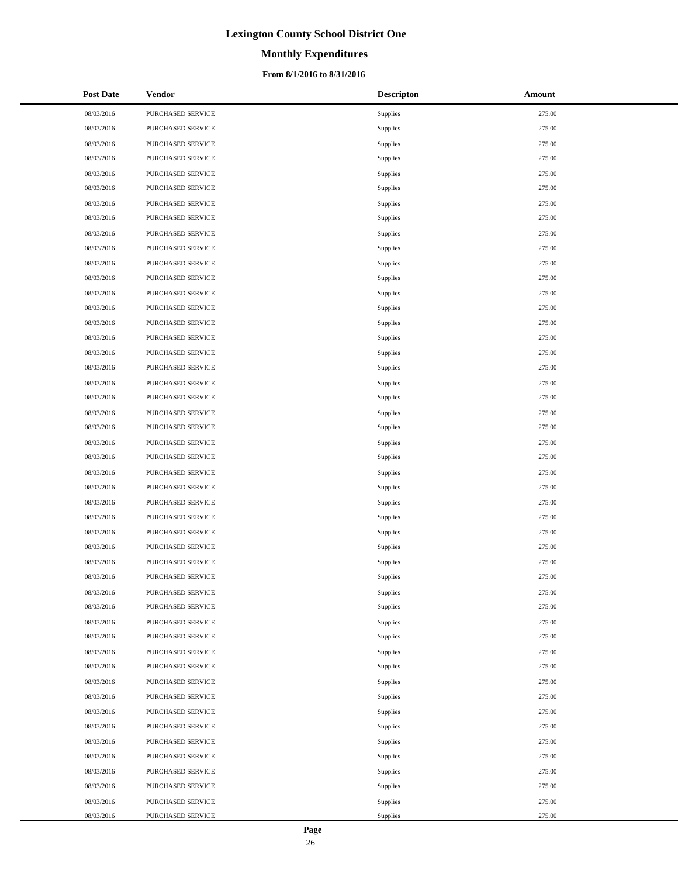# **Monthly Expenditures**

### **From 8/1/2016 to 8/31/2016**

| <b>Post Date</b> | Vendor            | <b>Descripton</b> | Amount |
|------------------|-------------------|-------------------|--------|
| 08/03/2016       | PURCHASED SERVICE | Supplies          | 275.00 |
| 08/03/2016       | PURCHASED SERVICE | Supplies          | 275.00 |
| 08/03/2016       | PURCHASED SERVICE | Supplies          | 275.00 |
| 08/03/2016       | PURCHASED SERVICE | Supplies          | 275.00 |
| 08/03/2016       | PURCHASED SERVICE | Supplies          | 275.00 |
| 08/03/2016       | PURCHASED SERVICE | Supplies          | 275.00 |
| 08/03/2016       | PURCHASED SERVICE | Supplies          | 275.00 |
| 08/03/2016       | PURCHASED SERVICE | Supplies          | 275.00 |
| 08/03/2016       | PURCHASED SERVICE | Supplies          | 275.00 |
| 08/03/2016       | PURCHASED SERVICE | Supplies          | 275.00 |
| 08/03/2016       | PURCHASED SERVICE | Supplies          | 275.00 |
| 08/03/2016       | PURCHASED SERVICE | Supplies          | 275.00 |
| 08/03/2016       | PURCHASED SERVICE | Supplies          | 275.00 |
| 08/03/2016       | PURCHASED SERVICE | Supplies          | 275.00 |
| 08/03/2016       | PURCHASED SERVICE | Supplies          | 275.00 |
| 08/03/2016       | PURCHASED SERVICE | Supplies          | 275.00 |
| 08/03/2016       | PURCHASED SERVICE | Supplies          | 275.00 |
| 08/03/2016       | PURCHASED SERVICE | Supplies          | 275.00 |
| 08/03/2016       | PURCHASED SERVICE | Supplies          | 275.00 |
| 08/03/2016       | PURCHASED SERVICE | Supplies          | 275.00 |
| 08/03/2016       | PURCHASED SERVICE | Supplies          | 275.00 |
| 08/03/2016       | PURCHASED SERVICE | Supplies          | 275.00 |
| 08/03/2016       | PURCHASED SERVICE | Supplies          | 275.00 |
| 08/03/2016       | PURCHASED SERVICE | Supplies          | 275.00 |
| 08/03/2016       | PURCHASED SERVICE | Supplies          | 275.00 |
| 08/03/2016       | PURCHASED SERVICE | Supplies          | 275.00 |
| 08/03/2016       | PURCHASED SERVICE | Supplies          | 275.00 |
| 08/03/2016       | PURCHASED SERVICE | Supplies          | 275.00 |
| 08/03/2016       | PURCHASED SERVICE | Supplies          | 275.00 |
| 08/03/2016       | PURCHASED SERVICE | Supplies          | 275.00 |
| 08/03/2016       | PURCHASED SERVICE | Supplies          | 275.00 |
| 08/03/2016       | PURCHASED SERVICE | Supplies          | 275.00 |
| 08/03/2016       | PURCHASED SERVICE | Supplies          | 275.00 |
| 08/03/2016       | PURCHASED SERVICE | Supplies          | 275.00 |
| 08/03/2016       | PURCHASED SERVICE | Supplies          | 275.00 |
| 08/03/2016       | PURCHASED SERVICE | Supplies          | 275.00 |
| 08/03/2016       | PURCHASED SERVICE | Supplies          | 275.00 |
| 08/03/2016       | PURCHASED SERVICE | Supplies          | 275.00 |
| 08/03/2016       | PURCHASED SERVICE | Supplies          | 275.00 |
| 08/03/2016       | PURCHASED SERVICE | Supplies          | 275.00 |
| 08/03/2016       | PURCHASED SERVICE | Supplies          | 275.00 |
| 08/03/2016       | PURCHASED SERVICE | Supplies          | 275.00 |
| 08/03/2016       | PURCHASED SERVICE | Supplies          | 275.00 |
| 08/03/2016       | PURCHASED SERVICE | Supplies          | 275.00 |
| 08/03/2016       | PURCHASED SERVICE | Supplies          | 275.00 |
| 08/03/2016       | PURCHASED SERVICE | Supplies          | 275.00 |
| 08/03/2016       | PURCHASED SERVICE | Supplies          | 275.00 |
| 08/03/2016       | PURCHASED SERVICE | Supplies          | 275.00 |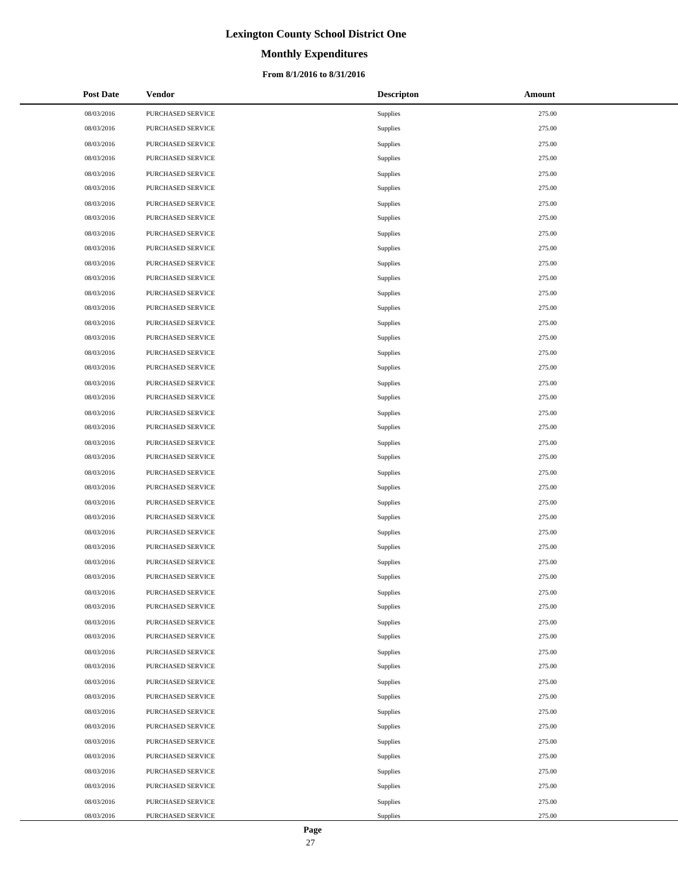# **Monthly Expenditures**

### **From 8/1/2016 to 8/31/2016**

| <b>Post Date</b> | Vendor            | <b>Descripton</b> | Amount |
|------------------|-------------------|-------------------|--------|
| 08/03/2016       | PURCHASED SERVICE | Supplies          | 275.00 |
| 08/03/2016       | PURCHASED SERVICE | Supplies          | 275.00 |
| 08/03/2016       | PURCHASED SERVICE | Supplies          | 275.00 |
| 08/03/2016       | PURCHASED SERVICE | Supplies          | 275.00 |
| 08/03/2016       | PURCHASED SERVICE | Supplies          | 275.00 |
| 08/03/2016       | PURCHASED SERVICE | Supplies          | 275.00 |
| 08/03/2016       | PURCHASED SERVICE | Supplies          | 275.00 |
| 08/03/2016       | PURCHASED SERVICE | Supplies          | 275.00 |
| 08/03/2016       | PURCHASED SERVICE | Supplies          | 275.00 |
| 08/03/2016       | PURCHASED SERVICE | Supplies          | 275.00 |
| 08/03/2016       | PURCHASED SERVICE | Supplies          | 275.00 |
| 08/03/2016       | PURCHASED SERVICE | Supplies          | 275.00 |
| 08/03/2016       | PURCHASED SERVICE | Supplies          | 275.00 |
| 08/03/2016       | PURCHASED SERVICE | Supplies          | 275.00 |
| 08/03/2016       | PURCHASED SERVICE | Supplies          | 275.00 |
| 08/03/2016       | PURCHASED SERVICE | Supplies          | 275.00 |
| 08/03/2016       | PURCHASED SERVICE | Supplies          | 275.00 |
| 08/03/2016       | PURCHASED SERVICE | Supplies          | 275.00 |
| 08/03/2016       | PURCHASED SERVICE | Supplies          | 275.00 |
| 08/03/2016       | PURCHASED SERVICE | Supplies          | 275.00 |
| 08/03/2016       | PURCHASED SERVICE | Supplies          | 275.00 |
| 08/03/2016       | PURCHASED SERVICE | Supplies          | 275.00 |
| 08/03/2016       | PURCHASED SERVICE | Supplies          | 275.00 |
| 08/03/2016       | PURCHASED SERVICE | Supplies          | 275.00 |
| 08/03/2016       | PURCHASED SERVICE | Supplies          | 275.00 |
| 08/03/2016       | PURCHASED SERVICE | Supplies          | 275.00 |
| 08/03/2016       | PURCHASED SERVICE | Supplies          | 275.00 |
| 08/03/2016       | PURCHASED SERVICE | Supplies          | 275.00 |
| 08/03/2016       | PURCHASED SERVICE | Supplies          | 275.00 |
| 08/03/2016       | PURCHASED SERVICE | Supplies          | 275.00 |
| 08/03/2016       | PURCHASED SERVICE | Supplies          | 275.00 |
| 08/03/2016       | PURCHASED SERVICE | Supplies          | 275.00 |
| 08/03/2016       | PURCHASED SERVICE | Supplies          | 275.00 |
| 08/03/2016       | PURCHASED SERVICE | Supplies          | 275.00 |
| 08/03/2016       | PURCHASED SERVICE | Supplies          | 275.00 |
| 08/03/2016       | PURCHASED SERVICE | Supplies          | 275.00 |
| 08/03/2016       | PURCHASED SERVICE | Supplies          | 275.00 |
| 08/03/2016       | PURCHASED SERVICE | Supplies          | 275.00 |
| 08/03/2016       | PURCHASED SERVICE | Supplies          | 275.00 |
| 08/03/2016       | PURCHASED SERVICE | Supplies          | 275.00 |
| 08/03/2016       | PURCHASED SERVICE | Supplies          | 275.00 |
| 08/03/2016       | PURCHASED SERVICE | Supplies          | 275.00 |
| 08/03/2016       | PURCHASED SERVICE | Supplies          | 275.00 |
| 08/03/2016       | PURCHASED SERVICE | Supplies          | 275.00 |
| 08/03/2016       | PURCHASED SERVICE | Supplies          | 275.00 |
| 08/03/2016       | PURCHASED SERVICE | Supplies          | 275.00 |
| 08/03/2016       | PURCHASED SERVICE | Supplies          | 275.00 |
| 08/03/2016       | PURCHASED SERVICE | Supplies          | 275.00 |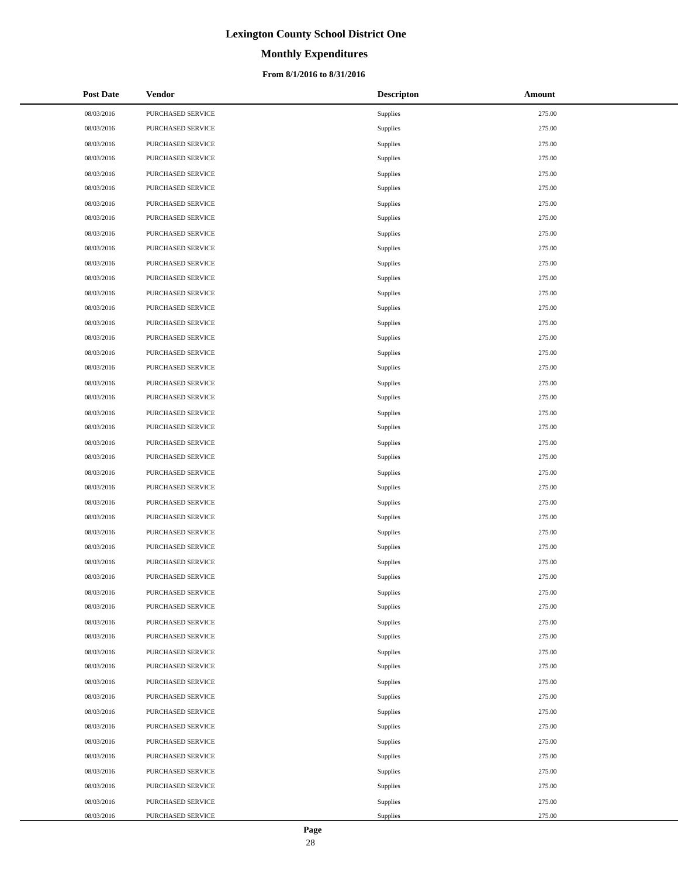# **Monthly Expenditures**

### **From 8/1/2016 to 8/31/2016**

| <b>Post Date</b> | Vendor            | <b>Descripton</b> | Amount |
|------------------|-------------------|-------------------|--------|
| 08/03/2016       | PURCHASED SERVICE | Supplies          | 275.00 |
| 08/03/2016       | PURCHASED SERVICE | Supplies          | 275.00 |
| 08/03/2016       | PURCHASED SERVICE | Supplies          | 275.00 |
| 08/03/2016       | PURCHASED SERVICE | Supplies          | 275.00 |
| 08/03/2016       | PURCHASED SERVICE | Supplies          | 275.00 |
| 08/03/2016       | PURCHASED SERVICE | Supplies          | 275.00 |
| 08/03/2016       | PURCHASED SERVICE | Supplies          | 275.00 |
| 08/03/2016       | PURCHASED SERVICE | Supplies          | 275.00 |
| 08/03/2016       | PURCHASED SERVICE | Supplies          | 275.00 |
| 08/03/2016       | PURCHASED SERVICE | Supplies          | 275.00 |
| 08/03/2016       | PURCHASED SERVICE | Supplies          | 275.00 |
| 08/03/2016       | PURCHASED SERVICE | Supplies          | 275.00 |
| 08/03/2016       | PURCHASED SERVICE | Supplies          | 275.00 |
| 08/03/2016       | PURCHASED SERVICE | Supplies          | 275.00 |
| 08/03/2016       | PURCHASED SERVICE | Supplies          | 275.00 |
| 08/03/2016       | PURCHASED SERVICE | Supplies          | 275.00 |
| 08/03/2016       | PURCHASED SERVICE | Supplies          | 275.00 |
| 08/03/2016       | PURCHASED SERVICE | Supplies          | 275.00 |
| 08/03/2016       | PURCHASED SERVICE | Supplies          | 275.00 |
| 08/03/2016       | PURCHASED SERVICE | Supplies          | 275.00 |
| 08/03/2016       | PURCHASED SERVICE | Supplies          | 275.00 |
| 08/03/2016       | PURCHASED SERVICE | Supplies          | 275.00 |
| 08/03/2016       | PURCHASED SERVICE | Supplies          | 275.00 |
| 08/03/2016       | PURCHASED SERVICE | Supplies          | 275.00 |
| 08/03/2016       | PURCHASED SERVICE | Supplies          | 275.00 |
| 08/03/2016       | PURCHASED SERVICE | Supplies          | 275.00 |
| 08/03/2016       | PURCHASED SERVICE | Supplies          | 275.00 |
| 08/03/2016       | PURCHASED SERVICE | Supplies          | 275.00 |
| 08/03/2016       | PURCHASED SERVICE | Supplies          | 275.00 |
| 08/03/2016       | PURCHASED SERVICE | Supplies          | 275.00 |
| 08/03/2016       | PURCHASED SERVICE | Supplies          | 275.00 |
| 08/03/2016       | PURCHASED SERVICE | Supplies          | 275.00 |
| 08/03/2016       | PURCHASED SERVICE | Supplies          | 275.00 |
| 08/03/2016       | PURCHASED SERVICE | Supplies          | 275.00 |
| 08/03/2016       | PURCHASED SERVICE | Supplies          | 275.00 |
| 08/03/2016       | PURCHASED SERVICE | Supplies          | 275.00 |
| 08/03/2016       | PURCHASED SERVICE | Supplies          | 275.00 |
| 08/03/2016       | PURCHASED SERVICE | Supplies          | 275.00 |
| 08/03/2016       | PURCHASED SERVICE | Supplies          | 275.00 |
| 08/03/2016       | PURCHASED SERVICE | Supplies          | 275.00 |
| 08/03/2016       | PURCHASED SERVICE | Supplies          | 275.00 |
| 08/03/2016       | PURCHASED SERVICE | Supplies          | 275.00 |
| 08/03/2016       | PURCHASED SERVICE | Supplies          | 275.00 |
| 08/03/2016       | PURCHASED SERVICE | Supplies          | 275.00 |
| 08/03/2016       | PURCHASED SERVICE | Supplies          | 275.00 |
| 08/03/2016       | PURCHASED SERVICE | Supplies          | 275.00 |
| 08/03/2016       | PURCHASED SERVICE | Supplies          | 275.00 |
| 08/03/2016       | PURCHASED SERVICE | Supplies          | 275.00 |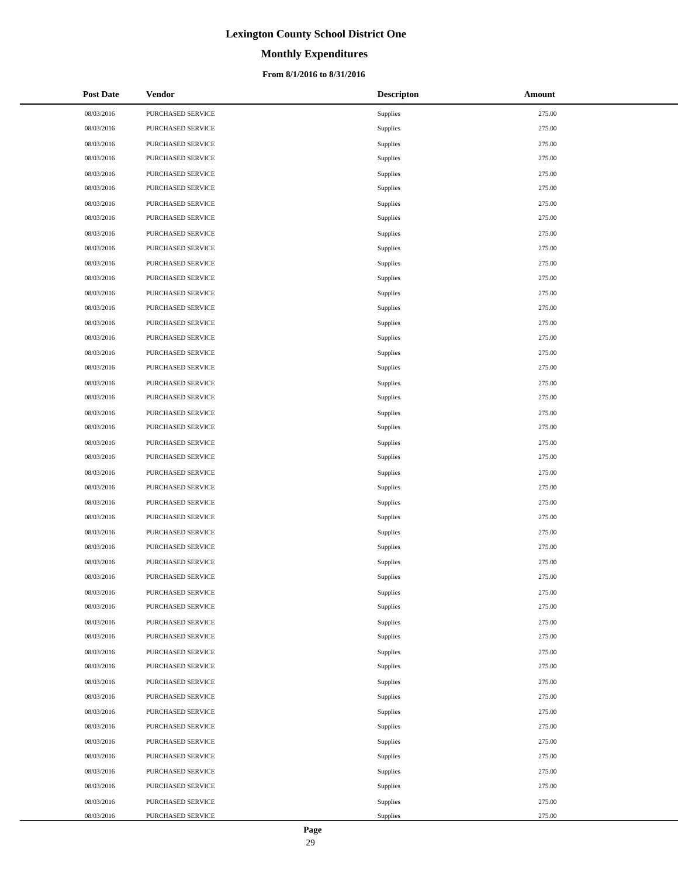# **Monthly Expenditures**

### **From 8/1/2016 to 8/31/2016**

| <b>Post Date</b> | Vendor            | <b>Descripton</b> | Amount |
|------------------|-------------------|-------------------|--------|
| 08/03/2016       | PURCHASED SERVICE | Supplies          | 275.00 |
| 08/03/2016       | PURCHASED SERVICE | Supplies          | 275.00 |
| 08/03/2016       | PURCHASED SERVICE | Supplies          | 275.00 |
| 08/03/2016       | PURCHASED SERVICE | Supplies          | 275.00 |
| 08/03/2016       | PURCHASED SERVICE | Supplies          | 275.00 |
| 08/03/2016       | PURCHASED SERVICE | Supplies          | 275.00 |
| 08/03/2016       | PURCHASED SERVICE | Supplies          | 275.00 |
| 08/03/2016       | PURCHASED SERVICE | Supplies          | 275.00 |
| 08/03/2016       | PURCHASED SERVICE | Supplies          | 275.00 |
| 08/03/2016       | PURCHASED SERVICE | Supplies          | 275.00 |
| 08/03/2016       | PURCHASED SERVICE | Supplies          | 275.00 |
| 08/03/2016       | PURCHASED SERVICE | Supplies          | 275.00 |
| 08/03/2016       | PURCHASED SERVICE | Supplies          | 275.00 |
| 08/03/2016       | PURCHASED SERVICE | Supplies          | 275.00 |
| 08/03/2016       | PURCHASED SERVICE | Supplies          | 275.00 |
| 08/03/2016       | PURCHASED SERVICE | Supplies          | 275.00 |
| 08/03/2016       | PURCHASED SERVICE | Supplies          | 275.00 |
| 08/03/2016       | PURCHASED SERVICE | Supplies          | 275.00 |
| 08/03/2016       | PURCHASED SERVICE | Supplies          | 275.00 |
| 08/03/2016       | PURCHASED SERVICE | Supplies          | 275.00 |
| 08/03/2016       | PURCHASED SERVICE | Supplies          | 275.00 |
| 08/03/2016       | PURCHASED SERVICE | Supplies          | 275.00 |
| 08/03/2016       | PURCHASED SERVICE | Supplies          | 275.00 |
| 08/03/2016       | PURCHASED SERVICE | Supplies          | 275.00 |
| 08/03/2016       | PURCHASED SERVICE | Supplies          | 275.00 |
| 08/03/2016       | PURCHASED SERVICE | Supplies          | 275.00 |
| 08/03/2016       | PURCHASED SERVICE | Supplies          | 275.00 |
| 08/03/2016       | PURCHASED SERVICE | Supplies          | 275.00 |
| 08/03/2016       | PURCHASED SERVICE | Supplies          | 275.00 |
| 08/03/2016       | PURCHASED SERVICE | Supplies          | 275.00 |
| 08/03/2016       | PURCHASED SERVICE | Supplies          | 275.00 |
| 08/03/2016       | PURCHASED SERVICE | Supplies          | 275.00 |
| 08/03/2016       | PURCHASED SERVICE | Supplies          | 275.00 |
| 08/03/2016       | PURCHASED SERVICE | Supplies          | 275.00 |
| 08/03/2016       | PURCHASED SERVICE | Supplies          | 275.00 |
| 08/03/2016       | PURCHASED SERVICE | Supplies          | 275.00 |
| 08/03/2016       | PURCHASED SERVICE | Supplies          | 275.00 |
| 08/03/2016       | PURCHASED SERVICE | Supplies          | 275.00 |
| 08/03/2016       | PURCHASED SERVICE | Supplies          | 275.00 |
| 08/03/2016       | PURCHASED SERVICE | Supplies          | 275.00 |
| 08/03/2016       | PURCHASED SERVICE | Supplies          | 275.00 |
| 08/03/2016       | PURCHASED SERVICE | Supplies          | 275.00 |
| 08/03/2016       | PURCHASED SERVICE | Supplies          | 275.00 |
| 08/03/2016       | PURCHASED SERVICE | Supplies          | 275.00 |
| 08/03/2016       | PURCHASED SERVICE | Supplies          | 275.00 |
| 08/03/2016       | PURCHASED SERVICE | Supplies          | 275.00 |
| 08/03/2016       | PURCHASED SERVICE | Supplies          | 275.00 |
| 08/03/2016       | PURCHASED SERVICE | Supplies          | 275.00 |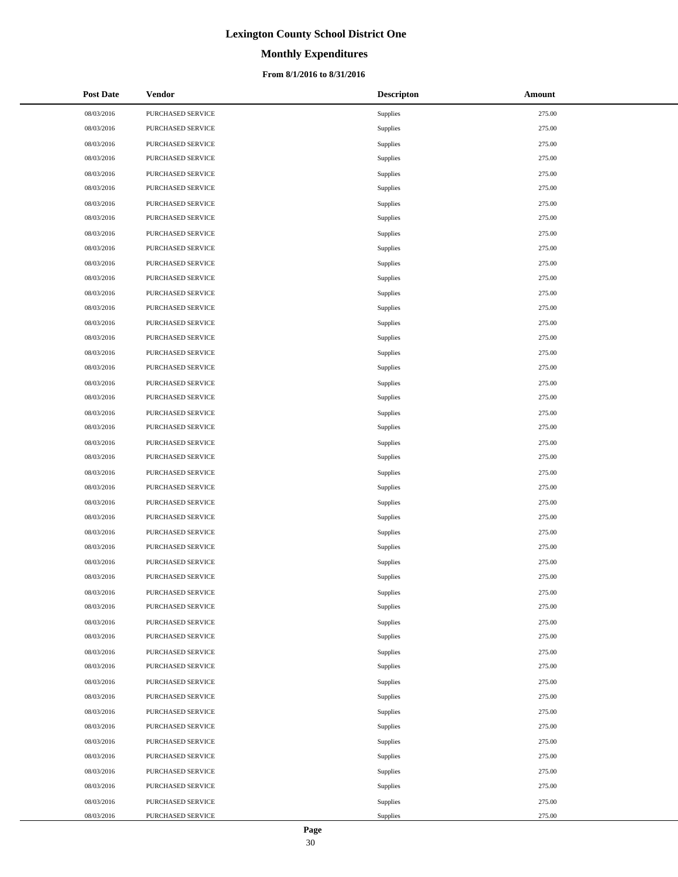# **Monthly Expenditures**

### **From 8/1/2016 to 8/31/2016**

| <b>Post Date</b> | Vendor            | <b>Descripton</b> | Amount |
|------------------|-------------------|-------------------|--------|
| 08/03/2016       | PURCHASED SERVICE | Supplies          | 275.00 |
| 08/03/2016       | PURCHASED SERVICE | Supplies          | 275.00 |
| 08/03/2016       | PURCHASED SERVICE | Supplies          | 275.00 |
| 08/03/2016       | PURCHASED SERVICE | Supplies          | 275.00 |
| 08/03/2016       | PURCHASED SERVICE | Supplies          | 275.00 |
| 08/03/2016       | PURCHASED SERVICE | Supplies          | 275.00 |
| 08/03/2016       | PURCHASED SERVICE | Supplies          | 275.00 |
| 08/03/2016       | PURCHASED SERVICE | Supplies          | 275.00 |
| 08/03/2016       | PURCHASED SERVICE | Supplies          | 275.00 |
| 08/03/2016       | PURCHASED SERVICE | Supplies          | 275.00 |
| 08/03/2016       | PURCHASED SERVICE | Supplies          | 275.00 |
| 08/03/2016       | PURCHASED SERVICE | Supplies          | 275.00 |
| 08/03/2016       | PURCHASED SERVICE | Supplies          | 275.00 |
| 08/03/2016       | PURCHASED SERVICE | Supplies          | 275.00 |
| 08/03/2016       | PURCHASED SERVICE | Supplies          | 275.00 |
| 08/03/2016       | PURCHASED SERVICE | Supplies          | 275.00 |
| 08/03/2016       | PURCHASED SERVICE | Supplies          | 275.00 |
| 08/03/2016       | PURCHASED SERVICE | Supplies          | 275.00 |
| 08/03/2016       | PURCHASED SERVICE | Supplies          | 275.00 |
| 08/03/2016       | PURCHASED SERVICE | Supplies          | 275.00 |
| 08/03/2016       | PURCHASED SERVICE | Supplies          | 275.00 |
| 08/03/2016       | PURCHASED SERVICE | Supplies          | 275.00 |
| 08/03/2016       | PURCHASED SERVICE | Supplies          | 275.00 |
| 08/03/2016       | PURCHASED SERVICE | Supplies          | 275.00 |
| 08/03/2016       | PURCHASED SERVICE | Supplies          | 275.00 |
| 08/03/2016       | PURCHASED SERVICE | Supplies          | 275.00 |
| 08/03/2016       | PURCHASED SERVICE | Supplies          | 275.00 |
| 08/03/2016       | PURCHASED SERVICE | Supplies          | 275.00 |
| 08/03/2016       | PURCHASED SERVICE | Supplies          | 275.00 |
| 08/03/2016       | PURCHASED SERVICE | Supplies          | 275.00 |
| 08/03/2016       | PURCHASED SERVICE | Supplies          | 275.00 |
| 08/03/2016       | PURCHASED SERVICE | Supplies          | 275.00 |
| 08/03/2016       | PURCHASED SERVICE | Supplies          | 275.00 |
| 08/03/2016       | PURCHASED SERVICE | Supplies          | 275.00 |
| 08/03/2016       | PURCHASED SERVICE | Supplies          | 275.00 |
| 08/03/2016       | PURCHASED SERVICE | Supplies          | 275.00 |
| 08/03/2016       | PURCHASED SERVICE | Supplies          | 275.00 |
| 08/03/2016       | PURCHASED SERVICE | Supplies          | 275.00 |
| 08/03/2016       | PURCHASED SERVICE | Supplies          | 275.00 |
| 08/03/2016       | PURCHASED SERVICE | Supplies          | 275.00 |
| 08/03/2016       | PURCHASED SERVICE | Supplies          | 275.00 |
| 08/03/2016       | PURCHASED SERVICE | Supplies          | 275.00 |
| 08/03/2016       | PURCHASED SERVICE | Supplies          | 275.00 |
| 08/03/2016       | PURCHASED SERVICE | Supplies          | 275.00 |
| 08/03/2016       | PURCHASED SERVICE | Supplies          | 275.00 |
| 08/03/2016       | PURCHASED SERVICE | Supplies          | 275.00 |
| 08/03/2016       | PURCHASED SERVICE | Supplies          | 275.00 |
| 08/03/2016       | PURCHASED SERVICE | Supplies          | 275.00 |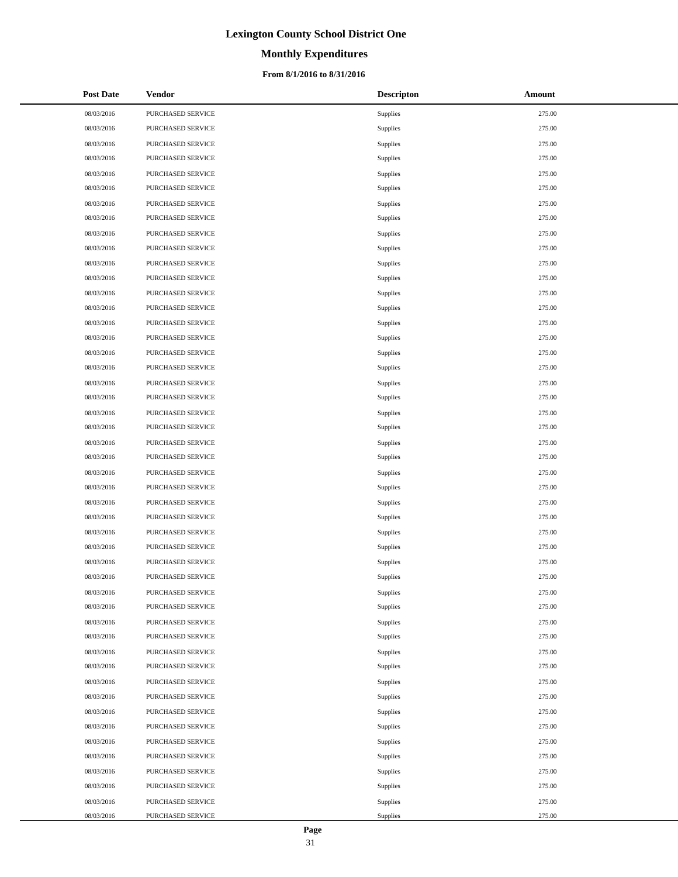# **Monthly Expenditures**

### **From 8/1/2016 to 8/31/2016**

| <b>Post Date</b> | Vendor            | <b>Descripton</b> | Amount |
|------------------|-------------------|-------------------|--------|
| 08/03/2016       | PURCHASED SERVICE | Supplies          | 275.00 |
| 08/03/2016       | PURCHASED SERVICE | Supplies          | 275.00 |
| 08/03/2016       | PURCHASED SERVICE | Supplies          | 275.00 |
| 08/03/2016       | PURCHASED SERVICE | Supplies          | 275.00 |
| 08/03/2016       | PURCHASED SERVICE | Supplies          | 275.00 |
| 08/03/2016       | PURCHASED SERVICE | Supplies          | 275.00 |
| 08/03/2016       | PURCHASED SERVICE | Supplies          | 275.00 |
| 08/03/2016       | PURCHASED SERVICE | Supplies          | 275.00 |
| 08/03/2016       | PURCHASED SERVICE | Supplies          | 275.00 |
| 08/03/2016       | PURCHASED SERVICE | Supplies          | 275.00 |
| 08/03/2016       | PURCHASED SERVICE | Supplies          | 275.00 |
| 08/03/2016       | PURCHASED SERVICE | Supplies          | 275.00 |
| 08/03/2016       | PURCHASED SERVICE | Supplies          | 275.00 |
| 08/03/2016       | PURCHASED SERVICE | Supplies          | 275.00 |
| 08/03/2016       | PURCHASED SERVICE | Supplies          | 275.00 |
| 08/03/2016       | PURCHASED SERVICE | Supplies          | 275.00 |
| 08/03/2016       | PURCHASED SERVICE | Supplies          | 275.00 |
| 08/03/2016       | PURCHASED SERVICE | Supplies          | 275.00 |
| 08/03/2016       | PURCHASED SERVICE | Supplies          | 275.00 |
| 08/03/2016       | PURCHASED SERVICE | Supplies          | 275.00 |
| 08/03/2016       | PURCHASED SERVICE | Supplies          | 275.00 |
| 08/03/2016       | PURCHASED SERVICE | Supplies          | 275.00 |
| 08/03/2016       | PURCHASED SERVICE | Supplies          | 275.00 |
| 08/03/2016       | PURCHASED SERVICE | Supplies          | 275.00 |
| 08/03/2016       | PURCHASED SERVICE | Supplies          | 275.00 |
| 08/03/2016       | PURCHASED SERVICE | Supplies          | 275.00 |
| 08/03/2016       | PURCHASED SERVICE | Supplies          | 275.00 |
| 08/03/2016       | PURCHASED SERVICE | Supplies          | 275.00 |
| 08/03/2016       | PURCHASED SERVICE | Supplies          | 275.00 |
| 08/03/2016       | PURCHASED SERVICE | Supplies          | 275.00 |
| 08/03/2016       | PURCHASED SERVICE | Supplies          | 275.00 |
| 08/03/2016       | PURCHASED SERVICE | Supplies          | 275.00 |
| 08/03/2016       | PURCHASED SERVICE | Supplies          | 275.00 |
| 08/03/2016       | PURCHASED SERVICE | Supplies          | 275.00 |
| 08/03/2016       | PURCHASED SERVICE | Supplies          | 275.00 |
| 08/03/2016       | PURCHASED SERVICE | Supplies          | 275.00 |
| 08/03/2016       | PURCHASED SERVICE | Supplies          | 275.00 |
| 08/03/2016       | PURCHASED SERVICE | Supplies          | 275.00 |
| 08/03/2016       | PURCHASED SERVICE | Supplies          | 275.00 |
| 08/03/2016       | PURCHASED SERVICE | Supplies          | 275.00 |
| 08/03/2016       | PURCHASED SERVICE | Supplies          | 275.00 |
| 08/03/2016       | PURCHASED SERVICE | Supplies          | 275.00 |
| 08/03/2016       | PURCHASED SERVICE | Supplies          | 275.00 |
| 08/03/2016       | PURCHASED SERVICE | Supplies          | 275.00 |
| 08/03/2016       | PURCHASED SERVICE | Supplies          | 275.00 |
| 08/03/2016       | PURCHASED SERVICE | Supplies          | 275.00 |
| 08/03/2016       | PURCHASED SERVICE | Supplies          | 275.00 |
| 08/03/2016       | PURCHASED SERVICE | Supplies          | 275.00 |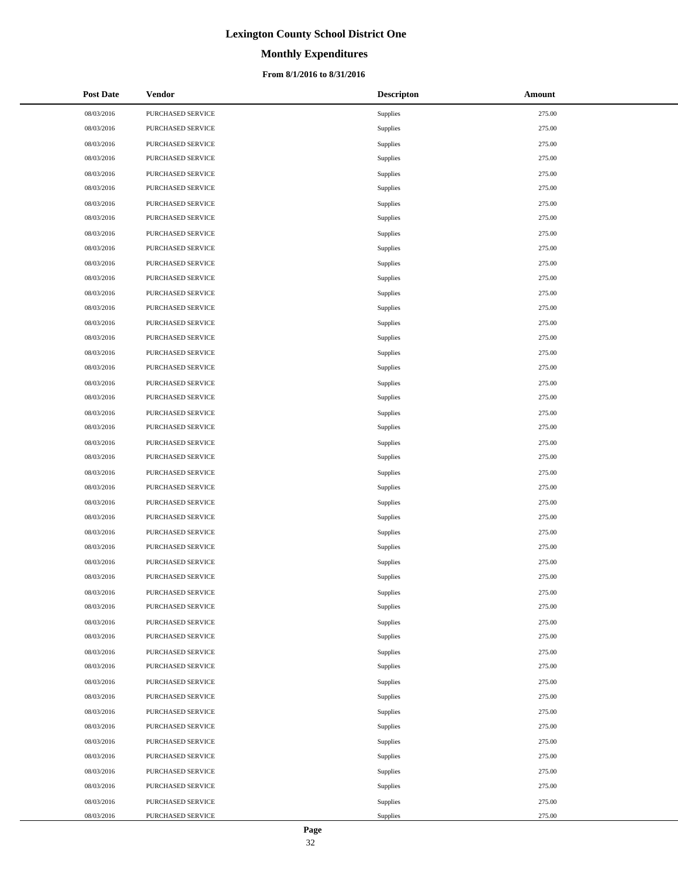# **Monthly Expenditures**

### **From 8/1/2016 to 8/31/2016**

| <b>Post Date</b> | Vendor            | <b>Descripton</b> | Amount |
|------------------|-------------------|-------------------|--------|
| 08/03/2016       | PURCHASED SERVICE | Supplies          | 275.00 |
| 08/03/2016       | PURCHASED SERVICE | Supplies          | 275.00 |
| 08/03/2016       | PURCHASED SERVICE | Supplies          | 275.00 |
| 08/03/2016       | PURCHASED SERVICE | Supplies          | 275.00 |
| 08/03/2016       | PURCHASED SERVICE | Supplies          | 275.00 |
| 08/03/2016       | PURCHASED SERVICE | Supplies          | 275.00 |
| 08/03/2016       | PURCHASED SERVICE | Supplies          | 275.00 |
| 08/03/2016       | PURCHASED SERVICE | Supplies          | 275.00 |
| 08/03/2016       | PURCHASED SERVICE | Supplies          | 275.00 |
| 08/03/2016       | PURCHASED SERVICE | Supplies          | 275.00 |
| 08/03/2016       | PURCHASED SERVICE | Supplies          | 275.00 |
| 08/03/2016       | PURCHASED SERVICE | Supplies          | 275.00 |
| 08/03/2016       | PURCHASED SERVICE | Supplies          | 275.00 |
| 08/03/2016       | PURCHASED SERVICE | Supplies          | 275.00 |
| 08/03/2016       | PURCHASED SERVICE | Supplies          | 275.00 |
| 08/03/2016       | PURCHASED SERVICE | Supplies          | 275.00 |
| 08/03/2016       | PURCHASED SERVICE | Supplies          | 275.00 |
| 08/03/2016       | PURCHASED SERVICE | Supplies          | 275.00 |
| 08/03/2016       | PURCHASED SERVICE | Supplies          | 275.00 |
| 08/03/2016       | PURCHASED SERVICE | Supplies          | 275.00 |
| 08/03/2016       | PURCHASED SERVICE | Supplies          | 275.00 |
| 08/03/2016       | PURCHASED SERVICE | Supplies          | 275.00 |
| 08/03/2016       | PURCHASED SERVICE | Supplies          | 275.00 |
| 08/03/2016       | PURCHASED SERVICE | Supplies          | 275.00 |
| 08/03/2016       | PURCHASED SERVICE | Supplies          | 275.00 |
| 08/03/2016       | PURCHASED SERVICE | Supplies          | 275.00 |
| 08/03/2016       | PURCHASED SERVICE | Supplies          | 275.00 |
| 08/03/2016       | PURCHASED SERVICE | Supplies          | 275.00 |
| 08/03/2016       | PURCHASED SERVICE | Supplies          | 275.00 |
| 08/03/2016       | PURCHASED SERVICE | Supplies          | 275.00 |
| 08/03/2016       | PURCHASED SERVICE | Supplies          | 275.00 |
| 08/03/2016       | PURCHASED SERVICE | Supplies          | 275.00 |
| 08/03/2016       | PURCHASED SERVICE | Supplies          | 275.00 |
| 08/03/2016       | PURCHASED SERVICE | Supplies          | 275.00 |
| 08/03/2016       | PURCHASED SERVICE | Supplies          | 275.00 |
| 08/03/2016       | PURCHASED SERVICE | Supplies          | 275.00 |
| 08/03/2016       | PURCHASED SERVICE | Supplies          | 275.00 |
| 08/03/2016       | PURCHASED SERVICE | Supplies          | 275.00 |
| 08/03/2016       | PURCHASED SERVICE | Supplies          | 275.00 |
| 08/03/2016       | PURCHASED SERVICE | Supplies          | 275.00 |
| 08/03/2016       | PURCHASED SERVICE | Supplies          | 275.00 |
| 08/03/2016       | PURCHASED SERVICE | Supplies          | 275.00 |
| 08/03/2016       | PURCHASED SERVICE | Supplies          | 275.00 |
| 08/03/2016       | PURCHASED SERVICE | Supplies          | 275.00 |
| 08/03/2016       | PURCHASED SERVICE | Supplies          | 275.00 |
| 08/03/2016       | PURCHASED SERVICE | Supplies          | 275.00 |
| 08/03/2016       | PURCHASED SERVICE | Supplies          | 275.00 |
| 08/03/2016       | PURCHASED SERVICE | Supplies          | 275.00 |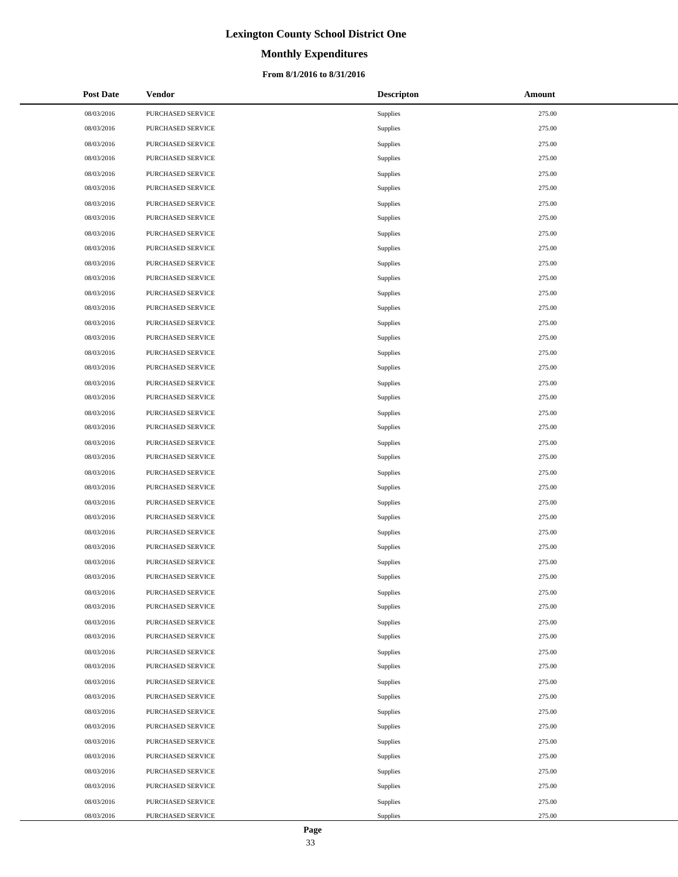# **Monthly Expenditures**

### **From 8/1/2016 to 8/31/2016**

| <b>Post Date</b> | Vendor            | <b>Descripton</b> | Amount |
|------------------|-------------------|-------------------|--------|
| 08/03/2016       | PURCHASED SERVICE | Supplies          | 275.00 |
| 08/03/2016       | PURCHASED SERVICE | Supplies          | 275.00 |
| 08/03/2016       | PURCHASED SERVICE | Supplies          | 275.00 |
| 08/03/2016       | PURCHASED SERVICE | Supplies          | 275.00 |
| 08/03/2016       | PURCHASED SERVICE | Supplies          | 275.00 |
| 08/03/2016       | PURCHASED SERVICE | Supplies          | 275.00 |
| 08/03/2016       | PURCHASED SERVICE | Supplies          | 275.00 |
| 08/03/2016       | PURCHASED SERVICE | Supplies          | 275.00 |
| 08/03/2016       | PURCHASED SERVICE | Supplies          | 275.00 |
| 08/03/2016       | PURCHASED SERVICE | Supplies          | 275.00 |
| 08/03/2016       | PURCHASED SERVICE | Supplies          | 275.00 |
| 08/03/2016       | PURCHASED SERVICE | Supplies          | 275.00 |
| 08/03/2016       | PURCHASED SERVICE | Supplies          | 275.00 |
| 08/03/2016       | PURCHASED SERVICE | Supplies          | 275.00 |
| 08/03/2016       | PURCHASED SERVICE | Supplies          | 275.00 |
| 08/03/2016       | PURCHASED SERVICE | Supplies          | 275.00 |
| 08/03/2016       | PURCHASED SERVICE | Supplies          | 275.00 |
| 08/03/2016       | PURCHASED SERVICE | Supplies          | 275.00 |
| 08/03/2016       | PURCHASED SERVICE | Supplies          | 275.00 |
| 08/03/2016       | PURCHASED SERVICE | Supplies          | 275.00 |
| 08/03/2016       | PURCHASED SERVICE | Supplies          | 275.00 |
| 08/03/2016       | PURCHASED SERVICE | Supplies          | 275.00 |
| 08/03/2016       | PURCHASED SERVICE | Supplies          | 275.00 |
| 08/03/2016       | PURCHASED SERVICE | Supplies          | 275.00 |
| 08/03/2016       | PURCHASED SERVICE | Supplies          | 275.00 |
| 08/03/2016       | PURCHASED SERVICE | Supplies          | 275.00 |
| 08/03/2016       | PURCHASED SERVICE | Supplies          | 275.00 |
| 08/03/2016       | PURCHASED SERVICE | Supplies          | 275.00 |
| 08/03/2016       | PURCHASED SERVICE | Supplies          | 275.00 |
| 08/03/2016       | PURCHASED SERVICE | Supplies          | 275.00 |
| 08/03/2016       | PURCHASED SERVICE | Supplies          | 275.00 |
| 08/03/2016       | PURCHASED SERVICE | Supplies          | 275.00 |
| 08/03/2016       | PURCHASED SERVICE | Supplies          | 275.00 |
| 08/03/2016       | PURCHASED SERVICE | Supplies          | 275.00 |
| 08/03/2016       | PURCHASED SERVICE | Supplies          | 275.00 |
| 08/03/2016       | PURCHASED SERVICE | Supplies          | 275.00 |
| 08/03/2016       | PURCHASED SERVICE | Supplies          | 275.00 |
| 08/03/2016       | PURCHASED SERVICE | Supplies          | 275.00 |
| 08/03/2016       | PURCHASED SERVICE | Supplies          | 275.00 |
| 08/03/2016       | PURCHASED SERVICE | Supplies          | 275.00 |
| 08/03/2016       | PURCHASED SERVICE | Supplies          | 275.00 |
| 08/03/2016       | PURCHASED SERVICE | Supplies          | 275.00 |
| 08/03/2016       | PURCHASED SERVICE | Supplies          | 275.00 |
| 08/03/2016       | PURCHASED SERVICE | Supplies          | 275.00 |
| 08/03/2016       | PURCHASED SERVICE | Supplies          | 275.00 |
| 08/03/2016       | PURCHASED SERVICE | Supplies          | 275.00 |
| 08/03/2016       | PURCHASED SERVICE | Supplies          | 275.00 |
| 08/03/2016       | PURCHASED SERVICE | Supplies          | 275.00 |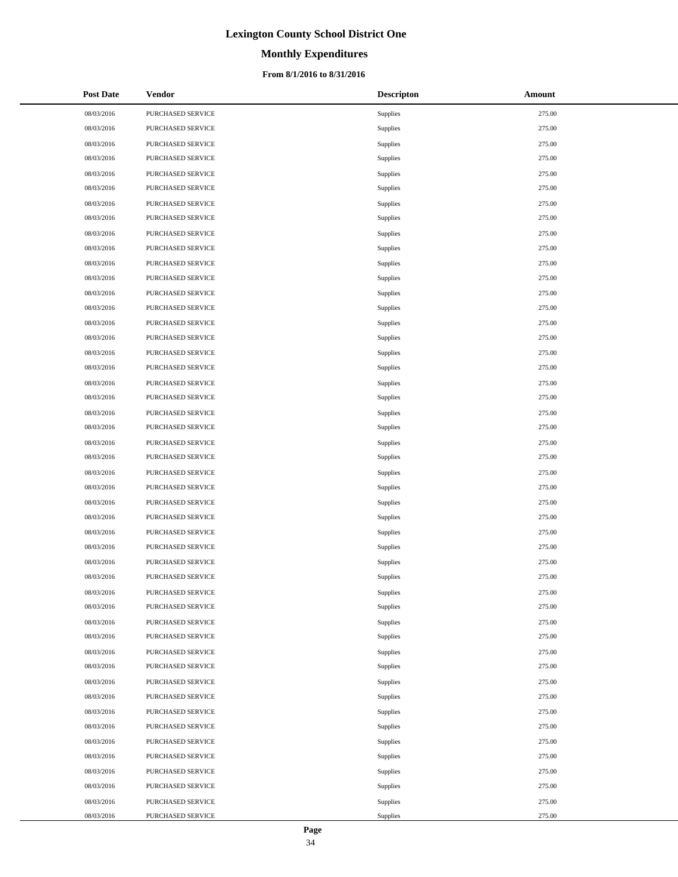# **Monthly Expenditures**

### **From 8/1/2016 to 8/31/2016**

| <b>Post Date</b> | Vendor            | <b>Descripton</b> | Amount |
|------------------|-------------------|-------------------|--------|
| 08/03/2016       | PURCHASED SERVICE | Supplies          | 275.00 |
| 08/03/2016       | PURCHASED SERVICE | Supplies          | 275.00 |
| 08/03/2016       | PURCHASED SERVICE | Supplies          | 275.00 |
| 08/03/2016       | PURCHASED SERVICE | Supplies          | 275.00 |
| 08/03/2016       | PURCHASED SERVICE | Supplies          | 275.00 |
| 08/03/2016       | PURCHASED SERVICE | Supplies          | 275.00 |
| 08/03/2016       | PURCHASED SERVICE | Supplies          | 275.00 |
| 08/03/2016       | PURCHASED SERVICE | Supplies          | 275.00 |
| 08/03/2016       | PURCHASED SERVICE | Supplies          | 275.00 |
| 08/03/2016       | PURCHASED SERVICE | Supplies          | 275.00 |
| 08/03/2016       | PURCHASED SERVICE | Supplies          | 275.00 |
| 08/03/2016       | PURCHASED SERVICE | Supplies          | 275.00 |
| 08/03/2016       | PURCHASED SERVICE | Supplies          | 275.00 |
| 08/03/2016       | PURCHASED SERVICE | Supplies          | 275.00 |
| 08/03/2016       | PURCHASED SERVICE | Supplies          | 275.00 |
| 08/03/2016       | PURCHASED SERVICE | Supplies          | 275.00 |
| 08/03/2016       | PURCHASED SERVICE | Supplies          | 275.00 |
| 08/03/2016       | PURCHASED SERVICE | Supplies          | 275.00 |
| 08/03/2016       | PURCHASED SERVICE | Supplies          | 275.00 |
| 08/03/2016       | PURCHASED SERVICE | Supplies          | 275.00 |
| 08/03/2016       | PURCHASED SERVICE | Supplies          | 275.00 |
| 08/03/2016       | PURCHASED SERVICE | Supplies          | 275.00 |
| 08/03/2016       | PURCHASED SERVICE | Supplies          | 275.00 |
| 08/03/2016       | PURCHASED SERVICE | Supplies          | 275.00 |
| 08/03/2016       | PURCHASED SERVICE | Supplies          | 275.00 |
| 08/03/2016       | PURCHASED SERVICE | Supplies          | 275.00 |
| 08/03/2016       | PURCHASED SERVICE | Supplies          | 275.00 |
| 08/03/2016       | PURCHASED SERVICE | Supplies          | 275.00 |
| 08/03/2016       | PURCHASED SERVICE | Supplies          | 275.00 |
| 08/03/2016       | PURCHASED SERVICE | Supplies          | 275.00 |
| 08/03/2016       | PURCHASED SERVICE | Supplies          | 275.00 |
| 08/03/2016       | PURCHASED SERVICE | Supplies          | 275.00 |
| 08/03/2016       | PURCHASED SERVICE | Supplies          | 275.00 |
| 08/03/2016       | PURCHASED SERVICE | Supplies          | 275.00 |
| 08/03/2016       | PURCHASED SERVICE | Supplies          | 275.00 |
| 08/03/2016       | PURCHASED SERVICE | Supplies          | 275.00 |
| 08/03/2016       | PURCHASED SERVICE | Supplies          | 275.00 |
| 08/03/2016       | PURCHASED SERVICE | Supplies          | 275.00 |
| 08/03/2016       | PURCHASED SERVICE | Supplies          | 275.00 |
| 08/03/2016       | PURCHASED SERVICE | Supplies          | 275.00 |
| 08/03/2016       | PURCHASED SERVICE | Supplies          | 275.00 |
| 08/03/2016       | PURCHASED SERVICE | Supplies          | 275.00 |
| 08/03/2016       | PURCHASED SERVICE | Supplies          | 275.00 |
| 08/03/2016       | PURCHASED SERVICE | Supplies          | 275.00 |
| 08/03/2016       | PURCHASED SERVICE | Supplies          | 275.00 |
| 08/03/2016       | PURCHASED SERVICE | Supplies          | 275.00 |
| 08/03/2016       | PURCHASED SERVICE | Supplies          | 275.00 |
| 08/03/2016       | PURCHASED SERVICE | Supplies          | 275.00 |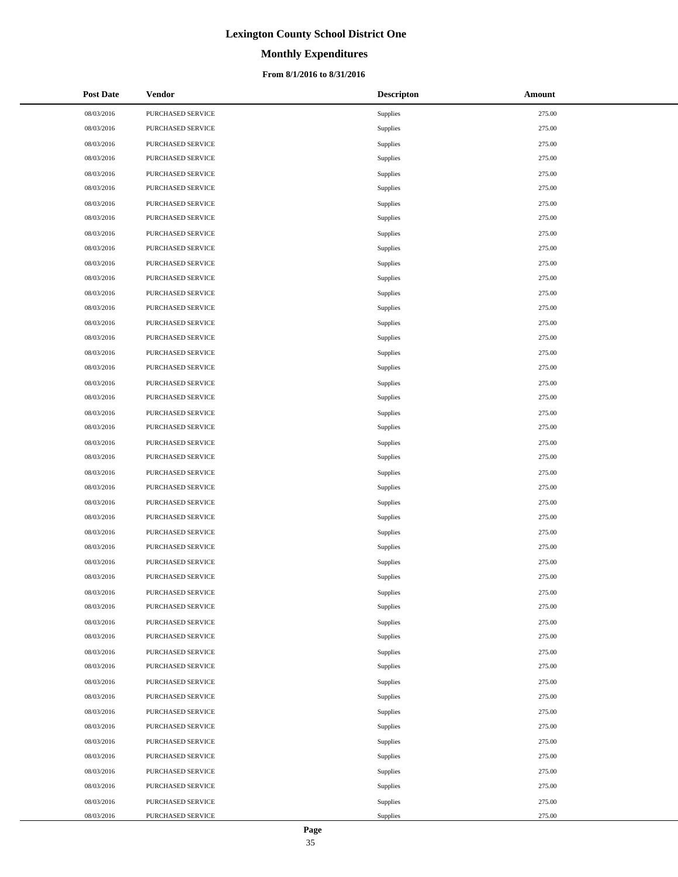# **Monthly Expenditures**

### **From 8/1/2016 to 8/31/2016**

| <b>Post Date</b> | Vendor            | <b>Descripton</b> | Amount |
|------------------|-------------------|-------------------|--------|
| 08/03/2016       | PURCHASED SERVICE | Supplies          | 275.00 |
| 08/03/2016       | PURCHASED SERVICE | Supplies          | 275.00 |
| 08/03/2016       | PURCHASED SERVICE | Supplies          | 275.00 |
| 08/03/2016       | PURCHASED SERVICE | Supplies          | 275.00 |
| 08/03/2016       | PURCHASED SERVICE | Supplies          | 275.00 |
| 08/03/2016       | PURCHASED SERVICE | Supplies          | 275.00 |
| 08/03/2016       | PURCHASED SERVICE | Supplies          | 275.00 |
| 08/03/2016       | PURCHASED SERVICE | Supplies          | 275.00 |
| 08/03/2016       | PURCHASED SERVICE | Supplies          | 275.00 |
| 08/03/2016       | PURCHASED SERVICE | Supplies          | 275.00 |
| 08/03/2016       | PURCHASED SERVICE | Supplies          | 275.00 |
| 08/03/2016       | PURCHASED SERVICE | Supplies          | 275.00 |
| 08/03/2016       | PURCHASED SERVICE | Supplies          | 275.00 |
| 08/03/2016       | PURCHASED SERVICE | Supplies          | 275.00 |
| 08/03/2016       | PURCHASED SERVICE | Supplies          | 275.00 |
| 08/03/2016       | PURCHASED SERVICE | Supplies          | 275.00 |
| 08/03/2016       | PURCHASED SERVICE | Supplies          | 275.00 |
| 08/03/2016       | PURCHASED SERVICE | Supplies          | 275.00 |
| 08/03/2016       | PURCHASED SERVICE | Supplies          | 275.00 |
| 08/03/2016       | PURCHASED SERVICE | Supplies          | 275.00 |
| 08/03/2016       | PURCHASED SERVICE | Supplies          | 275.00 |
| 08/03/2016       | PURCHASED SERVICE | Supplies          | 275.00 |
| 08/03/2016       | PURCHASED SERVICE | Supplies          | 275.00 |
| 08/03/2016       | PURCHASED SERVICE | Supplies          | 275.00 |
| 08/03/2016       | PURCHASED SERVICE | Supplies          | 275.00 |
| 08/03/2016       | PURCHASED SERVICE | Supplies          | 275.00 |
| 08/03/2016       | PURCHASED SERVICE | Supplies          | 275.00 |
| 08/03/2016       | PURCHASED SERVICE | Supplies          | 275.00 |
| 08/03/2016       | PURCHASED SERVICE | Supplies          | 275.00 |
| 08/03/2016       | PURCHASED SERVICE | Supplies          | 275.00 |
| 08/03/2016       | PURCHASED SERVICE | Supplies          | 275.00 |
| 08/03/2016       | PURCHASED SERVICE | Supplies          | 275.00 |
| 08/03/2016       | PURCHASED SERVICE | Supplies          | 275.00 |
| 08/03/2016       | PURCHASED SERVICE | Supplies          | 275.00 |
| 08/03/2016       | PURCHASED SERVICE | Supplies          | 275.00 |
| 08/03/2016       | PURCHASED SERVICE | Supplies          | 275.00 |
| 08/03/2016       | PURCHASED SERVICE | Supplies          | 275.00 |
| 08/03/2016       | PURCHASED SERVICE | Supplies          | 275.00 |
| 08/03/2016       | PURCHASED SERVICE | Supplies          | 275.00 |
| 08/03/2016       | PURCHASED SERVICE | Supplies          | 275.00 |
| 08/03/2016       | PURCHASED SERVICE | Supplies          | 275.00 |
| 08/03/2016       | PURCHASED SERVICE | Supplies          | 275.00 |
| 08/03/2016       | PURCHASED SERVICE | Supplies          | 275.00 |
| 08/03/2016       | PURCHASED SERVICE | Supplies          | 275.00 |
| 08/03/2016       | PURCHASED SERVICE | Supplies          | 275.00 |
| 08/03/2016       | PURCHASED SERVICE | Supplies          | 275.00 |
| 08/03/2016       | PURCHASED SERVICE | Supplies          | 275.00 |
| 08/03/2016       | PURCHASED SERVICE | Supplies          | 275.00 |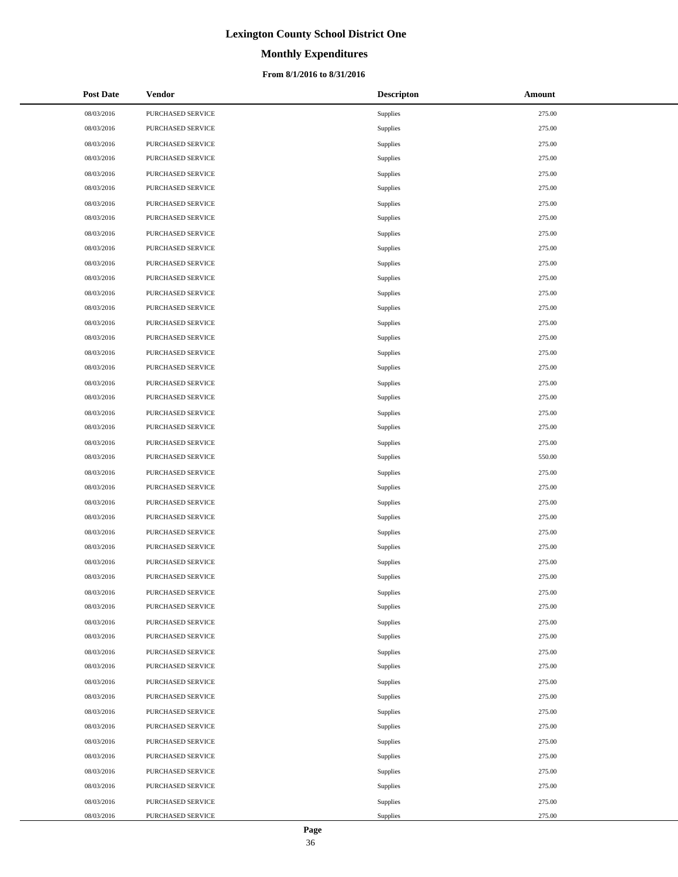# **Monthly Expenditures**

### **From 8/1/2016 to 8/31/2016**

| <b>Post Date</b> | Vendor            | <b>Descripton</b> | Amount |
|------------------|-------------------|-------------------|--------|
| 08/03/2016       | PURCHASED SERVICE | Supplies          | 275.00 |
| 08/03/2016       | PURCHASED SERVICE | Supplies          | 275.00 |
| 08/03/2016       | PURCHASED SERVICE | Supplies          | 275.00 |
| 08/03/2016       | PURCHASED SERVICE | Supplies          | 275.00 |
| 08/03/2016       | PURCHASED SERVICE | Supplies          | 275.00 |
| 08/03/2016       | PURCHASED SERVICE | Supplies          | 275.00 |
| 08/03/2016       | PURCHASED SERVICE | Supplies          | 275.00 |
| 08/03/2016       | PURCHASED SERVICE | Supplies          | 275.00 |
| 08/03/2016       | PURCHASED SERVICE | Supplies          | 275.00 |
| 08/03/2016       | PURCHASED SERVICE | Supplies          | 275.00 |
| 08/03/2016       | PURCHASED SERVICE | Supplies          | 275.00 |
| 08/03/2016       | PURCHASED SERVICE | Supplies          | 275.00 |
| 08/03/2016       | PURCHASED SERVICE | Supplies          | 275.00 |
| 08/03/2016       | PURCHASED SERVICE | Supplies          | 275.00 |
| 08/03/2016       | PURCHASED SERVICE | Supplies          | 275.00 |
| 08/03/2016       | PURCHASED SERVICE | Supplies          | 275.00 |
| 08/03/2016       | PURCHASED SERVICE | Supplies          | 275.00 |
| 08/03/2016       | PURCHASED SERVICE | Supplies          | 275.00 |
| 08/03/2016       | PURCHASED SERVICE | Supplies          | 275.00 |
| 08/03/2016       | PURCHASED SERVICE | Supplies          | 275.00 |
| 08/03/2016       | PURCHASED SERVICE | Supplies          | 275.00 |
| 08/03/2016       | PURCHASED SERVICE | Supplies          | 275.00 |
| 08/03/2016       | PURCHASED SERVICE | Supplies          | 275.00 |
| 08/03/2016       | PURCHASED SERVICE | Supplies          | 550.00 |
| 08/03/2016       | PURCHASED SERVICE | Supplies          | 275.00 |
| 08/03/2016       | PURCHASED SERVICE | Supplies          | 275.00 |
| 08/03/2016       | PURCHASED SERVICE | Supplies          | 275.00 |
| 08/03/2016       | PURCHASED SERVICE | Supplies          | 275.00 |
| 08/03/2016       | PURCHASED SERVICE | Supplies          | 275.00 |
| 08/03/2016       | PURCHASED SERVICE | Supplies          | 275.00 |
| 08/03/2016       | PURCHASED SERVICE | Supplies          | 275.00 |
| 08/03/2016       | PURCHASED SERVICE | Supplies          | 275.00 |
| 08/03/2016       | PURCHASED SERVICE | Supplies          | 275.00 |
| 08/03/2016       | PURCHASED SERVICE | Supplies          | 275.00 |
| 08/03/2016       | PURCHASED SERVICE | Supplies          | 275.00 |
| 08/03/2016       | PURCHASED SERVICE | Supplies          | 275.00 |
| 08/03/2016       | PURCHASED SERVICE | Supplies          | 275.00 |
| 08/03/2016       | PURCHASED SERVICE | Supplies          | 275.00 |
| 08/03/2016       | PURCHASED SERVICE | Supplies          | 275.00 |
| 08/03/2016       | PURCHASED SERVICE | Supplies          | 275.00 |
| 08/03/2016       | PURCHASED SERVICE | Supplies          | 275.00 |
| 08/03/2016       | PURCHASED SERVICE | Supplies          | 275.00 |
| 08/03/2016       | PURCHASED SERVICE | Supplies          | 275.00 |
| 08/03/2016       | PURCHASED SERVICE | Supplies          | 275.00 |
| 08/03/2016       | PURCHASED SERVICE | Supplies          | 275.00 |
| 08/03/2016       | PURCHASED SERVICE | Supplies          | 275.00 |
| 08/03/2016       | PURCHASED SERVICE | Supplies          | 275.00 |
| 08/03/2016       | PURCHASED SERVICE | Supplies          | 275.00 |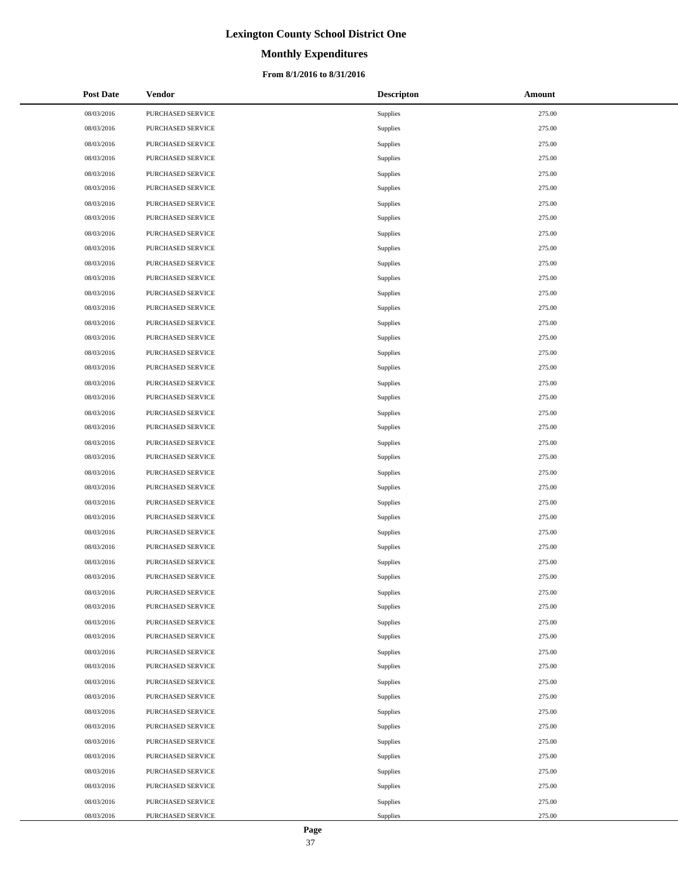# **Monthly Expenditures**

## **From 8/1/2016 to 8/31/2016**

| <b>Post Date</b> | Vendor            | <b>Descripton</b> | Amount |
|------------------|-------------------|-------------------|--------|
| 08/03/2016       | PURCHASED SERVICE | Supplies          | 275.00 |
| 08/03/2016       | PURCHASED SERVICE | Supplies          | 275.00 |
| 08/03/2016       | PURCHASED SERVICE | Supplies          | 275.00 |
| 08/03/2016       | PURCHASED SERVICE | Supplies          | 275.00 |
| 08/03/2016       | PURCHASED SERVICE | Supplies          | 275.00 |
| 08/03/2016       | PURCHASED SERVICE | Supplies          | 275.00 |
| 08/03/2016       | PURCHASED SERVICE | Supplies          | 275.00 |
| 08/03/2016       | PURCHASED SERVICE | Supplies          | 275.00 |
| 08/03/2016       | PURCHASED SERVICE | Supplies          | 275.00 |
| 08/03/2016       | PURCHASED SERVICE | Supplies          | 275.00 |
| 08/03/2016       | PURCHASED SERVICE | Supplies          | 275.00 |
| 08/03/2016       | PURCHASED SERVICE | Supplies          | 275.00 |
| 08/03/2016       | PURCHASED SERVICE | Supplies          | 275.00 |
| 08/03/2016       | PURCHASED SERVICE | Supplies          | 275.00 |
| 08/03/2016       | PURCHASED SERVICE | Supplies          | 275.00 |
| 08/03/2016       | PURCHASED SERVICE | Supplies          | 275.00 |
| 08/03/2016       | PURCHASED SERVICE | Supplies          | 275.00 |
| 08/03/2016       | PURCHASED SERVICE | Supplies          | 275.00 |
| 08/03/2016       | PURCHASED SERVICE | Supplies          | 275.00 |
| 08/03/2016       | PURCHASED SERVICE | Supplies          | 275.00 |
| 08/03/2016       | PURCHASED SERVICE | Supplies          | 275.00 |
| 08/03/2016       | PURCHASED SERVICE | Supplies          | 275.00 |
| 08/03/2016       | PURCHASED SERVICE | Supplies          | 275.00 |
| 08/03/2016       | PURCHASED SERVICE | Supplies          | 275.00 |
| 08/03/2016       | PURCHASED SERVICE | Supplies          | 275.00 |
| 08/03/2016       | PURCHASED SERVICE | Supplies          | 275.00 |
| 08/03/2016       | PURCHASED SERVICE | Supplies          | 275.00 |
| 08/03/2016       | PURCHASED SERVICE | Supplies          | 275.00 |
| 08/03/2016       | PURCHASED SERVICE | Supplies          | 275.00 |
| 08/03/2016       | PURCHASED SERVICE | Supplies          | 275.00 |
| 08/03/2016       | PURCHASED SERVICE | Supplies          | 275.00 |
| 08/03/2016       | PURCHASED SERVICE | Supplies          | 275.00 |
| 08/03/2016       | PURCHASED SERVICE | Supplies          | 275.00 |
| 08/03/2016       | PURCHASED SERVICE | Supplies          | 275.00 |
| 08/03/2016       | PURCHASED SERVICE | Supplies          | 275.00 |
| 08/03/2016       | PURCHASED SERVICE | Supplies          | 275.00 |
| 08/03/2016       | PURCHASED SERVICE | Supplies          | 275.00 |
| 08/03/2016       | PURCHASED SERVICE | Supplies          | 275.00 |
| 08/03/2016       | PURCHASED SERVICE | Supplies          | 275.00 |
| 08/03/2016       | PURCHASED SERVICE | Supplies          | 275.00 |
| 08/03/2016       | PURCHASED SERVICE | Supplies          | 275.00 |
| 08/03/2016       | PURCHASED SERVICE | Supplies          | 275.00 |
| 08/03/2016       | PURCHASED SERVICE | Supplies          | 275.00 |
| 08/03/2016       | PURCHASED SERVICE | Supplies          | 275.00 |
| 08/03/2016       | PURCHASED SERVICE | Supplies          | 275.00 |
| 08/03/2016       | PURCHASED SERVICE | Supplies          | 275.00 |
| 08/03/2016       | PURCHASED SERVICE | Supplies          | 275.00 |
| 08/03/2016       | PURCHASED SERVICE | Supplies          | 275.00 |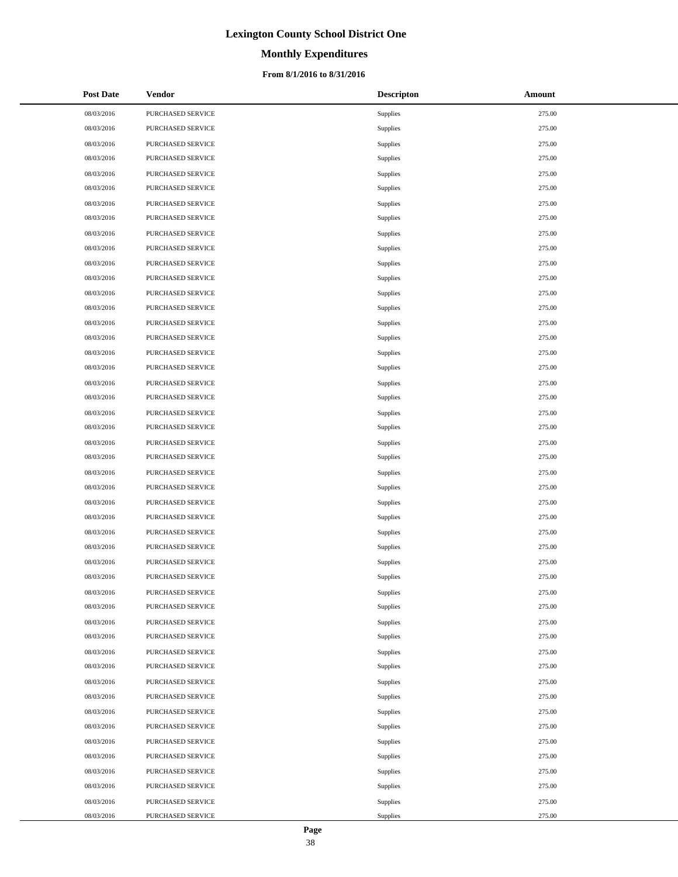# **Monthly Expenditures**

## **From 8/1/2016 to 8/31/2016**

| <b>Post Date</b> | Vendor            | <b>Descripton</b> | Amount |
|------------------|-------------------|-------------------|--------|
| 08/03/2016       | PURCHASED SERVICE | Supplies          | 275.00 |
| 08/03/2016       | PURCHASED SERVICE | Supplies          | 275.00 |
| 08/03/2016       | PURCHASED SERVICE | Supplies          | 275.00 |
| 08/03/2016       | PURCHASED SERVICE | Supplies          | 275.00 |
| 08/03/2016       | PURCHASED SERVICE | Supplies          | 275.00 |
| 08/03/2016       | PURCHASED SERVICE | Supplies          | 275.00 |
| 08/03/2016       | PURCHASED SERVICE | Supplies          | 275.00 |
| 08/03/2016       | PURCHASED SERVICE | Supplies          | 275.00 |
| 08/03/2016       | PURCHASED SERVICE | Supplies          | 275.00 |
| 08/03/2016       | PURCHASED SERVICE | Supplies          | 275.00 |
| 08/03/2016       | PURCHASED SERVICE | Supplies          | 275.00 |
| 08/03/2016       | PURCHASED SERVICE | Supplies          | 275.00 |
| 08/03/2016       | PURCHASED SERVICE | Supplies          | 275.00 |
| 08/03/2016       | PURCHASED SERVICE | Supplies          | 275.00 |
| 08/03/2016       | PURCHASED SERVICE | Supplies          | 275.00 |
| 08/03/2016       | PURCHASED SERVICE | Supplies          | 275.00 |
| 08/03/2016       | PURCHASED SERVICE | Supplies          | 275.00 |
| 08/03/2016       | PURCHASED SERVICE | Supplies          | 275.00 |
| 08/03/2016       | PURCHASED SERVICE | Supplies          | 275.00 |
| 08/03/2016       | PURCHASED SERVICE | Supplies          | 275.00 |
| 08/03/2016       | PURCHASED SERVICE | Supplies          | 275.00 |
| 08/03/2016       | PURCHASED SERVICE | Supplies          | 275.00 |
| 08/03/2016       | PURCHASED SERVICE | Supplies          | 275.00 |
| 08/03/2016       | PURCHASED SERVICE | Supplies          | 275.00 |
| 08/03/2016       | PURCHASED SERVICE | Supplies          | 275.00 |
| 08/03/2016       | PURCHASED SERVICE | Supplies          | 275.00 |
| 08/03/2016       | PURCHASED SERVICE | Supplies          | 275.00 |
| 08/03/2016       | PURCHASED SERVICE | Supplies          | 275.00 |
| 08/03/2016       | PURCHASED SERVICE | Supplies          | 275.00 |
| 08/03/2016       | PURCHASED SERVICE | Supplies          | 275.00 |
| 08/03/2016       | PURCHASED SERVICE | Supplies          | 275.00 |
| 08/03/2016       | PURCHASED SERVICE | Supplies          | 275.00 |
| 08/03/2016       | PURCHASED SERVICE | Supplies          | 275.00 |
| 08/03/2016       | PURCHASED SERVICE | Supplies          | 275.00 |
| 08/03/2016       | PURCHASED SERVICE | Supplies          | 275.00 |
| 08/03/2016       | PURCHASED SERVICE | Supplies          | 275.00 |
| 08/03/2016       | PURCHASED SERVICE | Supplies          | 275.00 |
| 08/03/2016       | PURCHASED SERVICE | Supplies          | 275.00 |
| 08/03/2016       | PURCHASED SERVICE | Supplies          | 275.00 |
| 08/03/2016       | PURCHASED SERVICE | Supplies          | 275.00 |
| 08/03/2016       | PURCHASED SERVICE | Supplies          | 275.00 |
| 08/03/2016       | PURCHASED SERVICE | Supplies          | 275.00 |
| 08/03/2016       | PURCHASED SERVICE | Supplies          | 275.00 |
| 08/03/2016       | PURCHASED SERVICE | Supplies          | 275.00 |
| 08/03/2016       | PURCHASED SERVICE | Supplies          | 275.00 |
| 08/03/2016       | PURCHASED SERVICE | Supplies          | 275.00 |
| 08/03/2016       | PURCHASED SERVICE | Supplies          | 275.00 |
| 08/03/2016       | PURCHASED SERVICE | Supplies          | 275.00 |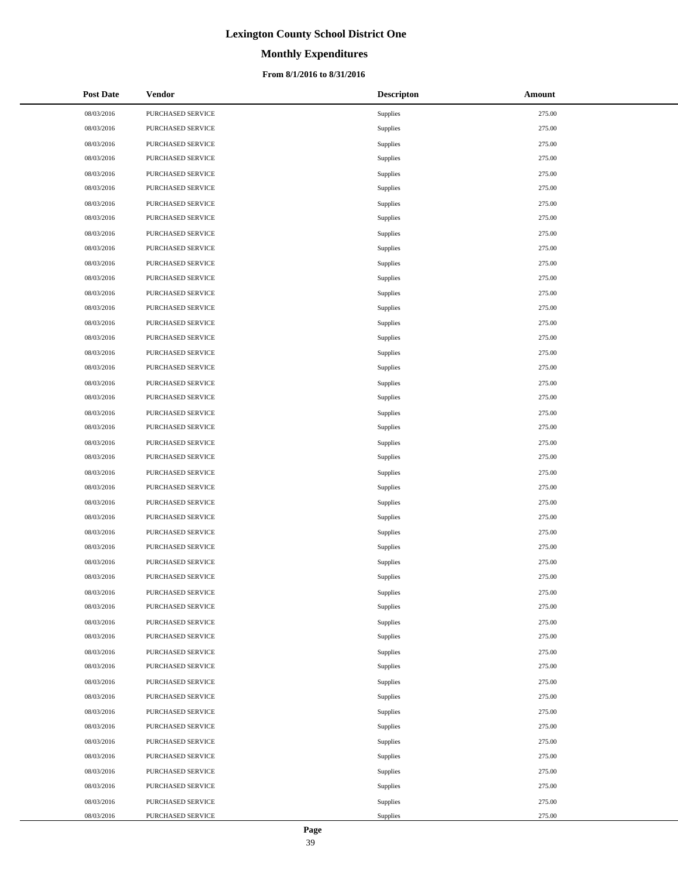# **Monthly Expenditures**

## **From 8/1/2016 to 8/31/2016**

| <b>Post Date</b> | Vendor            | <b>Descripton</b> | Amount |
|------------------|-------------------|-------------------|--------|
| 08/03/2016       | PURCHASED SERVICE | Supplies          | 275.00 |
| 08/03/2016       | PURCHASED SERVICE | Supplies          | 275.00 |
| 08/03/2016       | PURCHASED SERVICE | Supplies          | 275.00 |
| 08/03/2016       | PURCHASED SERVICE | Supplies          | 275.00 |
| 08/03/2016       | PURCHASED SERVICE | Supplies          | 275.00 |
| 08/03/2016       | PURCHASED SERVICE | Supplies          | 275.00 |
| 08/03/2016       | PURCHASED SERVICE | Supplies          | 275.00 |
| 08/03/2016       | PURCHASED SERVICE | Supplies          | 275.00 |
| 08/03/2016       | PURCHASED SERVICE | Supplies          | 275.00 |
| 08/03/2016       | PURCHASED SERVICE | Supplies          | 275.00 |
| 08/03/2016       | PURCHASED SERVICE | Supplies          | 275.00 |
| 08/03/2016       | PURCHASED SERVICE | Supplies          | 275.00 |
| 08/03/2016       | PURCHASED SERVICE | Supplies          | 275.00 |
| 08/03/2016       | PURCHASED SERVICE | Supplies          | 275.00 |
| 08/03/2016       | PURCHASED SERVICE | Supplies          | 275.00 |
| 08/03/2016       | PURCHASED SERVICE | Supplies          | 275.00 |
| 08/03/2016       | PURCHASED SERVICE | Supplies          | 275.00 |
| 08/03/2016       | PURCHASED SERVICE | Supplies          | 275.00 |
| 08/03/2016       | PURCHASED SERVICE | Supplies          | 275.00 |
| 08/03/2016       | PURCHASED SERVICE | Supplies          | 275.00 |
| 08/03/2016       | PURCHASED SERVICE | Supplies          | 275.00 |
| 08/03/2016       | PURCHASED SERVICE | Supplies          | 275.00 |
| 08/03/2016       | PURCHASED SERVICE | Supplies          | 275.00 |
| 08/03/2016       | PURCHASED SERVICE | Supplies          | 275.00 |
| 08/03/2016       | PURCHASED SERVICE | Supplies          | 275.00 |
| 08/03/2016       | PURCHASED SERVICE | Supplies          | 275.00 |
| 08/03/2016       | PURCHASED SERVICE | Supplies          | 275.00 |
| 08/03/2016       | PURCHASED SERVICE | Supplies          | 275.00 |
| 08/03/2016       | PURCHASED SERVICE | Supplies          | 275.00 |
| 08/03/2016       | PURCHASED SERVICE | Supplies          | 275.00 |
| 08/03/2016       | PURCHASED SERVICE | Supplies          | 275.00 |
| 08/03/2016       | PURCHASED SERVICE | Supplies          | 275.00 |
| 08/03/2016       | PURCHASED SERVICE | Supplies          | 275.00 |
| 08/03/2016       | PURCHASED SERVICE | Supplies          | 275.00 |
| 08/03/2016       | PURCHASED SERVICE | Supplies          | 275.00 |
| 08/03/2016       | PURCHASED SERVICE | Supplies          | 275.00 |
| 08/03/2016       | PURCHASED SERVICE | Supplies          | 275.00 |
| 08/03/2016       | PURCHASED SERVICE | Supplies          | 275.00 |
| 08/03/2016       | PURCHASED SERVICE | Supplies          | 275.00 |
| 08/03/2016       | PURCHASED SERVICE | Supplies          | 275.00 |
| 08/03/2016       | PURCHASED SERVICE | Supplies          | 275.00 |
| 08/03/2016       | PURCHASED SERVICE | Supplies          | 275.00 |
| 08/03/2016       | PURCHASED SERVICE | Supplies          | 275.00 |
| 08/03/2016       | PURCHASED SERVICE | Supplies          | 275.00 |
| 08/03/2016       | PURCHASED SERVICE | Supplies          | 275.00 |
| 08/03/2016       | PURCHASED SERVICE | Supplies          | 275.00 |
| 08/03/2016       | PURCHASED SERVICE | Supplies          | 275.00 |
| 08/03/2016       | PURCHASED SERVICE | Supplies          | 275.00 |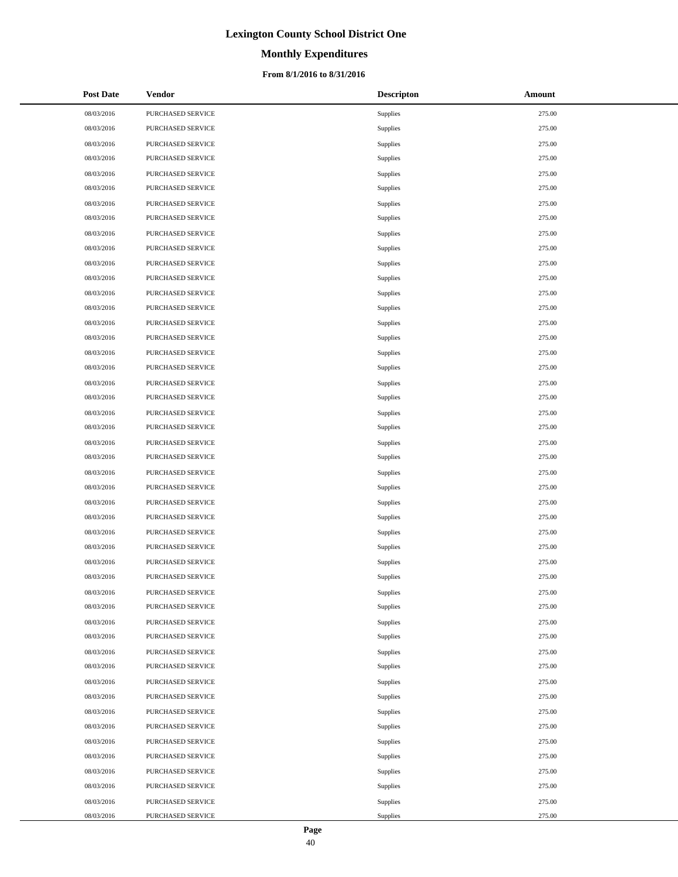# **Monthly Expenditures**

## **From 8/1/2016 to 8/31/2016**

| <b>Post Date</b> | Vendor            | <b>Descripton</b> | Amount |
|------------------|-------------------|-------------------|--------|
| 08/03/2016       | PURCHASED SERVICE | Supplies          | 275.00 |
| 08/03/2016       | PURCHASED SERVICE | Supplies          | 275.00 |
| 08/03/2016       | PURCHASED SERVICE | Supplies          | 275.00 |
| 08/03/2016       | PURCHASED SERVICE | Supplies          | 275.00 |
| 08/03/2016       | PURCHASED SERVICE | Supplies          | 275.00 |
| 08/03/2016       | PURCHASED SERVICE | Supplies          | 275.00 |
| 08/03/2016       | PURCHASED SERVICE | Supplies          | 275.00 |
| 08/03/2016       | PURCHASED SERVICE | Supplies          | 275.00 |
| 08/03/2016       | PURCHASED SERVICE | Supplies          | 275.00 |
| 08/03/2016       | PURCHASED SERVICE | Supplies          | 275.00 |
| 08/03/2016       | PURCHASED SERVICE | Supplies          | 275.00 |
| 08/03/2016       | PURCHASED SERVICE | Supplies          | 275.00 |
| 08/03/2016       | PURCHASED SERVICE | Supplies          | 275.00 |
| 08/03/2016       | PURCHASED SERVICE | Supplies          | 275.00 |
| 08/03/2016       | PURCHASED SERVICE | Supplies          | 275.00 |
| 08/03/2016       | PURCHASED SERVICE | Supplies          | 275.00 |
| 08/03/2016       | PURCHASED SERVICE | Supplies          | 275.00 |
| 08/03/2016       | PURCHASED SERVICE | Supplies          | 275.00 |
| 08/03/2016       | PURCHASED SERVICE | Supplies          | 275.00 |
| 08/03/2016       | PURCHASED SERVICE | Supplies          | 275.00 |
| 08/03/2016       | PURCHASED SERVICE | Supplies          | 275.00 |
| 08/03/2016       | PURCHASED SERVICE | Supplies          | 275.00 |
| 08/03/2016       | PURCHASED SERVICE | Supplies          | 275.00 |
| 08/03/2016       | PURCHASED SERVICE | Supplies          | 275.00 |
| 08/03/2016       | PURCHASED SERVICE | Supplies          | 275.00 |
| 08/03/2016       | PURCHASED SERVICE | Supplies          | 275.00 |
| 08/03/2016       | PURCHASED SERVICE | Supplies          | 275.00 |
| 08/03/2016       | PURCHASED SERVICE | Supplies          | 275.00 |
| 08/03/2016       | PURCHASED SERVICE | Supplies          | 275.00 |
| 08/03/2016       | PURCHASED SERVICE | Supplies          | 275.00 |
| 08/03/2016       | PURCHASED SERVICE | Supplies          | 275.00 |
| 08/03/2016       | PURCHASED SERVICE | Supplies          | 275.00 |
| 08/03/2016       | PURCHASED SERVICE | Supplies          | 275.00 |
| 08/03/2016       | PURCHASED SERVICE | Supplies          | 275.00 |
| 08/03/2016       | PURCHASED SERVICE | Supplies          | 275.00 |
| 08/03/2016       | PURCHASED SERVICE | Supplies          | 275.00 |
| 08/03/2016       | PURCHASED SERVICE | Supplies          | 275.00 |
| 08/03/2016       | PURCHASED SERVICE | Supplies          | 275.00 |
| 08/03/2016       | PURCHASED SERVICE | Supplies          | 275.00 |
| 08/03/2016       | PURCHASED SERVICE | Supplies          | 275.00 |
| 08/03/2016       | PURCHASED SERVICE | Supplies          | 275.00 |
| 08/03/2016       | PURCHASED SERVICE | Supplies          | 275.00 |
| 08/03/2016       | PURCHASED SERVICE | Supplies          | 275.00 |
| 08/03/2016       | PURCHASED SERVICE | Supplies          | 275.00 |
| 08/03/2016       | PURCHASED SERVICE | Supplies          | 275.00 |
| 08/03/2016       | PURCHASED SERVICE | Supplies          | 275.00 |
| 08/03/2016       | PURCHASED SERVICE | Supplies          | 275.00 |
| 08/03/2016       | PURCHASED SERVICE | Supplies          | 275.00 |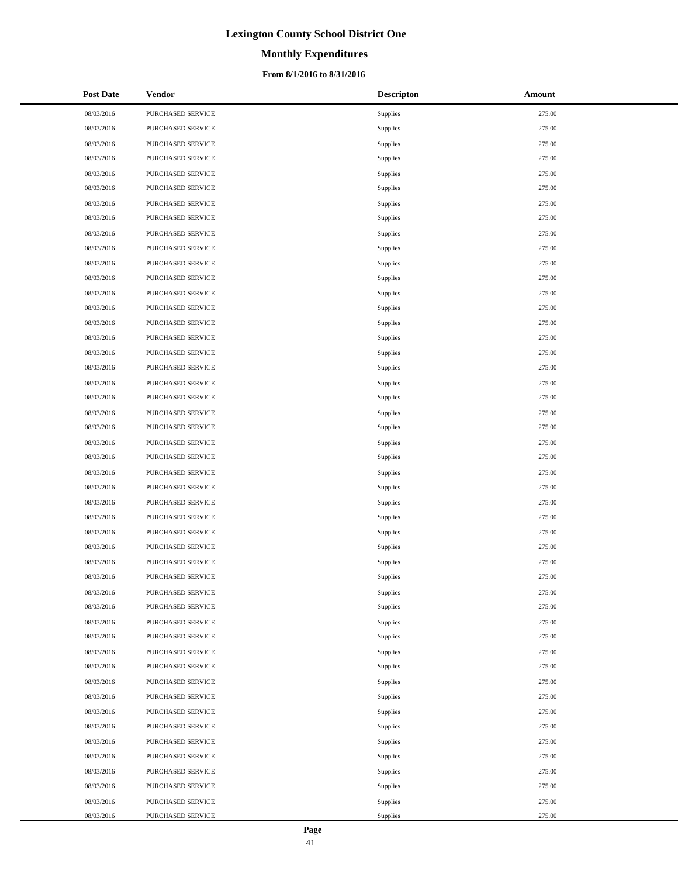# **Monthly Expenditures**

## **From 8/1/2016 to 8/31/2016**

| <b>Post Date</b> | Vendor            | <b>Descripton</b> | Amount |
|------------------|-------------------|-------------------|--------|
| 08/03/2016       | PURCHASED SERVICE | Supplies          | 275.00 |
| 08/03/2016       | PURCHASED SERVICE | Supplies          | 275.00 |
| 08/03/2016       | PURCHASED SERVICE | Supplies          | 275.00 |
| 08/03/2016       | PURCHASED SERVICE | Supplies          | 275.00 |
| 08/03/2016       | PURCHASED SERVICE | Supplies          | 275.00 |
| 08/03/2016       | PURCHASED SERVICE | Supplies          | 275.00 |
| 08/03/2016       | PURCHASED SERVICE | Supplies          | 275.00 |
| 08/03/2016       | PURCHASED SERVICE | Supplies          | 275.00 |
| 08/03/2016       | PURCHASED SERVICE | Supplies          | 275.00 |
| 08/03/2016       | PURCHASED SERVICE | Supplies          | 275.00 |
| 08/03/2016       | PURCHASED SERVICE | Supplies          | 275.00 |
| 08/03/2016       | PURCHASED SERVICE | Supplies          | 275.00 |
| 08/03/2016       | PURCHASED SERVICE | Supplies          | 275.00 |
| 08/03/2016       | PURCHASED SERVICE | Supplies          | 275.00 |
| 08/03/2016       | PURCHASED SERVICE | Supplies          | 275.00 |
| 08/03/2016       | PURCHASED SERVICE | Supplies          | 275.00 |
| 08/03/2016       | PURCHASED SERVICE | Supplies          | 275.00 |
| 08/03/2016       | PURCHASED SERVICE | Supplies          | 275.00 |
| 08/03/2016       | PURCHASED SERVICE | Supplies          | 275.00 |
| 08/03/2016       | PURCHASED SERVICE | Supplies          | 275.00 |
| 08/03/2016       | PURCHASED SERVICE | Supplies          | 275.00 |
| 08/03/2016       | PURCHASED SERVICE | Supplies          | 275.00 |
| 08/03/2016       | PURCHASED SERVICE | Supplies          | 275.00 |
| 08/03/2016       | PURCHASED SERVICE | Supplies          | 275.00 |
| 08/03/2016       | PURCHASED SERVICE | Supplies          | 275.00 |
| 08/03/2016       | PURCHASED SERVICE | Supplies          | 275.00 |
| 08/03/2016       | PURCHASED SERVICE | Supplies          | 275.00 |
| 08/03/2016       | PURCHASED SERVICE | Supplies          | 275.00 |
| 08/03/2016       | PURCHASED SERVICE | Supplies          | 275.00 |
| 08/03/2016       | PURCHASED SERVICE | Supplies          | 275.00 |
| 08/03/2016       | PURCHASED SERVICE | Supplies          | 275.00 |
| 08/03/2016       | PURCHASED SERVICE | Supplies          | 275.00 |
| 08/03/2016       | PURCHASED SERVICE | Supplies          | 275.00 |
| 08/03/2016       | PURCHASED SERVICE | Supplies          | 275.00 |
| 08/03/2016       | PURCHASED SERVICE | Supplies          | 275.00 |
| 08/03/2016       | PURCHASED SERVICE | Supplies          | 275.00 |
| 08/03/2016       | PURCHASED SERVICE | Supplies          | 275.00 |
| 08/03/2016       | PURCHASED SERVICE | Supplies          | 275.00 |
| 08/03/2016       | PURCHASED SERVICE | Supplies          | 275.00 |
| 08/03/2016       | PURCHASED SERVICE | Supplies          | 275.00 |
| 08/03/2016       | PURCHASED SERVICE | Supplies          | 275.00 |
| 08/03/2016       | PURCHASED SERVICE | Supplies          | 275.00 |
| 08/03/2016       | PURCHASED SERVICE | Supplies          | 275.00 |
| 08/03/2016       | PURCHASED SERVICE | Supplies          | 275.00 |
| 08/03/2016       | PURCHASED SERVICE | Supplies          | 275.00 |
| 08/03/2016       | PURCHASED SERVICE | Supplies          | 275.00 |
| 08/03/2016       | PURCHASED SERVICE | Supplies          | 275.00 |
| 08/03/2016       | PURCHASED SERVICE | Supplies          | 275.00 |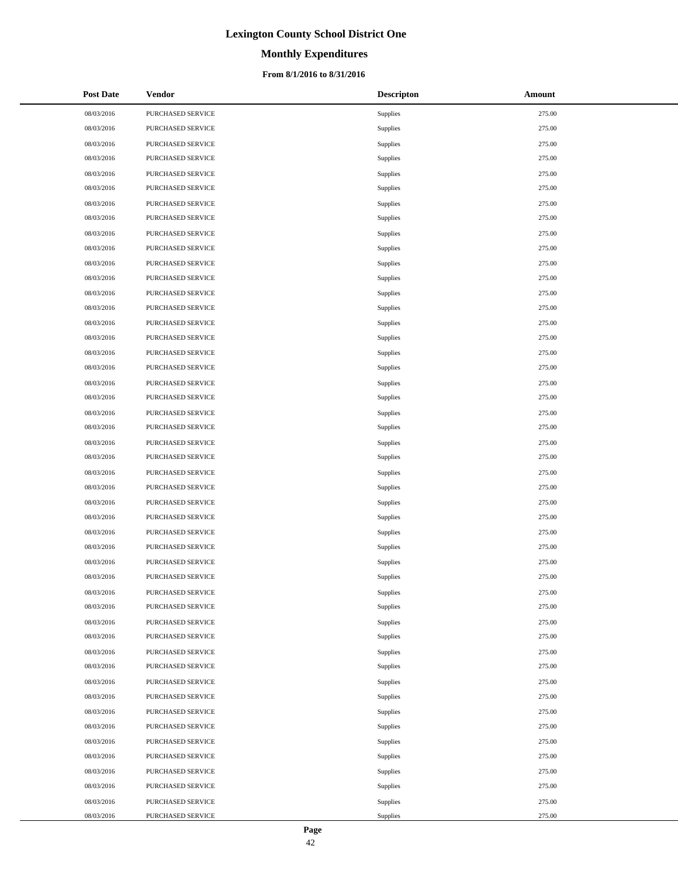# **Monthly Expenditures**

## **From 8/1/2016 to 8/31/2016**

| <b>Post Date</b> | Vendor            | <b>Descripton</b> | Amount |
|------------------|-------------------|-------------------|--------|
| 08/03/2016       | PURCHASED SERVICE | Supplies          | 275.00 |
| 08/03/2016       | PURCHASED SERVICE | Supplies          | 275.00 |
| 08/03/2016       | PURCHASED SERVICE | Supplies          | 275.00 |
| 08/03/2016       | PURCHASED SERVICE | Supplies          | 275.00 |
| 08/03/2016       | PURCHASED SERVICE | Supplies          | 275.00 |
| 08/03/2016       | PURCHASED SERVICE | Supplies          | 275.00 |
| 08/03/2016       | PURCHASED SERVICE | Supplies          | 275.00 |
| 08/03/2016       | PURCHASED SERVICE | Supplies          | 275.00 |
| 08/03/2016       | PURCHASED SERVICE | Supplies          | 275.00 |
| 08/03/2016       | PURCHASED SERVICE | Supplies          | 275.00 |
| 08/03/2016       | PURCHASED SERVICE | Supplies          | 275.00 |
| 08/03/2016       | PURCHASED SERVICE | Supplies          | 275.00 |
| 08/03/2016       | PURCHASED SERVICE | Supplies          | 275.00 |
| 08/03/2016       | PURCHASED SERVICE | Supplies          | 275.00 |
| 08/03/2016       | PURCHASED SERVICE | Supplies          | 275.00 |
| 08/03/2016       | PURCHASED SERVICE | Supplies          | 275.00 |
| 08/03/2016       | PURCHASED SERVICE | Supplies          | 275.00 |
| 08/03/2016       | PURCHASED SERVICE | Supplies          | 275.00 |
| 08/03/2016       | PURCHASED SERVICE | Supplies          | 275.00 |
| 08/03/2016       | PURCHASED SERVICE | Supplies          | 275.00 |
| 08/03/2016       | PURCHASED SERVICE | Supplies          | 275.00 |
| 08/03/2016       | PURCHASED SERVICE | Supplies          | 275.00 |
| 08/03/2016       | PURCHASED SERVICE | Supplies          | 275.00 |
| 08/03/2016       | PURCHASED SERVICE | Supplies          | 275.00 |
| 08/03/2016       | PURCHASED SERVICE | Supplies          | 275.00 |
| 08/03/2016       | PURCHASED SERVICE | Supplies          | 275.00 |
| 08/03/2016       | PURCHASED SERVICE | Supplies          | 275.00 |
| 08/03/2016       | PURCHASED SERVICE | Supplies          | 275.00 |
| 08/03/2016       | PURCHASED SERVICE | Supplies          | 275.00 |
| 08/03/2016       | PURCHASED SERVICE | Supplies          | 275.00 |
| 08/03/2016       | PURCHASED SERVICE | Supplies          | 275.00 |
| 08/03/2016       | PURCHASED SERVICE | Supplies          | 275.00 |
| 08/03/2016       | PURCHASED SERVICE | Supplies          | 275.00 |
| 08/03/2016       | PURCHASED SERVICE | Supplies          | 275.00 |
| 08/03/2016       | PURCHASED SERVICE | Supplies          | 275.00 |
| 08/03/2016       | PURCHASED SERVICE | Supplies          | 275.00 |
| 08/03/2016       | PURCHASED SERVICE | Supplies          | 275.00 |
| 08/03/2016       | PURCHASED SERVICE | Supplies          | 275.00 |
| 08/03/2016       | PURCHASED SERVICE | Supplies          | 275.00 |
| 08/03/2016       | PURCHASED SERVICE | Supplies          | 275.00 |
| 08/03/2016       | PURCHASED SERVICE | Supplies          | 275.00 |
| 08/03/2016       | PURCHASED SERVICE | Supplies          | 275.00 |
| 08/03/2016       | PURCHASED SERVICE | Supplies          | 275.00 |
| 08/03/2016       | PURCHASED SERVICE | Supplies          | 275.00 |
| 08/03/2016       | PURCHASED SERVICE | Supplies          | 275.00 |
| 08/03/2016       | PURCHASED SERVICE | Supplies          | 275.00 |
| 08/03/2016       | PURCHASED SERVICE | Supplies          | 275.00 |
| 08/03/2016       | PURCHASED SERVICE | Supplies          | 275.00 |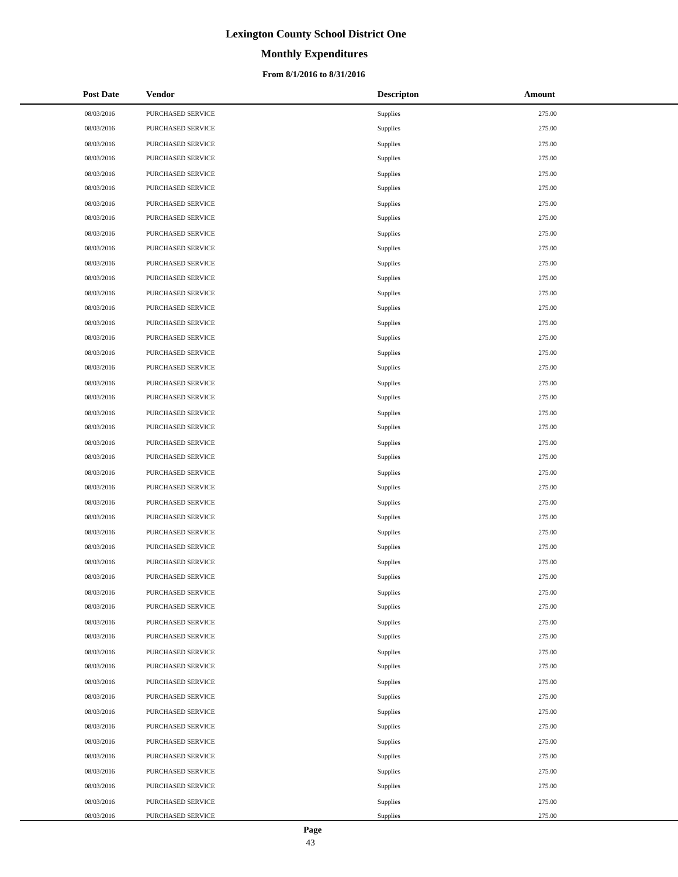# **Monthly Expenditures**

## **From 8/1/2016 to 8/31/2016**

| <b>Post Date</b> | Vendor            | <b>Descripton</b> | Amount |
|------------------|-------------------|-------------------|--------|
| 08/03/2016       | PURCHASED SERVICE | Supplies          | 275.00 |
| 08/03/2016       | PURCHASED SERVICE | Supplies          | 275.00 |
| 08/03/2016       | PURCHASED SERVICE | Supplies          | 275.00 |
| 08/03/2016       | PURCHASED SERVICE | Supplies          | 275.00 |
| 08/03/2016       | PURCHASED SERVICE | Supplies          | 275.00 |
| 08/03/2016       | PURCHASED SERVICE | Supplies          | 275.00 |
| 08/03/2016       | PURCHASED SERVICE | Supplies          | 275.00 |
| 08/03/2016       | PURCHASED SERVICE | Supplies          | 275.00 |
| 08/03/2016       | PURCHASED SERVICE | Supplies          | 275.00 |
| 08/03/2016       | PURCHASED SERVICE | Supplies          | 275.00 |
| 08/03/2016       | PURCHASED SERVICE | Supplies          | 275.00 |
| 08/03/2016       | PURCHASED SERVICE | Supplies          | 275.00 |
| 08/03/2016       | PURCHASED SERVICE | Supplies          | 275.00 |
| 08/03/2016       | PURCHASED SERVICE | Supplies          | 275.00 |
| 08/03/2016       | PURCHASED SERVICE | Supplies          | 275.00 |
| 08/03/2016       | PURCHASED SERVICE | Supplies          | 275.00 |
| 08/03/2016       | PURCHASED SERVICE | Supplies          | 275.00 |
| 08/03/2016       | PURCHASED SERVICE | Supplies          | 275.00 |
| 08/03/2016       | PURCHASED SERVICE | Supplies          | 275.00 |
| 08/03/2016       | PURCHASED SERVICE | Supplies          | 275.00 |
| 08/03/2016       | PURCHASED SERVICE | Supplies          | 275.00 |
| 08/03/2016       | PURCHASED SERVICE | Supplies          | 275.00 |
| 08/03/2016       | PURCHASED SERVICE | Supplies          | 275.00 |
| 08/03/2016       | PURCHASED SERVICE | Supplies          | 275.00 |
| 08/03/2016       | PURCHASED SERVICE | Supplies          | 275.00 |
| 08/03/2016       | PURCHASED SERVICE | Supplies          | 275.00 |
| 08/03/2016       | PURCHASED SERVICE | Supplies          | 275.00 |
| 08/03/2016       | PURCHASED SERVICE | Supplies          | 275.00 |
| 08/03/2016       | PURCHASED SERVICE | Supplies          | 275.00 |
| 08/03/2016       | PURCHASED SERVICE | Supplies          | 275.00 |
| 08/03/2016       | PURCHASED SERVICE | Supplies          | 275.00 |
| 08/03/2016       | PURCHASED SERVICE | Supplies          | 275.00 |
| 08/03/2016       | PURCHASED SERVICE | Supplies          | 275.00 |
| 08/03/2016       | PURCHASED SERVICE | Supplies          | 275.00 |
| 08/03/2016       | PURCHASED SERVICE | Supplies          | 275.00 |
| 08/03/2016       | PURCHASED SERVICE | Supplies          | 275.00 |
| 08/03/2016       | PURCHASED SERVICE | Supplies          | 275.00 |
| 08/03/2016       | PURCHASED SERVICE | Supplies          | 275.00 |
| 08/03/2016       | PURCHASED SERVICE | Supplies          | 275.00 |
| 08/03/2016       | PURCHASED SERVICE | Supplies          | 275.00 |
| 08/03/2016       | PURCHASED SERVICE | Supplies          | 275.00 |
| 08/03/2016       | PURCHASED SERVICE | Supplies          | 275.00 |
| 08/03/2016       | PURCHASED SERVICE | Supplies          | 275.00 |
| 08/03/2016       | PURCHASED SERVICE | Supplies          | 275.00 |
| 08/03/2016       | PURCHASED SERVICE | Supplies          | 275.00 |
| 08/03/2016       | PURCHASED SERVICE | Supplies          | 275.00 |
| 08/03/2016       | PURCHASED SERVICE | Supplies          | 275.00 |
| 08/03/2016       | PURCHASED SERVICE | Supplies          | 275.00 |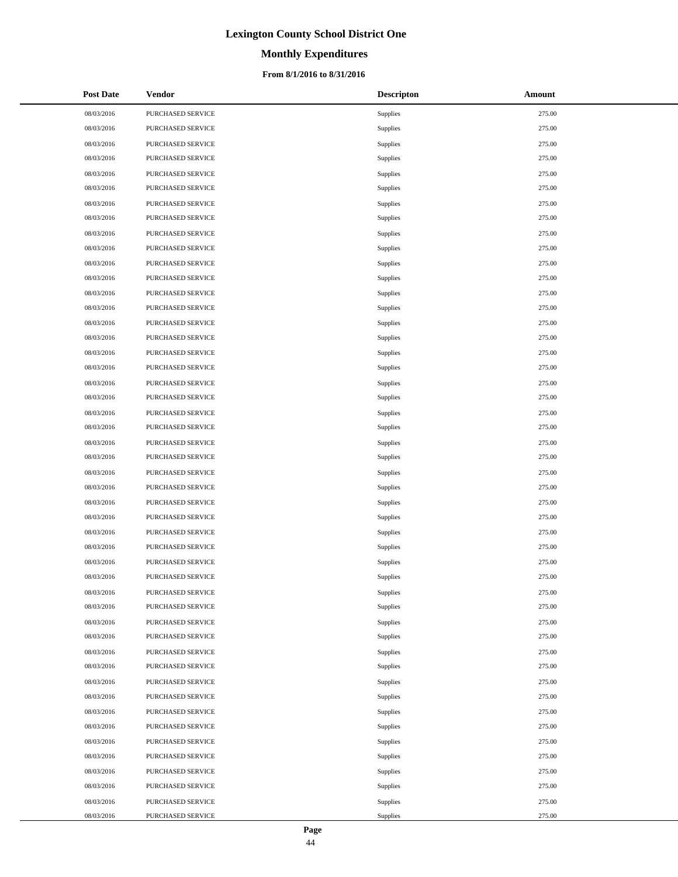# **Monthly Expenditures**

## **From 8/1/2016 to 8/31/2016**

| <b>Post Date</b> | Vendor            | <b>Descripton</b> | Amount |
|------------------|-------------------|-------------------|--------|
| 08/03/2016       | PURCHASED SERVICE | Supplies          | 275.00 |
| 08/03/2016       | PURCHASED SERVICE | Supplies          | 275.00 |
| 08/03/2016       | PURCHASED SERVICE | Supplies          | 275.00 |
| 08/03/2016       | PURCHASED SERVICE | Supplies          | 275.00 |
| 08/03/2016       | PURCHASED SERVICE | Supplies          | 275.00 |
| 08/03/2016       | PURCHASED SERVICE | Supplies          | 275.00 |
| 08/03/2016       | PURCHASED SERVICE | Supplies          | 275.00 |
| 08/03/2016       | PURCHASED SERVICE | Supplies          | 275.00 |
| 08/03/2016       | PURCHASED SERVICE | Supplies          | 275.00 |
| 08/03/2016       | PURCHASED SERVICE | Supplies          | 275.00 |
| 08/03/2016       | PURCHASED SERVICE | Supplies          | 275.00 |
| 08/03/2016       | PURCHASED SERVICE | Supplies          | 275.00 |
| 08/03/2016       | PURCHASED SERVICE | Supplies          | 275.00 |
| 08/03/2016       | PURCHASED SERVICE | Supplies          | 275.00 |
| 08/03/2016       | PURCHASED SERVICE | Supplies          | 275.00 |
| 08/03/2016       | PURCHASED SERVICE | Supplies          | 275.00 |
| 08/03/2016       | PURCHASED SERVICE | Supplies          | 275.00 |
| 08/03/2016       | PURCHASED SERVICE | Supplies          | 275.00 |
| 08/03/2016       | PURCHASED SERVICE | Supplies          | 275.00 |
| 08/03/2016       | PURCHASED SERVICE | Supplies          | 275.00 |
| 08/03/2016       | PURCHASED SERVICE | Supplies          | 275.00 |
| 08/03/2016       | PURCHASED SERVICE | Supplies          | 275.00 |
| 08/03/2016       | PURCHASED SERVICE | Supplies          | 275.00 |
| 08/03/2016       | PURCHASED SERVICE | Supplies          | 275.00 |
| 08/03/2016       | PURCHASED SERVICE | Supplies          | 275.00 |
| 08/03/2016       | PURCHASED SERVICE | Supplies          | 275.00 |
| 08/03/2016       | PURCHASED SERVICE | Supplies          | 275.00 |
| 08/03/2016       | PURCHASED SERVICE | Supplies          | 275.00 |
| 08/03/2016       | PURCHASED SERVICE | Supplies          | 275.00 |
| 08/03/2016       | PURCHASED SERVICE | Supplies          | 275.00 |
| 08/03/2016       | PURCHASED SERVICE | Supplies          | 275.00 |
| 08/03/2016       | PURCHASED SERVICE | Supplies          | 275.00 |
| 08/03/2016       | PURCHASED SERVICE | Supplies          | 275.00 |
| 08/03/2016       | PURCHASED SERVICE | Supplies          | 275.00 |
| 08/03/2016       | PURCHASED SERVICE | Supplies          | 275.00 |
| 08/03/2016       | PURCHASED SERVICE | Supplies          | 275.00 |
| 08/03/2016       | PURCHASED SERVICE | Supplies          | 275.00 |
| 08/03/2016       | PURCHASED SERVICE | Supplies          | 275.00 |
| 08/03/2016       | PURCHASED SERVICE | Supplies          | 275.00 |
| 08/03/2016       | PURCHASED SERVICE | Supplies          | 275.00 |
| 08/03/2016       | PURCHASED SERVICE | Supplies          | 275.00 |
| 08/03/2016       | PURCHASED SERVICE | Supplies          | 275.00 |
| 08/03/2016       | PURCHASED SERVICE | Supplies          | 275.00 |
| 08/03/2016       | PURCHASED SERVICE | Supplies          | 275.00 |
| 08/03/2016       | PURCHASED SERVICE | Supplies          | 275.00 |
| 08/03/2016       | PURCHASED SERVICE | Supplies          | 275.00 |
| 08/03/2016       | PURCHASED SERVICE | Supplies          | 275.00 |
| 08/03/2016       | PURCHASED SERVICE | Supplies          | 275.00 |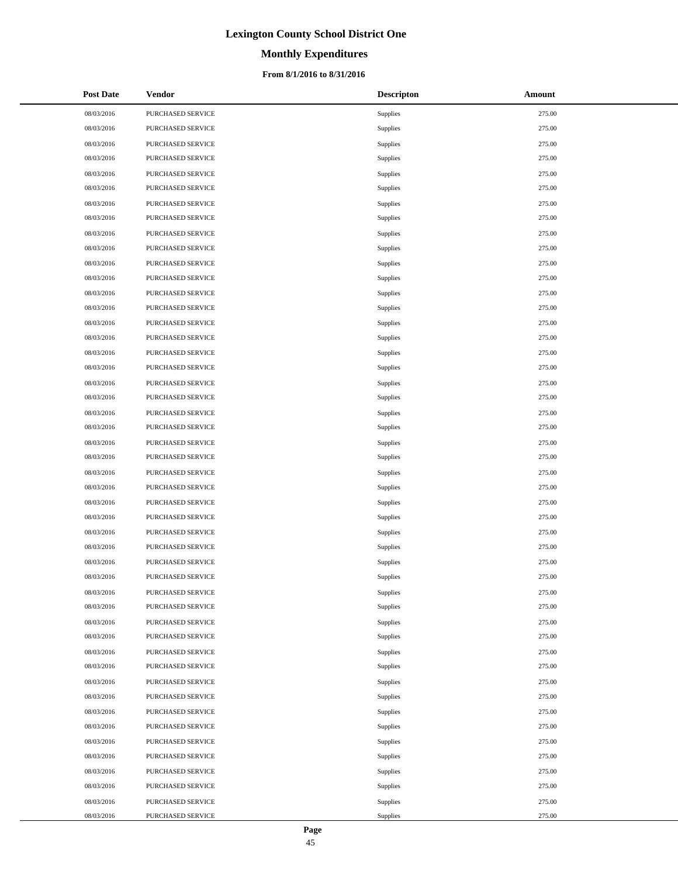# **Monthly Expenditures**

## **From 8/1/2016 to 8/31/2016**

| <b>Post Date</b> | Vendor            | <b>Descripton</b> | Amount |
|------------------|-------------------|-------------------|--------|
| 08/03/2016       | PURCHASED SERVICE | Supplies          | 275.00 |
| 08/03/2016       | PURCHASED SERVICE | Supplies          | 275.00 |
| 08/03/2016       | PURCHASED SERVICE | Supplies          | 275.00 |
| 08/03/2016       | PURCHASED SERVICE | Supplies          | 275.00 |
| 08/03/2016       | PURCHASED SERVICE | Supplies          | 275.00 |
| 08/03/2016       | PURCHASED SERVICE | Supplies          | 275.00 |
| 08/03/2016       | PURCHASED SERVICE | Supplies          | 275.00 |
| 08/03/2016       | PURCHASED SERVICE | Supplies          | 275.00 |
| 08/03/2016       | PURCHASED SERVICE | Supplies          | 275.00 |
| 08/03/2016       | PURCHASED SERVICE | Supplies          | 275.00 |
| 08/03/2016       | PURCHASED SERVICE | Supplies          | 275.00 |
| 08/03/2016       | PURCHASED SERVICE | Supplies          | 275.00 |
| 08/03/2016       | PURCHASED SERVICE | Supplies          | 275.00 |
| 08/03/2016       | PURCHASED SERVICE | Supplies          | 275.00 |
| 08/03/2016       | PURCHASED SERVICE | Supplies          | 275.00 |
| 08/03/2016       | PURCHASED SERVICE | Supplies          | 275.00 |
| 08/03/2016       | PURCHASED SERVICE | Supplies          | 275.00 |
| 08/03/2016       | PURCHASED SERVICE | Supplies          | 275.00 |
| 08/03/2016       | PURCHASED SERVICE | Supplies          | 275.00 |
| 08/03/2016       | PURCHASED SERVICE | Supplies          | 275.00 |
| 08/03/2016       | PURCHASED SERVICE | Supplies          | 275.00 |
| 08/03/2016       | PURCHASED SERVICE | Supplies          | 275.00 |
| 08/03/2016       | PURCHASED SERVICE | Supplies          | 275.00 |
| 08/03/2016       | PURCHASED SERVICE | Supplies          | 275.00 |
| 08/03/2016       | PURCHASED SERVICE | Supplies          | 275.00 |
| 08/03/2016       | PURCHASED SERVICE | Supplies          | 275.00 |
| 08/03/2016       | PURCHASED SERVICE | Supplies          | 275.00 |
| 08/03/2016       | PURCHASED SERVICE | Supplies          | 275.00 |
| 08/03/2016       | PURCHASED SERVICE | Supplies          | 275.00 |
| 08/03/2016       | PURCHASED SERVICE | Supplies          | 275.00 |
| 08/03/2016       | PURCHASED SERVICE | Supplies          | 275.00 |
| 08/03/2016       | PURCHASED SERVICE | Supplies          | 275.00 |
| 08/03/2016       | PURCHASED SERVICE | Supplies          | 275.00 |
| 08/03/2016       | PURCHASED SERVICE | Supplies          | 275.00 |
| 08/03/2016       | PURCHASED SERVICE | Supplies          | 275.00 |
| 08/03/2016       | PURCHASED SERVICE | Supplies          | 275.00 |
| 08/03/2016       | PURCHASED SERVICE | Supplies          | 275.00 |
| 08/03/2016       | PURCHASED SERVICE | Supplies          | 275.00 |
| 08/03/2016       | PURCHASED SERVICE | Supplies          | 275.00 |
| 08/03/2016       | PURCHASED SERVICE | Supplies          | 275.00 |
| 08/03/2016       | PURCHASED SERVICE | Supplies          | 275.00 |
| 08/03/2016       | PURCHASED SERVICE | Supplies          | 275.00 |
| 08/03/2016       | PURCHASED SERVICE | Supplies          | 275.00 |
| 08/03/2016       | PURCHASED SERVICE | Supplies          | 275.00 |
| 08/03/2016       | PURCHASED SERVICE | Supplies          | 275.00 |
| 08/03/2016       | PURCHASED SERVICE | Supplies          | 275.00 |
| 08/03/2016       | PURCHASED SERVICE | Supplies          | 275.00 |
| 08/03/2016       | PURCHASED SERVICE | Supplies          | 275.00 |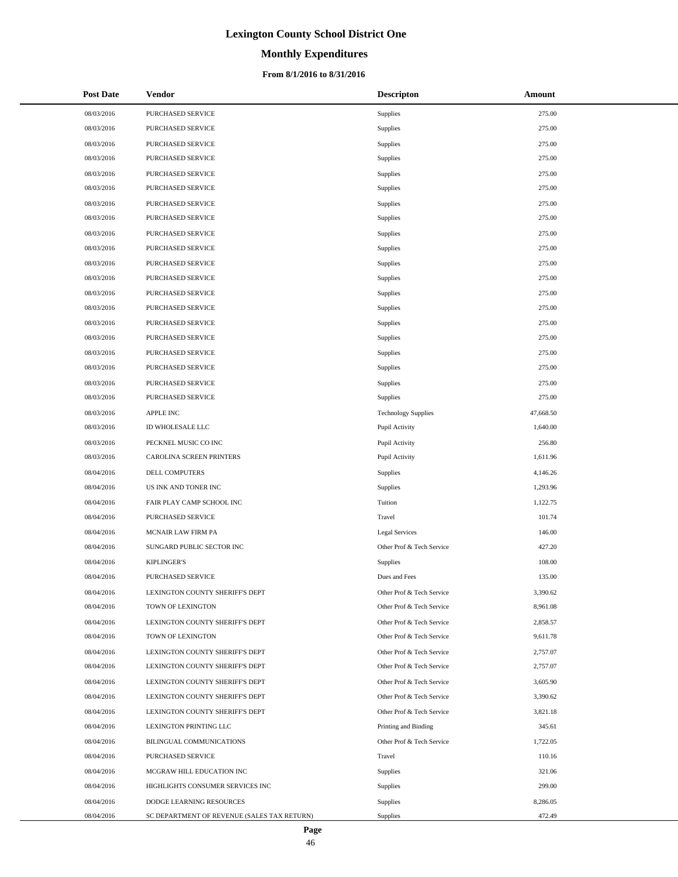# **Monthly Expenditures**

## **From 8/1/2016 to 8/31/2016**

| <b>Post Date</b> | <b>Vendor</b>                               | <b>Descripton</b>          | Amount    |
|------------------|---------------------------------------------|----------------------------|-----------|
| 08/03/2016       | PURCHASED SERVICE                           | <b>Supplies</b>            | 275.00    |
| 08/03/2016       | PURCHASED SERVICE                           | Supplies                   | 275.00    |
| 08/03/2016       | PURCHASED SERVICE                           | Supplies                   | 275.00    |
| 08/03/2016       | PURCHASED SERVICE                           | Supplies                   | 275.00    |
| 08/03/2016       | PURCHASED SERVICE                           | Supplies                   | 275.00    |
| 08/03/2016       | PURCHASED SERVICE                           | Supplies                   | 275.00    |
| 08/03/2016       | PURCHASED SERVICE                           | Supplies                   | 275.00    |
| 08/03/2016       | PURCHASED SERVICE                           | Supplies                   | 275.00    |
| 08/03/2016       | PURCHASED SERVICE                           | Supplies                   | 275.00    |
| 08/03/2016       | PURCHASED SERVICE                           | Supplies                   | 275.00    |
| 08/03/2016       | PURCHASED SERVICE                           | Supplies                   | 275.00    |
| 08/03/2016       | PURCHASED SERVICE                           | Supplies                   | 275.00    |
| 08/03/2016       | PURCHASED SERVICE                           | Supplies                   | 275.00    |
| 08/03/2016       | PURCHASED SERVICE                           | Supplies                   | 275.00    |
| 08/03/2016       | PURCHASED SERVICE                           | Supplies                   | 275.00    |
| 08/03/2016       | PURCHASED SERVICE                           | Supplies                   | 275.00    |
| 08/03/2016       | PURCHASED SERVICE                           | Supplies                   | 275.00    |
| 08/03/2016       | <b>PURCHASED SERVICE</b>                    | Supplies                   | 275.00    |
| 08/03/2016       | PURCHASED SERVICE                           | Supplies                   | 275.00    |
| 08/03/2016       | <b>PURCHASED SERVICE</b>                    | Supplies                   | 275.00    |
| 08/03/2016       | APPLE INC                                   | <b>Technology Supplies</b> | 47,668.50 |
| 08/03/2016       | ID WHOLESALE LLC                            | Pupil Activity             | 1,640.00  |
| 08/03/2016       | PECKNEL MUSIC CO INC                        | Pupil Activity             | 256.80    |
| 08/03/2016       | CAROLINA SCREEN PRINTERS                    | Pupil Activity             | 1,611.96  |
| 08/04/2016       | DELL COMPUTERS                              | Supplies                   | 4,146.26  |
| 08/04/2016       | US INK AND TONER INC                        | Supplies                   | 1,293.96  |
| 08/04/2016       | FAIR PLAY CAMP SCHOOL INC                   | Tuition                    | 1,122.75  |
| 08/04/2016       | <b>PURCHASED SERVICE</b>                    | Travel                     | 101.74    |
| 08/04/2016       | MCNAIR LAW FIRM PA                          | Legal Services             | 146.00    |
| 08/04/2016       | SUNGARD PUBLIC SECTOR INC                   | Other Prof & Tech Service  | 427.20    |
| 08/04/2016       | <b>KIPLINGER'S</b>                          | <b>Supplies</b>            | 108.00    |
| 08/04/2016       | <b>PURCHASED SERVICE</b>                    | Dues and Fees              | 135.00    |
| 08/04/2016       | LEXINGTON COUNTY SHERIFF'S DEPT             | Other Prof & Tech Service  | 3,390.62  |
| 08/04/2016       | TOWN OF LEXINGTON                           | Other Prof & Tech Service  | 8,961.08  |
| 08/04/2016       | LEXINGTON COUNTY SHERIFF'S DEPT             | Other Prof & Tech Service  | 2,858.57  |
| 08/04/2016       | TOWN OF LEXINGTON                           | Other Prof & Tech Service  | 9,611.78  |
| 08/04/2016       | LEXINGTON COUNTY SHERIFF'S DEPT             | Other Prof & Tech Service  | 2,757.07  |
| 08/04/2016       | LEXINGTON COUNTY SHERIFF'S DEPT             | Other Prof & Tech Service  | 2,757.07  |
| 08/04/2016       | LEXINGTON COUNTY SHERIFF'S DEPT             | Other Prof & Tech Service  | 3,605.90  |
| 08/04/2016       | LEXINGTON COUNTY SHERIFF'S DEPT             | Other Prof & Tech Service  | 3,390.62  |
| 08/04/2016       | LEXINGTON COUNTY SHERIFF'S DEPT             | Other Prof & Tech Service  | 3,821.18  |
| 08/04/2016       | LEXINGTON PRINTING LLC                      | Printing and Binding       | 345.61    |
| 08/04/2016       | BILINGUAL COMMUNICATIONS                    | Other Prof & Tech Service  | 1,722.05  |
| 08/04/2016       | PURCHASED SERVICE                           | Travel                     | 110.16    |
| 08/04/2016       | MCGRAW HILL EDUCATION INC                   | Supplies                   | 321.06    |
| 08/04/2016       | HIGHLIGHTS CONSUMER SERVICES INC            | Supplies                   | 299.00    |
| 08/04/2016       | DODGE LEARNING RESOURCES                    | <b>Supplies</b>            | 8,286.05  |
| 08/04/2016       | SC DEPARTMENT OF REVENUE (SALES TAX RETURN) | Supplies                   | 472.49    |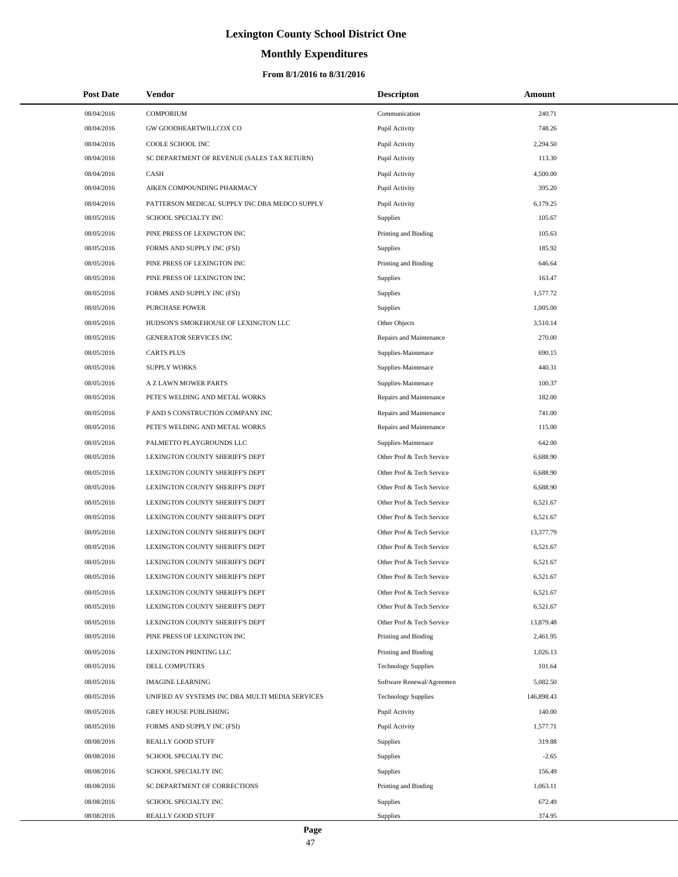# **Monthly Expenditures**

## **From 8/1/2016 to 8/31/2016**

| <b>Post Date</b> | Vendor                                          | <b>Descripton</b>          | Amount     |
|------------------|-------------------------------------------------|----------------------------|------------|
| 08/04/2016       | <b>COMPORIUM</b>                                | Communication              | 240.71     |
| 08/04/2016       | GW GOODHEARTWILLCOX CO                          | Pupil Activity             | 748.26     |
| 08/04/2016       | COOLE SCHOOL INC                                | Pupil Activity             | 2,294.50   |
| 08/04/2016       | SC DEPARTMENT OF REVENUE (SALES TAX RETURN)     | Pupil Activity             | 113.30     |
| 08/04/2016       | CASH                                            | Pupil Activity             | 4,500.00   |
| 08/04/2016       | AIKEN COMPOUNDING PHARMACY                      | Pupil Activity             | 395.20     |
| 08/04/2016       | PATTERSON MEDICAL SUPPLY INC DBA MEDCO SUPPLY   | Pupil Activity             | 6,179.25   |
| 08/05/2016       | SCHOOL SPECIALTY INC                            | Supplies                   | 105.67     |
| 08/05/2016       | PINE PRESS OF LEXINGTON INC                     | Printing and Binding       | 105.63     |
| 08/05/2016       | FORMS AND SUPPLY INC (FSI)                      | Supplies                   | 185.92     |
| 08/05/2016       | PINE PRESS OF LEXINGTON INC                     | Printing and Binding       | 646.64     |
| 08/05/2016       | PINE PRESS OF LEXINGTON INC                     | Supplies                   | 163.47     |
| 08/05/2016       | FORMS AND SUPPLY INC (FSI)                      | Supplies                   | 1,577.72   |
| 08/05/2016       | <b>PURCHASE POWER</b>                           | Supplies                   | 1,005.00   |
| 08/05/2016       | HUDSON'S SMOKEHOUSE OF LEXINGTON LLC            | Other Objects              | 3,510.14   |
| 08/05/2016       | GENERATOR SERVICES INC                          | Repairs and Maintenance    | 270.00     |
| 08/05/2016       | <b>CARTS PLUS</b>                               | Supplies-Maintenace        | 690.15     |
| 08/05/2016       | <b>SUPPLY WORKS</b>                             | Supplies-Maintenace        | 440.31     |
| 08/05/2016       | A Z LAWN MOWER PARTS                            | Supplies-Maintenace        | 100.37     |
| 08/05/2016       | PETE'S WELDING AND METAL WORKS                  | Repairs and Maintenance    | 182.00     |
| 08/05/2016       | P AND S CONSTRUCTION COMPANY INC                | Repairs and Maintenance    | 741.00     |
| 08/05/2016       | PETE'S WELDING AND METAL WORKS                  | Repairs and Maintenance    | 115.00     |
| 08/05/2016       | PALMETTO PLAYGROUNDS LLC                        | Supplies-Maintenace        | 642.00     |
| 08/05/2016       | LEXINGTON COUNTY SHERIFF'S DEPT                 | Other Prof & Tech Service  | 6,688.90   |
| 08/05/2016       | LEXINGTON COUNTY SHERIFF'S DEPT                 | Other Prof & Tech Service  | 6,688.90   |
| 08/05/2016       | LEXINGTON COUNTY SHERIFF'S DEPT                 | Other Prof & Tech Service  | 6,688.90   |
| 08/05/2016       | LEXINGTON COUNTY SHERIFF'S DEPT                 | Other Prof & Tech Service  | 6,521.67   |
| 08/05/2016       | LEXINGTON COUNTY SHERIFF'S DEPT                 | Other Prof & Tech Service  | 6,521.67   |
| 08/05/2016       | LEXINGTON COUNTY SHERIFF'S DEPT                 | Other Prof & Tech Service  | 13,377.79  |
| 08/05/2016       | LEXINGTON COUNTY SHERIFF'S DEPT                 | Other Prof & Tech Service  | 6,521.67   |
| 08/05/2016       | LEXINGTON COUNTY SHERIFF'S DEPT                 | Other Prof & Tech Service  | 6,521.67   |
| 08/05/2016       | LEXINGTON COUNTY SHERIFF'S DEPT                 | Other Prof & Tech Service  | 6,521.67   |
| 08/05/2016       | LEXINGTON COUNTY SHERIFF'S DEPT                 | Other Prof & Tech Service  | 6,521.67   |
| 08/05/2016       | LEXINGTON COUNTY SHERIFF'S DEPT                 | Other Prof & Tech Service  | 6,521.67   |
| 08/05/2016       | LEXINGTON COUNTY SHERIFF'S DEPT                 | Other Prof & Tech Service  | 13,879.48  |
| 08/05/2016       | PINE PRESS OF LEXINGTON INC                     | Printing and Binding       | 2,461.95   |
| 08/05/2016       | <b>LEXINGTON PRINTING LLC</b>                   | Printing and Binding       | 1,026.13   |
| 08/05/2016       | DELL COMPUTERS                                  | <b>Technology Supplies</b> | 101.64     |
| 08/05/2016       | <b>IMAGINE LEARNING</b>                         | Software Renewal/Agreemen  | 5,082.50   |
| 08/05/2016       | UNIFIED AV SYSTEMS INC DBA MULTI MEDIA SERVICES | <b>Technology Supplies</b> | 146,898.43 |
| 08/05/2016       | <b>GREY HOUSE PUBLISHING</b>                    | Pupil Activity             | 140.00     |
| 08/05/2016       | FORMS AND SUPPLY INC (FSI)                      | Pupil Activity             | 1,577.71   |
| 08/08/2016       | REALLY GOOD STUFF                               | Supplies                   | 319.88     |
| 08/08/2016       | SCHOOL SPECIALTY INC                            | Supplies                   | $-2.65$    |
| 08/08/2016       | SCHOOL SPECIALTY INC                            | <b>Supplies</b>            | 156.49     |
| 08/08/2016       | SC DEPARTMENT OF CORRECTIONS                    | Printing and Binding       | 1,063.11   |
| 08/08/2016       | SCHOOL SPECIALTY INC                            | Supplies                   | 672.49     |
| 08/08/2016       | REALLY GOOD STUFF                               | Supplies                   | 374.95     |

L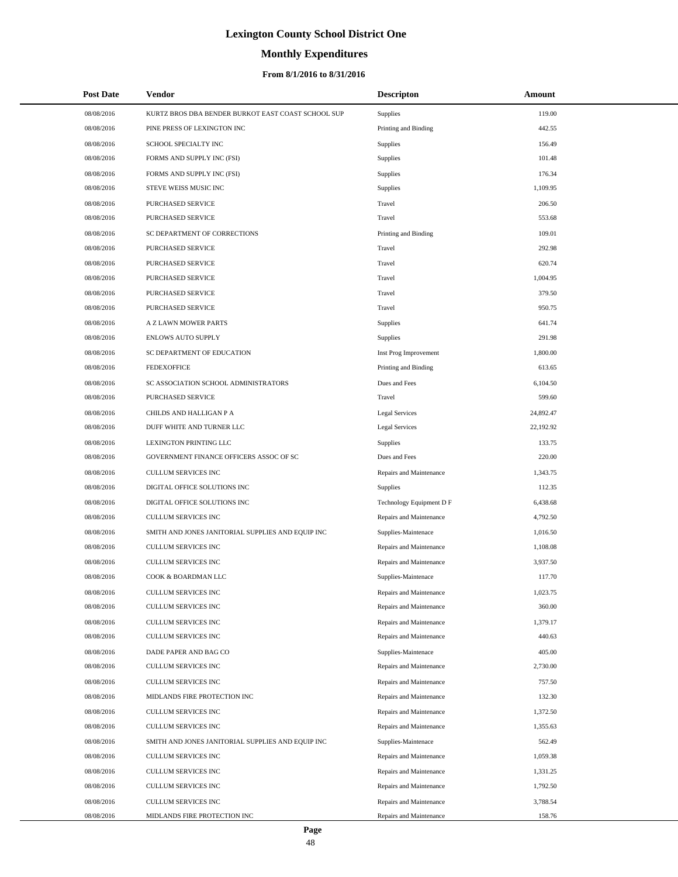# **Monthly Expenditures**

| <b>Post Date</b> | <b>Vendor</b>                                      | <b>Descripton</b>        | Amount    |  |
|------------------|----------------------------------------------------|--------------------------|-----------|--|
| 08/08/2016       | KURTZ BROS DBA BENDER BURKOT EAST COAST SCHOOL SUP | Supplies                 | 119.00    |  |
| 08/08/2016       | PINE PRESS OF LEXINGTON INC                        | Printing and Binding     | 442.55    |  |
| 08/08/2016       | SCHOOL SPECIALTY INC                               | Supplies                 | 156.49    |  |
| 08/08/2016       | FORMS AND SUPPLY INC (FSI)                         | Supplies                 | 101.48    |  |
| 08/08/2016       | FORMS AND SUPPLY INC (FSI)                         | Supplies                 | 176.34    |  |
| 08/08/2016       | STEVE WEISS MUSIC INC                              | Supplies                 | 1,109.95  |  |
| 08/08/2016       | <b>PURCHASED SERVICE</b>                           | Travel                   | 206.50    |  |
| 08/08/2016       | PURCHASED SERVICE                                  | Travel                   | 553.68    |  |
| 08/08/2016       | SC DEPARTMENT OF CORRECTIONS                       | Printing and Binding     | 109.01    |  |
| 08/08/2016       | PURCHASED SERVICE                                  | Travel                   | 292.98    |  |
| 08/08/2016       | PURCHASED SERVICE                                  | Travel                   | 620.74    |  |
| 08/08/2016       | PURCHASED SERVICE                                  | Travel                   | 1,004.95  |  |
| 08/08/2016       | PURCHASED SERVICE                                  | Travel                   | 379.50    |  |
| 08/08/2016       | PURCHASED SERVICE                                  | Travel                   | 950.75    |  |
| 08/08/2016       | A Z LAWN MOWER PARTS                               | Supplies                 | 641.74    |  |
| 08/08/2016       | <b>ENLOWS AUTO SUPPLY</b>                          | Supplies                 | 291.98    |  |
| 08/08/2016       | SC DEPARTMENT OF EDUCATION                         | Inst Prog Improvement    | 1,800.00  |  |
| 08/08/2016       | <b>FEDEXOFFICE</b>                                 | Printing and Binding     | 613.65    |  |
| 08/08/2016       | SC ASSOCIATION SCHOOL ADMINISTRATORS               | Dues and Fees            | 6,104.50  |  |
| 08/08/2016       | PURCHASED SERVICE                                  | Travel                   | 599.60    |  |
| 08/08/2016       | CHILDS AND HALLIGAN P A                            | Legal Services           | 24,892.47 |  |
| 08/08/2016       | DUFF WHITE AND TURNER LLC                          | <b>Legal Services</b>    | 22,192.92 |  |
| 08/08/2016       | LEXINGTON PRINTING LLC                             | Supplies                 | 133.75    |  |
| 08/08/2016       | GOVERNMENT FINANCE OFFICERS ASSOC OF SC            | Dues and Fees            | 220.00    |  |
| 08/08/2016       | CULLUM SERVICES INC                                | Repairs and Maintenance  | 1,343.75  |  |
| 08/08/2016       | DIGITAL OFFICE SOLUTIONS INC                       | Supplies                 | 112.35    |  |
| 08/08/2016       | DIGITAL OFFICE SOLUTIONS INC                       | Technology Equipment D F | 6,438.68  |  |
| 08/08/2016       | CULLUM SERVICES INC                                | Repairs and Maintenance  | 4,792.50  |  |
| 08/08/2016       | SMITH AND JONES JANITORIAL SUPPLIES AND EQUIP INC  | Supplies-Maintenace      | 1,016.50  |  |
| 08/08/2016       | CULLUM SERVICES INC                                | Repairs and Maintenance  | 1,108.08  |  |
| 08/08/2016       | CULLUM SERVICES INC                                | Repairs and Maintenance  | 3,937.50  |  |
| 08/08/2016       | COOK & BOARDMAN LLC                                | Supplies-Maintenace      | 117.70    |  |
| 08/08/2016       | CULLUM SERVICES INC                                | Repairs and Maintenance  | 1,023.75  |  |
| 08/08/2016       | CULLUM SERVICES INC                                | Repairs and Maintenance  | 360.00    |  |
| 08/08/2016       | CULLUM SERVICES INC                                | Repairs and Maintenance  | 1,379.17  |  |
| 08/08/2016       | CULLUM SERVICES INC                                | Repairs and Maintenance  | 440.63    |  |
| 08/08/2016       | DADE PAPER AND BAG CO                              | Supplies-Maintenace      | 405.00    |  |
| 08/08/2016       | CULLUM SERVICES INC                                | Repairs and Maintenance  | 2,730.00  |  |
| 08/08/2016       | <b>CULLUM SERVICES INC</b>                         | Repairs and Maintenance  | 757.50    |  |
| 08/08/2016       | MIDLANDS FIRE PROTECTION INC                       | Repairs and Maintenance  | 132.30    |  |
| 08/08/2016       | CULLUM SERVICES INC                                | Repairs and Maintenance  | 1,372.50  |  |
| 08/08/2016       | CULLUM SERVICES INC                                | Repairs and Maintenance  | 1,355.63  |  |
| 08/08/2016       | SMITH AND JONES JANITORIAL SUPPLIES AND EQUIP INC  | Supplies-Maintenace      | 562.49    |  |
| 08/08/2016       | CULLUM SERVICES INC                                | Repairs and Maintenance  | 1,059.38  |  |
| 08/08/2016       | CULLUM SERVICES INC                                | Repairs and Maintenance  | 1,331.25  |  |
| 08/08/2016       | CULLUM SERVICES INC                                | Repairs and Maintenance  | 1,792.50  |  |
| 08/08/2016       | CULLUM SERVICES INC                                | Repairs and Maintenance  | 3,788.54  |  |
| 08/08/2016       | MIDLANDS FIRE PROTECTION INC                       | Repairs and Maintenance  | 158.76    |  |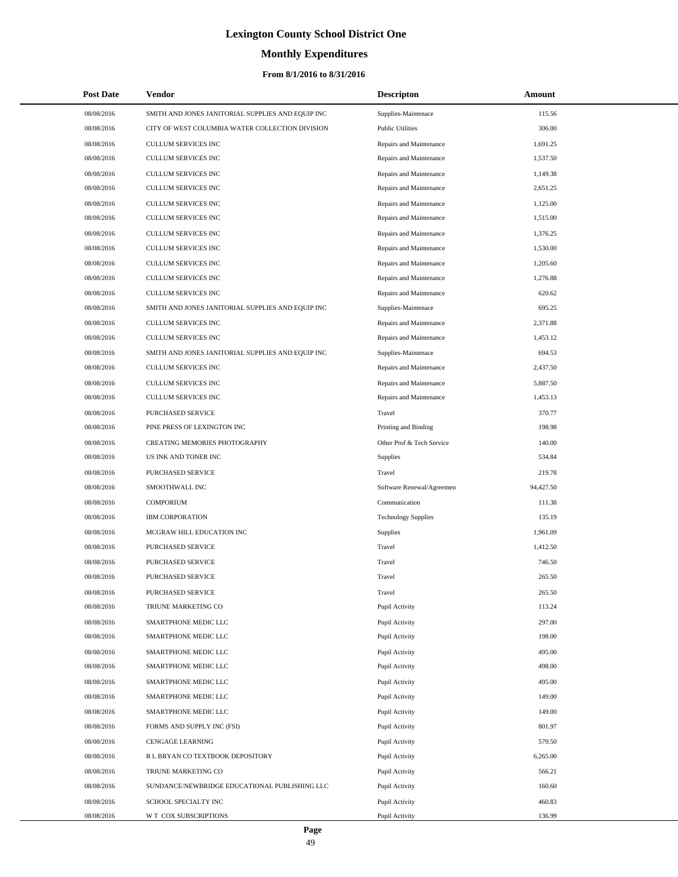# **Monthly Expenditures**

## **From 8/1/2016 to 8/31/2016**

| <b>Post Date</b> | Vendor                                            | <b>Descripton</b>          | Amount    |
|------------------|---------------------------------------------------|----------------------------|-----------|
| 08/08/2016       | SMITH AND JONES JANITORIAL SUPPLIES AND EQUIP INC | Supplies-Maintenace        | 115.56    |
| 08/08/2016       | CITY OF WEST COLUMBIA WATER COLLECTION DIVISION   | <b>Public Utilities</b>    | 306.00    |
| 08/08/2016       | CULLUM SERVICES INC                               | Repairs and Maintenance    | 1,691.25  |
| 08/08/2016       | CULLUM SERVICES INC                               | Repairs and Maintenance    | 1,537.50  |
| 08/08/2016       | CULLUM SERVICES INC                               | Repairs and Maintenance    | 1,149.38  |
| 08/08/2016       | CULLUM SERVICES INC                               | Repairs and Maintenance    | 2,651.25  |
| 08/08/2016       | CULLUM SERVICES INC                               | Repairs and Maintenance    | 1,125.00  |
| 08/08/2016       | CULLUM SERVICES INC                               | Repairs and Maintenance    | 1,515.00  |
| 08/08/2016       | CULLUM SERVICES INC                               | Repairs and Maintenance    | 1,376.25  |
| 08/08/2016       | <b>CULLUM SERVICES INC</b>                        | Repairs and Maintenance    | 1,530.00  |
| 08/08/2016       | CULLUM SERVICES INC                               | Repairs and Maintenance    | 1,205.60  |
| 08/08/2016       | CULLUM SERVICES INC                               | Repairs and Maintenance    | 1,276.88  |
| 08/08/2016       | CULLUM SERVICES INC                               | Repairs and Maintenance    | 620.62    |
| 08/08/2016       | SMITH AND JONES JANITORIAL SUPPLIES AND EQUIP INC | Supplies-Maintenace        | 695.25    |
| 08/08/2016       | CULLUM SERVICES INC                               | Repairs and Maintenance    | 2,371.88  |
| 08/08/2016       | CULLUM SERVICES INC                               | Repairs and Maintenance    | 1,453.12  |
| 08/08/2016       | SMITH AND JONES JANITORIAL SUPPLIES AND EQUIP INC | Supplies-Maintenace        | 694.53    |
| 08/08/2016       | CULLUM SERVICES INC                               | Repairs and Maintenance    | 2,437.50  |
| 08/08/2016       | <b>CULLUM SERVICES INC</b>                        | Repairs and Maintenance    | 5,887.50  |
| 08/08/2016       | CULLUM SERVICES INC                               | Repairs and Maintenance    | 1,453.13  |
| 08/08/2016       | PURCHASED SERVICE                                 | Travel                     | 370.77    |
| 08/08/2016       | PINE PRESS OF LEXINGTON INC                       | Printing and Binding       | 198.98    |
| 08/08/2016       | CREATING MEMORIES PHOTOGRAPHY                     | Other Prof & Tech Service  | 140.00    |
| 08/08/2016       | US INK AND TONER INC                              | Supplies                   | 534.84    |
| 08/08/2016       | PURCHASED SERVICE                                 | Travel                     | 219.78    |
| 08/08/2016       | SMOOTHWALL INC                                    | Software Renewal/Agreemen  | 94,427.50 |
| 08/08/2016       | <b>COMPORIUM</b>                                  | Communication              | 111.38    |
| 08/08/2016       | <b>IBM CORPORATION</b>                            | <b>Technology Supplies</b> | 135.19    |
| 08/08/2016       | MCGRAW HILL EDUCATION INC                         | Supplies                   | 1,961.09  |
| 08/08/2016       | PURCHASED SERVICE                                 | Travel                     | 1,412.50  |
| 08/08/2016       | PURCHASED SERVICE                                 | Travel                     | 746.50    |
| 08/08/2016       | PURCHASED SERVICE                                 | Travel                     | 265.50    |
| 08/08/2016       | PURCHASED SERVICE                                 | Travel                     | 265.50    |
| 08/08/2016       | TRIUNE MARKETING CO                               | Pupil Activity             | 113.24    |
| 08/08/2016       | SMARTPHONE MEDIC LLC                              | Pupil Activity             | 297.00    |
| 08/08/2016       | SMARTPHONE MEDIC LLC                              | Pupil Activity             | 198.00    |
| 08/08/2016       | SMARTPHONE MEDIC LLC                              | Pupil Activity             | 495.00    |
| 08/08/2016       | SMARTPHONE MEDIC LLC                              | Pupil Activity             | 498.00    |
| 08/08/2016       | SMARTPHONE MEDIC LLC                              | Pupil Activity             | 495.00    |
| 08/08/2016       | SMARTPHONE MEDIC LLC                              | Pupil Activity             | 149.00    |
| 08/08/2016       | SMARTPHONE MEDIC LLC                              | Pupil Activity             | 149.00    |
| 08/08/2016       | FORMS AND SUPPLY INC (FSI)                        | Pupil Activity             | 801.97    |
| 08/08/2016       | CENGAGE LEARNING                                  | Pupil Activity             | 579.50    |
| 08/08/2016       | R L BRYAN CO TEXTBOOK DEPOSITORY                  | Pupil Activity             | 6,265.00  |
| 08/08/2016       | TRIUNE MARKETING CO                               | Pupil Activity             | 566.21    |
| 08/08/2016       | SUNDANCE/NEWBRIDGE EDUCATIONAL PUBLISHING LLC     | Pupil Activity             | 160.60    |
| 08/08/2016       | SCHOOL SPECIALTY INC                              | Pupil Activity             | 460.83    |
| 08/08/2016       | W T COX SUBSCRIPTIONS                             | Pupil Activity             | 136.99    |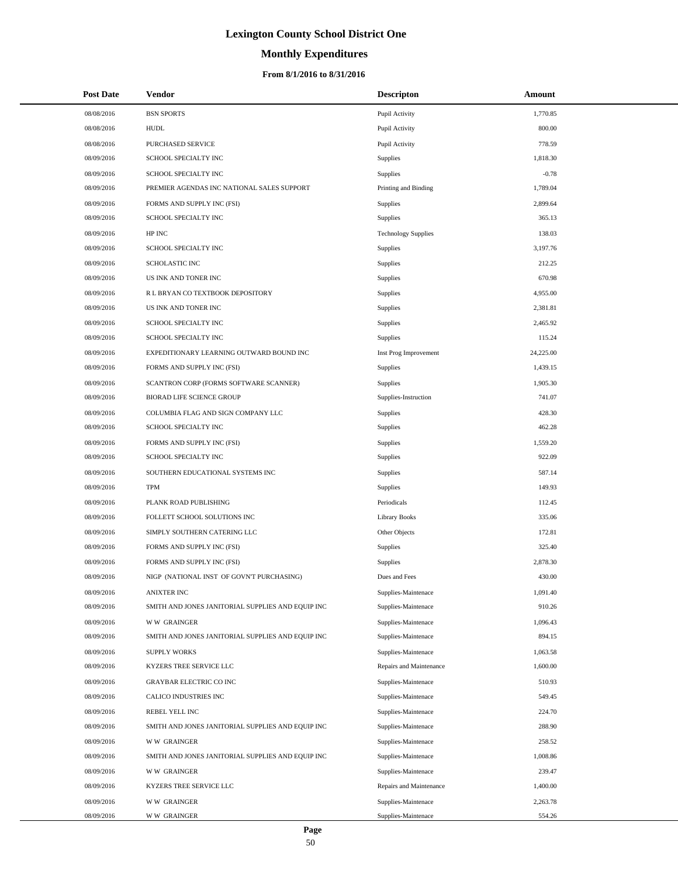# **Monthly Expenditures**

| <b>Post Date</b> | <b>Vendor</b>                                     | <b>Descripton</b>          | Amount    |  |
|------------------|---------------------------------------------------|----------------------------|-----------|--|
| 08/08/2016       | <b>BSN SPORTS</b>                                 | Pupil Activity             | 1,770.85  |  |
| 08/08/2016       | <b>HUDL</b>                                       | Pupil Activity             | 800.00    |  |
| 08/08/2016       | PURCHASED SERVICE                                 | Pupil Activity             | 778.59    |  |
| 08/09/2016       | SCHOOL SPECIALTY INC                              | <b>Supplies</b>            | 1,818.30  |  |
| 08/09/2016       | SCHOOL SPECIALTY INC                              | Supplies                   | $-0.78$   |  |
| 08/09/2016       | PREMIER AGENDAS INC NATIONAL SALES SUPPORT        | Printing and Binding       | 1,789.04  |  |
| 08/09/2016       | FORMS AND SUPPLY INC (FSI)                        | Supplies                   | 2,899.64  |  |
| 08/09/2016       | SCHOOL SPECIALTY INC                              | Supplies                   | 365.13    |  |
| 08/09/2016       | HP INC                                            | <b>Technology Supplies</b> | 138.03    |  |
| 08/09/2016       | SCHOOL SPECIALTY INC                              | Supplies                   | 3,197.76  |  |
| 08/09/2016       | SCHOLASTIC INC                                    | Supplies                   | 212.25    |  |
| 08/09/2016       | US INK AND TONER INC                              | Supplies                   | 670.98    |  |
| 08/09/2016       | R L BRYAN CO TEXTBOOK DEPOSITORY                  | Supplies                   | 4,955.00  |  |
| 08/09/2016       | US INK AND TONER INC                              | Supplies                   | 2,381.81  |  |
| 08/09/2016       | SCHOOL SPECIALTY INC                              | Supplies                   | 2,465.92  |  |
| 08/09/2016       | SCHOOL SPECIALTY INC                              | Supplies                   | 115.24    |  |
| 08/09/2016       | EXPEDITIONARY LEARNING OUTWARD BOUND INC          | Inst Prog Improvement      | 24,225.00 |  |
| 08/09/2016       | FORMS AND SUPPLY INC (FSI)                        | Supplies                   | 1,439.15  |  |
| 08/09/2016       | SCANTRON CORP (FORMS SOFTWARE SCANNER)            | <b>Supplies</b>            | 1,905.30  |  |
| 08/09/2016       | <b>BIORAD LIFE SCIENCE GROUP</b>                  | Supplies-Instruction       | 741.07    |  |
| 08/09/2016       | COLUMBIA FLAG AND SIGN COMPANY LLC                | Supplies                   | 428.30    |  |
| 08/09/2016       | SCHOOL SPECIALTY INC                              | Supplies                   | 462.28    |  |
| 08/09/2016       | FORMS AND SUPPLY INC (FSI)                        | Supplies                   | 1,559.20  |  |
| 08/09/2016       | SCHOOL SPECIALTY INC                              | Supplies                   | 922.09    |  |
| 08/09/2016       | SOUTHERN EDUCATIONAL SYSTEMS INC                  | Supplies                   | 587.14    |  |
| 08/09/2016       | <b>TPM</b>                                        | <b>Supplies</b>            | 149.93    |  |
| 08/09/2016       | PLANK ROAD PUBLISHING                             | Periodicals                | 112.45    |  |
| 08/09/2016       | FOLLETT SCHOOL SOLUTIONS INC                      | <b>Library Books</b>       | 335.06    |  |
| 08/09/2016       | SIMPLY SOUTHERN CATERING LLC                      | Other Objects              | 172.81    |  |
| 08/09/2016       | FORMS AND SUPPLY INC (FSI)                        | Supplies                   | 325.40    |  |
| 08/09/2016       | FORMS AND SUPPLY INC (FSI)                        | <b>Supplies</b>            | 2,878.30  |  |
| 08/09/2016       | NIGP (NATIONAL INST OF GOVN'T PURCHASING)         | Dues and Fees              | 430.00    |  |
| 08/09/2016       | <b>ANIXTER INC</b>                                | Supplies-Maintenace        | 1,091.40  |  |
| 08/09/2016       | SMITH AND JONES JANITORIAL SUPPLIES AND EQUIP INC | Supplies-Maintenace        | 910.26    |  |
| 08/09/2016       | <b>WW GRAINGER</b>                                | Supplies-Maintenace        | 1,096.43  |  |
| 08/09/2016       | SMITH AND JONES JANITORIAL SUPPLIES AND EQUIP INC | Supplies-Maintenace        | 894.15    |  |
| 08/09/2016       | <b>SUPPLY WORKS</b>                               | Supplies-Maintenace        | 1,063.58  |  |
| 08/09/2016       | KYZERS TREE SERVICE LLC                           | Repairs and Maintenance    | 1,600.00  |  |
| 08/09/2016       | <b>GRAYBAR ELECTRIC CO INC</b>                    | Supplies-Maintenace        | 510.93    |  |
| 08/09/2016       | CALICO INDUSTRIES INC                             | Supplies-Maintenace        | 549.45    |  |
| 08/09/2016       | REBEL YELL INC                                    | Supplies-Maintenace        | 224.70    |  |
| 08/09/2016       | SMITH AND JONES JANITORIAL SUPPLIES AND EQUIP INC | Supplies-Maintenace        | 288.90    |  |
| 08/09/2016       | <b>WW GRAINGER</b>                                | Supplies-Maintenace        | 258.52    |  |
| 08/09/2016       | SMITH AND JONES JANITORIAL SUPPLIES AND EQUIP INC | Supplies-Maintenace        | 1,008.86  |  |
| 08/09/2016       | <b>WW GRAINGER</b>                                | Supplies-Maintenace        | 239.47    |  |
| 08/09/2016       | KYZERS TREE SERVICE LLC                           | Repairs and Maintenance    | 1,400.00  |  |
| 08/09/2016       | <b>WW GRAINGER</b>                                | Supplies-Maintenace        | 2,263.78  |  |
| 08/09/2016       | <b>WW GRAINGER</b>                                | Supplies-Maintenace        | 554.26    |  |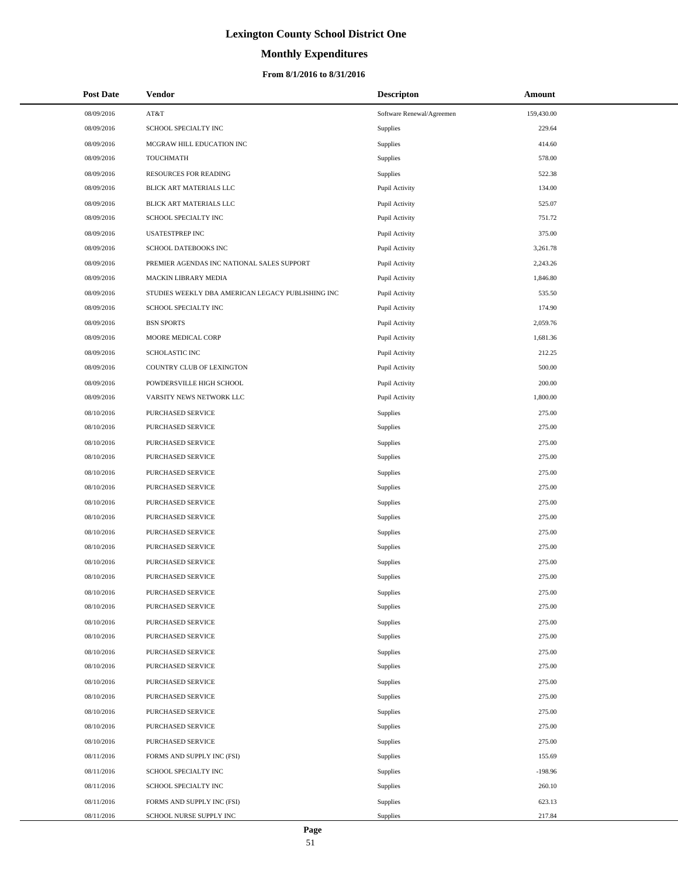# **Monthly Expenditures**

## **From 8/1/2016 to 8/31/2016**

| <b>Post Date</b> | Vendor                                            | <b>Descripton</b>         | Amount     |
|------------------|---------------------------------------------------|---------------------------|------------|
| 08/09/2016       | AT&T                                              | Software Renewal/Agreemen | 159,430.00 |
| 08/09/2016       | SCHOOL SPECIALTY INC                              | Supplies                  | 229.64     |
| 08/09/2016       | MCGRAW HILL EDUCATION INC                         | Supplies                  | 414.60     |
| 08/09/2016       | TOUCHMATH                                         | Supplies                  | 578.00     |
| 08/09/2016       | RESOURCES FOR READING                             | <b>Supplies</b>           | 522.38     |
| 08/09/2016       | BLICK ART MATERIALS LLC                           | Pupil Activity            | 134.00     |
| 08/09/2016       | BLICK ART MATERIALS LLC                           | Pupil Activity            | 525.07     |
| 08/09/2016       | SCHOOL SPECIALTY INC                              | Pupil Activity            | 751.72     |
| 08/09/2016       | <b>USATESTPREP INC</b>                            | Pupil Activity            | 375.00     |
| 08/09/2016       | SCHOOL DATEBOOKS INC                              | Pupil Activity            | 3,261.78   |
| 08/09/2016       | PREMIER AGENDAS INC NATIONAL SALES SUPPORT        | Pupil Activity            | 2,243.26   |
| 08/09/2016       | MACKIN LIBRARY MEDIA                              | Pupil Activity            | 1,846.80   |
| 08/09/2016       | STUDIES WEEKLY DBA AMERICAN LEGACY PUBLISHING INC | Pupil Activity            | 535.50     |
| 08/09/2016       | SCHOOL SPECIALTY INC                              | Pupil Activity            | 174.90     |
| 08/09/2016       | <b>BSN SPORTS</b>                                 | Pupil Activity            | 2,059.76   |
| 08/09/2016       | MOORE MEDICAL CORP                                | Pupil Activity            | 1,681.36   |
| 08/09/2016       | SCHOLASTIC INC                                    | Pupil Activity            | 212.25     |
| 08/09/2016       | COUNTRY CLUB OF LEXINGTON                         | Pupil Activity            | 500.00     |
| 08/09/2016       | POWDERSVILLE HIGH SCHOOL                          | Pupil Activity            | 200.00     |
| 08/09/2016       | VARSITY NEWS NETWORK LLC                          | Pupil Activity            | 1,800.00   |
| 08/10/2016       | PURCHASED SERVICE                                 | Supplies                  | 275.00     |
| 08/10/2016       | PURCHASED SERVICE                                 | Supplies                  | 275.00     |
| 08/10/2016       | PURCHASED SERVICE                                 | Supplies                  | 275.00     |
| 08/10/2016       | PURCHASED SERVICE                                 | Supplies                  | 275.00     |
| 08/10/2016       | PURCHASED SERVICE                                 | Supplies                  | 275.00     |
| 08/10/2016       | PURCHASED SERVICE                                 | Supplies                  | 275.00     |
| 08/10/2016       | PURCHASED SERVICE                                 | Supplies                  | 275.00     |
| 08/10/2016       | PURCHASED SERVICE                                 | Supplies                  | 275.00     |
| 08/10/2016       | PURCHASED SERVICE                                 | Supplies                  | 275.00     |
| 08/10/2016       | PURCHASED SERVICE                                 | Supplies                  | 275.00     |
| 08/10/2016       | PURCHASED SERVICE                                 | Supplies                  | 275.00     |
| 08/10/2016       | PURCHASED SERVICE                                 | Supplies                  | 275.00     |
| 08/10/2016       | PURCHASED SERVICE                                 | Supplies                  | 275.00     |
| 08/10/2016       | <b>PURCHASED SERVICE</b>                          | Supplies                  | 275.00     |
| 08/10/2016       | PURCHASED SERVICE                                 | Supplies                  | 275.00     |
| 08/10/2016       | PURCHASED SERVICE                                 | Supplies                  | 275.00     |
| 08/10/2016       | PURCHASED SERVICE                                 | Supplies                  | 275.00     |
| 08/10/2016       | PURCHASED SERVICE                                 | Supplies                  | 275.00     |
| 08/10/2016       | PURCHASED SERVICE                                 | Supplies                  | 275.00     |
| 08/10/2016       | PURCHASED SERVICE                                 | Supplies                  | 275.00     |
| 08/10/2016       | PURCHASED SERVICE                                 | Supplies                  | 275.00     |
| 08/10/2016       | <b>PURCHASED SERVICE</b>                          | Supplies                  | 275.00     |
| 08/10/2016       | PURCHASED SERVICE                                 | Supplies                  | 275.00     |
| 08/11/2016       | FORMS AND SUPPLY INC (FSI)                        | Supplies                  | 155.69     |
| 08/11/2016       | SCHOOL SPECIALTY INC                              | Supplies                  | $-198.96$  |
| 08/11/2016       | SCHOOL SPECIALTY INC                              | Supplies                  | 260.10     |
| 08/11/2016       | FORMS AND SUPPLY INC (FSI)                        | Supplies                  | 623.13     |
| 08/11/2016       | SCHOOL NURSE SUPPLY INC                           | Supplies                  | 217.84     |

÷.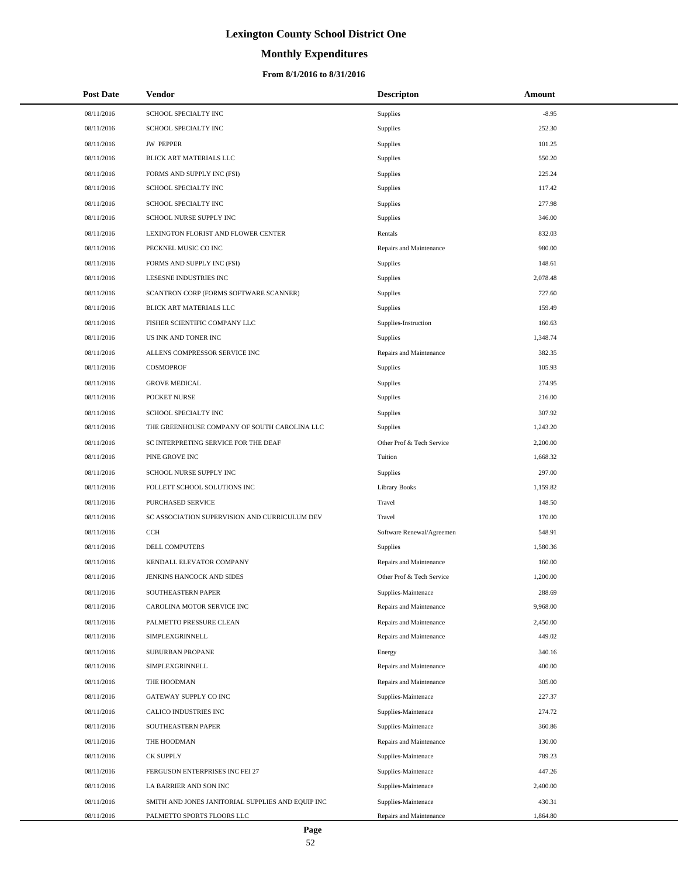# **Monthly Expenditures**

## **From 8/1/2016 to 8/31/2016**

| <b>Post Date</b> | Vendor                                            | <b>Descripton</b>         | Amount   |
|------------------|---------------------------------------------------|---------------------------|----------|
| 08/11/2016       | SCHOOL SPECIALTY INC                              | Supplies                  | $-8.95$  |
| 08/11/2016       | SCHOOL SPECIALTY INC                              | Supplies                  | 252.30   |
| 08/11/2016       | <b>JW PEPPER</b>                                  | Supplies                  | 101.25   |
| 08/11/2016       | BLICK ART MATERIALS LLC                           | Supplies                  | 550.20   |
| 08/11/2016       | FORMS AND SUPPLY INC (FSI)                        | Supplies                  | 225.24   |
| 08/11/2016       | SCHOOL SPECIALTY INC                              | Supplies                  | 117.42   |
| 08/11/2016       | SCHOOL SPECIALTY INC                              | Supplies                  | 277.98   |
| 08/11/2016       | SCHOOL NURSE SUPPLY INC                           | Supplies                  | 346.00   |
| 08/11/2016       | LEXINGTON FLORIST AND FLOWER CENTER               | Rentals                   | 832.03   |
| 08/11/2016       | PECKNEL MUSIC CO INC                              | Repairs and Maintenance   | 980.00   |
| 08/11/2016       | FORMS AND SUPPLY INC (FSI)                        | Supplies                  | 148.61   |
| 08/11/2016       | LESESNE INDUSTRIES INC                            | Supplies                  | 2,078.48 |
| 08/11/2016       | SCANTRON CORP (FORMS SOFTWARE SCANNER)            | Supplies                  | 727.60   |
| 08/11/2016       | BLICK ART MATERIALS LLC                           | Supplies                  | 159.49   |
| 08/11/2016       | FISHER SCIENTIFIC COMPANY LLC                     | Supplies-Instruction      | 160.63   |
| 08/11/2016       | US INK AND TONER INC                              | Supplies                  | 1,348.74 |
| 08/11/2016       | ALLENS COMPRESSOR SERVICE INC                     | Repairs and Maintenance   | 382.35   |
| 08/11/2016       | <b>COSMOPROF</b>                                  | Supplies                  | 105.93   |
| 08/11/2016       | <b>GROVE MEDICAL</b>                              | Supplies                  | 274.95   |
| 08/11/2016       | POCKET NURSE                                      | Supplies                  | 216.00   |
| 08/11/2016       | SCHOOL SPECIALTY INC                              | Supplies                  | 307.92   |
| 08/11/2016       | THE GREENHOUSE COMPANY OF SOUTH CAROLINA LLC      | Supplies                  | 1,243.20 |
| 08/11/2016       | SC INTERPRETING SERVICE FOR THE DEAF              | Other Prof & Tech Service | 2,200.00 |
| 08/11/2016       | PINE GROVE INC                                    | Tuition                   | 1,668.32 |
| 08/11/2016       | SCHOOL NURSE SUPPLY INC                           | Supplies                  | 297.00   |
| 08/11/2016       | FOLLETT SCHOOL SOLUTIONS INC                      | <b>Library Books</b>      | 1,159.82 |
| 08/11/2016       | PURCHASED SERVICE                                 | Travel                    | 148.50   |
| 08/11/2016       | SC ASSOCIATION SUPERVISION AND CURRICULUM DEV     | Travel                    | 170.00   |
| 08/11/2016       | CCH                                               | Software Renewal/Agreemen | 548.91   |
| 08/11/2016       | DELL COMPUTERS                                    | Supplies                  | 1,580.36 |
| 08/11/2016       | KENDALL ELEVATOR COMPANY                          | Repairs and Maintenance   | 160.00   |
| 08/11/2016       | JENKINS HANCOCK AND SIDES                         | Other Prof & Tech Service | 1,200.00 |
| 08/11/2016       | SOUTHEASTERN PAPER                                | Supplies-Maintenace       | 288.69   |
| 08/11/2016       | CAROLINA MOTOR SERVICE INC                        | Repairs and Maintenance   | 9,968.00 |
| 08/11/2016       | PALMETTO PRESSURE CLEAN                           | Repairs and Maintenance   | 2,450.00 |
| 08/11/2016       | SIMPLEXGRINNELL                                   | Repairs and Maintenance   | 449.02   |
| 08/11/2016       | SUBURBAN PROPANE                                  | Energy                    | 340.16   |
| 08/11/2016       | SIMPLEXGRINNELL                                   | Repairs and Maintenance   | 400.00   |
| 08/11/2016       | THE HOODMAN                                       | Repairs and Maintenance   | 305.00   |
| 08/11/2016       | GATEWAY SUPPLY CO INC                             | Supplies-Maintenace       | 227.37   |
| 08/11/2016       | CALICO INDUSTRIES INC                             | Supplies-Maintenace       | 274.72   |
| 08/11/2016       | SOUTHEASTERN PAPER                                | Supplies-Maintenace       | 360.86   |
| 08/11/2016       | THE HOODMAN                                       | Repairs and Maintenance   | 130.00   |
| 08/11/2016       | <b>CK SUPPLY</b>                                  | Supplies-Maintenace       | 789.23   |
| 08/11/2016       | FERGUSON ENTERPRISES INC FEI 27                   | Supplies-Maintenace       | 447.26   |
| 08/11/2016       | LA BARRIER AND SON INC                            | Supplies-Maintenace       | 2,400.00 |
| 08/11/2016       | SMITH AND JONES JANITORIAL SUPPLIES AND EQUIP INC | Supplies-Maintenace       | 430.31   |
| 08/11/2016       | PALMETTO SPORTS FLOORS LLC                        | Repairs and Maintenance   | 1,864.80 |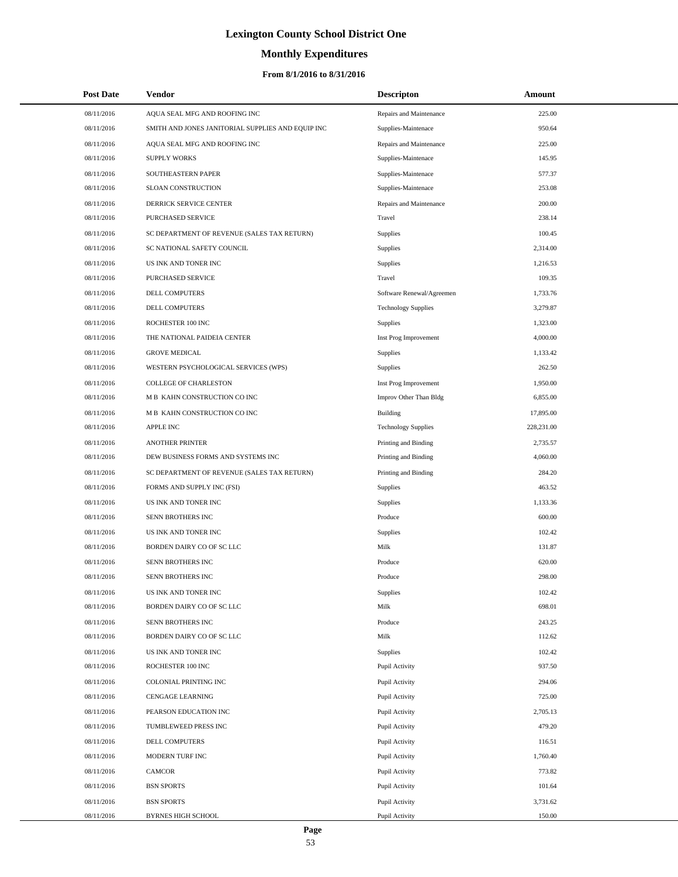# **Monthly Expenditures**

| <b>Post Date</b> | Vendor                                            | <b>Descripton</b>          | Amount     |
|------------------|---------------------------------------------------|----------------------------|------------|
| 08/11/2016       | AQUA SEAL MFG AND ROOFING INC                     | Repairs and Maintenance    | 225.00     |
| 08/11/2016       | SMITH AND JONES JANITORIAL SUPPLIES AND EQUIP INC | Supplies-Maintenace        | 950.64     |
| 08/11/2016       | AQUA SEAL MFG AND ROOFING INC                     | Repairs and Maintenance    | 225.00     |
| 08/11/2016       | <b>SUPPLY WORKS</b>                               | Supplies-Maintenace        | 145.95     |
| 08/11/2016       | SOUTHEASTERN PAPER                                | Supplies-Maintenace        | 577.37     |
| 08/11/2016       | SLOAN CONSTRUCTION                                | Supplies-Maintenace        | 253.08     |
| 08/11/2016       | DERRICK SERVICE CENTER                            | Repairs and Maintenance    | 200.00     |
| 08/11/2016       | PURCHASED SERVICE                                 | Travel                     | 238.14     |
| 08/11/2016       | SC DEPARTMENT OF REVENUE (SALES TAX RETURN)       | <b>Supplies</b>            | 100.45     |
| 08/11/2016       | SC NATIONAL SAFETY COUNCIL                        | <b>Supplies</b>            | 2,314.00   |
| 08/11/2016       | US INK AND TONER INC                              | <b>Supplies</b>            | 1,216.53   |
| 08/11/2016       | PURCHASED SERVICE                                 | Travel                     | 109.35     |
| 08/11/2016       | DELL COMPUTERS                                    | Software Renewal/Agreemen  | 1,733.76   |
| 08/11/2016       | DELL COMPUTERS                                    | <b>Technology Supplies</b> | 3,279.87   |
| 08/11/2016       | ROCHESTER 100 INC                                 | <b>Supplies</b>            | 1,323.00   |
| 08/11/2016       | THE NATIONAL PAIDEIA CENTER                       | Inst Prog Improvement      | 4,000.00   |
| 08/11/2016       | <b>GROVE MEDICAL</b>                              | <b>Supplies</b>            | 1,133.42   |
| 08/11/2016       | WESTERN PSYCHOLOGICAL SERVICES (WPS)              | <b>Supplies</b>            | 262.50     |
| 08/11/2016       | <b>COLLEGE OF CHARLESTON</b>                      | Inst Prog Improvement      | 1,950.00   |
| 08/11/2016       | M B KAHN CONSTRUCTION CO INC                      | Improv Other Than Bldg     | 6,855.00   |
| 08/11/2016       | M B KAHN CONSTRUCTION CO INC                      | Building                   | 17,895.00  |
| 08/11/2016       | APPLE INC                                         | <b>Technology Supplies</b> | 228,231.00 |
| 08/11/2016       | <b>ANOTHER PRINTER</b>                            | Printing and Binding       | 2,735.57   |
| 08/11/2016       | DEW BUSINESS FORMS AND SYSTEMS INC                | Printing and Binding       | 4,060.00   |
| 08/11/2016       | SC DEPARTMENT OF REVENUE (SALES TAX RETURN)       | Printing and Binding       | 284.20     |
| 08/11/2016       | FORMS AND SUPPLY INC (FSI)                        | <b>Supplies</b>            | 463.52     |
| 08/11/2016       | US INK AND TONER INC                              | <b>Supplies</b>            | 1,133.36   |
| 08/11/2016       | SENN BROTHERS INC                                 | Produce                    | 600.00     |
| 08/11/2016       | US INK AND TONER INC                              | <b>Supplies</b>            | 102.42     |
| 08/11/2016       | BORDEN DAIRY CO OF SC LLC                         | Milk                       | 131.87     |
| 08/11/2016       | SENN BROTHERS INC                                 | Produce                    | 620.00     |
| 08/11/2016       | SENN BROTHERS INC                                 | Produce                    | 298.00     |
| 08/11/2016       | US INK AND TONER INC                              | <b>Supplies</b>            | 102.42     |
| 08/11/2016       | BORDEN DAIRY CO OF SC LLC                         | Milk                       | 698.01     |
| 08/11/2016       | SENN BROTHERS INC                                 | Produce                    | 243.25     |
| 08/11/2016       | BORDEN DAIRY CO OF SC LLC                         | Milk                       | 112.62     |
| 08/11/2016       | US INK AND TONER INC                              | Supplies                   | 102.42     |
| 08/11/2016       | ROCHESTER 100 INC                                 | Pupil Activity             | 937.50     |
| 08/11/2016       | COLONIAL PRINTING INC                             | Pupil Activity             | 294.06     |
| 08/11/2016       | <b>CENGAGE LEARNING</b>                           | Pupil Activity             | 725.00     |
| 08/11/2016       | PEARSON EDUCATION INC                             | Pupil Activity             | 2,705.13   |
| 08/11/2016       | TUMBLEWEED PRESS INC                              | Pupil Activity             | 479.20     |
| 08/11/2016       | DELL COMPUTERS                                    | Pupil Activity             | 116.51     |
| 08/11/2016       | MODERN TURF INC                                   | Pupil Activity             | 1,760.40   |
| 08/11/2016       | <b>CAMCOR</b>                                     | Pupil Activity             | 773.82     |
| 08/11/2016       | <b>BSN SPORTS</b>                                 | Pupil Activity             | 101.64     |
| 08/11/2016       | <b>BSN SPORTS</b>                                 | Pupil Activity             | 3,731.62   |
| 08/11/2016       | <b>BYRNES HIGH SCHOOL</b>                         | Pupil Activity             | 150.00     |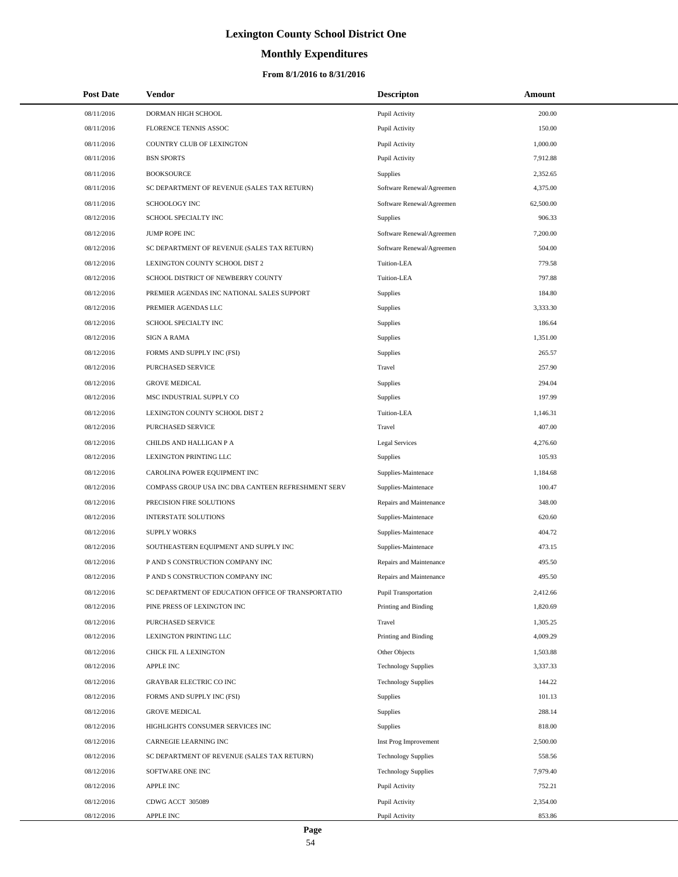# **Monthly Expenditures**

## **From 8/1/2016 to 8/31/2016**

| <b>Post Date</b> | Vendor                                             | <b>Descripton</b>           | Amount    |  |
|------------------|----------------------------------------------------|-----------------------------|-----------|--|
| 08/11/2016       | DORMAN HIGH SCHOOL                                 | Pupil Activity              | 200.00    |  |
| 08/11/2016       | FLORENCE TENNIS ASSOC                              | Pupil Activity              | 150.00    |  |
| 08/11/2016       | COUNTRY CLUB OF LEXINGTON                          | Pupil Activity              | 1,000.00  |  |
| 08/11/2016       | <b>BSN SPORTS</b>                                  | Pupil Activity              | 7.912.88  |  |
| 08/11/2016       | <b>BOOKSOURCE</b>                                  | Supplies                    | 2,352.65  |  |
| 08/11/2016       | SC DEPARTMENT OF REVENUE (SALES TAX RETURN)        | Software Renewal/Agreemen   | 4,375.00  |  |
| 08/11/2016       | <b>SCHOOLOGY INC</b>                               | Software Renewal/Agreemen   | 62,500.00 |  |
| 08/12/2016       | SCHOOL SPECIALTY INC                               | Supplies                    | 906.33    |  |
| 08/12/2016       | JUMP ROPE INC                                      | Software Renewal/Agreemen   | 7,200.00  |  |
| 08/12/2016       | SC DEPARTMENT OF REVENUE (SALES TAX RETURN)        | Software Renewal/Agreemen   | 504.00    |  |
| 08/12/2016       | LEXINGTON COUNTY SCHOOL DIST 2                     | Tuition-LEA                 | 779.58    |  |
| 08/12/2016       | SCHOOL DISTRICT OF NEWBERRY COUNTY                 | Tuition-LEA                 | 797.88    |  |
| 08/12/2016       | PREMIER AGENDAS INC NATIONAL SALES SUPPORT         | <b>Supplies</b>             | 184.80    |  |
| 08/12/2016       | PREMIER AGENDAS LLC                                | Supplies                    | 3,333.30  |  |
| 08/12/2016       | SCHOOL SPECIALTY INC                               | <b>Supplies</b>             | 186.64    |  |
| 08/12/2016       | <b>SIGN A RAMA</b>                                 | <b>Supplies</b>             | 1,351.00  |  |
| 08/12/2016       | FORMS AND SUPPLY INC (FSI)                         | <b>Supplies</b>             | 265.57    |  |
| 08/12/2016       | PURCHASED SERVICE                                  | Travel                      | 257.90    |  |
| 08/12/2016       | <b>GROVE MEDICAL</b>                               | <b>Supplies</b>             | 294.04    |  |
| 08/12/2016       | MSC INDUSTRIAL SUPPLY CO                           | Supplies                    | 197.99    |  |
| 08/12/2016       | LEXINGTON COUNTY SCHOOL DIST 2                     | Tuition-LEA                 | 1,146.31  |  |
| 08/12/2016       | PURCHASED SERVICE                                  | Travel                      | 407.00    |  |
| 08/12/2016       | CHILDS AND HALLIGAN P A                            | Legal Services              | 4,276.60  |  |
| 08/12/2016       | LEXINGTON PRINTING LLC                             | Supplies                    | 105.93    |  |
| 08/12/2016       | CAROLINA POWER EQUIPMENT INC                       | Supplies-Maintenace         | 1,184.68  |  |
| 08/12/2016       | COMPASS GROUP USA INC DBA CANTEEN REFRESHMENT SERV | Supplies-Maintenace         | 100.47    |  |
| 08/12/2016       | PRECISION FIRE SOLUTIONS                           | Repairs and Maintenance     | 348.00    |  |
| 08/12/2016       | <b>INTERSTATE SOLUTIONS</b>                        | Supplies-Maintenace         | 620.60    |  |
| 08/12/2016       | <b>SUPPLY WORKS</b>                                | Supplies-Maintenace         | 404.72    |  |
| 08/12/2016       | SOUTHEASTERN EQUIPMENT AND SUPPLY INC              | Supplies-Maintenace         | 473.15    |  |
| 08/12/2016       | P AND S CONSTRUCTION COMPANY INC                   | Repairs and Maintenance     | 495.50    |  |
| 08/12/2016       | P AND S CONSTRUCTION COMPANY INC                   | Repairs and Maintenance     | 495.50    |  |
| 08/12/2016       | SC DEPARTMENT OF EDUCATION OFFICE OF TRANSPORTATIO | <b>Pupil Transportation</b> | 2,412.66  |  |
| 08/12/2016       | PINE PRESS OF LEXINGTON INC                        | Printing and Binding        | 1,820.69  |  |
| 08/12/2016       | PURCHASED SERVICE                                  | Travel                      | 1,305.25  |  |
| 08/12/2016       | LEXINGTON PRINTING LLC                             | Printing and Binding        | 4,009.29  |  |
| 08/12/2016       | CHICK FIL A LEXINGTON                              | Other Objects               | 1,503.88  |  |
| 08/12/2016       | <b>APPLE INC</b>                                   | <b>Technology Supplies</b>  | 3,337.33  |  |
| 08/12/2016       | GRAYBAR ELECTRIC CO INC                            | <b>Technology Supplies</b>  | 144.22    |  |
| 08/12/2016       | FORMS AND SUPPLY INC (FSI)                         | Supplies                    | 101.13    |  |
| 08/12/2016       | <b>GROVE MEDICAL</b>                               | Supplies                    | 288.14    |  |
| 08/12/2016       | HIGHLIGHTS CONSUMER SERVICES INC                   | Supplies                    | 818.00    |  |
| 08/12/2016       | CARNEGIE LEARNING INC                              | Inst Prog Improvement       | 2,500.00  |  |
| 08/12/2016       | SC DEPARTMENT OF REVENUE (SALES TAX RETURN)        | <b>Technology Supplies</b>  | 558.56    |  |
| 08/12/2016       | SOFTWARE ONE INC                                   | <b>Technology Supplies</b>  | 7,979.40  |  |
| 08/12/2016       | <b>APPLE INC</b>                                   | Pupil Activity              | 752.21    |  |
| 08/12/2016       | CDWG ACCT 305089                                   | Pupil Activity              | 2,354.00  |  |
| 08/12/2016       | <b>APPLE INC</b>                                   | Pupil Activity              | 853.86    |  |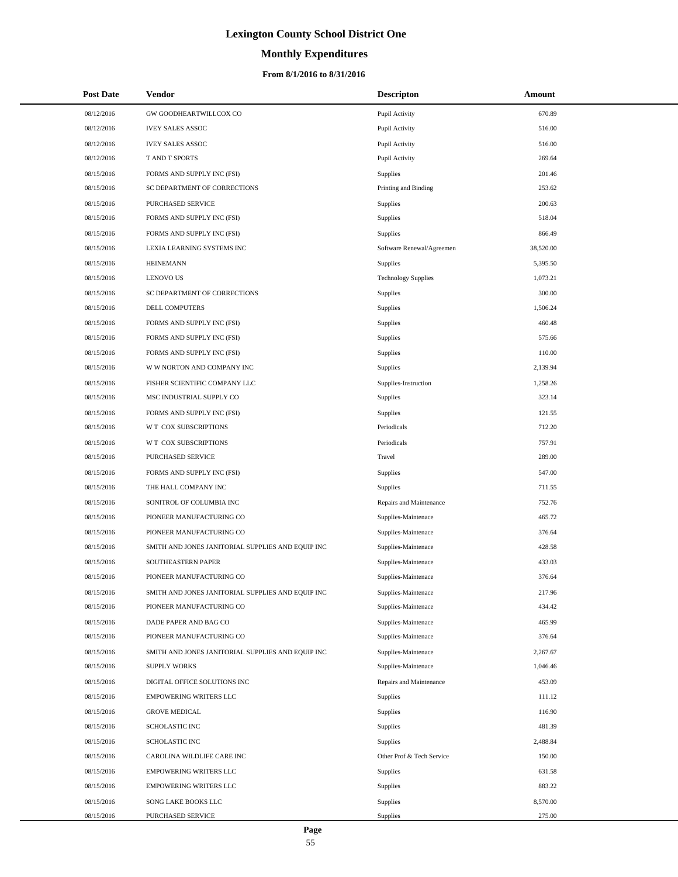# **Monthly Expenditures**

## **From 8/1/2016 to 8/31/2016**

| <b>Post Date</b> | Vendor                                            | <b>Descripton</b>          | Amount    |
|------------------|---------------------------------------------------|----------------------------|-----------|
| 08/12/2016       | GW GOODHEARTWILLCOX CO                            | Pupil Activity             | 670.89    |
| 08/12/2016       | <b>IVEY SALES ASSOC</b>                           | Pupil Activity             | 516.00    |
| 08/12/2016       | <b>IVEY SALES ASSOC</b>                           | Pupil Activity             | 516.00    |
| 08/12/2016       | <b>TAND T SPORTS</b>                              | Pupil Activity             | 269.64    |
| 08/15/2016       | FORMS AND SUPPLY INC (FSI)                        | Supplies                   | 201.46    |
| 08/15/2016       | SC DEPARTMENT OF CORRECTIONS                      | Printing and Binding       | 253.62    |
| 08/15/2016       | PURCHASED SERVICE                                 | Supplies                   | 200.63    |
| 08/15/2016       | FORMS AND SUPPLY INC (FSI)                        | Supplies                   | 518.04    |
| 08/15/2016       | FORMS AND SUPPLY INC (FSI)                        | Supplies                   | 866.49    |
| 08/15/2016       | LEXIA LEARNING SYSTEMS INC                        | Software Renewal/Agreemen  | 38,520.00 |
| 08/15/2016       | <b>HEINEMANN</b>                                  | Supplies                   | 5,395.50  |
| 08/15/2016       | <b>LENOVO US</b>                                  | <b>Technology Supplies</b> | 1,073.21  |
| 08/15/2016       | SC DEPARTMENT OF CORRECTIONS                      | Supplies                   | 300.00    |
| 08/15/2016       | DELL COMPUTERS                                    | Supplies                   | 1,506.24  |
| 08/15/2016       | FORMS AND SUPPLY INC (FSI)                        | Supplies                   | 460.48    |
| 08/15/2016       | FORMS AND SUPPLY INC (FSI)                        | Supplies                   | 575.66    |
| 08/15/2016       | FORMS AND SUPPLY INC (FSI)                        | Supplies                   | 110.00    |
| 08/15/2016       | W W NORTON AND COMPANY INC                        | Supplies                   | 2,139.94  |
| 08/15/2016       | FISHER SCIENTIFIC COMPANY LLC                     | Supplies-Instruction       | 1,258.26  |
| 08/15/2016       | MSC INDUSTRIAL SUPPLY CO                          | Supplies                   | 323.14    |
| 08/15/2016       | FORMS AND SUPPLY INC (FSI)                        | Supplies                   | 121.55    |
| 08/15/2016       | W T COX SUBSCRIPTIONS                             | Periodicals                | 712.20    |
| 08/15/2016       | W T COX SUBSCRIPTIONS                             | Periodicals                | 757.91    |
| 08/15/2016       | PURCHASED SERVICE                                 | Travel                     | 289.00    |
| 08/15/2016       | FORMS AND SUPPLY INC (FSI)                        | Supplies                   | 547.00    |
| 08/15/2016       | THE HALL COMPANY INC                              | Supplies                   | 711.55    |
| 08/15/2016       | SONITROL OF COLUMBIA INC                          | Repairs and Maintenance    | 752.76    |
| 08/15/2016       | PIONEER MANUFACTURING CO                          | Supplies-Maintenace        | 465.72    |
| 08/15/2016       | PIONEER MANUFACTURING CO                          | Supplies-Maintenace        | 376.64    |
| 08/15/2016       | SMITH AND JONES JANITORIAL SUPPLIES AND EQUIP INC | Supplies-Maintenace        | 428.58    |
| 08/15/2016       | SOUTHEASTERN PAPER                                | Supplies-Maintenace        | 433.03    |
| 08/15/2016       | PIONEER MANUFACTURING CO                          | Supplies-Maintenace        | 376.64    |
| 08/15/2016       | SMITH AND JONES JANITORIAL SUPPLIES AND EQUIP INC | Supplies-Maintenace        | 217.96    |
| 08/15/2016       | PIONEER MANUFACTURING CO                          | Supplies-Maintenace        | 434.42    |
| 08/15/2016       | DADE PAPER AND BAG CO                             | Supplies-Maintenace        | 465.99    |
| 08/15/2016       | PIONEER MANUFACTURING CO                          | Supplies-Maintenace        | 376.64    |
| 08/15/2016       | SMITH AND JONES JANITORIAL SUPPLIES AND EQUIP INC | Supplies-Maintenace        | 2,267.67  |
| 08/15/2016       | <b>SUPPLY WORKS</b>                               | Supplies-Maintenace        | 1,046.46  |
| 08/15/2016       | DIGITAL OFFICE SOLUTIONS INC                      | Repairs and Maintenance    | 453.09    |
| 08/15/2016       | <b>EMPOWERING WRITERS LLC</b>                     | Supplies                   | 111.12    |
| 08/15/2016       | <b>GROVE MEDICAL</b>                              | Supplies                   | 116.90    |
| 08/15/2016       | SCHOLASTIC INC                                    | Supplies                   | 481.39    |
| 08/15/2016       | SCHOLASTIC INC                                    | Supplies                   | 2,488.84  |
| 08/15/2016       | CAROLINA WILDLIFE CARE INC                        | Other Prof & Tech Service  | 150.00    |
| 08/15/2016       | <b>EMPOWERING WRITERS LLC</b>                     | Supplies                   | 631.58    |
| 08/15/2016       | <b>EMPOWERING WRITERS LLC</b>                     | Supplies                   | 883.22    |
| 08/15/2016       | SONG LAKE BOOKS LLC                               | Supplies                   | 8,570.00  |
| 08/15/2016       | PURCHASED SERVICE                                 | Supplies                   | 275.00    |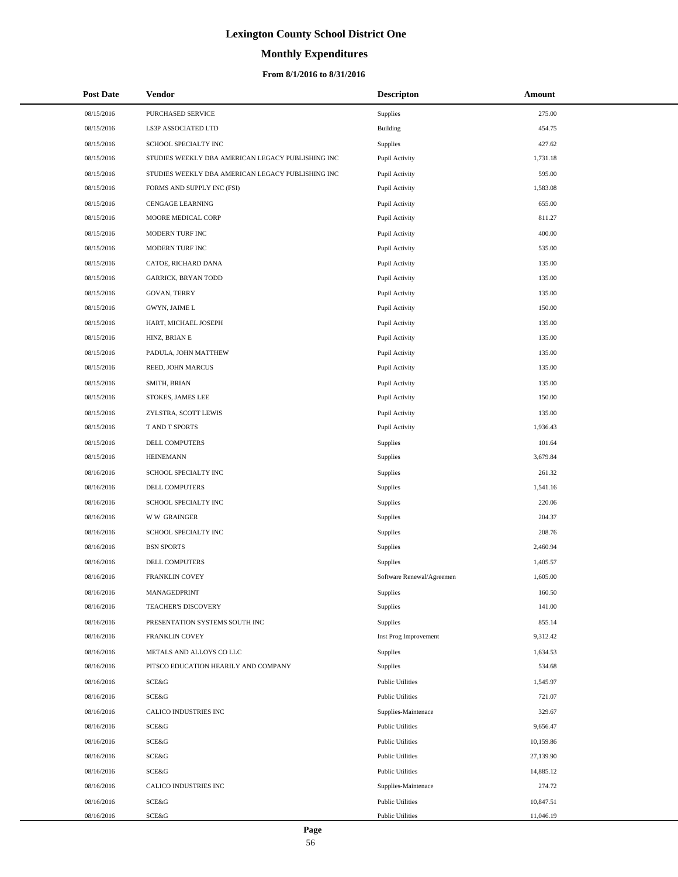# **Monthly Expenditures**

## **From 8/1/2016 to 8/31/2016**

| <b>Post Date</b> | Vendor                                            | <b>Descripton</b>         | Amount    |
|------------------|---------------------------------------------------|---------------------------|-----------|
| 08/15/2016       | PURCHASED SERVICE                                 | <b>Supplies</b>           | 275.00    |
| 08/15/2016       | LS3P ASSOCIATED LTD                               | Building                  | 454.75    |
| 08/15/2016       | SCHOOL SPECIALTY INC                              | <b>Supplies</b>           | 427.62    |
| 08/15/2016       | STUDIES WEEKLY DBA AMERICAN LEGACY PUBLISHING INC | Pupil Activity            | 1,731.18  |
| 08/15/2016       | STUDIES WEEKLY DBA AMERICAN LEGACY PUBLISHING INC | Pupil Activity            | 595.00    |
| 08/15/2016       | FORMS AND SUPPLY INC (FSI)                        | Pupil Activity            | 1,583.08  |
| 08/15/2016       | CENGAGE LEARNING                                  | Pupil Activity            | 655.00    |
| 08/15/2016       | MOORE MEDICAL CORP                                | Pupil Activity            | 811.27    |
| 08/15/2016       | MODERN TURF INC                                   | Pupil Activity            | 400.00    |
| 08/15/2016       | MODERN TURF INC                                   | Pupil Activity            | 535.00    |
| 08/15/2016       | CATOE, RICHARD DANA                               | Pupil Activity            | 135.00    |
| 08/15/2016       | <b>GARRICK, BRYAN TODD</b>                        | Pupil Activity            | 135.00    |
| 08/15/2016       | GOVAN, TERRY                                      | Pupil Activity            | 135.00    |
| 08/15/2016       | GWYN, JAIME L                                     | Pupil Activity            | 150.00    |
| 08/15/2016       | HART, MICHAEL JOSEPH                              | Pupil Activity            | 135.00    |
| 08/15/2016       | HINZ, BRIAN E                                     | Pupil Activity            | 135.00    |
| 08/15/2016       | PADULA, JOHN MATTHEW                              | Pupil Activity            | 135.00    |
| 08/15/2016       | REED, JOHN MARCUS                                 | Pupil Activity            | 135.00    |
| 08/15/2016       | SMITH, BRIAN                                      | Pupil Activity            | 135.00    |
| 08/15/2016       | STOKES, JAMES LEE                                 | Pupil Activity            | 150.00    |
| 08/15/2016       | ZYLSTRA, SCOTT LEWIS                              | Pupil Activity            | 135.00    |
| 08/15/2016       | T AND T SPORTS                                    | Pupil Activity            | 1,936.43  |
| 08/15/2016       | DELL COMPUTERS                                    | <b>Supplies</b>           | 101.64    |
| 08/15/2016       | HEINEMANN                                         | Supplies                  | 3,679.84  |
| 08/16/2016       | SCHOOL SPECIALTY INC                              | <b>Supplies</b>           | 261.32    |
| 08/16/2016       | DELL COMPUTERS                                    | Supplies                  | 1,541.16  |
| 08/16/2016       | SCHOOL SPECIALTY INC                              | Supplies                  | 220.06    |
| 08/16/2016       | <b>WW GRAINGER</b>                                | Supplies                  | 204.37    |
| 08/16/2016       | SCHOOL SPECIALTY INC                              | Supplies                  | 208.76    |
| 08/16/2016       | <b>BSN SPORTS</b>                                 | Supplies                  | 2,460.94  |
| 08/16/2016       | <b>DELL COMPUTERS</b>                             | Supplies                  | 1,405.57  |
| 08/16/2016       | <b>FRANKLIN COVEY</b>                             | Software Renewal/Agreemen | 1,605.00  |
| 08/16/2016       | MANAGEDPRINT                                      | Supplies                  | 160.50    |
| 08/16/2016       | <b>TEACHER'S DISCOVERY</b>                        | Supplies                  | 141.00    |
| 08/16/2016       | PRESENTATION SYSTEMS SOUTH INC                    | Supplies                  | 855.14    |
| 08/16/2016       | <b>FRANKLIN COVEY</b>                             | Inst Prog Improvement     | 9,312.42  |
| 08/16/2016       | METALS AND ALLOYS CO LLC                          | Supplies                  | 1,634.53  |
| 08/16/2016       | PITSCO EDUCATION HEARILY AND COMPANY              | Supplies                  | 534.68    |
| 08/16/2016       | SCE&G                                             | <b>Public Utilities</b>   | 1,545.97  |
| 08/16/2016       | SCE&G                                             | <b>Public Utilities</b>   | 721.07    |
| 08/16/2016       | CALICO INDUSTRIES INC                             | Supplies-Maintenace       | 329.67    |
| 08/16/2016       | SCE&G                                             | <b>Public Utilities</b>   | 9,656.47  |
| 08/16/2016       | SCE&G                                             | <b>Public Utilities</b>   | 10,159.86 |
| 08/16/2016       | SCE&G                                             | <b>Public Utilities</b>   | 27,139.90 |
| 08/16/2016       | SCE&G                                             | <b>Public Utilities</b>   | 14,885.12 |
| 08/16/2016       | CALICO INDUSTRIES INC                             | Supplies-Maintenace       | 274.72    |
| 08/16/2016       | SCE&G                                             | <b>Public Utilities</b>   | 10,847.51 |
| 08/16/2016       | SCE&G                                             | <b>Public Utilities</b>   | 11,046.19 |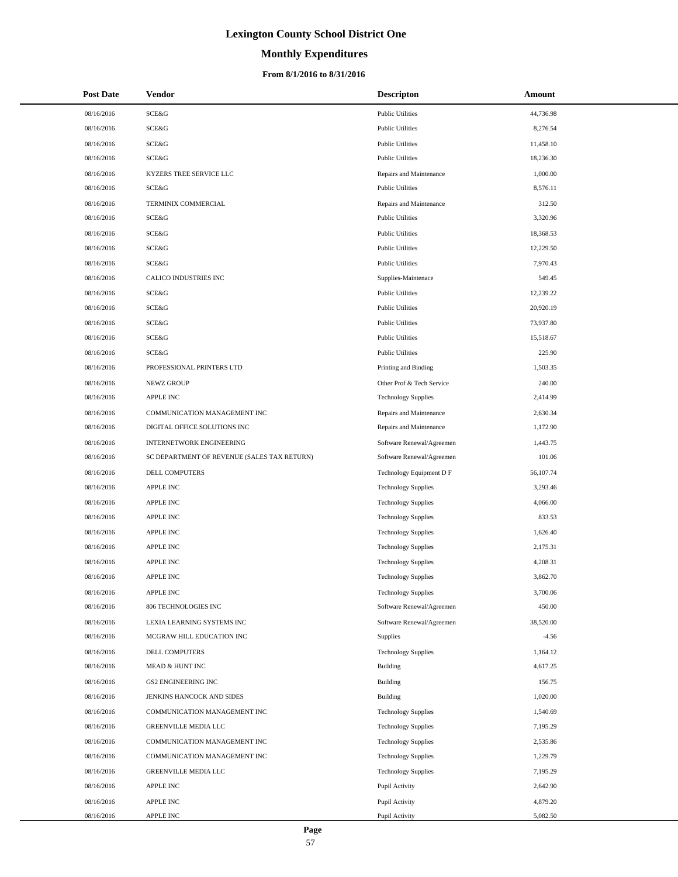# **Monthly Expenditures**

## **From 8/1/2016 to 8/31/2016**

| <b>Post Date</b> | Vendor                                      | <b>Descripton</b>          | Amount    |
|------------------|---------------------------------------------|----------------------------|-----------|
| 08/16/2016       | SCE&G                                       | <b>Public Utilities</b>    | 44,736.98 |
| 08/16/2016       | <b>SCE&amp;G</b>                            | <b>Public Utilities</b>    | 8,276.54  |
| 08/16/2016       | SCE&G                                       | <b>Public Utilities</b>    | 11,458.10 |
| 08/16/2016       | SCE&G                                       | <b>Public Utilities</b>    | 18,236.30 |
| 08/16/2016       | KYZERS TREE SERVICE LLC                     | Repairs and Maintenance    | 1,000.00  |
| 08/16/2016       | SCE&G                                       | <b>Public Utilities</b>    | 8,576.11  |
| 08/16/2016       | TERMINIX COMMERCIAL                         | Repairs and Maintenance    | 312.50    |
| 08/16/2016       | SCE&G                                       | <b>Public Utilities</b>    | 3,320.96  |
| 08/16/2016       | <b>SCE&amp;G</b>                            | <b>Public Utilities</b>    | 18,368.53 |
| 08/16/2016       | SCE&G                                       | <b>Public Utilities</b>    | 12,229.50 |
| 08/16/2016       | <b>SCE&amp;G</b>                            | <b>Public Utilities</b>    | 7,970.43  |
| 08/16/2016       | CALICO INDUSTRIES INC                       | Supplies-Maintenace        | 549.45    |
| 08/16/2016       | SCE&G                                       | <b>Public Utilities</b>    | 12,239.22 |
| 08/16/2016       | SCE&G                                       | <b>Public Utilities</b>    | 20,920.19 |
| 08/16/2016       | SCE&G                                       | <b>Public Utilities</b>    | 73,937.80 |
| 08/16/2016       | SCE&G                                       | <b>Public Utilities</b>    | 15,518.67 |
| 08/16/2016       | SCE&G                                       | <b>Public Utilities</b>    | 225.90    |
| 08/16/2016       | PROFESSIONAL PRINTERS LTD                   | Printing and Binding       | 1,503.35  |
| 08/16/2016       | <b>NEWZ GROUP</b>                           | Other Prof & Tech Service  | 240.00    |
| 08/16/2016       | <b>APPLE INC</b>                            | <b>Technology Supplies</b> | 2,414.99  |
| 08/16/2016       | COMMUNICATION MANAGEMENT INC                | Repairs and Maintenance    | 2,630.34  |
| 08/16/2016       | DIGITAL OFFICE SOLUTIONS INC                | Repairs and Maintenance    | 1,172.90  |
| 08/16/2016       | <b>INTERNETWORK ENGINEERING</b>             | Software Renewal/Agreemen  | 1,443.75  |
| 08/16/2016       | SC DEPARTMENT OF REVENUE (SALES TAX RETURN) | Software Renewal/Agreemen  | 101.06    |
| 08/16/2016       | DELL COMPUTERS                              | Technology Equipment D F   | 56,107.74 |
| 08/16/2016       | <b>APPLE INC</b>                            | <b>Technology Supplies</b> | 3,293.46  |
| 08/16/2016       | <b>APPLE INC</b>                            | <b>Technology Supplies</b> | 4,066.00  |
| 08/16/2016       | <b>APPLE INC</b>                            | <b>Technology Supplies</b> | 833.53    |
| 08/16/2016       | <b>APPLE INC</b>                            | <b>Technology Supplies</b> | 1,626.40  |
| 08/16/2016       | <b>APPLE INC</b>                            | <b>Technology Supplies</b> | 2,175.31  |
| 08/16/2016       | <b>APPLE INC</b>                            | <b>Technology Supplies</b> | 4,208.31  |
| 08/16/2016       | <b>APPLE INC</b>                            | <b>Technology Supplies</b> | 3,862.70  |
| 08/16/2016       | <b>APPLE INC</b>                            | <b>Technology Supplies</b> | 3,700.06  |
| 08/16/2016       | 806 TECHNOLOGIES INC                        | Software Renewal/Agreemen  | 450.00    |
| 08/16/2016       | LEXIA LEARNING SYSTEMS INC                  | Software Renewal/Agreemen  | 38,520.00 |
| 08/16/2016       | MCGRAW HILL EDUCATION INC                   | <b>Supplies</b>            | $-4.56$   |
| 08/16/2016       | DELL COMPUTERS                              | <b>Technology Supplies</b> | 1,164.12  |
| 08/16/2016       | MEAD & HUNT INC                             | Building                   | 4,617.25  |
| 08/16/2016       | <b>GS2 ENGINEERING INC</b>                  | Building                   | 156.75    |
| 08/16/2016       | JENKINS HANCOCK AND SIDES                   | <b>Building</b>            | 1,020.00  |
| 08/16/2016       | COMMUNICATION MANAGEMENT INC                | <b>Technology Supplies</b> | 1,540.69  |
| 08/16/2016       | GREENVILLE MEDIA LLC                        | <b>Technology Supplies</b> | 7,195.29  |
| 08/16/2016       | COMMUNICATION MANAGEMENT INC                | <b>Technology Supplies</b> | 2,535.86  |
| 08/16/2016       | COMMUNICATION MANAGEMENT INC                | <b>Technology Supplies</b> | 1,229.79  |
| 08/16/2016       | GREENVILLE MEDIA LLC                        | <b>Technology Supplies</b> | 7,195.29  |
| 08/16/2016       | <b>APPLE INC</b>                            | Pupil Activity             | 2,642.90  |
| 08/16/2016       | <b>APPLE INC</b>                            | Pupil Activity             | 4,879.20  |
| 08/16/2016       | <b>APPLE INC</b>                            | Pupil Activity             | 5,082.50  |

 $\overline{\phantom{a}}$  $\overline{a}$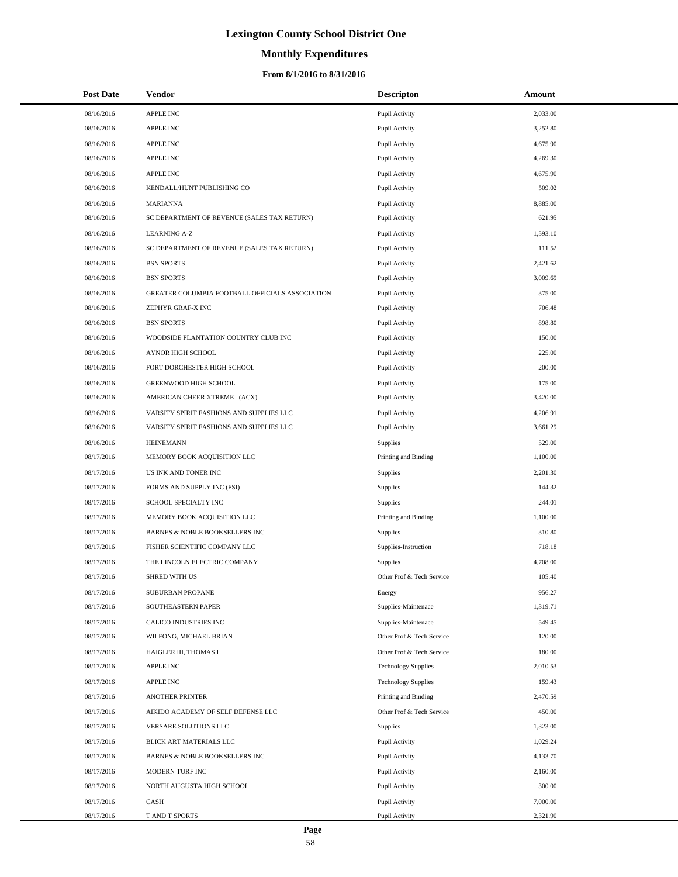# **Monthly Expenditures**

## **From 8/1/2016 to 8/31/2016**

| <b>Post Date</b> | Vendor                                          | <b>Descripton</b>          | Amount   |
|------------------|-------------------------------------------------|----------------------------|----------|
| 08/16/2016       | APPLE INC                                       | Pupil Activity             | 2,033.00 |
| 08/16/2016       | APPLE INC                                       | Pupil Activity             | 3,252.80 |
| 08/16/2016       | APPLE INC                                       | Pupil Activity             | 4,675.90 |
| 08/16/2016       | <b>APPLE INC</b>                                | Pupil Activity             | 4,269.30 |
| 08/16/2016       | APPLE INC                                       | Pupil Activity             | 4,675.90 |
| 08/16/2016       | KENDALL/HUNT PUBLISHING CO                      | Pupil Activity             | 509.02   |
| 08/16/2016       | <b>MARIANNA</b>                                 | Pupil Activity             | 8,885.00 |
| 08/16/2016       | SC DEPARTMENT OF REVENUE (SALES TAX RETURN)     | Pupil Activity             | 621.95   |
| 08/16/2016       | <b>LEARNING A-Z</b>                             | Pupil Activity             | 1,593.10 |
| 08/16/2016       | SC DEPARTMENT OF REVENUE (SALES TAX RETURN)     | Pupil Activity             | 111.52   |
| 08/16/2016       | <b>BSN SPORTS</b>                               | Pupil Activity             | 2,421.62 |
| 08/16/2016       | <b>BSN SPORTS</b>                               | Pupil Activity             | 3,009.69 |
| 08/16/2016       | GREATER COLUMBIA FOOTBALL OFFICIALS ASSOCIATION | Pupil Activity             | 375.00   |
| 08/16/2016       | ZEPHYR GRAF-X INC                               | Pupil Activity             | 706.48   |
| 08/16/2016       | <b>BSN SPORTS</b>                               | Pupil Activity             | 898.80   |
| 08/16/2016       | WOODSIDE PLANTATION COUNTRY CLUB INC            | Pupil Activity             | 150.00   |
| 08/16/2016       | AYNOR HIGH SCHOOL                               | Pupil Activity             | 225.00   |
| 08/16/2016       | FORT DORCHESTER HIGH SCHOOL                     | Pupil Activity             | 200.00   |
| 08/16/2016       | GREENWOOD HIGH SCHOOL                           | Pupil Activity             | 175.00   |
| 08/16/2016       | AMERICAN CHEER XTREME (ACX)                     | Pupil Activity             | 3,420.00 |
| 08/16/2016       | VARSITY SPIRIT FASHIONS AND SUPPLIES LLC        | Pupil Activity             | 4,206.91 |
| 08/16/2016       | VARSITY SPIRIT FASHIONS AND SUPPLIES LLC        | Pupil Activity             | 3,661.29 |
| 08/16/2016       | <b>HEINEMANN</b>                                | <b>Supplies</b>            | 529.00   |
| 08/17/2016       | MEMORY BOOK ACQUISITION LLC                     | Printing and Binding       | 1,100.00 |
| 08/17/2016       | US INK AND TONER INC                            | Supplies                   | 2,201.30 |
| 08/17/2016       | FORMS AND SUPPLY INC (FSI)                      | Supplies                   | 144.32   |
| 08/17/2016       | SCHOOL SPECIALTY INC                            | Supplies                   | 244.01   |
| 08/17/2016       | MEMORY BOOK ACQUISITION LLC                     | Printing and Binding       | 1,100.00 |
| 08/17/2016       | BARNES & NOBLE BOOKSELLERS INC                  | <b>Supplies</b>            | 310.80   |
| 08/17/2016       | FISHER SCIENTIFIC COMPANY LLC                   | Supplies-Instruction       | 718.18   |
| 08/17/2016       | THE LINCOLN ELECTRIC COMPANY                    | Supplies                   | 4,708.00 |
| 08/17/2016       | <b>SHRED WITH US</b>                            | Other Prof & Tech Service  | 105.40   |
| 08/17/2016       | SUBURBAN PROPANE                                | Energy                     | 956.27   |
| 08/17/2016       | SOUTHEASTERN PAPER                              | Supplies-Maintenace        | 1,319.71 |
| 08/17/2016       | CALICO INDUSTRIES INC                           | Supplies-Maintenace        | 549.45   |
| 08/17/2016       | WILFONG, MICHAEL BRIAN                          | Other Prof & Tech Service  | 120.00   |
| 08/17/2016       | HAIGLER III, THOMAS I                           | Other Prof & Tech Service  | 180.00   |
| 08/17/2016       | APPLE INC                                       | <b>Technology Supplies</b> | 2,010.53 |
| 08/17/2016       | <b>APPLE INC</b>                                | <b>Technology Supplies</b> | 159.43   |
| 08/17/2016       | <b>ANOTHER PRINTER</b>                          | Printing and Binding       | 2,470.59 |
| 08/17/2016       | AIKIDO ACADEMY OF SELF DEFENSE LLC              | Other Prof & Tech Service  | 450.00   |
| 08/17/2016       | VERSARE SOLUTIONS LLC                           | Supplies                   | 1,323.00 |
| 08/17/2016       | BLICK ART MATERIALS LLC                         | Pupil Activity             | 1,029.24 |
| 08/17/2016       | BARNES & NOBLE BOOKSELLERS INC                  | Pupil Activity             | 4,133.70 |
| 08/17/2016       | MODERN TURF INC                                 | Pupil Activity             | 2,160.00 |
| 08/17/2016       | NORTH AUGUSTA HIGH SCHOOL                       | Pupil Activity             | 300.00   |
| 08/17/2016       | CASH                                            | Pupil Activity             | 7,000.00 |
| 08/17/2016       | T AND T SPORTS                                  | Pupil Activity             | 2,321.90 |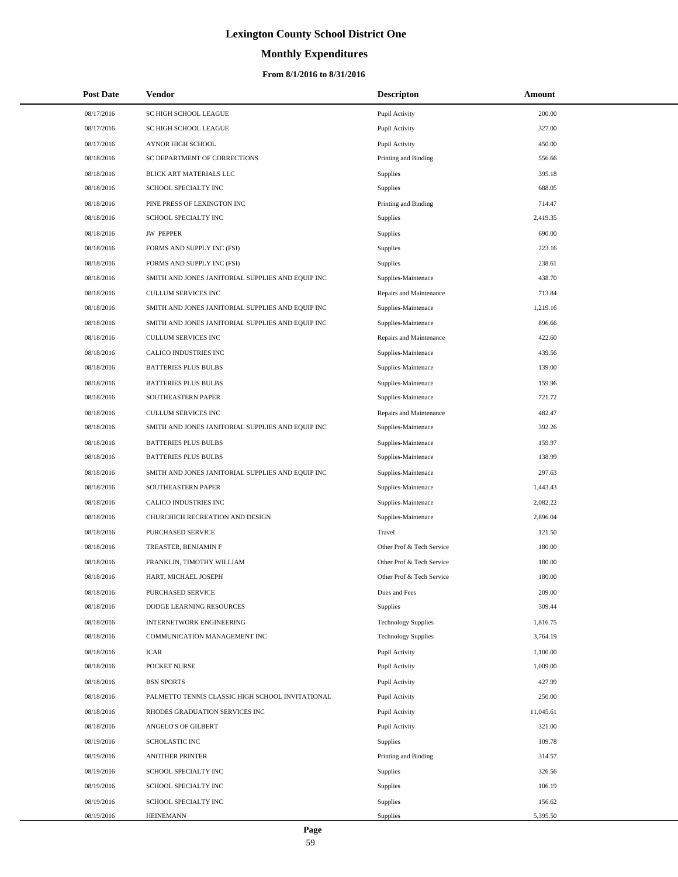# **Monthly Expenditures**

| <b>Post Date</b> | Vendor                                            | <b>Descripton</b>          | Amount    |
|------------------|---------------------------------------------------|----------------------------|-----------|
| 08/17/2016       | SC HIGH SCHOOL LEAGUE                             | Pupil Activity             | 200.00    |
| 08/17/2016       | SC HIGH SCHOOL LEAGUE                             | Pupil Activity             | 327.00    |
| 08/17/2016       | AYNOR HIGH SCHOOL                                 | Pupil Activity             | 450.00    |
| 08/18/2016       | SC DEPARTMENT OF CORRECTIONS                      | Printing and Binding       | 556.66    |
| 08/18/2016       | BLICK ART MATERIALS LLC                           | Supplies                   | 395.18    |
| 08/18/2016       | SCHOOL SPECIALTY INC                              | Supplies                   | 688.05    |
| 08/18/2016       | PINE PRESS OF LEXINGTON INC                       | Printing and Binding       | 714.47    |
| 08/18/2016       | SCHOOL SPECIALTY INC                              | Supplies                   | 2,419.35  |
| 08/18/2016       | <b>JW PEPPER</b>                                  | Supplies                   | 690.00    |
| 08/18/2016       | FORMS AND SUPPLY INC (FSI)                        | Supplies                   | 223.16    |
| 08/18/2016       | FORMS AND SUPPLY INC (FSI)                        | Supplies                   | 238.61    |
| 08/18/2016       | SMITH AND JONES JANITORIAL SUPPLIES AND EQUIP INC | Supplies-Maintenace        | 438.70    |
| 08/18/2016       | CULLUM SERVICES INC                               | Repairs and Maintenance    | 713.84    |
| 08/18/2016       | SMITH AND JONES JANITORIAL SUPPLIES AND EQUIP INC | Supplies-Maintenace        | 1,219.16  |
| 08/18/2016       | SMITH AND JONES JANITORIAL SUPPLIES AND EQUIP INC | Supplies-Maintenace        | 896.66    |
| 08/18/2016       | <b>CULLUM SERVICES INC</b>                        | Repairs and Maintenance    | 422.60    |
| 08/18/2016       | CALICO INDUSTRIES INC                             | Supplies-Maintenace        | 439.56    |
| 08/18/2016       | <b>BATTERIES PLUS BULBS</b>                       | Supplies-Maintenace        | 139.00    |
| 08/18/2016       | <b>BATTERIES PLUS BULBS</b>                       | Supplies-Maintenace        | 159.96    |
| 08/18/2016       | SOUTHEASTERN PAPER                                | Supplies-Maintenace        | 721.72    |
| 08/18/2016       | CULLUM SERVICES INC                               | Repairs and Maintenance    | 482.47    |
| 08/18/2016       | SMITH AND JONES JANITORIAL SUPPLIES AND EQUIP INC | Supplies-Maintenace        | 392.26    |
| 08/18/2016       | <b>BATTERIES PLUS BULBS</b>                       | Supplies-Maintenace        | 159.97    |
| 08/18/2016       | <b>BATTERIES PLUS BULBS</b>                       | Supplies-Maintenace        | 138.99    |
| 08/18/2016       | SMITH AND JONES JANITORIAL SUPPLIES AND EQUIP INC | Supplies-Maintenace        | 297.63    |
| 08/18/2016       | SOUTHEASTERN PAPER                                | Supplies-Maintenace        | 1,443.43  |
| 08/18/2016       | CALICO INDUSTRIES INC                             | Supplies-Maintenace        | 2,082.22  |
| 08/18/2016       | CHURCHICH RECREATION AND DESIGN                   | Supplies-Maintenace        | 2,896.04  |
| 08/18/2016       | PURCHASED SERVICE                                 | Travel                     | 121.50    |
| 08/18/2016       | TREASTER, BENJAMIN F                              | Other Prof & Tech Service  | 180.00    |
| 08/18/2016       | FRANKLIN, TIMOTHY WILLIAM                         | Other Prof & Tech Service  | 180.00    |
| 08/18/2016       | HART, MICHAEL JOSEPH                              | Other Prof & Tech Service  | 180.00    |
| 08/18/2016       | PURCHASED SERVICE                                 | Dues and Fees              | 209.00    |
| 08/18/2016       | DODGE LEARNING RESOURCES                          | Supplies                   | 309.44    |
| 08/18/2016       | INTERNETWORK ENGINEERING                          | <b>Technology Supplies</b> | 1,816.75  |
| 08/18/2016       | COMMUNICATION MANAGEMENT INC                      | <b>Technology Supplies</b> | 3,764.19  |
| 08/18/2016       | ICAR                                              | Pupil Activity             | 1,100.00  |
| 08/18/2016       | POCKET NURSE                                      | Pupil Activity             | 1,009.00  |
| 08/18/2016       | <b>BSN SPORTS</b>                                 | Pupil Activity             | 427.99    |
| 08/18/2016       | PALMETTO TENNIS CLASSIC HIGH SCHOOL INVITATIONAL  | Pupil Activity             | 250.00    |
| 08/18/2016       | RHODES GRADUATION SERVICES INC                    | Pupil Activity             | 11,045.61 |
| 08/18/2016       | ANGELO'S OF GILBERT                               | Pupil Activity             | 321.00    |
| 08/19/2016       | <b>SCHOLASTIC INC</b>                             | Supplies                   | 109.78    |
| 08/19/2016       | <b>ANOTHER PRINTER</b>                            | Printing and Binding       | 314.57    |
| 08/19/2016       | SCHOOL SPECIALTY INC                              | Supplies                   | 326.56    |
| 08/19/2016       | SCHOOL SPECIALTY INC                              | Supplies                   | 106.19    |
| 08/19/2016       | SCHOOL SPECIALTY INC                              | Supplies                   | 156.62    |
| 08/19/2016       | HEINEMANN                                         | Supplies                   | 5,395.50  |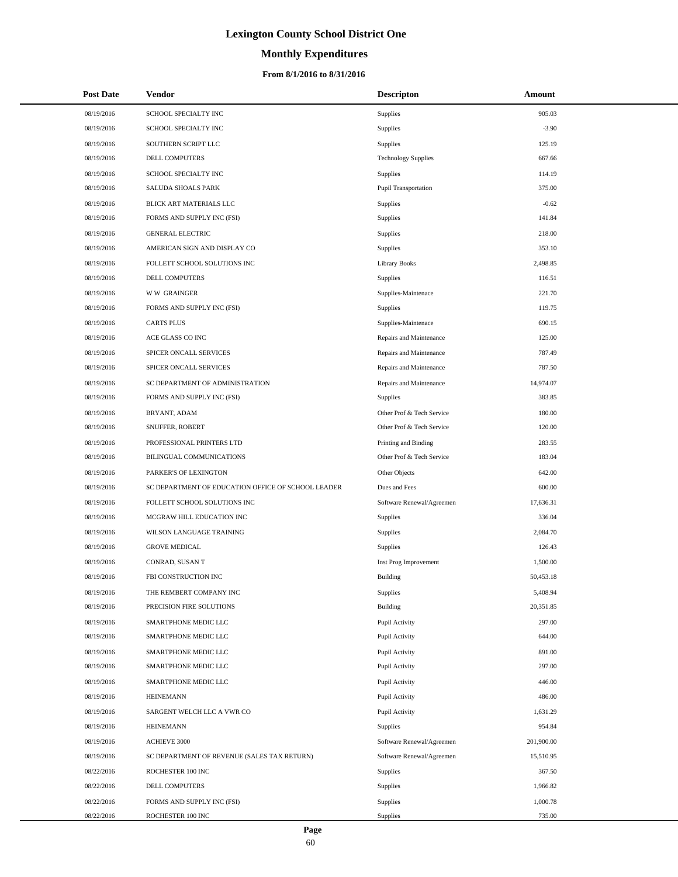# **Monthly Expenditures**

## **From 8/1/2016 to 8/31/2016**

| <b>Post Date</b> | Vendor                                             | <b>Descripton</b>          | Amount     |
|------------------|----------------------------------------------------|----------------------------|------------|
| 08/19/2016       | SCHOOL SPECIALTY INC                               | Supplies                   | 905.03     |
| 08/19/2016       | SCHOOL SPECIALTY INC                               | Supplies                   | $-3.90$    |
| 08/19/2016       | SOUTHERN SCRIPT LLC                                | Supplies                   | 125.19     |
| 08/19/2016       | DELL COMPUTERS                                     | <b>Technology Supplies</b> | 667.66     |
| 08/19/2016       | SCHOOL SPECIALTY INC                               | <b>Supplies</b>            | 114.19     |
| 08/19/2016       | SALUDA SHOALS PARK                                 | Pupil Transportation       | 375.00     |
| 08/19/2016       | BLICK ART MATERIALS LLC                            | Supplies                   | $-0.62$    |
| 08/19/2016       | FORMS AND SUPPLY INC (FSI)                         | Supplies                   | 141.84     |
| 08/19/2016       | <b>GENERAL ELECTRIC</b>                            | <b>Supplies</b>            | 218.00     |
| 08/19/2016       | AMERICAN SIGN AND DISPLAY CO                       | Supplies                   | 353.10     |
| 08/19/2016       | FOLLETT SCHOOL SOLUTIONS INC                       | <b>Library Books</b>       | 2,498.85   |
| 08/19/2016       | DELL COMPUTERS                                     | Supplies                   | 116.51     |
| 08/19/2016       | <b>WW GRAINGER</b>                                 | Supplies-Maintenace        | 221.70     |
| 08/19/2016       | FORMS AND SUPPLY INC (FSI)                         | Supplies                   | 119.75     |
| 08/19/2016       | <b>CARTS PLUS</b>                                  | Supplies-Maintenace        | 690.15     |
| 08/19/2016       | ACE GLASS CO INC                                   | Repairs and Maintenance    | 125.00     |
| 08/19/2016       | SPICER ONCALL SERVICES                             | Repairs and Maintenance    | 787.49     |
| 08/19/2016       | SPICER ONCALL SERVICES                             | Repairs and Maintenance    | 787.50     |
| 08/19/2016       | SC DEPARTMENT OF ADMINISTRATION                    | Repairs and Maintenance    | 14,974.07  |
| 08/19/2016       | FORMS AND SUPPLY INC (FSI)                         | Supplies                   | 383.85     |
| 08/19/2016       | BRYANT, ADAM                                       | Other Prof & Tech Service  | 180.00     |
| 08/19/2016       | SNUFFER, ROBERT                                    | Other Prof & Tech Service  | 120.00     |
| 08/19/2016       | PROFESSIONAL PRINTERS LTD                          | Printing and Binding       | 283.55     |
| 08/19/2016       | BILINGUAL COMMUNICATIONS                           | Other Prof & Tech Service  | 183.04     |
| 08/19/2016       | PARKER'S OF LEXINGTON                              | Other Objects              | 642.00     |
| 08/19/2016       | SC DEPARTMENT OF EDUCATION OFFICE OF SCHOOL LEADER | Dues and Fees              | 600.00     |
| 08/19/2016       | FOLLETT SCHOOL SOLUTIONS INC                       | Software Renewal/Agreemen  | 17,636.31  |
| 08/19/2016       | MCGRAW HILL EDUCATION INC                          | Supplies                   | 336.04     |
| 08/19/2016       | WILSON LANGUAGE TRAINING                           | Supplies                   | 2,084.70   |
| 08/19/2016       | <b>GROVE MEDICAL</b>                               | Supplies                   | 126.43     |
| 08/19/2016       | CONRAD, SUSAN T                                    | Inst Prog Improvement      | 1,500.00   |
| 08/19/2016       | FBI CONSTRUCTION INC                               | Building                   | 50.453.18  |
| 08/19/2016       | THE REMBERT COMPANY INC                            | Supplies                   | 5,408.94   |
| 08/19/2016       | PRECISION FIRE SOLUTIONS                           | Building                   | 20,351.85  |
| 08/19/2016       | SMARTPHONE MEDIC LLC                               | Pupil Activity             | 297.00     |
| 08/19/2016       | SMARTPHONE MEDIC LLC                               | Pupil Activity             | 644.00     |
| 08/19/2016       | SMARTPHONE MEDIC LLC                               | Pupil Activity             | 891.00     |
| 08/19/2016       | SMARTPHONE MEDIC LLC                               | Pupil Activity             | 297.00     |
| 08/19/2016       | SMARTPHONE MEDIC LLC                               | Pupil Activity             | 446.00     |
| 08/19/2016       | <b>HEINEMANN</b>                                   | Pupil Activity             | 486.00     |
| 08/19/2016       | SARGENT WELCH LLC A VWR CO                         | Pupil Activity             | 1,631.29   |
| 08/19/2016       | <b>HEINEMANN</b>                                   | Supplies                   | 954.84     |
| 08/19/2016       | ACHIEVE 3000                                       | Software Renewal/Agreemen  | 201,900.00 |
| 08/19/2016       | SC DEPARTMENT OF REVENUE (SALES TAX RETURN)        | Software Renewal/Agreemen  | 15,510.95  |
| 08/22/2016       | ROCHESTER 100 INC                                  | <b>Supplies</b>            | 367.50     |
| 08/22/2016       | DELL COMPUTERS                                     | Supplies                   | 1,966.82   |
| 08/22/2016       | FORMS AND SUPPLY INC (FSI)                         | Supplies                   | 1,000.78   |
| 08/22/2016       | ROCHESTER 100 INC                                  | Supplies                   | 735.00     |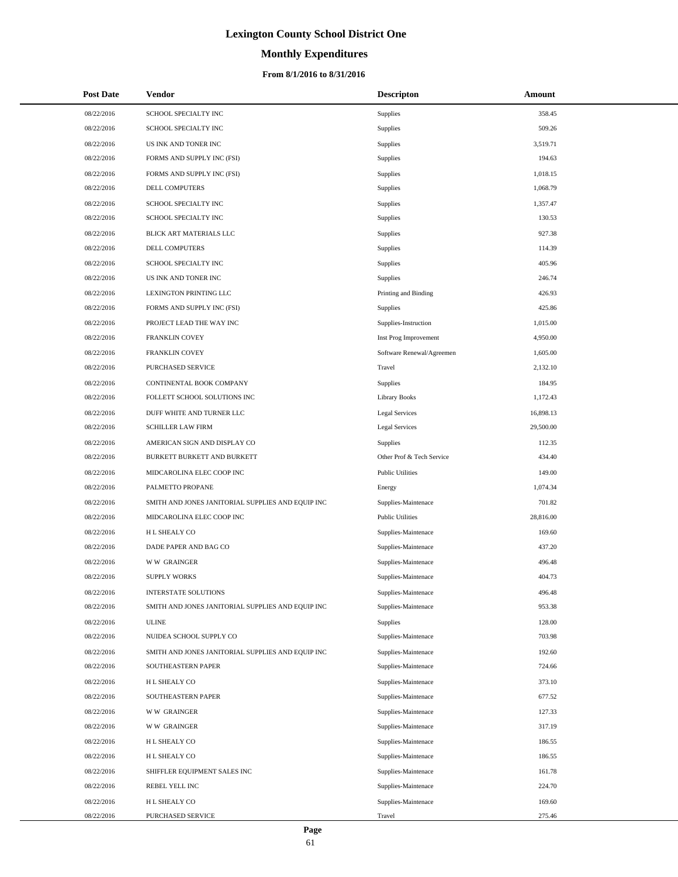# **Monthly Expenditures**

## **From 8/1/2016 to 8/31/2016**

| <b>Post Date</b> | Vendor                                            | <b>Descripton</b>         | Amount    |
|------------------|---------------------------------------------------|---------------------------|-----------|
| 08/22/2016       | SCHOOL SPECIALTY INC                              | Supplies                  | 358.45    |
| 08/22/2016       | SCHOOL SPECIALTY INC                              | Supplies                  | 509.26    |
| 08/22/2016       | US INK AND TONER INC                              | Supplies                  | 3,519.71  |
| 08/22/2016       | FORMS AND SUPPLY INC (FSI)                        | Supplies                  | 194.63    |
| 08/22/2016       | FORMS AND SUPPLY INC (FSI)                        | Supplies                  | 1,018.15  |
| 08/22/2016       | DELL COMPUTERS                                    | Supplies                  | 1,068.79  |
| 08/22/2016       | SCHOOL SPECIALTY INC                              | Supplies                  | 1,357.47  |
| 08/22/2016       | SCHOOL SPECIALTY INC                              | Supplies                  | 130.53    |
| 08/22/2016       | BLICK ART MATERIALS LLC                           | Supplies                  | 927.38    |
| 08/22/2016       | DELL COMPUTERS                                    | Supplies                  | 114.39    |
| 08/22/2016       | SCHOOL SPECIALTY INC                              | Supplies                  | 405.96    |
| 08/22/2016       | US INK AND TONER INC                              | Supplies                  | 246.74    |
| 08/22/2016       | LEXINGTON PRINTING LLC                            | Printing and Binding      | 426.93    |
| 08/22/2016       | FORMS AND SUPPLY INC (FSI)                        | <b>Supplies</b>           | 425.86    |
| 08/22/2016       | PROJECT LEAD THE WAY INC                          | Supplies-Instruction      | 1,015.00  |
| 08/22/2016       | <b>FRANKLIN COVEY</b>                             | Inst Prog Improvement     | 4,950.00  |
| 08/22/2016       | FRANKLIN COVEY                                    | Software Renewal/Agreemen | 1,605.00  |
| 08/22/2016       | PURCHASED SERVICE                                 | Travel                    | 2,132.10  |
| 08/22/2016       | CONTINENTAL BOOK COMPANY                          | Supplies                  | 184.95    |
| 08/22/2016       | FOLLETT SCHOOL SOLUTIONS INC                      | <b>Library Books</b>      | 1,172.43  |
| 08/22/2016       | DUFF WHITE AND TURNER LLC                         | Legal Services            | 16,898.13 |
| 08/22/2016       | <b>SCHILLER LAW FIRM</b>                          | Legal Services            | 29,500.00 |
| 08/22/2016       | AMERICAN SIGN AND DISPLAY CO                      | Supplies                  | 112.35    |
| 08/22/2016       | BURKETT BURKETT AND BURKETT                       | Other Prof & Tech Service | 434.40    |
| 08/22/2016       | MIDCAROLINA ELEC COOP INC                         | <b>Public Utilities</b>   | 149.00    |
| 08/22/2016       | PALMETTO PROPANE                                  | Energy                    | 1,074.34  |
| 08/22/2016       | SMITH AND JONES JANITORIAL SUPPLIES AND EQUIP INC | Supplies-Maintenace       | 701.82    |
| 08/22/2016       | MIDCAROLINA ELEC COOP INC                         | <b>Public Utilities</b>   | 28,816.00 |
| 08/22/2016       | H L SHEALY CO                                     | Supplies-Maintenace       | 169.60    |
| 08/22/2016       | DADE PAPER AND BAG CO                             | Supplies-Maintenace       | 437.20    |
| 08/22/2016       | <b>WW GRAINGER</b>                                | Supplies-Maintenace       | 496.48    |
| 08/22/2016       | <b>SUPPLY WORKS</b>                               | Supplies-Maintenace       | 404.73    |
| 08/22/2016       | INTERSTATE SOLUTIONS                              | Supplies-Maintenace       | 496.48    |
| 08/22/2016       | SMITH AND JONES JANITORIAL SUPPLIES AND EQUIP INC | Supplies-Maintenace       | 953.38    |
| 08/22/2016       | <b>ULINE</b>                                      | Supplies                  | 128.00    |
| 08/22/2016       | NUIDEA SCHOOL SUPPLY CO                           | Supplies-Maintenace       | 703.98    |
| 08/22/2016       | SMITH AND JONES JANITORIAL SUPPLIES AND EQUIP INC | Supplies-Maintenace       | 192.60    |
| 08/22/2016       | SOUTHEASTERN PAPER                                | Supplies-Maintenace       | 724.66    |
| 08/22/2016       | H L SHEALY CO                                     | Supplies-Maintenace       | 373.10    |
| 08/22/2016       | SOUTHEASTERN PAPER                                | Supplies-Maintenace       | 677.52    |
| 08/22/2016       | <b>WW GRAINGER</b>                                | Supplies-Maintenace       | 127.33    |
| 08/22/2016       | <b>WW GRAINGER</b>                                | Supplies-Maintenace       | 317.19    |
| 08/22/2016       | H L SHEALY CO                                     | Supplies-Maintenace       | 186.55    |
| 08/22/2016       | H L SHEALY CO                                     | Supplies-Maintenace       | 186.55    |
| 08/22/2016       | SHIFFLER EQUIPMENT SALES INC                      | Supplies-Maintenace       | 161.78    |
| 08/22/2016       | REBEL YELL INC                                    | Supplies-Maintenace       | 224.70    |
| 08/22/2016       | H L SHEALY CO                                     | Supplies-Maintenace       | 169.60    |
| 08/22/2016       | PURCHASED SERVICE                                 | Travel                    | 275.46    |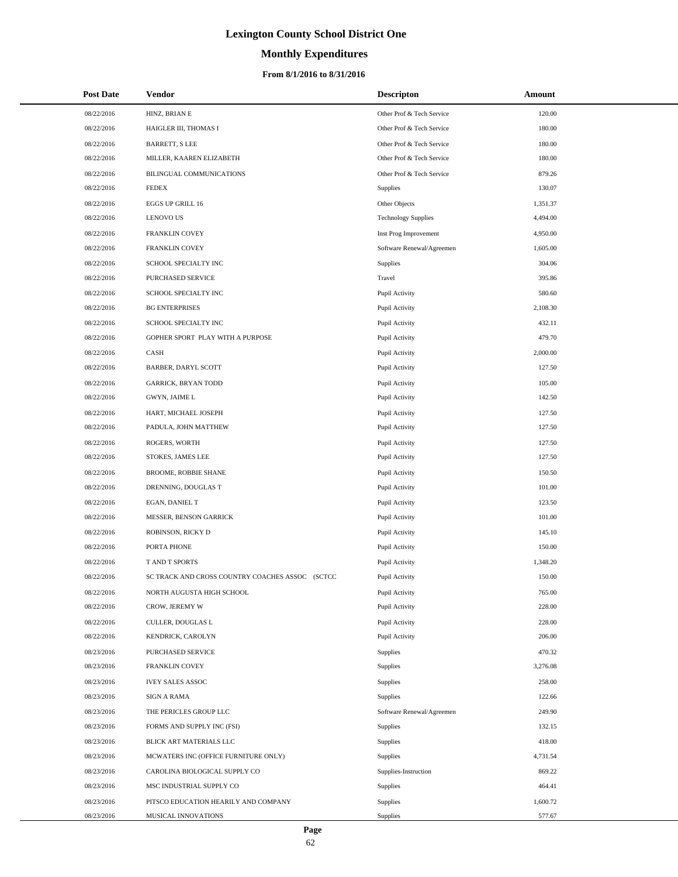# **Monthly Expenditures**

## **From 8/1/2016 to 8/31/2016**

| <b>Post Date</b> | Vendor                                          | <b>Descripton</b>          | Amount   |  |
|------------------|-------------------------------------------------|----------------------------|----------|--|
| 08/22/2016       | HINZ, BRIAN E                                   | Other Prof & Tech Service  | 120.00   |  |
| 08/22/2016       | HAIGLER III, THOMAS I                           | Other Prof & Tech Service  | 180.00   |  |
| 08/22/2016       | <b>BARRETT, S LEE</b>                           | Other Prof & Tech Service  | 180.00   |  |
| 08/22/2016       | MILLER, KAAREN ELIZABETH                        | Other Prof & Tech Service  | 180.00   |  |
| 08/22/2016       | BILINGUAL COMMUNICATIONS                        | Other Prof & Tech Service  | 879.26   |  |
| 08/22/2016       | <b>FEDEX</b>                                    | Supplies                   | 130.07   |  |
| 08/22/2016       | EGGS UP GRILL 16                                | Other Objects              | 1,351.37 |  |
| 08/22/2016       | <b>LENOVO US</b>                                | <b>Technology Supplies</b> | 4,494.00 |  |
| 08/22/2016       | FRANKLIN COVEY                                  | Inst Prog Improvement      | 4,950.00 |  |
| 08/22/2016       | FRANKLIN COVEY                                  | Software Renewal/Agreemen  | 1,605.00 |  |
| 08/22/2016       | SCHOOL SPECIALTY INC                            | Supplies                   | 304.06   |  |
| 08/22/2016       | PURCHASED SERVICE                               | Travel                     | 395.86   |  |
| 08/22/2016       | SCHOOL SPECIALTY INC                            | Pupil Activity             | 580.60   |  |
| 08/22/2016       | <b>BG ENTERPRISES</b>                           | Pupil Activity             | 2,108.30 |  |
| 08/22/2016       | SCHOOL SPECIALTY INC                            | Pupil Activity             | 432.11   |  |
| 08/22/2016       | GOPHER SPORT PLAY WITH A PURPOSE                | Pupil Activity             | 479.70   |  |
| 08/22/2016       | CASH                                            | Pupil Activity             | 2,000.00 |  |
| 08/22/2016       | BARBER, DARYL SCOTT                             | Pupil Activity             | 127.50   |  |
| 08/22/2016       | <b>GARRICK, BRYAN TODD</b>                      | Pupil Activity             | 105.00   |  |
| 08/22/2016       | GWYN, JAIME L                                   | Pupil Activity             | 142.50   |  |
| 08/22/2016       | HART, MICHAEL JOSEPH                            | Pupil Activity             | 127.50   |  |
| 08/22/2016       | PADULA, JOHN MATTHEW                            | Pupil Activity             | 127.50   |  |
| 08/22/2016       | ROGERS, WORTH                                   | Pupil Activity             | 127.50   |  |
| 08/22/2016       | STOKES, JAMES LEE                               | Pupil Activity             | 127.50   |  |
| 08/22/2016       | BROOME, ROBBIE SHANE                            | Pupil Activity             | 150.50   |  |
| 08/22/2016       | DRENNING, DOUGLAS T                             | Pupil Activity             | 101.00   |  |
| 08/22/2016       | EGAN, DANIEL T                                  | Pupil Activity             | 123.50   |  |
| 08/22/2016       | MESSER, BENSON GARRICK                          | Pupil Activity             | 101.00   |  |
| 08/22/2016       | ROBINSON, RICKY D                               | Pupil Activity             | 145.10   |  |
| 08/22/2016       | PORTA PHONE                                     | Pupil Activity             | 150.00   |  |
| 08/22/2016       | T AND T SPORTS                                  | Pupil Activity             | 1,348.20 |  |
| 08/22/2016       | SC TRACK AND CROSS COUNTRY COACHES ASSOC (SCTCC | Pupil Activity             | 150.00   |  |
| 08/22/2016       | NORTH AUGUSTA HIGH SCHOOL                       | Pupil Activity             | 765.00   |  |
| 08/22/2016       | CROW, JEREMY W                                  | Pupil Activity             | 228.00   |  |
| 08/22/2016       | CULLER, DOUGLAS L                               | Pupil Activity             | 228.00   |  |
| 08/22/2016       | KENDRICK, CAROLYN                               | Pupil Activity             | 206.00   |  |
| 08/23/2016       | <b>PURCHASED SERVICE</b>                        | Supplies                   | 470.32   |  |
| 08/23/2016       | FRANKLIN COVEY                                  | Supplies                   | 3,276.08 |  |
| 08/23/2016       | <b>IVEY SALES ASSOC</b>                         | Supplies                   | 258.00   |  |
| 08/23/2016       | <b>SIGN A RAMA</b>                              | Supplies                   | 122.66   |  |
| 08/23/2016       | THE PERICLES GROUP LLC                          | Software Renewal/Agreemen  | 249.90   |  |
| 08/23/2016       | FORMS AND SUPPLY INC (FSI)                      | <b>Supplies</b>            | 132.15   |  |
| 08/23/2016       | BLICK ART MATERIALS LLC                         | Supplies                   | 418.00   |  |
| 08/23/2016       | MCWATERS INC (OFFICE FURNITURE ONLY)            | Supplies                   | 4,731.54 |  |
| 08/23/2016       | CAROLINA BIOLOGICAL SUPPLY CO                   | Supplies-Instruction       | 869.22   |  |
| 08/23/2016       | MSC INDUSTRIAL SUPPLY CO                        | Supplies                   | 464.41   |  |
| 08/23/2016       | PITSCO EDUCATION HEARILY AND COMPANY            | Supplies                   | 1,600.72 |  |
| 08/23/2016       | MUSICAL INNOVATIONS                             | Supplies                   | 577.67   |  |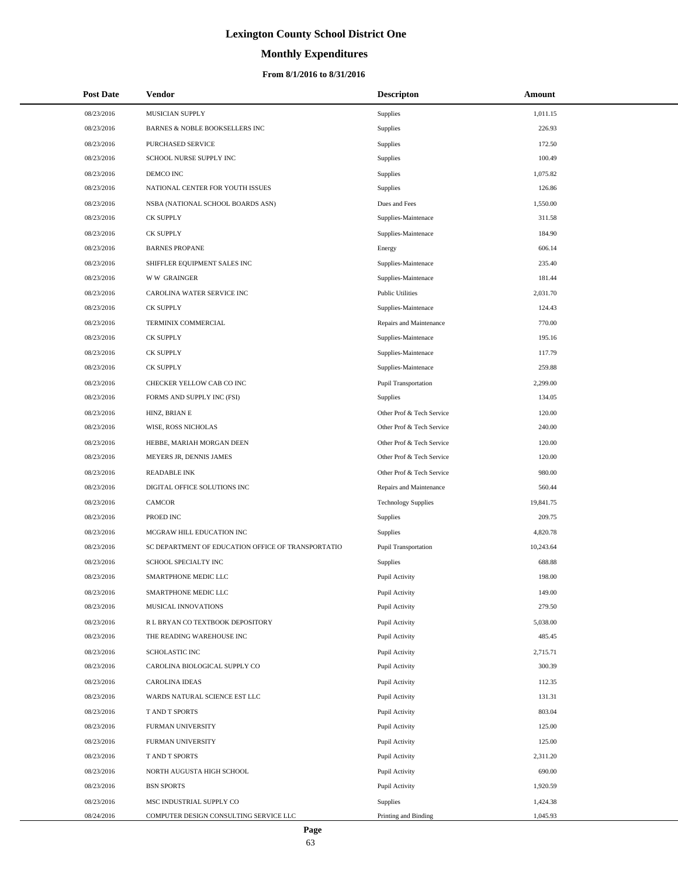# **Monthly Expenditures**

## **From 8/1/2016 to 8/31/2016**

| <b>Post Date</b> | Vendor                                             | <b>Descripton</b>          | Amount    |
|------------------|----------------------------------------------------|----------------------------|-----------|
| 08/23/2016       | MUSICIAN SUPPLY                                    | Supplies                   | 1,011.15  |
| 08/23/2016       | BARNES & NOBLE BOOKSELLERS INC                     | Supplies                   | 226.93    |
| 08/23/2016       | <b>PURCHASED SERVICE</b>                           | Supplies                   | 172.50    |
| 08/23/2016       | SCHOOL NURSE SUPPLY INC                            | Supplies                   | 100.49    |
| 08/23/2016       | DEMCO INC                                          | Supplies                   | 1,075.82  |
| 08/23/2016       | NATIONAL CENTER FOR YOUTH ISSUES                   | Supplies                   | 126.86    |
| 08/23/2016       | NSBA (NATIONAL SCHOOL BOARDS ASN)                  | Dues and Fees              | 1,550.00  |
| 08/23/2016       | <b>CK SUPPLY</b>                                   | Supplies-Maintenace        | 311.58    |
| 08/23/2016       | <b>CK SUPPLY</b>                                   | Supplies-Maintenace        | 184.90    |
| 08/23/2016       | <b>BARNES PROPANE</b>                              | Energy                     | 606.14    |
| 08/23/2016       | SHIFFLER EQUIPMENT SALES INC                       | Supplies-Maintenace        | 235.40    |
| 08/23/2016       | <b>WW GRAINGER</b>                                 | Supplies-Maintenace        | 181.44    |
| 08/23/2016       | CAROLINA WATER SERVICE INC                         | <b>Public Utilities</b>    | 2,031.70  |
| 08/23/2016       | <b>CK SUPPLY</b>                                   | Supplies-Maintenace        | 124.43    |
| 08/23/2016       | TERMINIX COMMERCIAL                                | Repairs and Maintenance    | 770.00    |
| 08/23/2016       | <b>CK SUPPLY</b>                                   | Supplies-Maintenace        | 195.16    |
| 08/23/2016       | <b>CK SUPPLY</b>                                   | Supplies-Maintenace        | 117.79    |
| 08/23/2016       | <b>CK SUPPLY</b>                                   | Supplies-Maintenace        | 259.88    |
| 08/23/2016       | CHECKER YELLOW CAB CO INC                          | Pupil Transportation       | 2,299.00  |
| 08/23/2016       | FORMS AND SUPPLY INC (FSI)                         | Supplies                   | 134.05    |
| 08/23/2016       | HINZ, BRIAN E                                      | Other Prof & Tech Service  | 120.00    |
| 08/23/2016       | WISE, ROSS NICHOLAS                                | Other Prof & Tech Service  | 240.00    |
| 08/23/2016       | HEBBE, MARIAH MORGAN DEEN                          | Other Prof & Tech Service  | 120.00    |
| 08/23/2016       | MEYERS JR, DENNIS JAMES                            | Other Prof & Tech Service  | 120.00    |
| 08/23/2016       | <b>READABLE INK</b>                                | Other Prof & Tech Service  | 980.00    |
| 08/23/2016       | DIGITAL OFFICE SOLUTIONS INC                       | Repairs and Maintenance    | 560.44    |
| 08/23/2016       | <b>CAMCOR</b>                                      | <b>Technology Supplies</b> | 19,841.75 |
| 08/23/2016       | PROED INC                                          | Supplies                   | 209.75    |
| 08/23/2016       | MCGRAW HILL EDUCATION INC                          | Supplies                   | 4,820.78  |
| 08/23/2016       | SC DEPARTMENT OF EDUCATION OFFICE OF TRANSPORTATIO | Pupil Transportation       | 10,243.64 |
| 08/23/2016       | SCHOOL SPECIALTY INC                               | Supplies                   | 688.88    |
| 08/23/2016       | SMARTPHONE MEDIC LLC                               | Pupil Activity             | 198.00    |
| 08/23/2016       | SMARTPHONE MEDIC LLC                               | Pupil Activity             | 149.00    |
| 08/23/2016       | MUSICAL INNOVATIONS                                | Pupil Activity             | 279.50    |
| 08/23/2016       | R L BRYAN CO TEXTBOOK DEPOSITORY                   | Pupil Activity             | 5,038.00  |
| 08/23/2016       | THE READING WAREHOUSE INC                          | Pupil Activity             | 485.45    |
| 08/23/2016       | SCHOLASTIC INC                                     | Pupil Activity             | 2,715.71  |
| 08/23/2016       | CAROLINA BIOLOGICAL SUPPLY CO                      | Pupil Activity             | 300.39    |
| 08/23/2016       | <b>CAROLINA IDEAS</b>                              | Pupil Activity             | 112.35    |
| 08/23/2016       | WARDS NATURAL SCIENCE EST LLC                      | Pupil Activity             | 131.31    |
| 08/23/2016       | T AND T SPORTS                                     | Pupil Activity             | 803.04    |
| 08/23/2016       | FURMAN UNIVERSITY                                  | Pupil Activity             | 125.00    |
| 08/23/2016       | FURMAN UNIVERSITY                                  | Pupil Activity             | 125.00    |
| 08/23/2016       | T AND T SPORTS                                     | Pupil Activity             | 2,311.20  |
| 08/23/2016       | NORTH AUGUSTA HIGH SCHOOL                          | Pupil Activity             | 690.00    |
| 08/23/2016       | <b>BSN SPORTS</b>                                  | Pupil Activity             | 1,920.59  |
| 08/23/2016       | MSC INDUSTRIAL SUPPLY CO                           | Supplies                   | 1,424.38  |
| 08/24/2016       | COMPUTER DESIGN CONSULTING SERVICE LLC             | Printing and Binding       | 1,045.93  |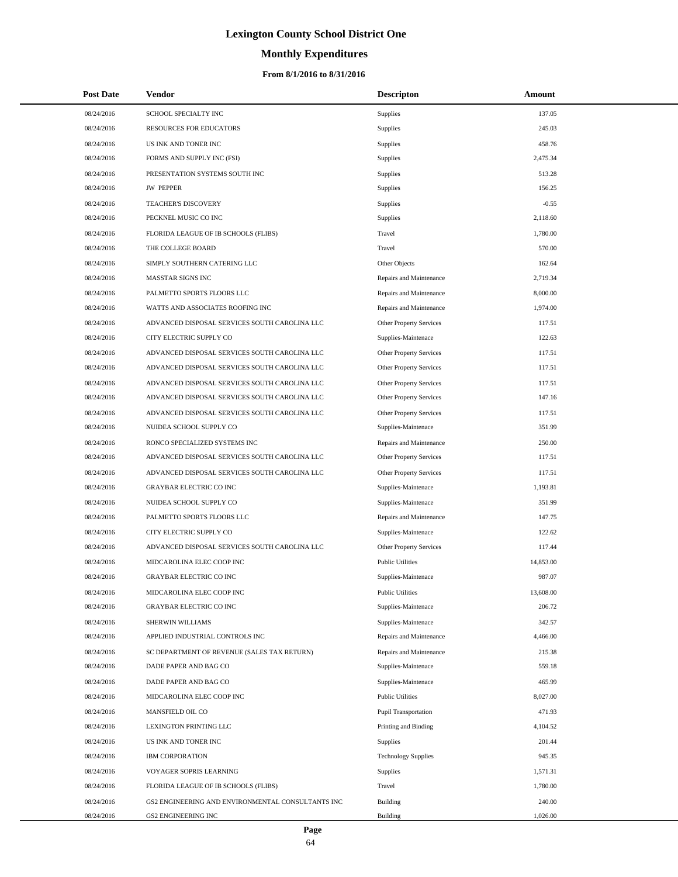# **Monthly Expenditures**

| <b>Post Date</b> | <b>Vendor</b>                                     | <b>Descripton</b>          | Amount    |
|------------------|---------------------------------------------------|----------------------------|-----------|
| 08/24/2016       | SCHOOL SPECIALTY INC                              | Supplies                   | 137.05    |
| 08/24/2016       | <b>RESOURCES FOR EDUCATORS</b>                    | Supplies                   | 245.03    |
| 08/24/2016       | US INK AND TONER INC                              | Supplies                   | 458.76    |
| 08/24/2016       | FORMS AND SUPPLY INC (FSI)                        | Supplies                   | 2,475.34  |
| 08/24/2016       | PRESENTATION SYSTEMS SOUTH INC                    | Supplies                   | 513.28    |
| 08/24/2016       | <b>JW PEPPER</b>                                  | Supplies                   | 156.25    |
| 08/24/2016       | TEACHER'S DISCOVERY                               | Supplies                   | $-0.55$   |
| 08/24/2016       | PECKNEL MUSIC CO INC                              | Supplies                   | 2,118.60  |
| 08/24/2016       | FLORIDA LEAGUE OF IB SCHOOLS (FLIBS)              | Travel                     | 1,780.00  |
| 08/24/2016       | THE COLLEGE BOARD                                 | Travel                     | 570.00    |
| 08/24/2016       | SIMPLY SOUTHERN CATERING LLC                      | Other Objects              | 162.64    |
| 08/24/2016       | MASSTAR SIGNS INC                                 | Repairs and Maintenance    | 2,719.34  |
| 08/24/2016       | PALMETTO SPORTS FLOORS LLC                        | Repairs and Maintenance    | 8,000.00  |
| 08/24/2016       | WATTS AND ASSOCIATES ROOFING INC                  | Repairs and Maintenance    | 1,974.00  |
| 08/24/2016       | ADVANCED DISPOSAL SERVICES SOUTH CAROLINA LLC     | Other Property Services    | 117.51    |
| 08/24/2016       | CITY ELECTRIC SUPPLY CO                           | Supplies-Maintenace        | 122.63    |
| 08/24/2016       | ADVANCED DISPOSAL SERVICES SOUTH CAROLINA LLC     | Other Property Services    | 117.51    |
| 08/24/2016       | ADVANCED DISPOSAL SERVICES SOUTH CAROLINA LLC     | Other Property Services    | 117.51    |
| 08/24/2016       | ADVANCED DISPOSAL SERVICES SOUTH CAROLINA LLC     | Other Property Services    | 117.51    |
| 08/24/2016       | ADVANCED DISPOSAL SERVICES SOUTH CAROLINA LLC     | Other Property Services    | 147.16    |
| 08/24/2016       | ADVANCED DISPOSAL SERVICES SOUTH CAROLINA LLC     | Other Property Services    | 117.51    |
| 08/24/2016       | NUIDEA SCHOOL SUPPLY CO                           | Supplies-Maintenace        | 351.99    |
| 08/24/2016       | RONCO SPECIALIZED SYSTEMS INC                     | Repairs and Maintenance    | 250.00    |
| 08/24/2016       | ADVANCED DISPOSAL SERVICES SOUTH CAROLINA LLC     | Other Property Services    | 117.51    |
| 08/24/2016       | ADVANCED DISPOSAL SERVICES SOUTH CAROLINA LLC     | Other Property Services    | 117.51    |
| 08/24/2016       | <b>GRAYBAR ELECTRIC CO INC</b>                    | Supplies-Maintenace        | 1,193.81  |
| 08/24/2016       | NUIDEA SCHOOL SUPPLY CO                           | Supplies-Maintenace        | 351.99    |
| 08/24/2016       | PALMETTO SPORTS FLOORS LLC                        | Repairs and Maintenance    | 147.75    |
| 08/24/2016       | CITY ELECTRIC SUPPLY CO                           | Supplies-Maintenace        | 122.62    |
| 08/24/2016       | ADVANCED DISPOSAL SERVICES SOUTH CAROLINA LLC     | Other Property Services    | 117.44    |
| 08/24/2016       | MIDCAROLINA ELEC COOP INC                         | <b>Public Utilities</b>    | 14,853.00 |
| 08/24/2016       | <b>GRAYBAR ELECTRIC CO INC</b>                    | Supplies-Maintenace        | 987.07    |
| 08/24/2016       | MIDCAROLINA ELEC COOP INC                         | <b>Public Utilities</b>    | 13,608.00 |
| 08/24/2016       | GRAYBAR ELECTRIC CO INC                           | Supplies-Maintenace        | 206.72    |
| 08/24/2016       | SHERWIN WILLIAMS                                  | Supplies-Maintenace        | 342.57    |
| 08/24/2016       | APPLIED INDUSTRIAL CONTROLS INC                   | Repairs and Maintenance    | 4,466.00  |
| 08/24/2016       | SC DEPARTMENT OF REVENUE (SALES TAX RETURN)       | Repairs and Maintenance    | 215.38    |
| 08/24/2016       | DADE PAPER AND BAG CO                             | Supplies-Maintenace        | 559.18    |
| 08/24/2016       | DADE PAPER AND BAG CO                             | Supplies-Maintenace        | 465.99    |
| 08/24/2016       | MIDCAROLINA ELEC COOP INC                         | <b>Public Utilities</b>    | 8,027.00  |
| 08/24/2016       | MANSFIELD OIL CO                                  | Pupil Transportation       | 471.93    |
| 08/24/2016       | LEXINGTON PRINTING LLC                            | Printing and Binding       | 4,104.52  |
| 08/24/2016       | US INK AND TONER INC                              | Supplies                   | 201.44    |
| 08/24/2016       | <b>IBM CORPORATION</b>                            | <b>Technology Supplies</b> | 945.35    |
| 08/24/2016       | VOYAGER SOPRIS LEARNING                           | Supplies                   | 1,571.31  |
| 08/24/2016       | FLORIDA LEAGUE OF IB SCHOOLS (FLIBS)              | Travel                     | 1,780.00  |
| 08/24/2016       | GS2 ENGINEERING AND ENVIRONMENTAL CONSULTANTS INC | <b>Building</b>            | 240.00    |
| 08/24/2016       | GS2 ENGINEERING INC                               | Building                   | 1,026.00  |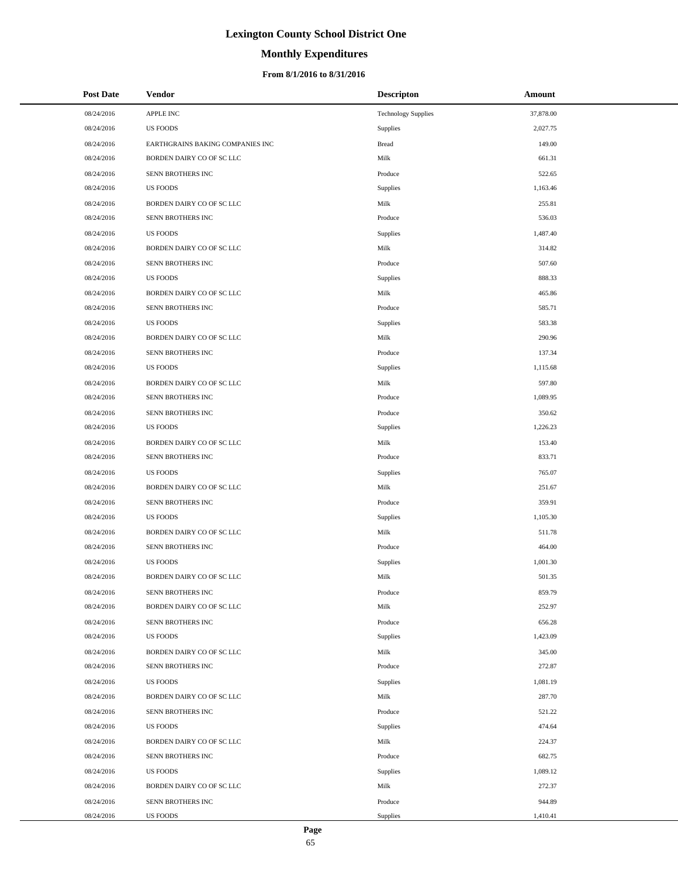# **Monthly Expenditures**

| <b>Post Date</b> | <b>Vendor</b>                    | <b>Descripton</b>          | Amount    |
|------------------|----------------------------------|----------------------------|-----------|
| 08/24/2016       | APPLE INC                        | <b>Technology Supplies</b> | 37,878.00 |
| 08/24/2016       | <b>US FOODS</b>                  | Supplies                   | 2,027.75  |
| 08/24/2016       | EARTHGRAINS BAKING COMPANIES INC | <b>Bread</b>               | 149.00    |
| 08/24/2016       | BORDEN DAIRY CO OF SC LLC        | Milk                       | 661.31    |
| 08/24/2016       | SENN BROTHERS INC                | Produce                    | 522.65    |
| 08/24/2016       | <b>US FOODS</b>                  | Supplies                   | 1,163.46  |
| 08/24/2016       | BORDEN DAIRY CO OF SC LLC        | Milk                       | 255.81    |
| 08/24/2016       | SENN BROTHERS INC                | Produce                    | 536.03    |
| 08/24/2016       | <b>US FOODS</b>                  | Supplies                   | 1,487.40  |
| 08/24/2016       | BORDEN DAIRY CO OF SC LLC        | Milk                       | 314.82    |
| 08/24/2016       | SENN BROTHERS INC                | Produce                    | 507.60    |
| 08/24/2016       | <b>US FOODS</b>                  | Supplies                   | 888.33    |
| 08/24/2016       | BORDEN DAIRY CO OF SC LLC        | Milk                       | 465.86    |
| 08/24/2016       | SENN BROTHERS INC                | Produce                    | 585.71    |
| 08/24/2016       | <b>US FOODS</b>                  | Supplies                   | 583.38    |
| 08/24/2016       | BORDEN DAIRY CO OF SC LLC        | Milk                       | 290.96    |
| 08/24/2016       | SENN BROTHERS INC                | Produce                    | 137.34    |
| 08/24/2016       | <b>US FOODS</b>                  | Supplies                   | 1,115.68  |
| 08/24/2016       | BORDEN DAIRY CO OF SC LLC        | Milk                       | 597.80    |
| 08/24/2016       | SENN BROTHERS INC                | Produce                    | 1,089.95  |
| 08/24/2016       | SENN BROTHERS INC                | Produce                    | 350.62    |
| 08/24/2016       | <b>US FOODS</b>                  | Supplies                   | 1,226.23  |
| 08/24/2016       | BORDEN DAIRY CO OF SC LLC        | Milk                       | 153.40    |
| 08/24/2016       | SENN BROTHERS INC                | Produce                    | 833.71    |
| 08/24/2016       | <b>US FOODS</b>                  | Supplies                   | 765.07    |
| 08/24/2016       | BORDEN DAIRY CO OF SC LLC        | Milk                       | 251.67    |
| 08/24/2016       | SENN BROTHERS INC                | Produce                    | 359.91    |
| 08/24/2016       | <b>US FOODS</b>                  | <b>Supplies</b>            | 1,105.30  |
| 08/24/2016       | BORDEN DAIRY CO OF SC LLC        | Milk                       | 511.78    |
| 08/24/2016       | SENN BROTHERS INC                | Produce                    | 464.00    |
| 08/24/2016       | <b>US FOODS</b>                  | Supplies                   | 1,001.30  |
| 08/24/2016       | BORDEN DAIRY CO OF SC LLC        | Milk                       | 501.35    |
| 08/24/2016       | SENN BROTHERS INC                | Produce                    | 859.79    |
| 08/24/2016       | BORDEN DAIRY CO OF SC LLC        | Milk                       | 252.97    |
| 08/24/2016       | SENN BROTHERS INC                | Produce                    | 656.28    |
| 08/24/2016       | <b>US FOODS</b>                  | Supplies                   | 1,423.09  |
| 08/24/2016       | BORDEN DAIRY CO OF SC LLC        | Milk                       | 345.00    |
| 08/24/2016       | SENN BROTHERS INC                | Produce                    | 272.87    |
| 08/24/2016       | <b>US FOODS</b>                  | Supplies                   | 1,081.19  |
| 08/24/2016       | BORDEN DAIRY CO OF SC LLC        | Milk                       | 287.70    |
| 08/24/2016       | SENN BROTHERS INC                | Produce                    | 521.22    |
| 08/24/2016       | <b>US FOODS</b>                  | Supplies                   | 474.64    |
| 08/24/2016       | BORDEN DAIRY CO OF SC LLC        | Milk                       | 224.37    |
| 08/24/2016       | SENN BROTHERS INC                | Produce                    | 682.75    |
| 08/24/2016       | <b>US FOODS</b>                  | Supplies                   | 1,089.12  |
| 08/24/2016       | BORDEN DAIRY CO OF SC LLC        | Milk                       | 272.37    |
| 08/24/2016       | SENN BROTHERS INC                | Produce                    | 944.89    |
| 08/24/2016       | US FOODS                         | Supplies                   | 1,410.41  |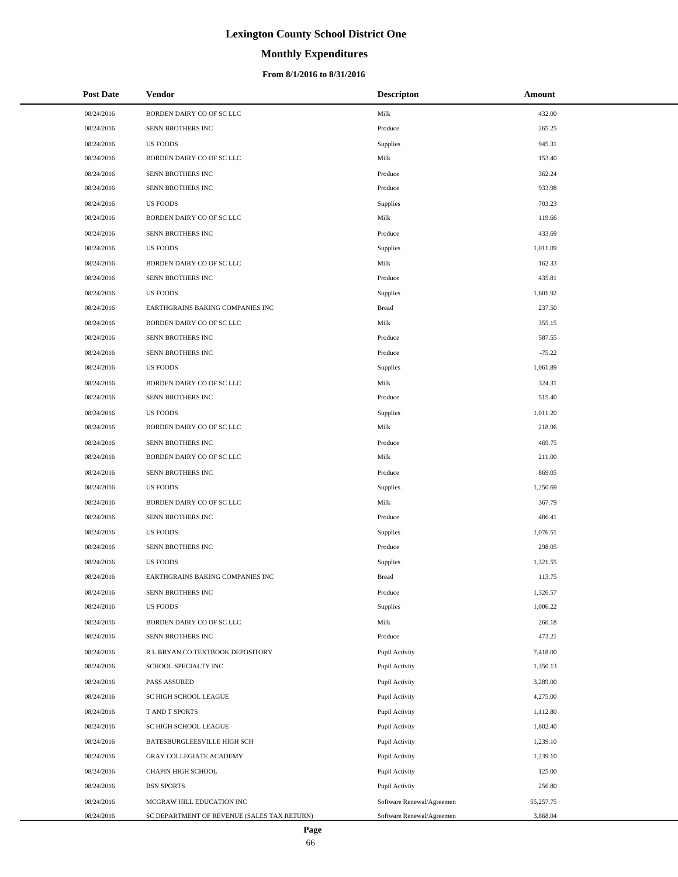# **Monthly Expenditures**

## **From 8/1/2016 to 8/31/2016**

| <b>Post Date</b> | Vendor                                      | <b>Descripton</b>         | Amount    |  |
|------------------|---------------------------------------------|---------------------------|-----------|--|
| 08/24/2016       | BORDEN DAIRY CO OF SC LLC                   | Milk                      | 432.00    |  |
| 08/24/2016       | SENN BROTHERS INC                           | Produce                   | 265.25    |  |
| 08/24/2016       | <b>US FOODS</b>                             | Supplies                  | 945.31    |  |
| 08/24/2016       | BORDEN DAIRY CO OF SC LLC                   | Milk                      | 153.40    |  |
| 08/24/2016       | SENN BROTHERS INC                           | Produce                   | 362.24    |  |
| 08/24/2016       | SENN BROTHERS INC                           | Produce                   | 933.98    |  |
| 08/24/2016       | <b>US FOODS</b>                             | Supplies                  | 703.23    |  |
| 08/24/2016       | BORDEN DAIRY CO OF SC LLC                   | Milk                      | 119.66    |  |
| 08/24/2016       | SENN BROTHERS INC                           | Produce                   | 433.69    |  |
| 08/24/2016       | <b>US FOODS</b>                             | Supplies                  | 1,011.09  |  |
| 08/24/2016       | BORDEN DAIRY CO OF SC LLC                   | Milk                      | 162.33    |  |
| 08/24/2016       | SENN BROTHERS INC                           | Produce                   | 435.81    |  |
| 08/24/2016       | <b>US FOODS</b>                             | <b>Supplies</b>           | 1,601.92  |  |
| 08/24/2016       | EARTHGRAINS BAKING COMPANIES INC            | <b>Bread</b>              | 237.50    |  |
| 08/24/2016       | BORDEN DAIRY CO OF SC LLC                   | Milk                      | 355.15    |  |
| 08/24/2016       | SENN BROTHERS INC                           | Produce                   | 587.55    |  |
| 08/24/2016       | SENN BROTHERS INC                           | Produce                   | $-75.22$  |  |
| 08/24/2016       | <b>US FOODS</b>                             | Supplies                  | 1,061.89  |  |
| 08/24/2016       | BORDEN DAIRY CO OF SC LLC                   | Milk                      | 324.31    |  |
| 08/24/2016       | SENN BROTHERS INC                           | Produce                   | 515.40    |  |
| 08/24/2016       | <b>US FOODS</b>                             | <b>Supplies</b>           | 1,011.20  |  |
| 08/24/2016       | BORDEN DAIRY CO OF SC LLC                   | Milk                      | 218.96    |  |
| 08/24/2016       | SENN BROTHERS INC                           | Produce                   | 469.75    |  |
| 08/24/2016       | BORDEN DAIRY CO OF SC LLC                   | Milk                      | 211.00    |  |
| 08/24/2016       | SENN BROTHERS INC                           | Produce                   | 869.05    |  |
| 08/24/2016       | <b>US FOODS</b>                             | Supplies                  | 1,250.69  |  |
| 08/24/2016       | BORDEN DAIRY CO OF SC LLC                   | Milk                      | 367.79    |  |
| 08/24/2016       | SENN BROTHERS INC                           | Produce                   | 486.41    |  |
| 08/24/2016       | <b>US FOODS</b>                             | <b>Supplies</b>           | 1,076.51  |  |
| 08/24/2016       | SENN BROTHERS INC                           | Produce                   | 298.05    |  |
| 08/24/2016       | <b>US FOODS</b>                             | Supplies                  | 1,321.55  |  |
| 08/24/2016       | EARTHGRAINS BAKING COMPANIES INC            | <b>Bread</b>              | 113.75    |  |
| 08/24/2016       | SENN BROTHERS INC                           | Produce                   | 1,326.57  |  |
| 08/24/2016       | <b>US FOODS</b>                             | Supplies                  | 1,006.22  |  |
| 08/24/2016       | BORDEN DAIRY CO OF SC LLC                   | Milk                      | 260.18    |  |
| 08/24/2016       | SENN BROTHERS INC                           | Produce                   | 473.21    |  |
| 08/24/2016       | R L BRYAN CO TEXTBOOK DEPOSITORY            | Pupil Activity            | 7,418.00  |  |
| 08/24/2016       | SCHOOL SPECIALTY INC                        | Pupil Activity            | 1,350.13  |  |
| 08/24/2016       | <b>PASS ASSURED</b>                         | Pupil Activity            | 3,289.00  |  |
| 08/24/2016       | SC HIGH SCHOOL LEAGUE                       | Pupil Activity            | 4,275.00  |  |
| 08/24/2016       | T AND T SPORTS                              | Pupil Activity            | 1,112.80  |  |
| 08/24/2016       | SC HIGH SCHOOL LEAGUE                       | Pupil Activity            | 1,802.40  |  |
| 08/24/2016       | BATESBURGLEESVILLE HIGH SCH                 | Pupil Activity            | 1,239.10  |  |
| 08/24/2016       | GRAY COLLEGIATE ACADEMY                     | Pupil Activity            | 1,239.10  |  |
| 08/24/2016       | CHAPIN HIGH SCHOOL                          | Pupil Activity            | 125.00    |  |
| 08/24/2016       | <b>BSN SPORTS</b>                           | Pupil Activity            | 256.80    |  |
| 08/24/2016       | MCGRAW HILL EDUCATION INC                   | Software Renewal/Agreemen | 55,257.75 |  |
| 08/24/2016       | SC DEPARTMENT OF REVENUE (SALES TAX RETURN) | Software Renewal/Agreemen | 3,868.04  |  |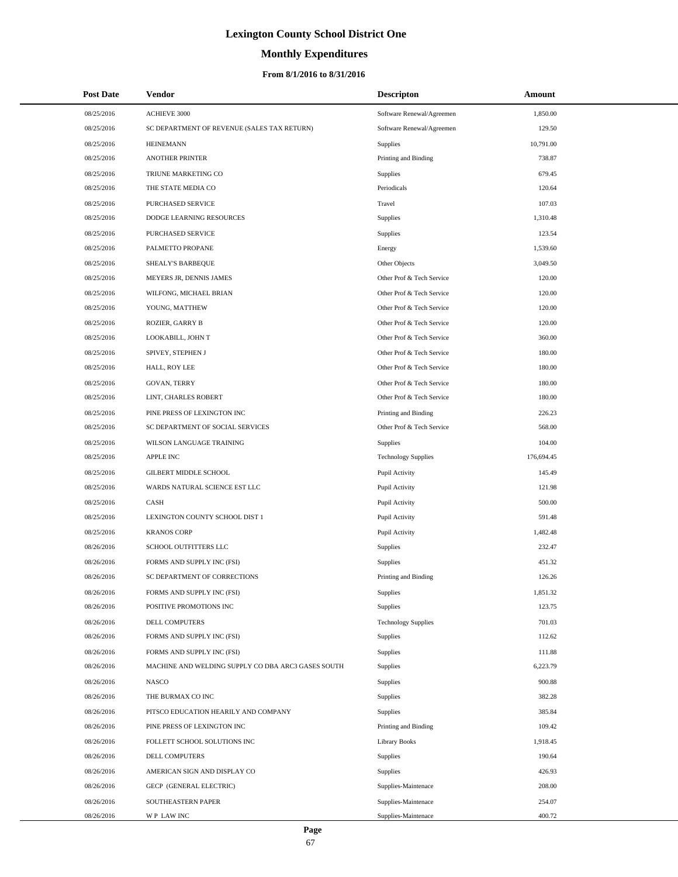# **Monthly Expenditures**

| <b>Post Date</b> | Vendor                                             | <b>Descripton</b>          | Amount     |
|------------------|----------------------------------------------------|----------------------------|------------|
| 08/25/2016       | <b>ACHIEVE 3000</b>                                | Software Renewal/Agreemen  | 1,850.00   |
| 08/25/2016       | SC DEPARTMENT OF REVENUE (SALES TAX RETURN)        | Software Renewal/Agreemen  | 129.50     |
| 08/25/2016       | <b>HEINEMANN</b>                                   | Supplies                   | 10,791.00  |
| 08/25/2016       | <b>ANOTHER PRINTER</b>                             | Printing and Binding       | 738.87     |
| 08/25/2016       | TRIUNE MARKETING CO                                | Supplies                   | 679.45     |
| 08/25/2016       | THE STATE MEDIA CO                                 | Periodicals                | 120.64     |
| 08/25/2016       | PURCHASED SERVICE                                  | Travel                     | 107.03     |
| 08/25/2016       | DODGE LEARNING RESOURCES                           | Supplies                   | 1,310.48   |
| 08/25/2016       | PURCHASED SERVICE                                  | Supplies                   | 123.54     |
| 08/25/2016       | PALMETTO PROPANE                                   | Energy                     | 1,539.60   |
| 08/25/2016       | SHEALY'S BARBEQUE                                  | Other Objects              | 3,049.50   |
| 08/25/2016       | MEYERS JR, DENNIS JAMES                            | Other Prof & Tech Service  | 120.00     |
| 08/25/2016       | WILFONG, MICHAEL BRIAN                             | Other Prof & Tech Service  | 120.00     |
| 08/25/2016       | YOUNG, MATTHEW                                     | Other Prof & Tech Service  | 120.00     |
| 08/25/2016       | ROZIER, GARRY B                                    | Other Prof & Tech Service  | 120.00     |
| 08/25/2016       | LOOKABILL, JOHN T                                  | Other Prof & Tech Service  | 360.00     |
| 08/25/2016       | SPIVEY, STEPHEN J                                  | Other Prof & Tech Service  | 180.00     |
| 08/25/2016       | HALL, ROY LEE                                      | Other Prof & Tech Service  | 180.00     |
| 08/25/2016       | GOVAN, TERRY                                       | Other Prof & Tech Service  | 180.00     |
| 08/25/2016       | LINT, CHARLES ROBERT                               | Other Prof & Tech Service  | 180.00     |
| 08/25/2016       | PINE PRESS OF LEXINGTON INC                        | Printing and Binding       | 226.23     |
| 08/25/2016       | SC DEPARTMENT OF SOCIAL SERVICES                   | Other Prof & Tech Service  | 568.00     |
| 08/25/2016       | WILSON LANGUAGE TRAINING                           | Supplies                   | 104.00     |
| 08/25/2016       | <b>APPLE INC</b>                                   | <b>Technology Supplies</b> | 176,694.45 |
| 08/25/2016       | GILBERT MIDDLE SCHOOL                              | Pupil Activity             | 145.49     |
| 08/25/2016       | WARDS NATURAL SCIENCE EST LLC                      | Pupil Activity             | 121.98     |
| 08/25/2016       | CASH                                               | Pupil Activity             | 500.00     |
| 08/25/2016       | LEXINGTON COUNTY SCHOOL DIST 1                     | Pupil Activity             | 591.48     |
| 08/25/2016       | <b>KRANOS CORP</b>                                 | Pupil Activity             | 1,482.48   |
| 08/26/2016       | SCHOOL OUTFITTERS LLC                              | Supplies                   | 232.47     |
| 08/26/2016       | FORMS AND SUPPLY INC (FSI)                         | Supplies                   | 451.32     |
| 08/26/2016       | SC DEPARTMENT OF CORRECTIONS                       | Printing and Binding       | 126.26     |
| 08/26/2016       | FORMS AND SUPPLY INC (FSI)                         | Supplies                   | 1,851.32   |
| 08/26/2016       | POSITIVE PROMOTIONS INC                            | Supplies                   | 123.75     |
| 08/26/2016       | DELL COMPUTERS                                     | <b>Technology Supplies</b> | 701.03     |
| 08/26/2016       | FORMS AND SUPPLY INC (FSI)                         | Supplies                   | 112.62     |
| 08/26/2016       | FORMS AND SUPPLY INC (FSI)                         | Supplies                   | 111.88     |
| 08/26/2016       | MACHINE AND WELDING SUPPLY CO DBA ARC3 GASES SOUTH | Supplies                   | 6,223.79   |
| 08/26/2016       | <b>NASCO</b>                                       | Supplies                   | 900.88     |
| 08/26/2016       | THE BURMAX CO INC                                  | Supplies                   | 382.28     |
| 08/26/2016       | PITSCO EDUCATION HEARILY AND COMPANY               | Supplies                   | 385.84     |
| 08/26/2016       | PINE PRESS OF LEXINGTON INC                        | Printing and Binding       | 109.42     |
| 08/26/2016       | FOLLETT SCHOOL SOLUTIONS INC                       | <b>Library Books</b>       | 1,918.45   |
| 08/26/2016       | DELL COMPUTERS                                     | Supplies                   | 190.64     |
| 08/26/2016       | AMERICAN SIGN AND DISPLAY CO                       | Supplies                   | 426.93     |
| 08/26/2016       | GECP (GENERAL ELECTRIC)                            | Supplies-Maintenace        | 208.00     |
| 08/26/2016       | SOUTHEASTERN PAPER                                 | Supplies-Maintenace        | 254.07     |
| 08/26/2016       | WP LAW INC                                         | Supplies-Maintenace        | 400.72     |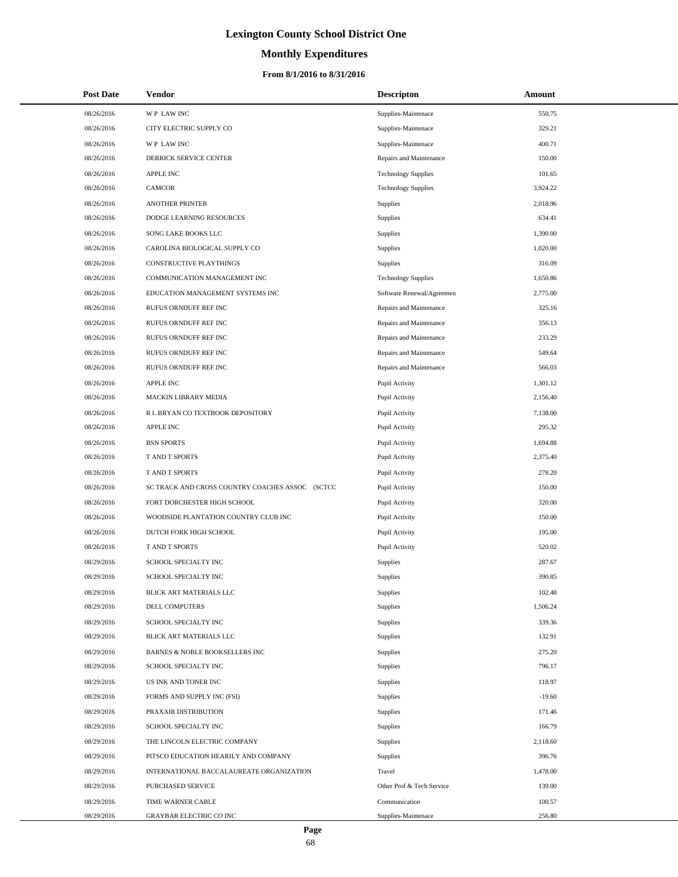# **Monthly Expenditures**

## **From 8/1/2016 to 8/31/2016**

| <b>Post Date</b> | Vendor                                          | <b>Descripton</b>          | Amount   |
|------------------|-------------------------------------------------|----------------------------|----------|
| 08/26/2016       | WP LAW INC                                      | Supplies-Maintenace        | 550.75   |
| 08/26/2016       | CITY ELECTRIC SUPPLY CO                         | Supplies-Maintenace        | 329.21   |
| 08/26/2016       | <b>WP LAWINC</b>                                | Supplies-Maintenace        | 400.71   |
| 08/26/2016       | DERRICK SERVICE CENTER                          | Repairs and Maintenance    | 150.00   |
| 08/26/2016       | <b>APPLE INC</b>                                | <b>Technology Supplies</b> | 101.65   |
| 08/26/2016       | <b>CAMCOR</b>                                   | <b>Technology Supplies</b> | 3,924.22 |
| 08/26/2016       | <b>ANOTHER PRINTER</b>                          | Supplies                   | 2,018.96 |
| 08/26/2016       | DODGE LEARNING RESOURCES                        | Supplies                   | 634.41   |
| 08/26/2016       | SONG LAKE BOOKS LLC                             | Supplies                   | 1,390.00 |
| 08/26/2016       | CAROLINA BIOLOGICAL SUPPLY CO                   | Supplies                   | 1,020.00 |
| 08/26/2016       | CONSTRUCTIVE PLAYTHINGS                         | Supplies                   | 316.09   |
| 08/26/2016       | COMMUNICATION MANAGEMENT INC                    | <b>Technology Supplies</b> | 1,650.86 |
| 08/26/2016       | EDUCATION MANAGEMENT SYSTEMS INC                | Software Renewal/Agreemen  | 2,775.00 |
| 08/26/2016       | RUFUS ORNDUFF REF INC                           | Repairs and Maintenance    | 325.16   |
| 08/26/2016       | RUFUS ORNDUFF REF INC                           | Repairs and Maintenance    | 356.13   |
| 08/26/2016       | RUFUS ORNDUFF REF INC                           | Repairs and Maintenance    | 233.29   |
| 08/26/2016       | RUFUS ORNDUFF REF INC                           | Repairs and Maintenance    | 549.64   |
| 08/26/2016       | RUFUS ORNDUFF REF INC                           | Repairs and Maintenance    | 566.03   |
| 08/26/2016       | APPLE INC                                       | Pupil Activity             | 1,301.12 |
| 08/26/2016       | MACKIN LIBRARY MEDIA                            | Pupil Activity             | 2,156.40 |
| 08/26/2016       | R L BRYAN CO TEXTBOOK DEPOSITORY                | Pupil Activity             | 7,138.00 |
| 08/26/2016       | <b>APPLE INC</b>                                | Pupil Activity             | 295.32   |
| 08/26/2016       | <b>BSN SPORTS</b>                               | Pupil Activity             | 1,694.88 |
| 08/26/2016       | T AND T SPORTS                                  | Pupil Activity             | 2,375.40 |
| 08/26/2016       | T AND T SPORTS                                  | Pupil Activity             | 278.20   |
| 08/26/2016       | SC TRACK AND CROSS COUNTRY COACHES ASSOC (SCTCC | Pupil Activity             | 150.00   |
| 08/26/2016       | FORT DORCHESTER HIGH SCHOOL                     | Pupil Activity             | 320.00   |
| 08/26/2016       | WOODSIDE PLANTATION COUNTRY CLUB INC            | Pupil Activity             | 150.00   |
| 08/26/2016       | DUTCH FORK HIGH SCHOOL                          | Pupil Activity             | 195.00   |
| 08/26/2016       | T AND T SPORTS                                  | Pupil Activity             | 520.02   |
| 08/29/2016       | SCHOOL SPECIALTY INC                            | Supplies                   | 287.67   |
| 08/29/2016       | SCHOOL SPECIALTY INC                            | Supplies                   | 390.85   |
| 08/29/2016       | BLICK ART MATERIALS LLC                         | Supplies                   | 102.48   |
| 08/29/2016       | DELL COMPUTERS                                  | Supplies                   | 1,506.24 |
| 08/29/2016       | SCHOOL SPECIALTY INC                            | Supplies                   | 339.36   |
| 08/29/2016       | BLICK ART MATERIALS LLC                         | Supplies                   | 132.91   |
| 08/29/2016       | BARNES & NOBLE BOOKSELLERS INC                  | Supplies                   | 275.20   |
| 08/29/2016       | SCHOOL SPECIALTY INC                            | Supplies                   | 796.17   |
| 08/29/2016       | US INK AND TONER INC                            | Supplies                   | 118.97   |
| 08/29/2016       | FORMS AND SUPPLY INC (FSI)                      | Supplies                   | $-19.60$ |
| 08/29/2016       | PRAXAIR DISTRIBUTION                            | Supplies                   | 171.46   |
| 08/29/2016       | SCHOOL SPECIALTY INC                            | Supplies                   | 166.79   |
| 08/29/2016       | THE LINCOLN ELECTRIC COMPANY                    | Supplies                   | 2,118.60 |
| 08/29/2016       | PITSCO EDUCATION HEARILY AND COMPANY            | Supplies                   | 396.76   |
| 08/29/2016       | INTERNATIONAL BACCALAUREATE ORGANIZATION        | Travel                     | 1,478.00 |
| 08/29/2016       | PURCHASED SERVICE                               | Other Prof & Tech Service  | 139.00   |
| 08/29/2016       | TIME WARNER CABLE                               | Communication              | 100.57   |
| 08/29/2016       | GRAYBAR ELECTRIC CO INC                         | Supplies-Maintenace        | 256.80   |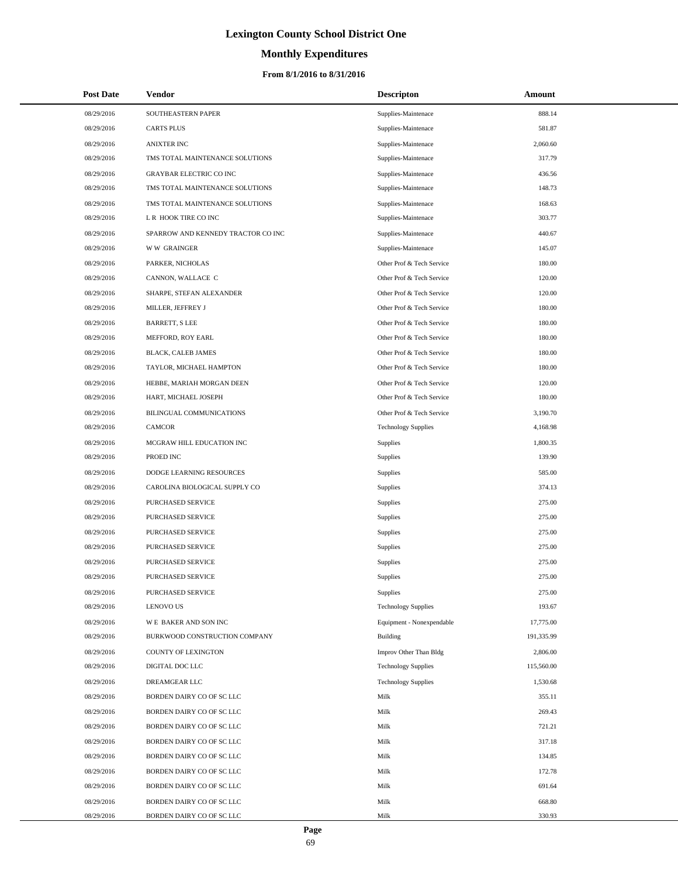# **Monthly Expenditures**

| <b>Post Date</b> | <b>Vendor</b>                      | <b>Descripton</b>          | Amount     |
|------------------|------------------------------------|----------------------------|------------|
| 08/29/2016       | SOUTHEASTERN PAPER                 | Supplies-Maintenace        | 888.14     |
| 08/29/2016       | <b>CARTS PLUS</b>                  | Supplies-Maintenace        | 581.87     |
| 08/29/2016       | <b>ANIXTER INC</b>                 | Supplies-Maintenace        | 2,060.60   |
| 08/29/2016       | TMS TOTAL MAINTENANCE SOLUTIONS    | Supplies-Maintenace        | 317.79     |
| 08/29/2016       | <b>GRAYBAR ELECTRIC CO INC</b>     | Supplies-Maintenace        | 436.56     |
| 08/29/2016       | TMS TOTAL MAINTENANCE SOLUTIONS    | Supplies-Maintenace        | 148.73     |
| 08/29/2016       | TMS TOTAL MAINTENANCE SOLUTIONS    | Supplies-Maintenace        | 168.63     |
| 08/29/2016       | L R HOOK TIRE CO INC               | Supplies-Maintenace        | 303.77     |
| 08/29/2016       | SPARROW AND KENNEDY TRACTOR CO INC | Supplies-Maintenace        | 440.67     |
| 08/29/2016       | <b>WW GRAINGER</b>                 | Supplies-Maintenace        | 145.07     |
| 08/29/2016       | PARKER, NICHOLAS                   | Other Prof & Tech Service  | 180.00     |
| 08/29/2016       | CANNON, WALLACE C                  | Other Prof & Tech Service  | 120.00     |
| 08/29/2016       | SHARPE, STEFAN ALEXANDER           | Other Prof & Tech Service  | 120.00     |
| 08/29/2016       | MILLER, JEFFREY J                  | Other Prof & Tech Service  | 180.00     |
| 08/29/2016       | <b>BARRETT, S LEE</b>              | Other Prof & Tech Service  | 180.00     |
| 08/29/2016       | MEFFORD, ROY EARL                  | Other Prof & Tech Service  | 180.00     |
| 08/29/2016       | <b>BLACK, CALEB JAMES</b>          | Other Prof & Tech Service  | 180.00     |
| 08/29/2016       | TAYLOR, MICHAEL HAMPTON            | Other Prof & Tech Service  | 180.00     |
| 08/29/2016       | HEBBE, MARIAH MORGAN DEEN          | Other Prof & Tech Service  | 120.00     |
| 08/29/2016       | HART, MICHAEL JOSEPH               | Other Prof & Tech Service  | 180.00     |
| 08/29/2016       | BILINGUAL COMMUNICATIONS           | Other Prof & Tech Service  | 3,190.70   |
| 08/29/2016       | <b>CAMCOR</b>                      | <b>Technology Supplies</b> | 4,168.98   |
| 08/29/2016       | MCGRAW HILL EDUCATION INC          | Supplies                   | 1,800.35   |
| 08/29/2016       | PROED INC                          | <b>Supplies</b>            | 139.90     |
| 08/29/2016       | DODGE LEARNING RESOURCES           | <b>Supplies</b>            | 585.00     |
| 08/29/2016       | CAROLINA BIOLOGICAL SUPPLY CO      | <b>Supplies</b>            | 374.13     |
| 08/29/2016       | PURCHASED SERVICE                  | <b>Supplies</b>            | 275.00     |
| 08/29/2016       | <b>PURCHASED SERVICE</b>           | <b>Supplies</b>            | 275.00     |
| 08/29/2016       | PURCHASED SERVICE                  | <b>Supplies</b>            | 275.00     |
| 08/29/2016       | PURCHASED SERVICE                  | <b>Supplies</b>            | 275.00     |
| 08/29/2016       | PURCHASED SERVICE                  | <b>Supplies</b>            | 275.00     |
| 08/29/2016       | <b>PURCHASED SERVICE</b>           | <b>Supplies</b>            | 275.00     |
| 08/29/2016       | PURCHASED SERVICE                  | Supplies                   | 275.00     |
| 08/29/2016       | <b>LENOVO US</b>                   | <b>Technology Supplies</b> | 193.67     |
| 08/29/2016       | <b>WE BAKER AND SON INC</b>        | Equipment - Nonexpendable  | 17,775.00  |
| 08/29/2016       | BURKWOOD CONSTRUCTION COMPANY      | <b>Building</b>            | 191,335.99 |
| 08/29/2016       | COUNTY OF LEXINGTON                | Improv Other Than Bldg     | 2,806.00   |
| 08/29/2016       | DIGITAL DOC LLC                    | <b>Technology Supplies</b> | 115,560.00 |
| 08/29/2016       | DREAMGEAR LLC                      | <b>Technology Supplies</b> | 1,530.68   |
| 08/29/2016       | BORDEN DAIRY CO OF SC LLC          | Milk                       | 355.11     |
| 08/29/2016       | BORDEN DAIRY CO OF SC LLC          | Milk                       | 269.43     |
| 08/29/2016       | BORDEN DAIRY CO OF SC LLC          | Milk                       | 721.21     |
| 08/29/2016       | BORDEN DAIRY CO OF SC LLC          | Milk                       | 317.18     |
| 08/29/2016       | BORDEN DAIRY CO OF SC LLC          | Milk                       | 134.85     |
| 08/29/2016       | BORDEN DAIRY CO OF SC LLC          | Milk                       | 172.78     |
| 08/29/2016       | BORDEN DAIRY CO OF SC LLC          | Milk                       | 691.64     |
| 08/29/2016       | BORDEN DAIRY CO OF SC LLC          | Milk                       | 668.80     |
| 08/29/2016       | BORDEN DAIRY CO OF SC LLC          | Milk                       | 330.93     |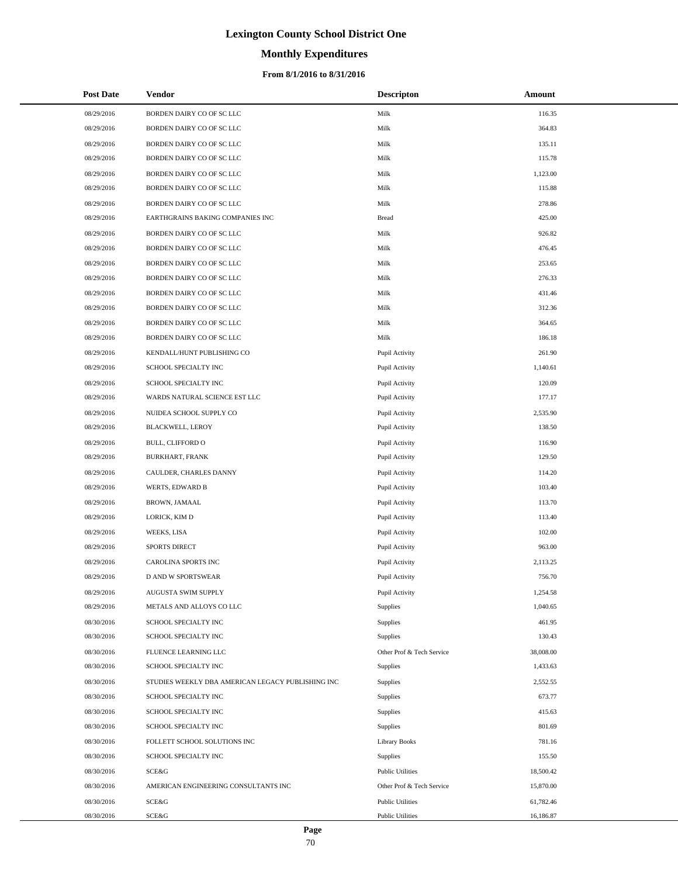# **Monthly Expenditures**

## **From 8/1/2016 to 8/31/2016**

| <b>Post Date</b> | Vendor                                            | <b>Descripton</b>         | Amount    |
|------------------|---------------------------------------------------|---------------------------|-----------|
| 08/29/2016       | BORDEN DAIRY CO OF SC LLC                         | Milk                      | 116.35    |
| 08/29/2016       | BORDEN DAIRY CO OF SC LLC                         | Milk                      | 364.83    |
| 08/29/2016       | BORDEN DAIRY CO OF SC LLC                         | Milk                      | 135.11    |
| 08/29/2016       | BORDEN DAIRY CO OF SC LLC                         | Milk                      | 115.78    |
| 08/29/2016       | BORDEN DAIRY CO OF SC LLC                         | Milk                      | 1,123.00  |
| 08/29/2016       | BORDEN DAIRY CO OF SC LLC                         | Milk                      | 115.88    |
| 08/29/2016       | BORDEN DAIRY CO OF SC LLC                         | Milk                      | 278.86    |
| 08/29/2016       | EARTHGRAINS BAKING COMPANIES INC                  | <b>Bread</b>              | 425.00    |
| 08/29/2016       | BORDEN DAIRY CO OF SC LLC                         | Milk                      | 926.82    |
| 08/29/2016       | BORDEN DAIRY CO OF SC LLC                         | Milk                      | 476.45    |
| 08/29/2016       | BORDEN DAIRY CO OF SC LLC                         | Milk                      | 253.65    |
| 08/29/2016       | BORDEN DAIRY CO OF SC LLC                         | Milk                      | 276.33    |
| 08/29/2016       | BORDEN DAIRY CO OF SC LLC                         | Milk                      | 431.46    |
| 08/29/2016       | BORDEN DAIRY CO OF SC LLC                         | Milk                      | 312.36    |
| 08/29/2016       | BORDEN DAIRY CO OF SC LLC                         | Milk                      | 364.65    |
| 08/29/2016       | BORDEN DAIRY CO OF SC LLC                         | Milk                      | 186.18    |
| 08/29/2016       | KENDALL/HUNT PUBLISHING CO                        | Pupil Activity            | 261.90    |
| 08/29/2016       | SCHOOL SPECIALTY INC                              | Pupil Activity            | 1,140.61  |
| 08/29/2016       | SCHOOL SPECIALTY INC                              | Pupil Activity            | 120.09    |
| 08/29/2016       | WARDS NATURAL SCIENCE EST LLC                     | Pupil Activity            | 177.17    |
| 08/29/2016       | NUIDEA SCHOOL SUPPLY CO                           | Pupil Activity            | 2,535.90  |
| 08/29/2016       | BLACKWELL, LEROY                                  | Pupil Activity            | 138.50    |
| 08/29/2016       | BULL, CLIFFORD O                                  | Pupil Activity            | 116.90    |
| 08/29/2016       | BURKHART, FRANK                                   | Pupil Activity            | 129.50    |
| 08/29/2016       | CAULDER, CHARLES DANNY                            | Pupil Activity            | 114.20    |
| 08/29/2016       | WERTS, EDWARD B                                   | Pupil Activity            | 103.40    |
| 08/29/2016       | BROWN, JAMAAL                                     | Pupil Activity            | 113.70    |
| 08/29/2016       | LORICK, KIM D                                     | Pupil Activity            | 113.40    |
| 08/29/2016       | WEEKS, LISA                                       | Pupil Activity            | 102.00    |
| 08/29/2016       | <b>SPORTS DIRECT</b>                              | Pupil Activity            | 963.00    |
| 08/29/2016       | <b>CAROLINA SPORTS INC</b>                        | Pupil Activity            | 2,113.25  |
| 08/29/2016       | <b>D AND W SPORTSWEAR</b>                         | Pupil Activity            | 756.70    |
| 08/29/2016       | AUGUSTA SWIM SUPPLY                               | Pupil Activity            | 1,254.58  |
| 08/29/2016       | METALS AND ALLOYS CO LLC                          | Supplies                  | 1,040.65  |
| 08/30/2016       | SCHOOL SPECIALTY INC                              | Supplies                  | 461.95    |
| 08/30/2016       | SCHOOL SPECIALTY INC                              | Supplies                  | 130.43    |
| 08/30/2016       | FLUENCE LEARNING LLC                              | Other Prof & Tech Service | 38,008.00 |
| 08/30/2016       | SCHOOL SPECIALTY INC                              | Supplies                  | 1,433.63  |
| 08/30/2016       | STUDIES WEEKLY DBA AMERICAN LEGACY PUBLISHING INC | Supplies                  | 2,552.55  |
| 08/30/2016       | SCHOOL SPECIALTY INC                              | Supplies                  | 673.77    |
| 08/30/2016       | SCHOOL SPECIALTY INC                              | Supplies                  | 415.63    |
| 08/30/2016       | SCHOOL SPECIALTY INC                              | Supplies                  | 801.69    |
| 08/30/2016       | FOLLETT SCHOOL SOLUTIONS INC                      | <b>Library Books</b>      | 781.16    |
| 08/30/2016       | SCHOOL SPECIALTY INC                              | Supplies                  | 155.50    |
| 08/30/2016       | SCE&G                                             | <b>Public Utilities</b>   | 18,500.42 |
| 08/30/2016       | AMERICAN ENGINEERING CONSULTANTS INC              | Other Prof & Tech Service | 15,870.00 |
| 08/30/2016       | <b>SCE&amp;G</b>                                  | <b>Public Utilities</b>   | 61,782.46 |
| 08/30/2016       | SCE&G                                             | <b>Public Utilities</b>   | 16,186.87 |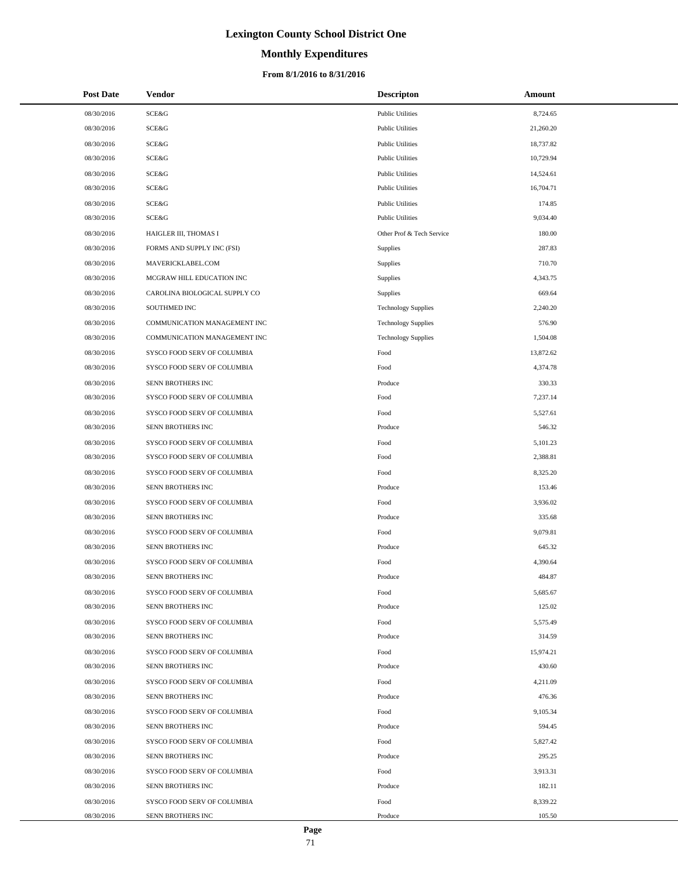# **Monthly Expenditures**

## **From 8/1/2016 to 8/31/2016**

| <b>Post Date</b> | Vendor                        | <b>Descripton</b>          | Amount    |
|------------------|-------------------------------|----------------------------|-----------|
| 08/30/2016       | SCE&G                         | <b>Public Utilities</b>    | 8,724.65  |
| 08/30/2016       | SCE&G                         | <b>Public Utilities</b>    | 21,260.20 |
| 08/30/2016       | SCE&G                         | <b>Public Utilities</b>    | 18,737.82 |
| 08/30/2016       | SCE&G                         | <b>Public Utilities</b>    | 10,729.94 |
| 08/30/2016       | SCE&G                         | <b>Public Utilities</b>    | 14,524.61 |
| 08/30/2016       | SCE&G                         | <b>Public Utilities</b>    | 16,704.71 |
| 08/30/2016       | SCE&G                         | <b>Public Utilities</b>    | 174.85    |
| 08/30/2016       | SCE&G                         | <b>Public Utilities</b>    | 9,034.40  |
| 08/30/2016       | HAIGLER III, THOMAS I         | Other Prof & Tech Service  | 180.00    |
| 08/30/2016       | FORMS AND SUPPLY INC (FSI)    | Supplies                   | 287.83    |
| 08/30/2016       | MAVERICKLABEL.COM             | Supplies                   | 710.70    |
| 08/30/2016       | MCGRAW HILL EDUCATION INC     | Supplies                   | 4,343.75  |
| 08/30/2016       | CAROLINA BIOLOGICAL SUPPLY CO | <b>Supplies</b>            | 669.64    |
| 08/30/2016       | SOUTHMED INC                  | <b>Technology Supplies</b> | 2,240.20  |
| 08/30/2016       | COMMUNICATION MANAGEMENT INC  | <b>Technology Supplies</b> | 576.90    |
| 08/30/2016       | COMMUNICATION MANAGEMENT INC  | <b>Technology Supplies</b> | 1,504.08  |
| 08/30/2016       | SYSCO FOOD SERV OF COLUMBIA   | Food                       | 13,872.62 |
| 08/30/2016       | SYSCO FOOD SERV OF COLUMBIA   | Food                       | 4,374.78  |
| 08/30/2016       | SENN BROTHERS INC             | Produce                    | 330.33    |
| 08/30/2016       | SYSCO FOOD SERV OF COLUMBIA   | Food                       | 7,237.14  |
| 08/30/2016       | SYSCO FOOD SERV OF COLUMBIA   | Food                       | 5,527.61  |
| 08/30/2016       | SENN BROTHERS INC             | Produce                    | 546.32    |
| 08/30/2016       | SYSCO FOOD SERV OF COLUMBIA   | Food                       | 5,101.23  |
| 08/30/2016       | SYSCO FOOD SERV OF COLUMBIA   | Food                       | 2,388.81  |
| 08/30/2016       | SYSCO FOOD SERV OF COLUMBIA   | Food                       | 8,325.20  |
| 08/30/2016       | SENN BROTHERS INC             | Produce                    | 153.46    |
| 08/30/2016       | SYSCO FOOD SERV OF COLUMBIA   | Food                       | 3,936.02  |
| 08/30/2016       | SENN BROTHERS INC             | Produce                    | 335.68    |
| 08/30/2016       | SYSCO FOOD SERV OF COLUMBIA   | Food                       | 9,079.81  |
| 08/30/2016       | SENN BROTHERS INC             | Produce                    | 645.32    |
| 08/30/2016       | SYSCO FOOD SERV OF COLUMBIA   | Food                       | 4,390.64  |
| 08/30/2016       | SENN BROTHERS INC             | Produce                    | 484.87    |
| 08/30/2016       | SYSCO FOOD SERV OF COLUMBIA   | Food                       | 5,685.67  |
| 08/30/2016       | SENN BROTHERS INC             | Produce                    | 125.02    |
| 08/30/2016       | SYSCO FOOD SERV OF COLUMBIA   | Food                       | 5,575.49  |
| 08/30/2016       | SENN BROTHERS INC             | Produce                    | 314.59    |
| 08/30/2016       | SYSCO FOOD SERV OF COLUMBIA   | Food                       | 15,974.21 |
| 08/30/2016       | SENN BROTHERS INC             | Produce                    | 430.60    |
| 08/30/2016       | SYSCO FOOD SERV OF COLUMBIA   | Food                       | 4,211.09  |
| 08/30/2016       | SENN BROTHERS INC             | Produce                    | 476.36    |
| 08/30/2016       | SYSCO FOOD SERV OF COLUMBIA   | Food                       | 9,105.34  |
| 08/30/2016       | SENN BROTHERS INC             | Produce                    | 594.45    |
| 08/30/2016       | SYSCO FOOD SERV OF COLUMBIA   | Food                       | 5,827.42  |
| 08/30/2016       | SENN BROTHERS INC             | Produce                    | 295.25    |
| 08/30/2016       | SYSCO FOOD SERV OF COLUMBIA   | Food                       | 3,913.31  |
| 08/30/2016       | SENN BROTHERS INC             | Produce                    | 182.11    |
| 08/30/2016       | SYSCO FOOD SERV OF COLUMBIA   | Food                       | 8,339.22  |
| 08/30/2016       | SENN BROTHERS INC             | Produce                    | 105.50    |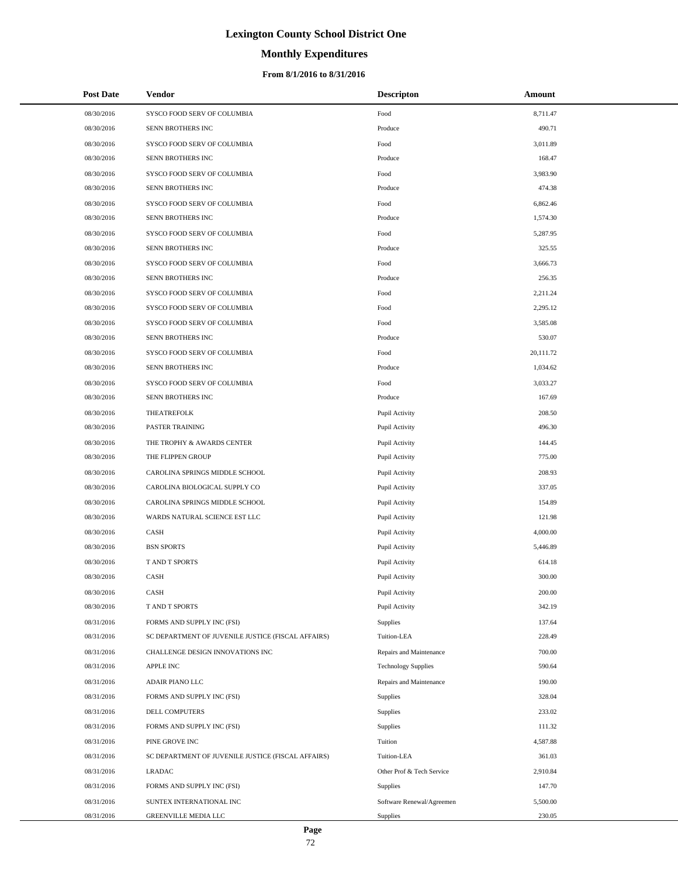# **Monthly Expenditures**

## **From 8/1/2016 to 8/31/2016**

| <b>Post Date</b> | <b>Vendor</b>                                      | <b>Descripton</b>          | Amount    |
|------------------|----------------------------------------------------|----------------------------|-----------|
| 08/30/2016       | SYSCO FOOD SERV OF COLUMBIA                        | Food                       | 8,711.47  |
| 08/30/2016       | SENN BROTHERS INC                                  | Produce                    | 490.71    |
| 08/30/2016       | SYSCO FOOD SERV OF COLUMBIA                        | Food                       | 3,011.89  |
| 08/30/2016       | SENN BROTHERS INC                                  | Produce                    | 168.47    |
| 08/30/2016       | SYSCO FOOD SERV OF COLUMBIA                        | Food                       | 3,983.90  |
| 08/30/2016       | SENN BROTHERS INC                                  | Produce                    | 474.38    |
| 08/30/2016       | SYSCO FOOD SERV OF COLUMBIA                        | Food                       | 6,862.46  |
| 08/30/2016       | SENN BROTHERS INC                                  | Produce                    | 1,574.30  |
| 08/30/2016       | SYSCO FOOD SERV OF COLUMBIA                        | Food                       | 5,287.95  |
| 08/30/2016       | SENN BROTHERS INC                                  | Produce                    | 325.55    |
| 08/30/2016       | SYSCO FOOD SERV OF COLUMBIA                        | Food                       | 3,666.73  |
| 08/30/2016       | SENN BROTHERS INC                                  | Produce                    | 256.35    |
| 08/30/2016       | SYSCO FOOD SERV OF COLUMBIA                        | Food                       | 2,211.24  |
| 08/30/2016       | SYSCO FOOD SERV OF COLUMBIA                        | Food                       | 2,295.12  |
| 08/30/2016       | SYSCO FOOD SERV OF COLUMBIA                        | Food                       | 3,585.08  |
| 08/30/2016       | SENN BROTHERS INC                                  | Produce                    | 530.07    |
| 08/30/2016       | SYSCO FOOD SERV OF COLUMBIA                        | Food                       | 20,111.72 |
| 08/30/2016       | SENN BROTHERS INC                                  | Produce                    | 1,034.62  |
| 08/30/2016       | SYSCO FOOD SERV OF COLUMBIA                        | Food                       | 3,033.27  |
| 08/30/2016       | SENN BROTHERS INC                                  | Produce                    | 167.69    |
| 08/30/2016       | <b>THEATREFOLK</b>                                 | Pupil Activity             | 208.50    |
| 08/30/2016       | <b>PASTER TRAINING</b>                             | Pupil Activity             | 496.30    |
| 08/30/2016       | THE TROPHY & AWARDS CENTER                         | Pupil Activity             | 144.45    |
| 08/30/2016       | THE FLIPPEN GROUP                                  | Pupil Activity             | 775.00    |
| 08/30/2016       | CAROLINA SPRINGS MIDDLE SCHOOL                     | Pupil Activity             | 208.93    |
| 08/30/2016       | CAROLINA BIOLOGICAL SUPPLY CO                      | Pupil Activity             | 337.05    |
| 08/30/2016       | CAROLINA SPRINGS MIDDLE SCHOOL                     | Pupil Activity             | 154.89    |
| 08/30/2016       | WARDS NATURAL SCIENCE EST LLC                      | Pupil Activity             | 121.98    |
| 08/30/2016       | CASH                                               | Pupil Activity             | 4,000.00  |
| 08/30/2016       | <b>BSN SPORTS</b>                                  | Pupil Activity             | 5,446.89  |
| 08/30/2016       | <b>TAND T SPORTS</b>                               | Pupil Activity             | 614.18    |
| 08/30/2016       | CASH                                               | Pupil Activity             | 300.00    |
| 08/30/2016       | CASH                                               | Pupil Activity             | 200.00    |
| 08/30/2016       | T AND T SPORTS                                     | Pupil Activity             | 342.19    |
| 08/31/2016       | FORMS AND SUPPLY INC (FSI)                         | Supplies                   | 137.64    |
| 08/31/2016       | SC DEPARTMENT OF JUVENILE JUSTICE (FISCAL AFFAIRS) | Tuition-LEA                | 228.49    |
| 08/31/2016       | CHALLENGE DESIGN INNOVATIONS INC                   | Repairs and Maintenance    | 700.00    |
| 08/31/2016       | <b>APPLE INC</b>                                   | <b>Technology Supplies</b> | 590.64    |
| 08/31/2016       | ADAIR PIANO LLC                                    | Repairs and Maintenance    | 190.00    |
| 08/31/2016       | FORMS AND SUPPLY INC (FSI)                         | <b>Supplies</b>            | 328.04    |
| 08/31/2016       | DELL COMPUTERS                                     | Supplies                   | 233.02    |
| 08/31/2016       | FORMS AND SUPPLY INC (FSI)                         | Supplies                   | 111.32    |
| 08/31/2016       | PINE GROVE INC                                     | Tuition                    | 4,587.88  |
| 08/31/2016       | SC DEPARTMENT OF JUVENILE JUSTICE (FISCAL AFFAIRS) | Tuition-LEA                | 361.03    |
| 08/31/2016       | LRADAC                                             | Other Prof & Tech Service  | 2,910.84  |
| 08/31/2016       | FORMS AND SUPPLY INC (FSI)                         | <b>Supplies</b>            | 147.70    |
| 08/31/2016       | SUNTEX INTERNATIONAL INC                           | Software Renewal/Agreemen  | 5,500.00  |
| 08/31/2016       | GREENVILLE MEDIA LLC                               | <b>Supplies</b>            | 230.05    |